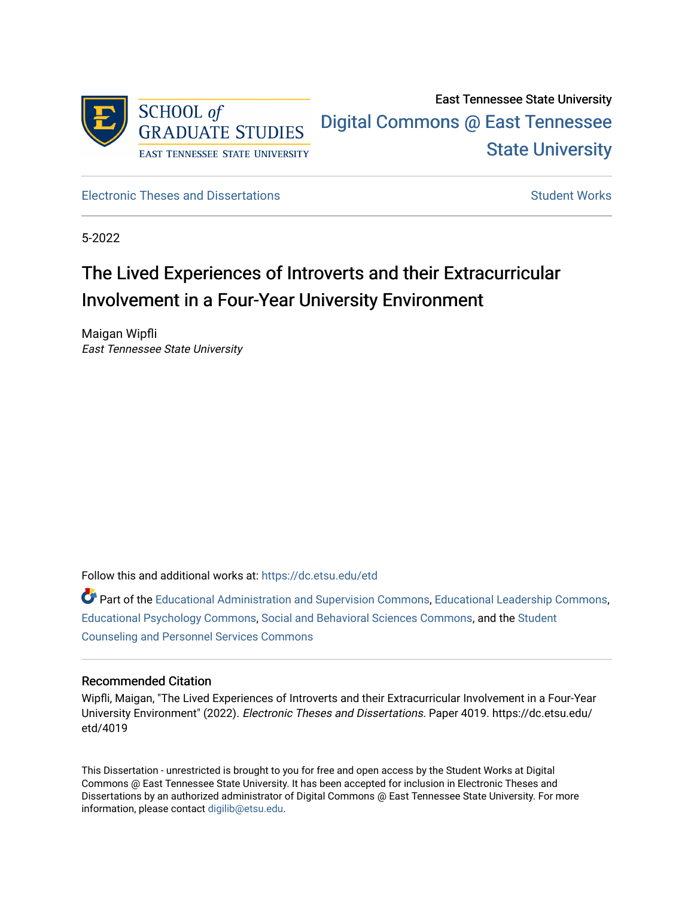

## East Tennessee State University [Digital Commons @ East Tennessee](https://dc.etsu.edu/)  [State University](https://dc.etsu.edu/)

[Electronic Theses and Dissertations](https://dc.etsu.edu/etd) [Student Works](https://dc.etsu.edu/student-works) Student Works

5-2022

# The Lived Experiences of Introverts and their Extracurricular Involvement in a Four-Year University Environment

Maigan Wipfli East Tennessee State University

Follow this and additional works at: [https://dc.etsu.edu/etd](https://dc.etsu.edu/etd?utm_source=dc.etsu.edu%2Fetd%2F4019&utm_medium=PDF&utm_campaign=PDFCoverPages)

Part of the [Educational Administration and Supervision Commons](http://network.bepress.com/hgg/discipline/787?utm_source=dc.etsu.edu%2Fetd%2F4019&utm_medium=PDF&utm_campaign=PDFCoverPages), [Educational Leadership Commons](http://network.bepress.com/hgg/discipline/1230?utm_source=dc.etsu.edu%2Fetd%2F4019&utm_medium=PDF&utm_campaign=PDFCoverPages), [Educational Psychology Commons](http://network.bepress.com/hgg/discipline/798?utm_source=dc.etsu.edu%2Fetd%2F4019&utm_medium=PDF&utm_campaign=PDFCoverPages), [Social and Behavioral Sciences Commons](http://network.bepress.com/hgg/discipline/316?utm_source=dc.etsu.edu%2Fetd%2F4019&utm_medium=PDF&utm_campaign=PDFCoverPages), and the [Student](http://network.bepress.com/hgg/discipline/802?utm_source=dc.etsu.edu%2Fetd%2F4019&utm_medium=PDF&utm_campaign=PDFCoverPages)  [Counseling and Personnel Services Commons](http://network.bepress.com/hgg/discipline/802?utm_source=dc.etsu.edu%2Fetd%2F4019&utm_medium=PDF&utm_campaign=PDFCoverPages) 

## Recommended Citation

Wipfli, Maigan, "The Lived Experiences of Introverts and their Extracurricular Involvement in a Four-Year University Environment" (2022). Electronic Theses and Dissertations. Paper 4019. https://dc.etsu.edu/ etd/4019

This Dissertation - unrestricted is brought to you for free and open access by the Student Works at Digital Commons @ East Tennessee State University. It has been accepted for inclusion in Electronic Theses and Dissertations by an authorized administrator of Digital Commons @ East Tennessee State University. For more information, please contact [digilib@etsu.edu.](mailto:digilib@etsu.edu)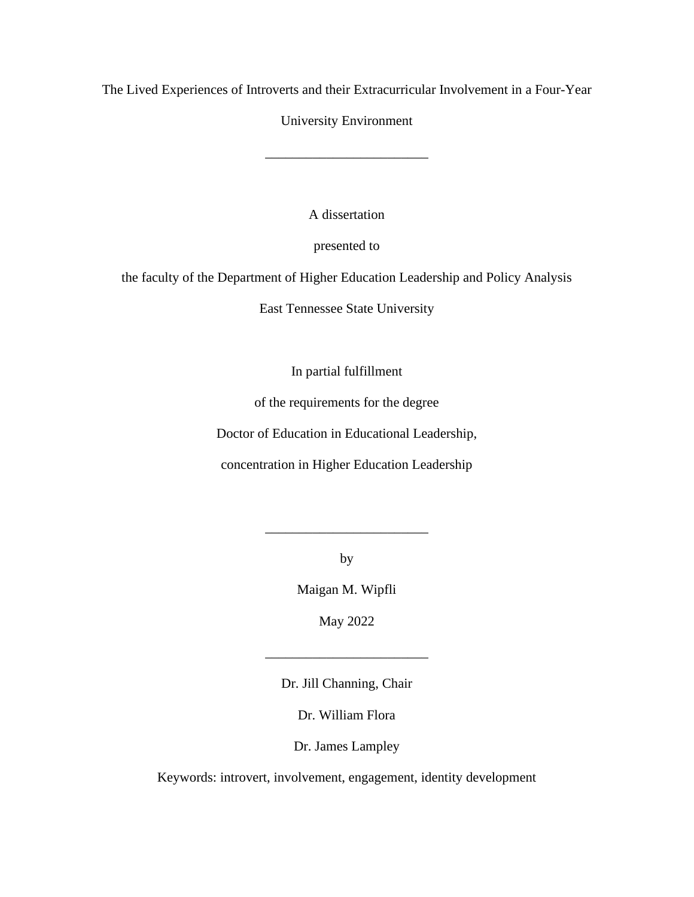The Lived Experiences of Introverts and their Extracurricular Involvement in a Four-Year

University Environment

\_\_\_\_\_\_\_\_\_\_\_\_\_\_\_\_\_\_\_\_\_\_\_\_

A dissertation

presented to

the faculty of the Department of Higher Education Leadership and Policy Analysis

East Tennessee State University

In partial fulfillment

of the requirements for the degree

Doctor of Education in Educational Leadership,

concentration in Higher Education Leadership

by

\_\_\_\_\_\_\_\_\_\_\_\_\_\_\_\_\_\_\_\_\_\_\_\_

Maigan M. Wipfli

May 2022

Dr. Jill Channing, Chair

\_\_\_\_\_\_\_\_\_\_\_\_\_\_\_\_\_\_\_\_\_\_\_\_

Dr. William Flora

Dr. James Lampley

Keywords: introvert, involvement, engagement, identity development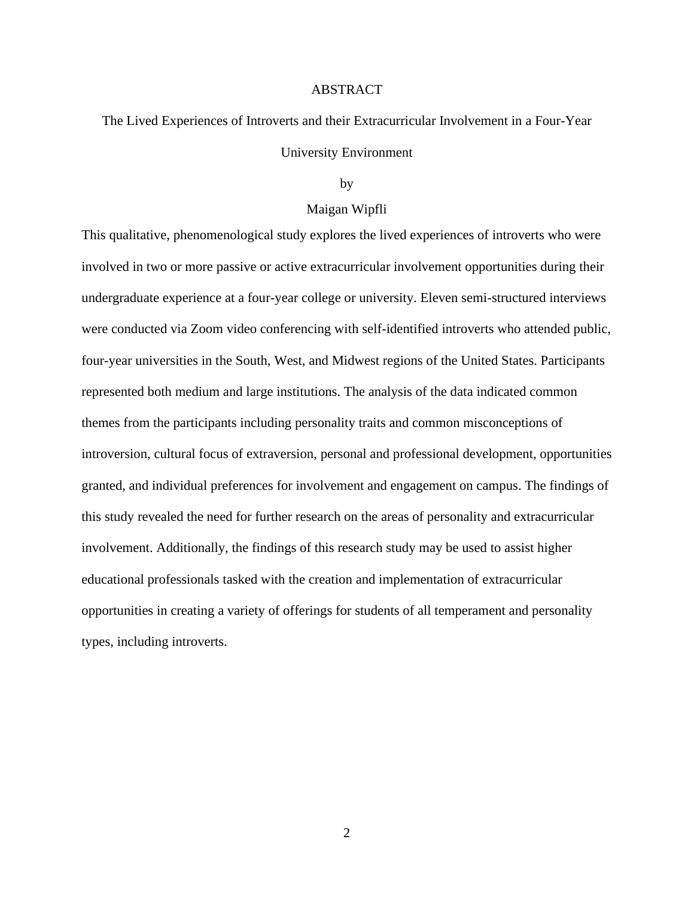## ABSTRACT

<span id="page-2-0"></span>The Lived Experiences of Introverts and their Extracurricular Involvement in a Four-Year University Environment

#### by

## Maigan Wipfli

This qualitative, phenomenological study explores the lived experiences of introverts who were involved in two or more passive or active extracurricular involvement opportunities during their undergraduate experience at a four-year college or university. Eleven semi-structured interviews were conducted via Zoom video conferencing with self-identified introverts who attended public, four-year universities in the South, West, and Midwest regions of the United States. Participants represented both medium and large institutions. The analysis of the data indicated common themes from the participants including personality traits and common misconceptions of introversion, cultural focus of extraversion, personal and professional development, opportunities granted, and individual preferences for involvement and engagement on campus. The findings of this study revealed the need for further research on the areas of personality and extracurricular involvement. Additionally, the findings of this research study may be used to assist higher educational professionals tasked with the creation and implementation of extracurricular opportunities in creating a variety of offerings for students of all temperament and personality types, including introverts.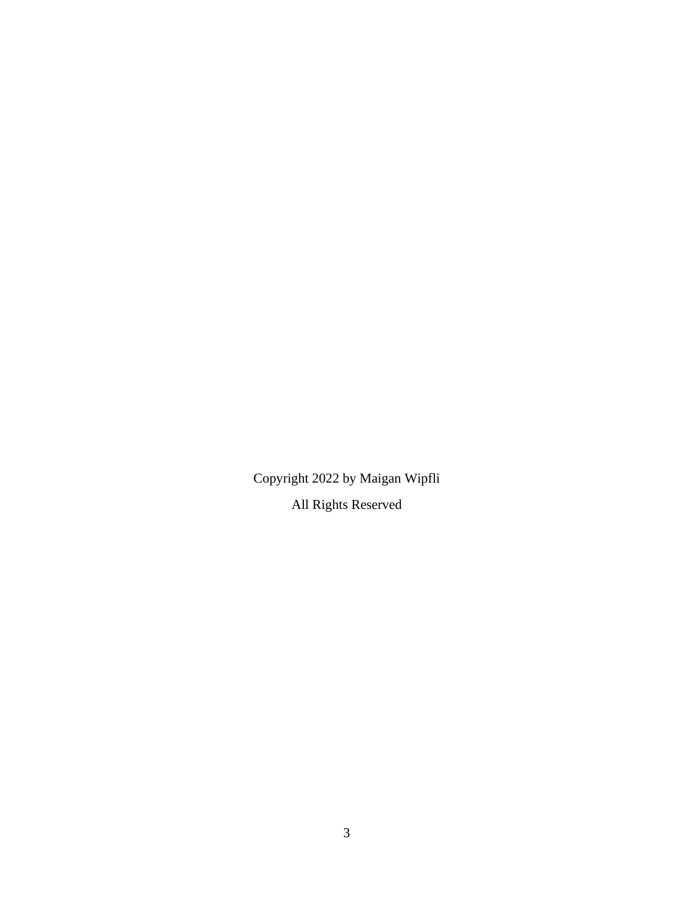Copyright 2022 by Maigan Wipfli All Rights Reserved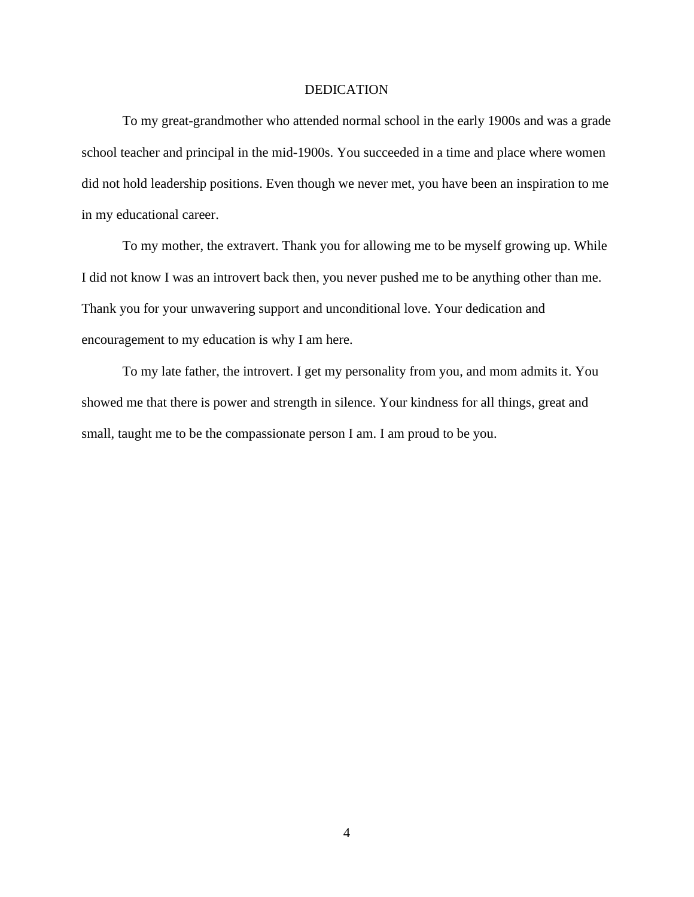## DEDICATION

<span id="page-4-0"></span>To my great-grandmother who attended normal school in the early 1900s and was a grade school teacher and principal in the mid-1900s. You succeeded in a time and place where women did not hold leadership positions. Even though we never met, you have been an inspiration to me in my educational career.

To my mother, the extravert. Thank you for allowing me to be myself growing up. While I did not know I was an introvert back then, you never pushed me to be anything other than me. Thank you for your unwavering support and unconditional love. Your dedication and encouragement to my education is why I am here.

To my late father, the introvert. I get my personality from you, and mom admits it. You showed me that there is power and strength in silence. Your kindness for all things, great and small, taught me to be the compassionate person I am. I am proud to be you.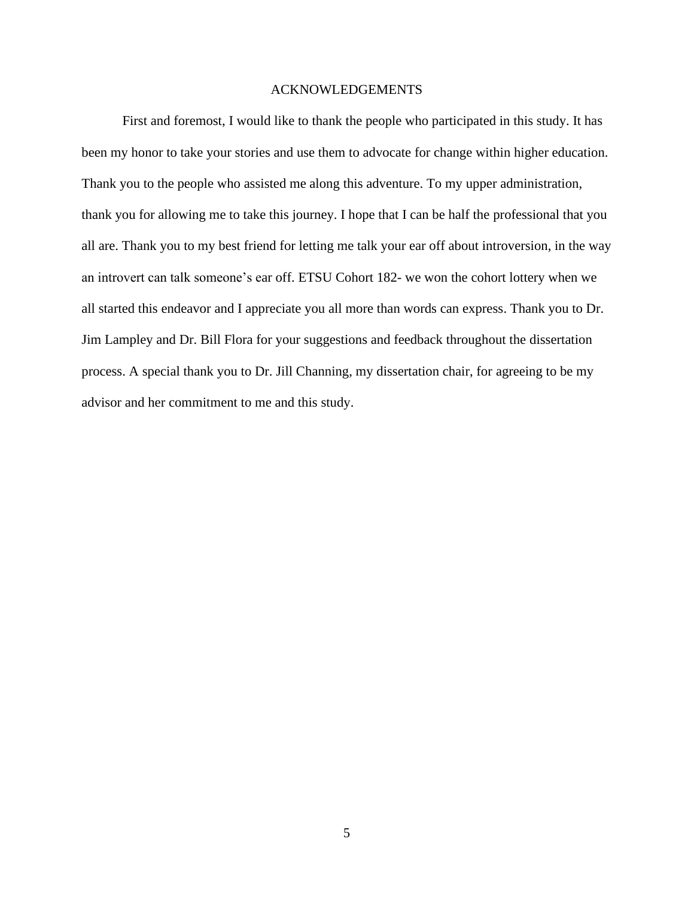## ACKNOWLEDGEMENTS

<span id="page-5-0"></span>First and foremost, I would like to thank the people who participated in this study. It has been my honor to take your stories and use them to advocate for change within higher education. Thank you to the people who assisted me along this adventure. To my upper administration, thank you for allowing me to take this journey. I hope that I can be half the professional that you all are. Thank you to my best friend for letting me talk your ear off about introversion, in the way an introvert can talk someone's ear off. ETSU Cohort 182- we won the cohort lottery when we all started this endeavor and I appreciate you all more than words can express. Thank you to Dr. Jim Lampley and Dr. Bill Flora for your suggestions and feedback throughout the dissertation process. A special thank you to Dr. Jill Channing, my dissertation chair, for agreeing to be my advisor and her commitment to me and this study.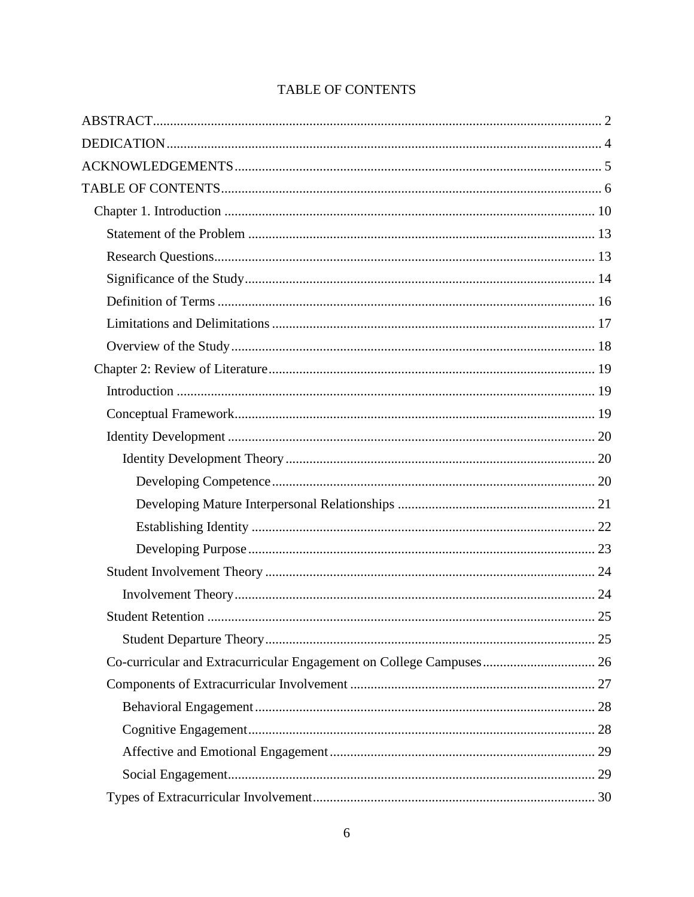| <b>TABLE OF CONTENTS</b> |
|--------------------------|
|--------------------------|

<span id="page-6-0"></span>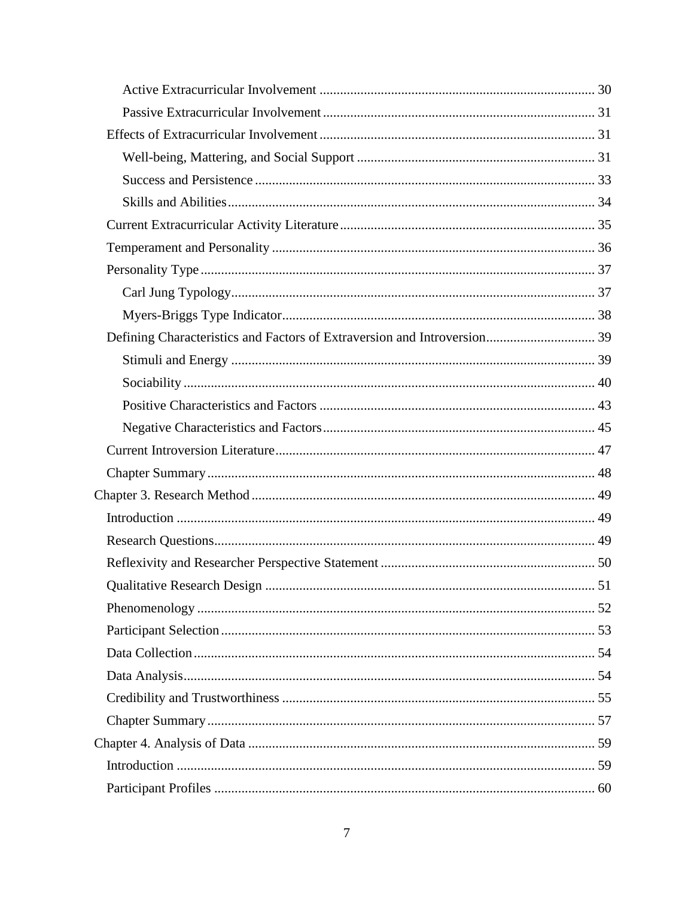| <b>Qualitative Research Design</b> | 51 |
|------------------------------------|----|
|                                    |    |
|                                    |    |
|                                    |    |
|                                    |    |
|                                    |    |
|                                    |    |
|                                    |    |
|                                    |    |
|                                    |    |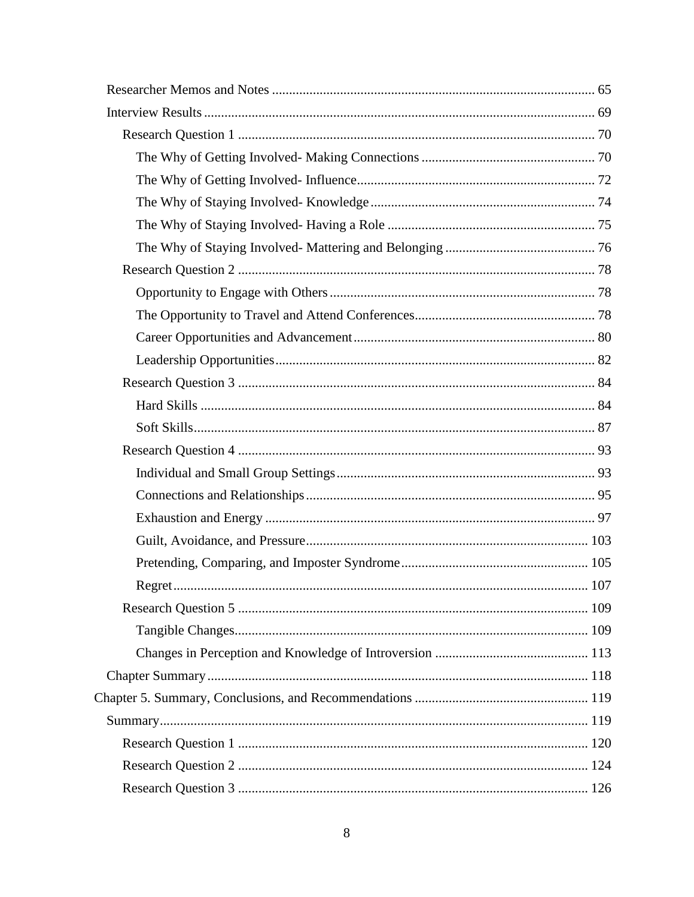| Regret. | 107 |
|---------|-----|
|         |     |
|         |     |
|         |     |
|         |     |
|         |     |
|         |     |
|         |     |
|         |     |
|         |     |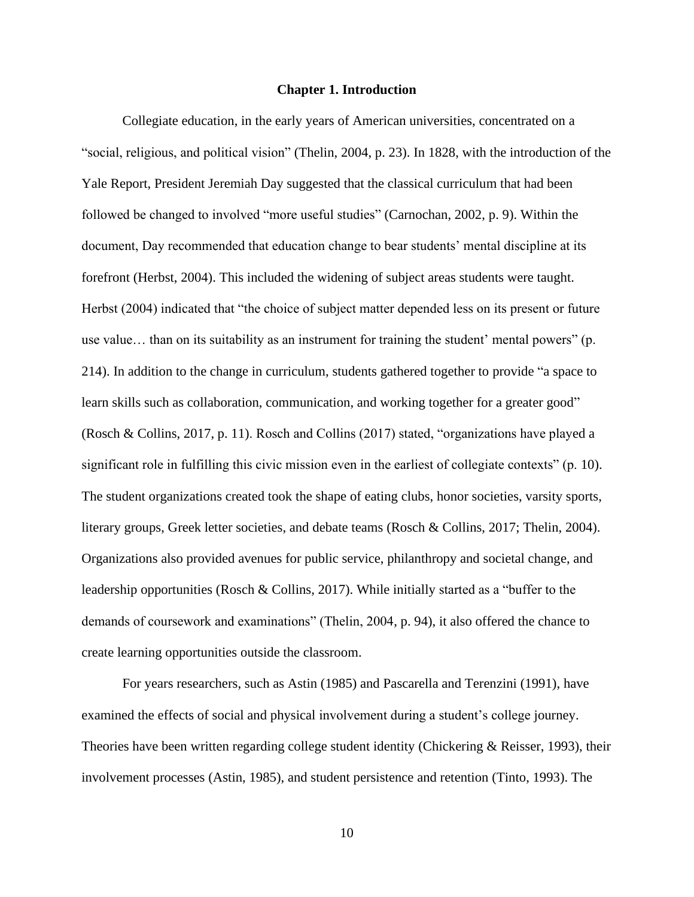#### **Chapter 1. Introduction**

<span id="page-10-0"></span>Collegiate education, in the early years of American universities, concentrated on a "social, religious, and political vision" (Thelin, 2004, p. 23). In 1828, with the introduction of the Yale Report, President Jeremiah Day suggested that the classical curriculum that had been followed be changed to involved "more useful studies" (Carnochan, 2002, p. 9). Within the document, Day recommended that education change to bear students' mental discipline at its forefront (Herbst, 2004). This included the widening of subject areas students were taught. Herbst (2004) indicated that "the choice of subject matter depended less on its present or future use value… than on its suitability as an instrument for training the student' mental powers" (p. 214). In addition to the change in curriculum, students gathered together to provide "a space to learn skills such as collaboration, communication, and working together for a greater good" (Rosch & Collins, 2017, p. 11). Rosch and Collins (2017) stated, "organizations have played a significant role in fulfilling this civic mission even in the earliest of collegiate contexts" (p. 10). The student organizations created took the shape of eating clubs, honor societies, varsity sports, literary groups, Greek letter societies, and debate teams (Rosch & Collins, 2017; Thelin, 2004). Organizations also provided avenues for public service, philanthropy and societal change, and leadership opportunities (Rosch & Collins, 2017). While initially started as a "buffer to the demands of coursework and examinations" (Thelin, 2004, p. 94), it also offered the chance to create learning opportunities outside the classroom.

For years researchers, such as Astin (1985) and Pascarella and Terenzini (1991), have examined the effects of social and physical involvement during a student's college journey. Theories have been written regarding college student identity (Chickering & Reisser, 1993), their involvement processes (Astin, 1985), and student persistence and retention (Tinto, 1993). The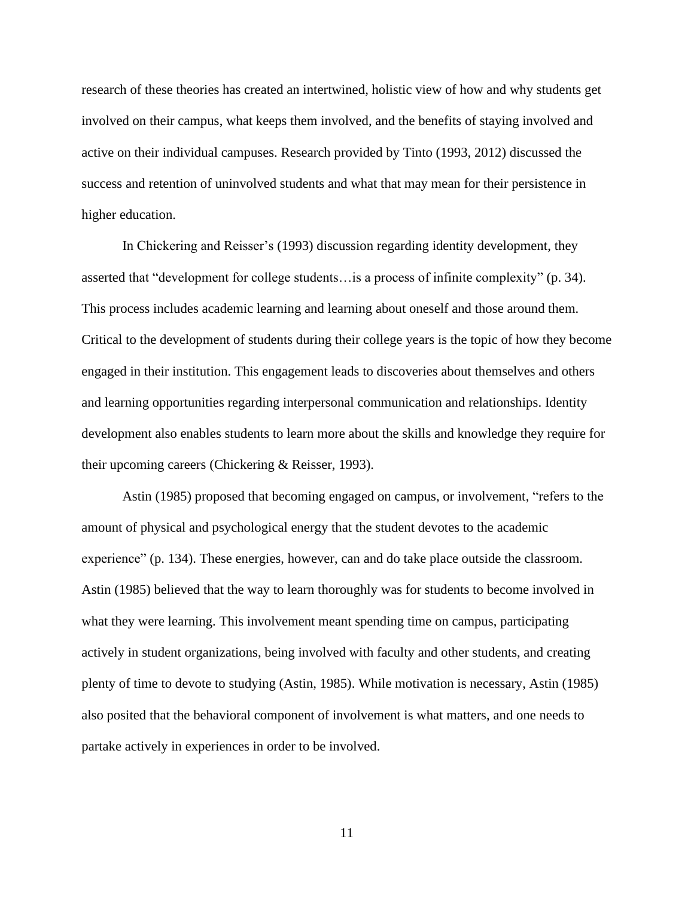research of these theories has created an intertwined, holistic view of how and why students get involved on their campus, what keeps them involved, and the benefits of staying involved and active on their individual campuses. Research provided by Tinto (1993, 2012) discussed the success and retention of uninvolved students and what that may mean for their persistence in higher education.

In Chickering and Reisser's (1993) discussion regarding identity development, they asserted that "development for college students…is a process of infinite complexity" (p. 34). This process includes academic learning and learning about oneself and those around them. Critical to the development of students during their college years is the topic of how they become engaged in their institution. This engagement leads to discoveries about themselves and others and learning opportunities regarding interpersonal communication and relationships. Identity development also enables students to learn more about the skills and knowledge they require for their upcoming careers (Chickering & Reisser, 1993).

Astin (1985) proposed that becoming engaged on campus, or involvement, "refers to the amount of physical and psychological energy that the student devotes to the academic experience" (p. 134). These energies, however, can and do take place outside the classroom. Astin (1985) believed that the way to learn thoroughly was for students to become involved in what they were learning. This involvement meant spending time on campus, participating actively in student organizations, being involved with faculty and other students, and creating plenty of time to devote to studying (Astin, 1985). While motivation is necessary, Astin (1985) also posited that the behavioral component of involvement is what matters, and one needs to partake actively in experiences in order to be involved.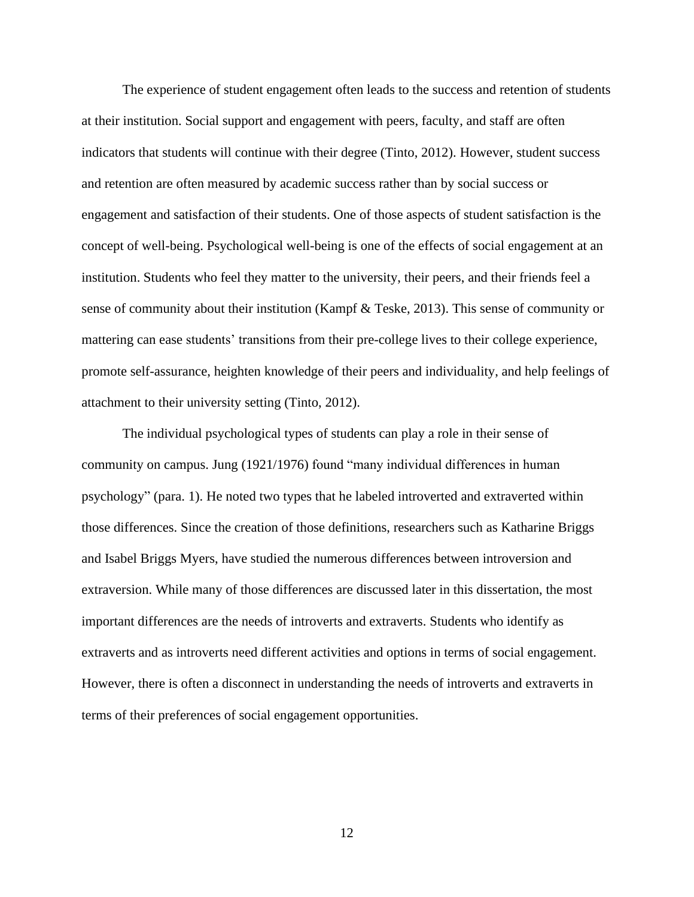The experience of student engagement often leads to the success and retention of students at their institution. Social support and engagement with peers, faculty, and staff are often indicators that students will continue with their degree (Tinto, 2012). However, student success and retention are often measured by academic success rather than by social success or engagement and satisfaction of their students. One of those aspects of student satisfaction is the concept of well-being. Psychological well-being is one of the effects of social engagement at an institution. Students who feel they matter to the university, their peers, and their friends feel a sense of community about their institution (Kampf & Teske, 2013). This sense of community or mattering can ease students' transitions from their pre-college lives to their college experience, promote self-assurance, heighten knowledge of their peers and individuality, and help feelings of attachment to their university setting (Tinto, 2012).

The individual psychological types of students can play a role in their sense of community on campus. Jung (1921/1976) found "many individual differences in human psychology" (para. 1). He noted two types that he labeled introverted and extraverted within those differences. Since the creation of those definitions, researchers such as Katharine Briggs and Isabel Briggs Myers, have studied the numerous differences between introversion and extraversion. While many of those differences are discussed later in this dissertation, the most important differences are the needs of introverts and extraverts. Students who identify as extraverts and as introverts need different activities and options in terms of social engagement. However, there is often a disconnect in understanding the needs of introverts and extraverts in terms of their preferences of social engagement opportunities.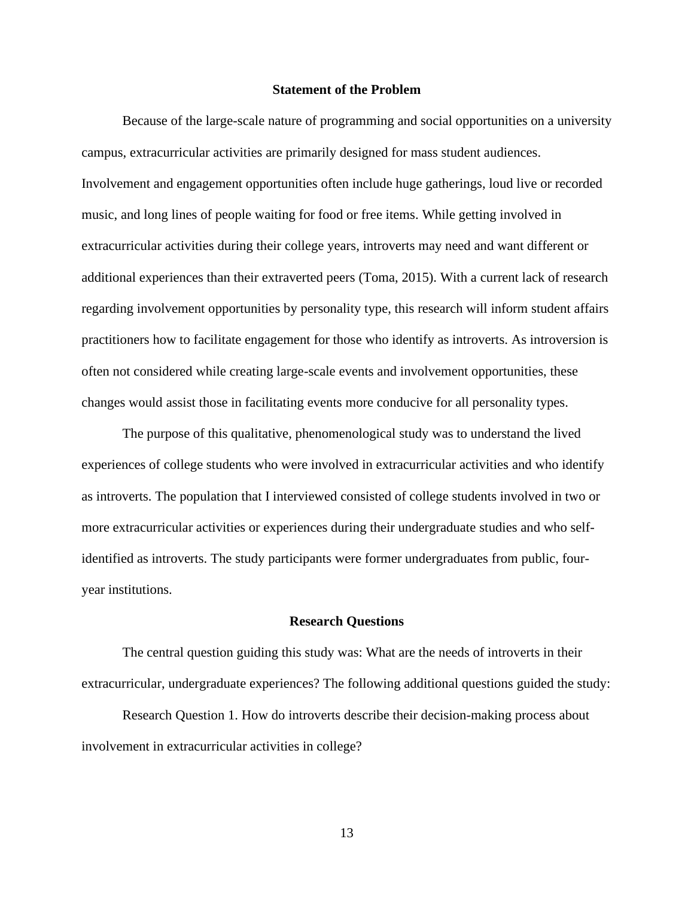## **Statement of the Problem**

<span id="page-13-0"></span>Because of the large-scale nature of programming and social opportunities on a university campus, extracurricular activities are primarily designed for mass student audiences. Involvement and engagement opportunities often include huge gatherings, loud live or recorded music, and long lines of people waiting for food or free items. While getting involved in extracurricular activities during their college years, introverts may need and want different or additional experiences than their extraverted peers (Toma, 2015). With a current lack of research regarding involvement opportunities by personality type, this research will inform student affairs practitioners how to facilitate engagement for those who identify as introverts. As introversion is often not considered while creating large-scale events and involvement opportunities, these changes would assist those in facilitating events more conducive for all personality types.

The purpose of this qualitative, phenomenological study was to understand the lived experiences of college students who were involved in extracurricular activities and who identify as introverts. The population that I interviewed consisted of college students involved in two or more extracurricular activities or experiences during their undergraduate studies and who selfidentified as introverts. The study participants were former undergraduates from public, fouryear institutions.

#### **Research Questions**

<span id="page-13-1"></span>The central question guiding this study was: What are the needs of introverts in their extracurricular, undergraduate experiences? The following additional questions guided the study:

Research Question 1. How do introverts describe their decision-making process about involvement in extracurricular activities in college?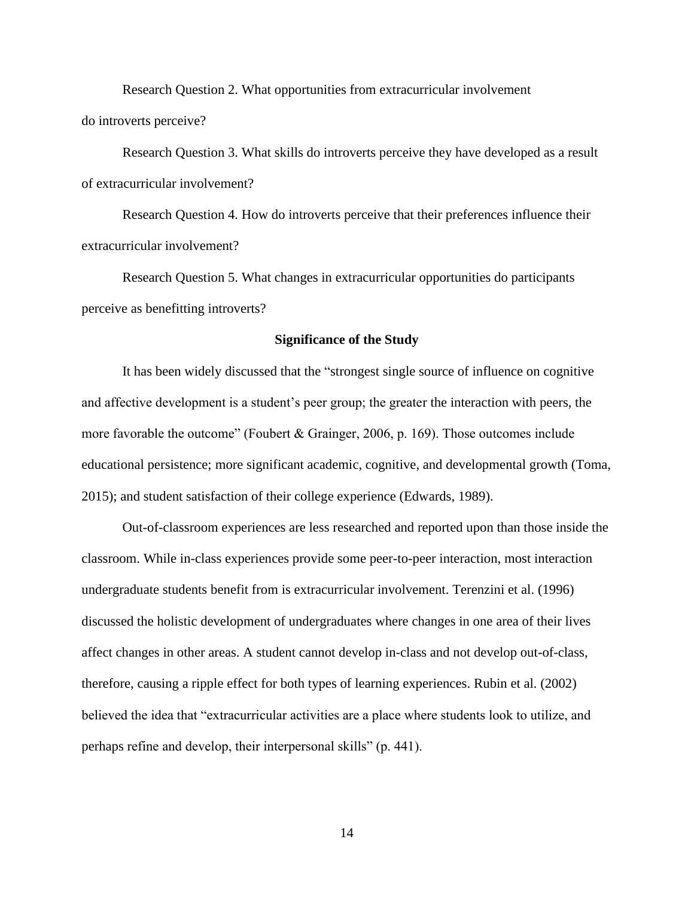Research Question 2. What opportunities from extracurricular involvement do introverts perceive?

Research Question 3. What skills do introverts perceive they have developed as a result of extracurricular involvement?

Research Question 4. How do introverts perceive that their preferences influence their extracurricular involvement?

Research Question 5. What changes in extracurricular opportunities do participants perceive as benefitting introverts?

#### **Significance of the Study**

<span id="page-14-0"></span>It has been widely discussed that the "strongest single source of influence on cognitive and affective development is a student's peer group; the greater the interaction with peers, the more favorable the outcome" (Foubert & Grainger, 2006, p. 169). Those outcomes include educational persistence; more significant academic, cognitive, and developmental growth (Toma, 2015); and student satisfaction of their college experience (Edwards, 1989).

Out-of-classroom experiences are less researched and reported upon than those inside the classroom. While in-class experiences provide some peer-to-peer interaction, most interaction undergraduate students benefit from is extracurricular involvement. Terenzini et al. (1996) discussed the holistic development of undergraduates where changes in one area of their lives affect changes in other areas. A student cannot develop in-class and not develop out-of-class, therefore, causing a ripple effect for both types of learning experiences. Rubin et al. (2002) believed the idea that "extracurricular activities are a place where students look to utilize, and perhaps refine and develop, their interpersonal skills" (p. 441).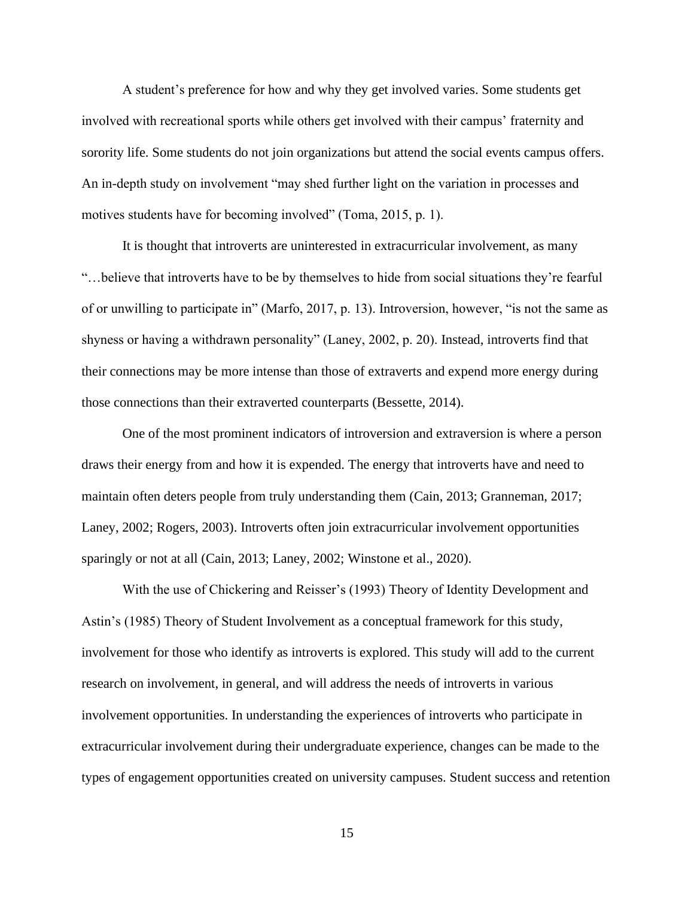A student's preference for how and why they get involved varies. Some students get involved with recreational sports while others get involved with their campus' fraternity and sorority life. Some students do not join organizations but attend the social events campus offers. An in-depth study on involvement "may shed further light on the variation in processes and motives students have for becoming involved" (Toma, 2015, p. 1).

It is thought that introverts are uninterested in extracurricular involvement, as many "…believe that introverts have to be by themselves to hide from social situations they're fearful of or unwilling to participate in" (Marfo, 2017, p. 13). Introversion, however, "is not the same as shyness or having a withdrawn personality" (Laney, 2002, p. 20). Instead, introverts find that their connections may be more intense than those of extraverts and expend more energy during those connections than their extraverted counterparts (Bessette, 2014).

One of the most prominent indicators of introversion and extraversion is where a person draws their energy from and how it is expended. The energy that introverts have and need to maintain often deters people from truly understanding them (Cain, 2013; Granneman, 2017; Laney, 2002; Rogers, 2003). Introverts often join extracurricular involvement opportunities sparingly or not at all (Cain, 2013; Laney, 2002; Winstone et al., 2020).

With the use of Chickering and Reisser's (1993) Theory of Identity Development and Astin's (1985) Theory of Student Involvement as a conceptual framework for this study, involvement for those who identify as introverts is explored. This study will add to the current research on involvement, in general, and will address the needs of introverts in various involvement opportunities. In understanding the experiences of introverts who participate in extracurricular involvement during their undergraduate experience, changes can be made to the types of engagement opportunities created on university campuses. Student success and retention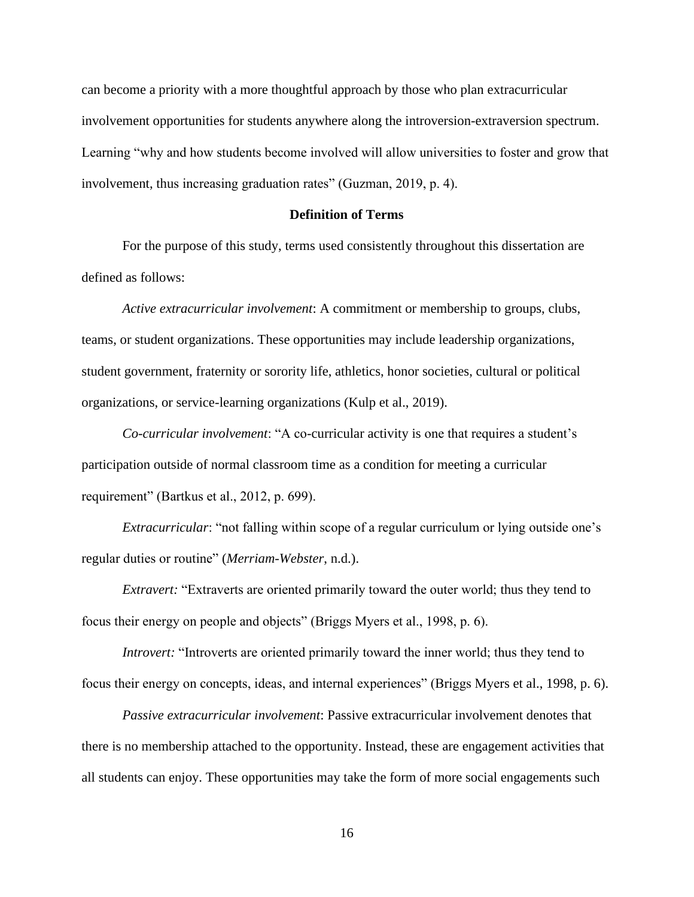can become a priority with a more thoughtful approach by those who plan extracurricular involvement opportunities for students anywhere along the introversion-extraversion spectrum. Learning "why and how students become involved will allow universities to foster and grow that involvement, thus increasing graduation rates" (Guzman, 2019, p. 4).

#### **Definition of Terms**

<span id="page-16-0"></span>For the purpose of this study, terms used consistently throughout this dissertation are defined as follows:

*Active extracurricular involvement*: A commitment or membership to groups, clubs, teams, or student organizations. These opportunities may include leadership organizations, student government, fraternity or sorority life, athletics, honor societies, cultural or political organizations, or service-learning organizations (Kulp et al., 2019).

*Co-curricular involvement*: "A co-curricular activity is one that requires a student's participation outside of normal classroom time as a condition for meeting a curricular requirement" (Bartkus et al., 2012, p. 699).

*Extracurricular*: "not falling within scope of a regular curriculum or lying outside one's regular duties or routine" (*Merriam-Webster*, n.d.).

*Extravert:* "Extraverts are oriented primarily toward the outer world; thus they tend to focus their energy on people and objects" (Briggs Myers et al., 1998, p. 6).

*Introvert:* "Introverts are oriented primarily toward the inner world; thus they tend to focus their energy on concepts, ideas, and internal experiences" (Briggs Myers et al., 1998, p. 6).

*Passive extracurricular involvement*: Passive extracurricular involvement denotes that there is no membership attached to the opportunity. Instead, these are engagement activities that all students can enjoy. These opportunities may take the form of more social engagements such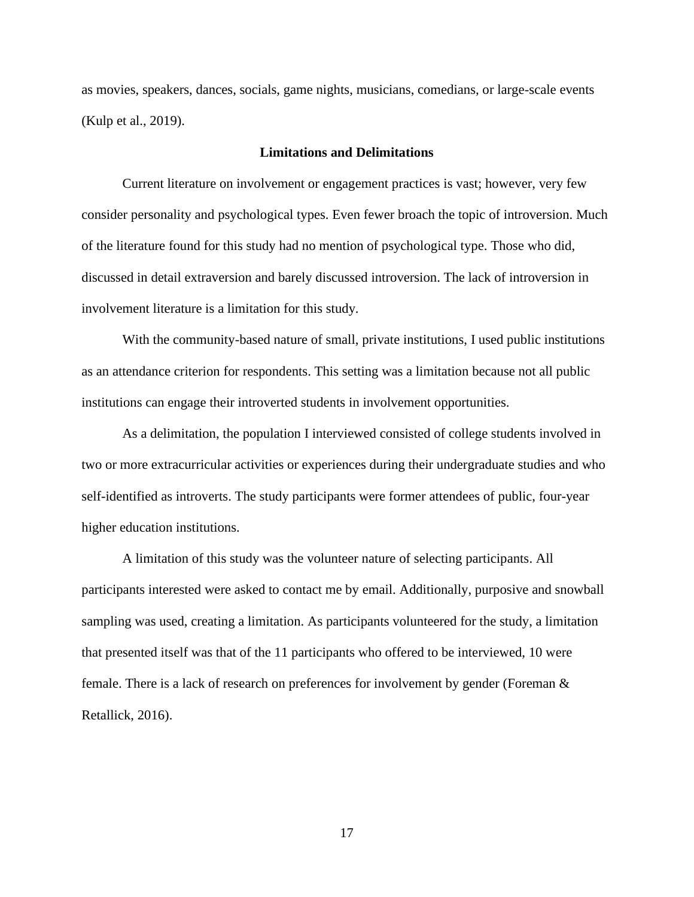as movies, speakers, dances, socials, game nights, musicians, comedians, or large-scale events (Kulp et al., 2019).

## **Limitations and Delimitations**

<span id="page-17-0"></span>Current literature on involvement or engagement practices is vast; however, very few consider personality and psychological types. Even fewer broach the topic of introversion. Much of the literature found for this study had no mention of psychological type. Those who did, discussed in detail extraversion and barely discussed introversion. The lack of introversion in involvement literature is a limitation for this study.

With the community-based nature of small, private institutions, I used public institutions as an attendance criterion for respondents. This setting was a limitation because not all public institutions can engage their introverted students in involvement opportunities.

As a delimitation, the population I interviewed consisted of college students involved in two or more extracurricular activities or experiences during their undergraduate studies and who self-identified as introverts. The study participants were former attendees of public, four-year higher education institutions.

A limitation of this study was the volunteer nature of selecting participants. All participants interested were asked to contact me by email. Additionally, purposive and snowball sampling was used, creating a limitation. As participants volunteered for the study, a limitation that presented itself was that of the 11 participants who offered to be interviewed, 10 were female. There is a lack of research on preferences for involvement by gender (Foreman & Retallick, 2016).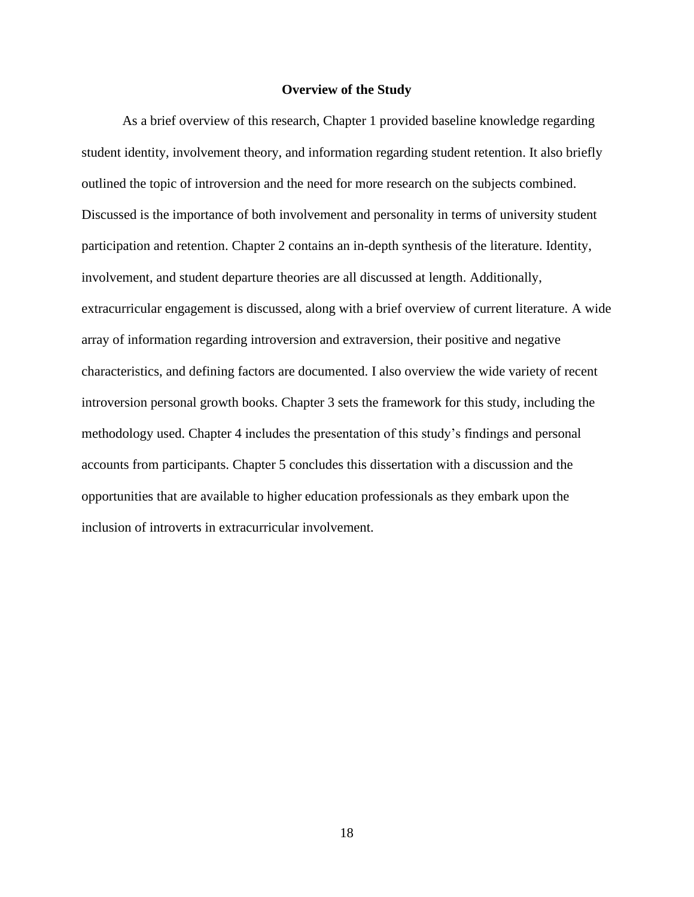## **Overview of the Study**

<span id="page-18-0"></span>As a brief overview of this research, Chapter 1 provided baseline knowledge regarding student identity, involvement theory, and information regarding student retention. It also briefly outlined the topic of introversion and the need for more research on the subjects combined. Discussed is the importance of both involvement and personality in terms of university student participation and retention. Chapter 2 contains an in-depth synthesis of the literature. Identity, involvement, and student departure theories are all discussed at length. Additionally, extracurricular engagement is discussed, along with a brief overview of current literature. A wide array of information regarding introversion and extraversion, their positive and negative characteristics, and defining factors are documented. I also overview the wide variety of recent introversion personal growth books. Chapter 3 sets the framework for this study, including the methodology used. Chapter 4 includes the presentation of this study's findings and personal accounts from participants. Chapter 5 concludes this dissertation with a discussion and the opportunities that are available to higher education professionals as they embark upon the inclusion of introverts in extracurricular involvement.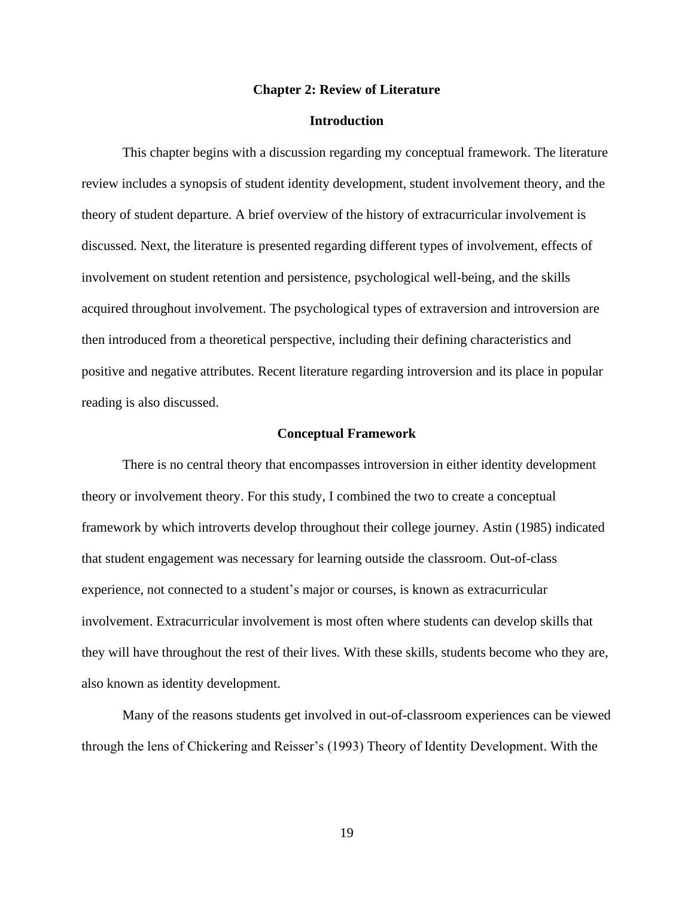#### **Chapter 2: Review of Literature**

## **Introduction**

<span id="page-19-1"></span><span id="page-19-0"></span>This chapter begins with a discussion regarding my conceptual framework. The literature review includes a synopsis of student identity development, student involvement theory, and the theory of student departure. A brief overview of the history of extracurricular involvement is discussed. Next, the literature is presented regarding different types of involvement, effects of involvement on student retention and persistence, psychological well-being, and the skills acquired throughout involvement. The psychological types of extraversion and introversion are then introduced from a theoretical perspective, including their defining characteristics and positive and negative attributes. Recent literature regarding introversion and its place in popular reading is also discussed.

#### **Conceptual Framework**

<span id="page-19-2"></span>There is no central theory that encompasses introversion in either identity development theory or involvement theory. For this study, I combined the two to create a conceptual framework by which introverts develop throughout their college journey. Astin (1985) indicated that student engagement was necessary for learning outside the classroom. Out-of-class experience, not connected to a student's major or courses, is known as extracurricular involvement. Extracurricular involvement is most often where students can develop skills that they will have throughout the rest of their lives. With these skills, students become who they are, also known as identity development.

Many of the reasons students get involved in out-of-classroom experiences can be viewed through the lens of Chickering and Reisser's (1993) Theory of Identity Development. With the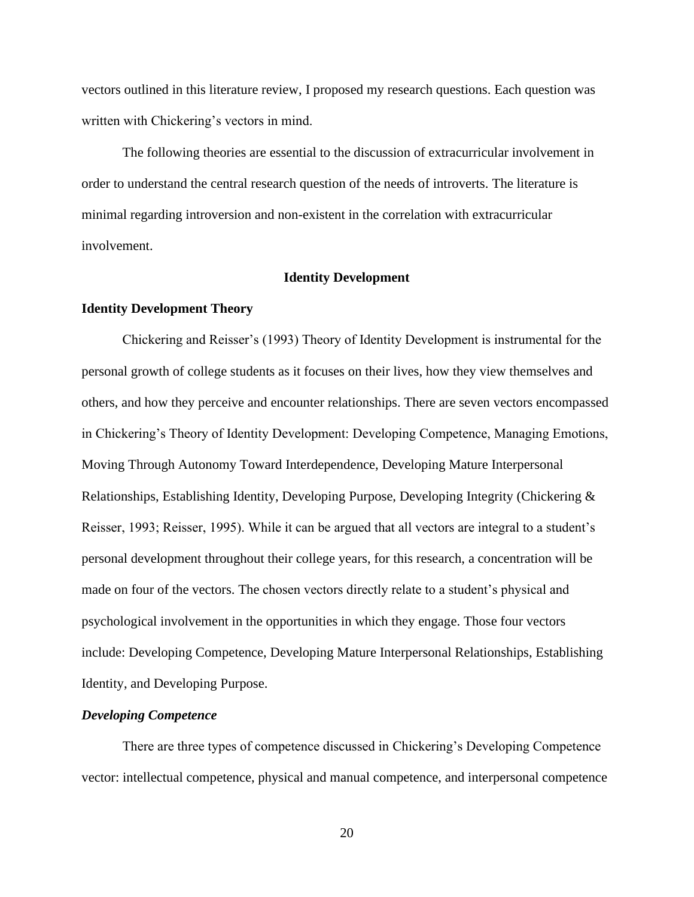vectors outlined in this literature review, I proposed my research questions. Each question was written with Chickering's vectors in mind.

The following theories are essential to the discussion of extracurricular involvement in order to understand the central research question of the needs of introverts. The literature is minimal regarding introversion and non-existent in the correlation with extracurricular involvement.

## **Identity Development**

## <span id="page-20-1"></span><span id="page-20-0"></span>**Identity Development Theory**

Chickering and Reisser's (1993) Theory of Identity Development is instrumental for the personal growth of college students as it focuses on their lives, how they view themselves and others, and how they perceive and encounter relationships. There are seven vectors encompassed in Chickering's Theory of Identity Development: Developing Competence, Managing Emotions, Moving Through Autonomy Toward Interdependence, Developing Mature Interpersonal Relationships, Establishing Identity, Developing Purpose, Developing Integrity (Chickering & Reisser, 1993; Reisser, 1995). While it can be argued that all vectors are integral to a student's personal development throughout their college years, for this research, a concentration will be made on four of the vectors. The chosen vectors directly relate to a student's physical and psychological involvement in the opportunities in which they engage. Those four vectors include: Developing Competence, Developing Mature Interpersonal Relationships, Establishing Identity, and Developing Purpose.

## <span id="page-20-2"></span>*Developing Competence*

There are three types of competence discussed in Chickering's Developing Competence vector: intellectual competence, physical and manual competence, and interpersonal competence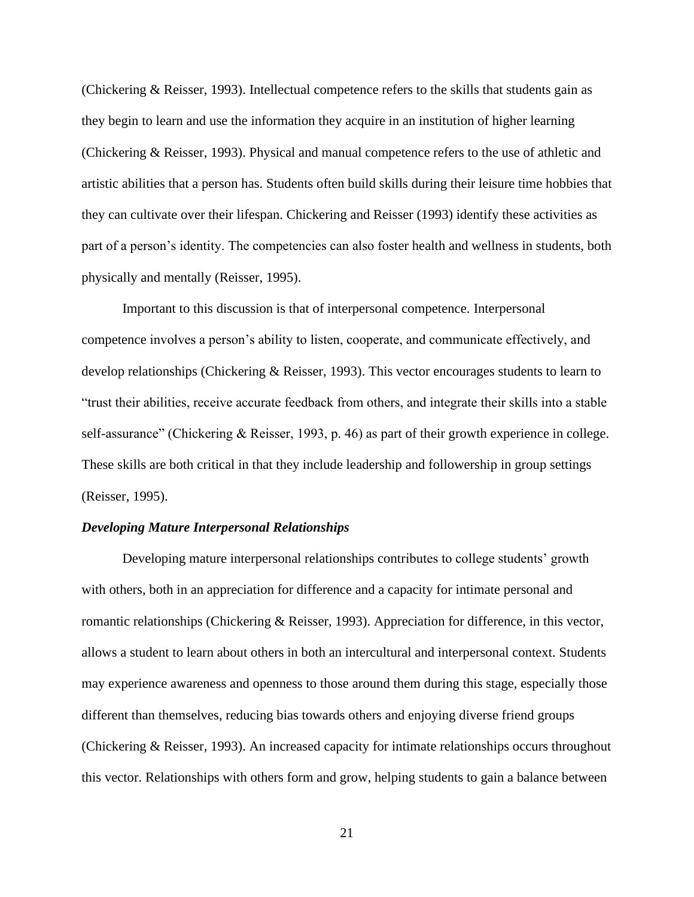(Chickering & Reisser, 1993). Intellectual competence refers to the skills that students gain as they begin to learn and use the information they acquire in an institution of higher learning (Chickering & Reisser, 1993). Physical and manual competence refers to the use of athletic and artistic abilities that a person has. Students often build skills during their leisure time hobbies that they can cultivate over their lifespan. Chickering and Reisser (1993) identify these activities as part of a person's identity. The competencies can also foster health and wellness in students, both physically and mentally (Reisser, 1995).

Important to this discussion is that of interpersonal competence. Interpersonal competence involves a person's ability to listen, cooperate, and communicate effectively, and develop relationships (Chickering & Reisser, 1993). This vector encourages students to learn to "trust their abilities, receive accurate feedback from others, and integrate their skills into a stable self-assurance" (Chickering & Reisser, 1993, p. 46) as part of their growth experience in college. These skills are both critical in that they include leadership and followership in group settings (Reisser, 1995).

#### <span id="page-21-0"></span>*Developing Mature Interpersonal Relationships*

Developing mature interpersonal relationships contributes to college students' growth with others, both in an appreciation for difference and a capacity for intimate personal and romantic relationships (Chickering & Reisser, 1993). Appreciation for difference, in this vector, allows a student to learn about others in both an intercultural and interpersonal context. Students may experience awareness and openness to those around them during this stage, especially those different than themselves, reducing bias towards others and enjoying diverse friend groups (Chickering & Reisser, 1993). An increased capacity for intimate relationships occurs throughout this vector. Relationships with others form and grow, helping students to gain a balance between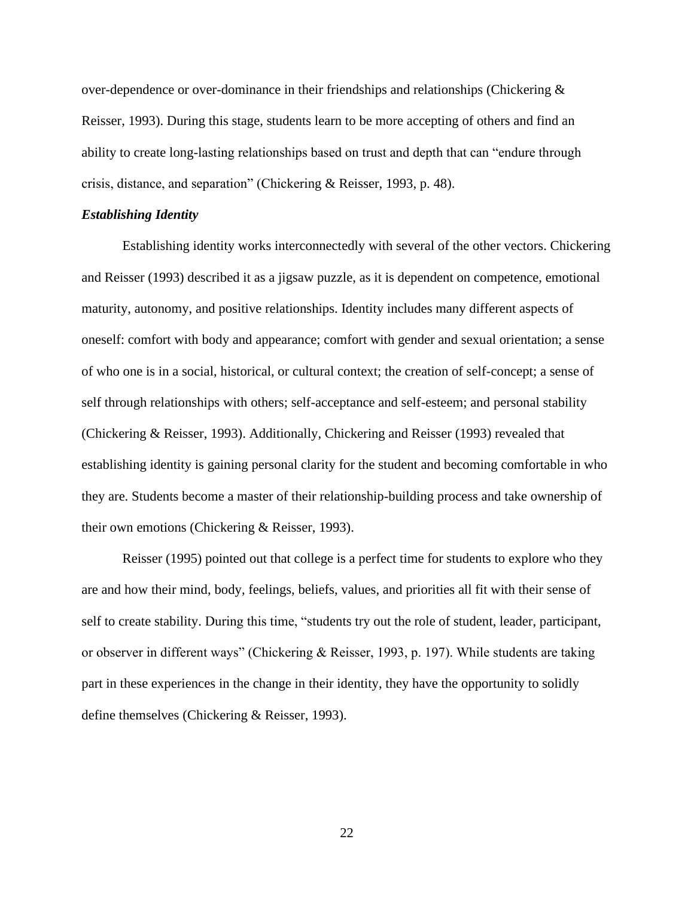over-dependence or over-dominance in their friendships and relationships (Chickering  $\&$ Reisser, 1993). During this stage, students learn to be more accepting of others and find an ability to create long-lasting relationships based on trust and depth that can "endure through crisis, distance, and separation" (Chickering & Reisser, 1993, p. 48).

#### <span id="page-22-0"></span>*Establishing Identity*

Establishing identity works interconnectedly with several of the other vectors. Chickering and Reisser (1993) described it as a jigsaw puzzle, as it is dependent on competence, emotional maturity, autonomy, and positive relationships. Identity includes many different aspects of oneself: comfort with body and appearance; comfort with gender and sexual orientation; a sense of who one is in a social, historical, or cultural context; the creation of self-concept; a sense of self through relationships with others; self-acceptance and self-esteem; and personal stability (Chickering & Reisser, 1993). Additionally, Chickering and Reisser (1993) revealed that establishing identity is gaining personal clarity for the student and becoming comfortable in who they are. Students become a master of their relationship-building process and take ownership of their own emotions (Chickering & Reisser, 1993).

Reisser (1995) pointed out that college is a perfect time for students to explore who they are and how their mind, body, feelings, beliefs, values, and priorities all fit with their sense of self to create stability. During this time, "students try out the role of student, leader, participant, or observer in different ways" (Chickering & Reisser, 1993, p. 197). While students are taking part in these experiences in the change in their identity, they have the opportunity to solidly define themselves (Chickering & Reisser, 1993).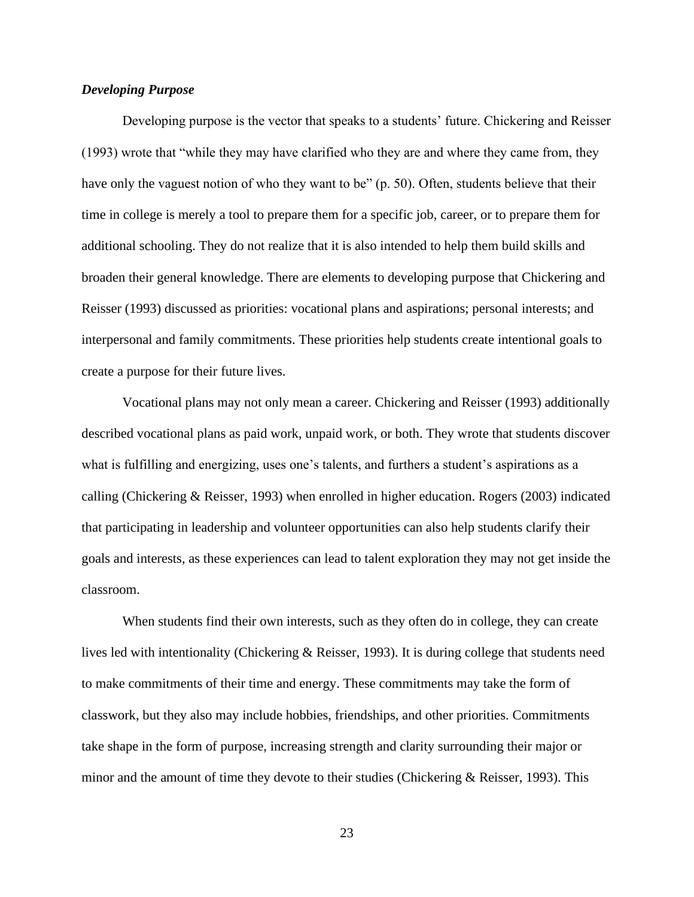## <span id="page-23-0"></span>*Developing Purpose*

Developing purpose is the vector that speaks to a students' future. Chickering and Reisser (1993) wrote that "while they may have clarified who they are and where they came from, they have only the vaguest notion of who they want to be" (p. 50). Often, students believe that their time in college is merely a tool to prepare them for a specific job, career, or to prepare them for additional schooling. They do not realize that it is also intended to help them build skills and broaden their general knowledge. There are elements to developing purpose that Chickering and Reisser (1993) discussed as priorities: vocational plans and aspirations; personal interests; and interpersonal and family commitments. These priorities help students create intentional goals to create a purpose for their future lives.

Vocational plans may not only mean a career. Chickering and Reisser (1993) additionally described vocational plans as paid work, unpaid work, or both. They wrote that students discover what is fulfilling and energizing, uses one's talents, and furthers a student's aspirations as a calling (Chickering & Reisser, 1993) when enrolled in higher education. Rogers (2003) indicated that participating in leadership and volunteer opportunities can also help students clarify their goals and interests, as these experiences can lead to talent exploration they may not get inside the classroom.

When students find their own interests, such as they often do in college, they can create lives led with intentionality (Chickering & Reisser, 1993). It is during college that students need to make commitments of their time and energy. These commitments may take the form of classwork, but they also may include hobbies, friendships, and other priorities. Commitments take shape in the form of purpose, increasing strength and clarity surrounding their major or minor and the amount of time they devote to their studies (Chickering & Reisser, 1993). This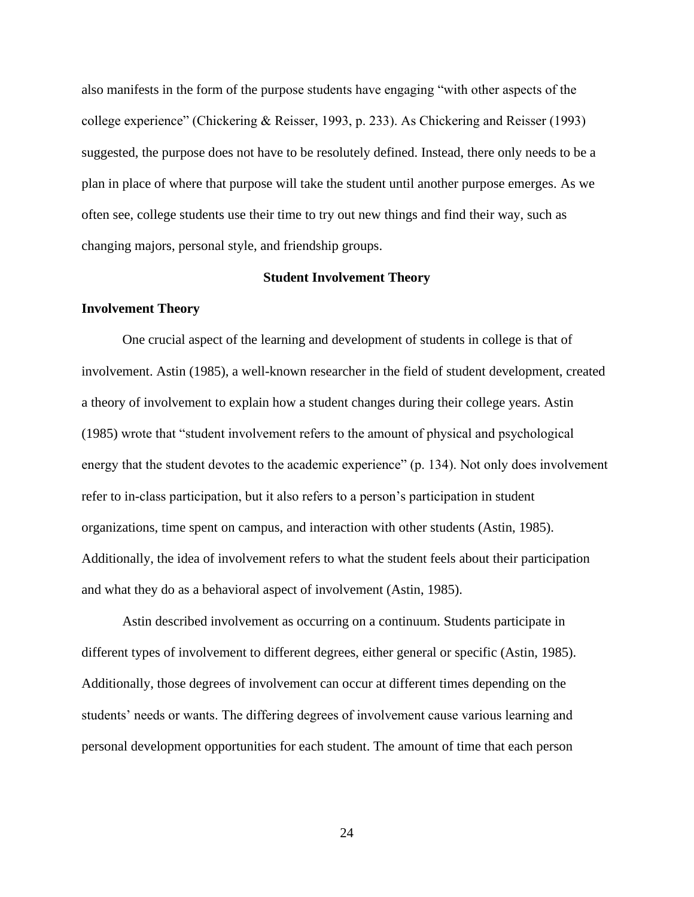also manifests in the form of the purpose students have engaging "with other aspects of the college experience" (Chickering & Reisser, 1993, p. 233). As Chickering and Reisser (1993) suggested, the purpose does not have to be resolutely defined. Instead, there only needs to be a plan in place of where that purpose will take the student until another purpose emerges. As we often see, college students use their time to try out new things and find their way, such as changing majors, personal style, and friendship groups.

#### **Student Involvement Theory**

## <span id="page-24-1"></span><span id="page-24-0"></span>**Involvement Theory**

One crucial aspect of the learning and development of students in college is that of involvement. Astin (1985), a well-known researcher in the field of student development, created a theory of involvement to explain how a student changes during their college years. Astin (1985) wrote that "student involvement refers to the amount of physical and psychological energy that the student devotes to the academic experience" (p. 134). Not only does involvement refer to in-class participation, but it also refers to a person's participation in student organizations, time spent on campus, and interaction with other students (Astin, 1985). Additionally, the idea of involvement refers to what the student feels about their participation and what they do as a behavioral aspect of involvement (Astin, 1985).

Astin described involvement as occurring on a continuum. Students participate in different types of involvement to different degrees, either general or specific (Astin, 1985). Additionally, those degrees of involvement can occur at different times depending on the students' needs or wants. The differing degrees of involvement cause various learning and personal development opportunities for each student. The amount of time that each person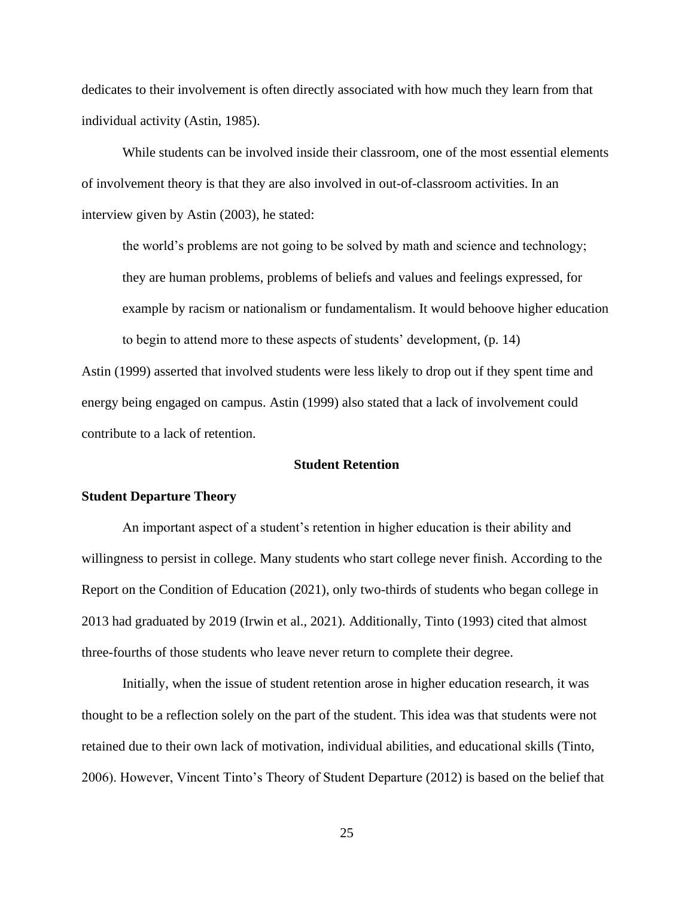dedicates to their involvement is often directly associated with how much they learn from that individual activity (Astin, 1985).

While students can be involved inside their classroom, one of the most essential elements of involvement theory is that they are also involved in out-of-classroom activities. In an interview given by Astin (2003), he stated:

the world's problems are not going to be solved by math and science and technology; they are human problems, problems of beliefs and values and feelings expressed, for example by racism or nationalism or fundamentalism. It would behoove higher education to begin to attend more to these aspects of students' development, (p. 14)

Astin (1999) asserted that involved students were less likely to drop out if they spent time and energy being engaged on campus. Astin (1999) also stated that a lack of involvement could contribute to a lack of retention.

## **Student Retention**

#### <span id="page-25-1"></span><span id="page-25-0"></span>**Student Departure Theory**

An important aspect of a student's retention in higher education is their ability and willingness to persist in college. Many students who start college never finish. According to the Report on the Condition of Education (2021), only two-thirds of students who began college in 2013 had graduated by 2019 (Irwin et al., 2021). Additionally, Tinto (1993) cited that almost three-fourths of those students who leave never return to complete their degree.

Initially, when the issue of student retention arose in higher education research, it was thought to be a reflection solely on the part of the student. This idea was that students were not retained due to their own lack of motivation, individual abilities, and educational skills (Tinto, 2006). However, Vincent Tinto's Theory of Student Departure (2012) is based on the belief that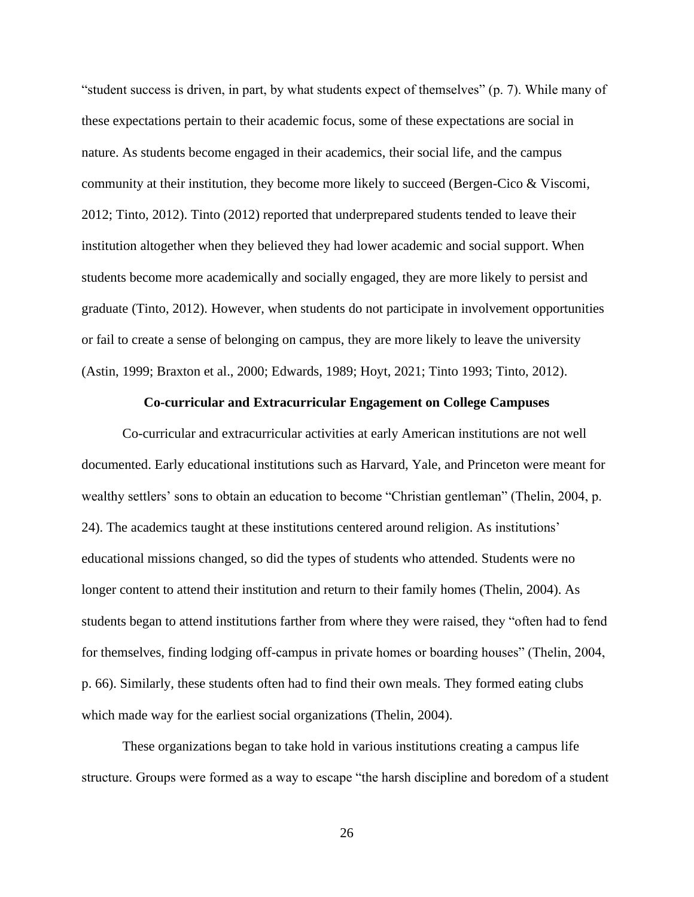"student success is driven, in part, by what students expect of themselves" (p. 7). While many of these expectations pertain to their academic focus, some of these expectations are social in nature. As students become engaged in their academics, their social life, and the campus community at their institution, they become more likely to succeed (Bergen-Cico & Viscomi, 2012; Tinto, 2012). Tinto (2012) reported that underprepared students tended to leave their institution altogether when they believed they had lower academic and social support. When students become more academically and socially engaged, they are more likely to persist and graduate (Tinto, 2012). However, when students do not participate in involvement opportunities or fail to create a sense of belonging on campus, they are more likely to leave the university (Astin, 1999; Braxton et al., 2000; Edwards, 1989; Hoyt, 2021; Tinto 1993; Tinto, 2012).

## **Co-curricular and Extracurricular Engagement on College Campuses**

<span id="page-26-0"></span>Co-curricular and extracurricular activities at early American institutions are not well documented. Early educational institutions such as Harvard, Yale, and Princeton were meant for wealthy settlers' sons to obtain an education to become "Christian gentleman" (Thelin, 2004, p. 24). The academics taught at these institutions centered around religion. As institutions' educational missions changed, so did the types of students who attended. Students were no longer content to attend their institution and return to their family homes (Thelin, 2004). As students began to attend institutions farther from where they were raised, they "often had to fend for themselves, finding lodging off-campus in private homes or boarding houses" (Thelin, 2004, p. 66). Similarly, these students often had to find their own meals. They formed eating clubs which made way for the earliest social organizations (Thelin, 2004).

These organizations began to take hold in various institutions creating a campus life structure. Groups were formed as a way to escape "the harsh discipline and boredom of a student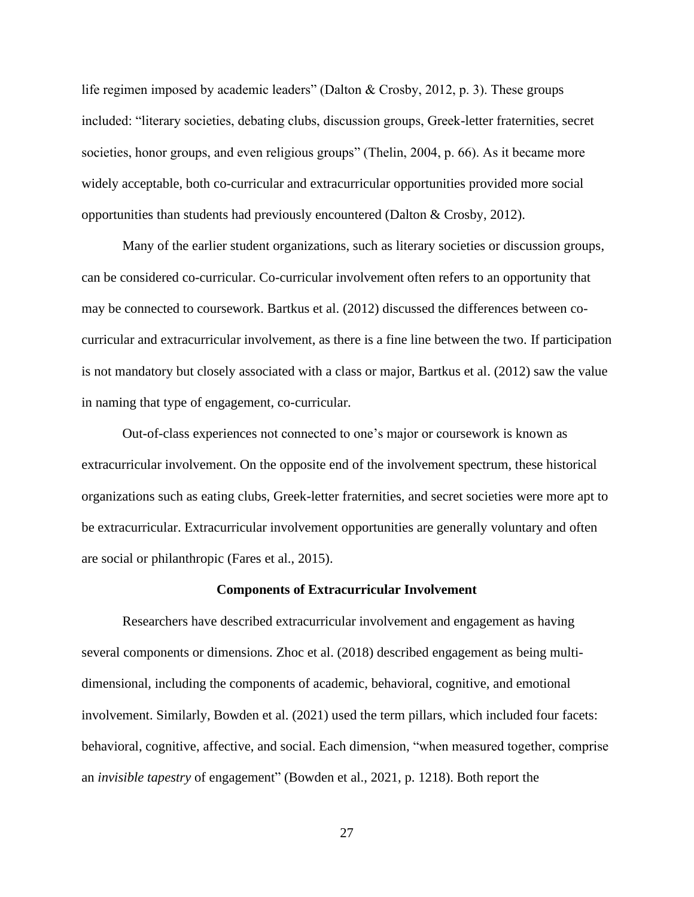life regimen imposed by academic leaders" (Dalton & Crosby, 2012, p. 3). These groups included: "literary societies, debating clubs, discussion groups, Greek-letter fraternities, secret societies, honor groups, and even religious groups" (Thelin, 2004, p. 66). As it became more widely acceptable, both co-curricular and extracurricular opportunities provided more social opportunities than students had previously encountered (Dalton & Crosby, 2012).

Many of the earlier student organizations, such as literary societies or discussion groups, can be considered co-curricular. Co-curricular involvement often refers to an opportunity that may be connected to coursework. Bartkus et al. (2012) discussed the differences between cocurricular and extracurricular involvement, as there is a fine line between the two. If participation is not mandatory but closely associated with a class or major, Bartkus et al. (2012) saw the value in naming that type of engagement, co-curricular.

Out-of-class experiences not connected to one's major or coursework is known as extracurricular involvement. On the opposite end of the involvement spectrum, these historical organizations such as eating clubs, Greek-letter fraternities, and secret societies were more apt to be extracurricular. Extracurricular involvement opportunities are generally voluntary and often are social or philanthropic (Fares et al., 2015).

#### **Components of Extracurricular Involvement**

<span id="page-27-0"></span>Researchers have described extracurricular involvement and engagement as having several components or dimensions. Zhoc et al. (2018) described engagement as being multidimensional, including the components of academic, behavioral, cognitive, and emotional involvement. Similarly, Bowden et al. (2021) used the term pillars, which included four facets: behavioral, cognitive, affective, and social. Each dimension, "when measured together, comprise an *invisible tapestry* of engagement" (Bowden et al., 2021, p. 1218). Both report the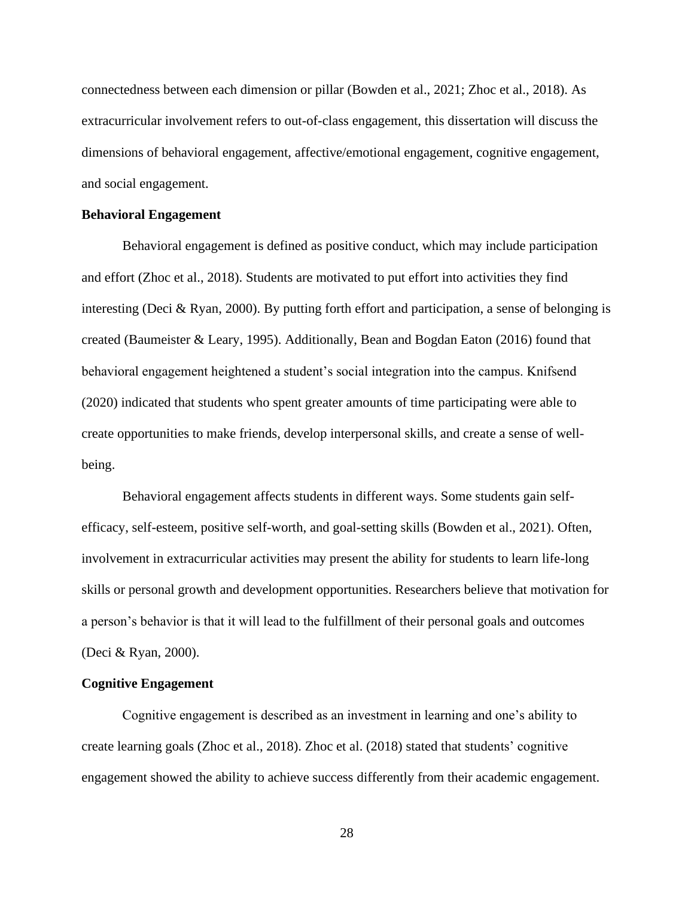connectedness between each dimension or pillar (Bowden et al., 2021; Zhoc et al., 2018). As extracurricular involvement refers to out-of-class engagement, this dissertation will discuss the dimensions of behavioral engagement, affective/emotional engagement, cognitive engagement, and social engagement.

#### <span id="page-28-0"></span>**Behavioral Engagement**

Behavioral engagement is defined as positive conduct, which may include participation and effort (Zhoc et al., 2018). Students are motivated to put effort into activities they find interesting (Deci & Ryan, 2000). By putting forth effort and participation, a sense of belonging is created (Baumeister & Leary, 1995). Additionally, Bean and Bogdan Eaton (2016) found that behavioral engagement heightened a student's social integration into the campus. Knifsend (2020) indicated that students who spent greater amounts of time participating were able to create opportunities to make friends, develop interpersonal skills, and create a sense of wellbeing.

Behavioral engagement affects students in different ways. Some students gain selfefficacy, self-esteem, positive self-worth, and goal-setting skills (Bowden et al., 2021). Often, involvement in extracurricular activities may present the ability for students to learn life-long skills or personal growth and development opportunities. Researchers believe that motivation for a person's behavior is that it will lead to the fulfillment of their personal goals and outcomes (Deci & Ryan, 2000).

#### <span id="page-28-1"></span>**Cognitive Engagement**

Cognitive engagement is described as an investment in learning and one's ability to create learning goals (Zhoc et al., 2018). Zhoc et al. (2018) stated that students' cognitive engagement showed the ability to achieve success differently from their academic engagement.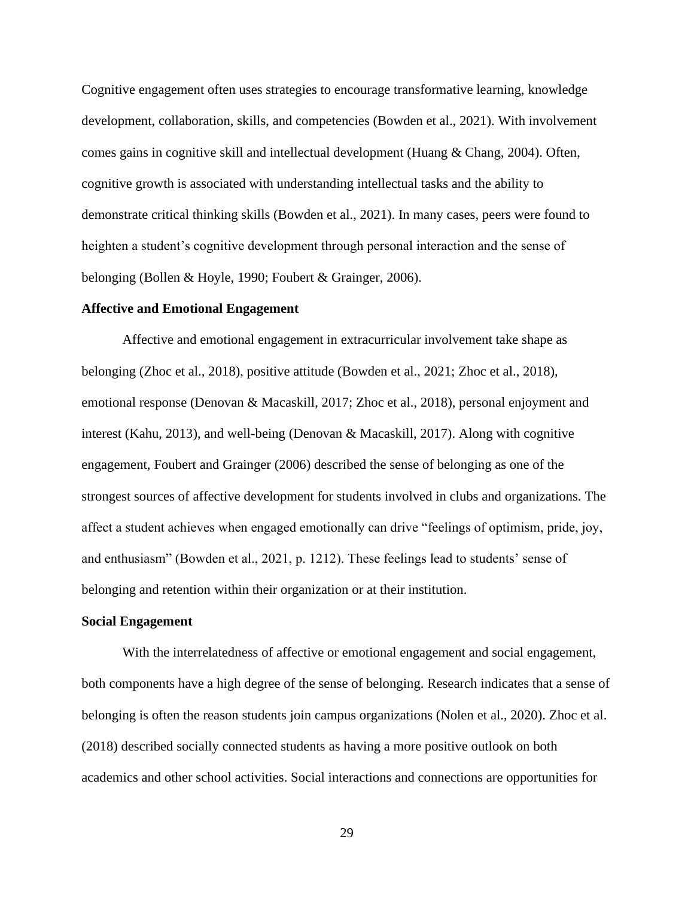Cognitive engagement often uses strategies to encourage transformative learning, knowledge development, collaboration, skills, and competencies (Bowden et al., 2021). With involvement comes gains in cognitive skill and intellectual development (Huang & Chang, 2004). Often, cognitive growth is associated with understanding intellectual tasks and the ability to demonstrate critical thinking skills (Bowden et al., 2021). In many cases, peers were found to heighten a student's cognitive development through personal interaction and the sense of belonging (Bollen & Hoyle, 1990; Foubert & Grainger, 2006).

## <span id="page-29-0"></span>**Affective and Emotional Engagement**

Affective and emotional engagement in extracurricular involvement take shape as belonging (Zhoc et al., 2018), positive attitude (Bowden et al., 2021; Zhoc et al., 2018), emotional response (Denovan & Macaskill, 2017; Zhoc et al., 2018), personal enjoyment and interest (Kahu, 2013), and well-being (Denovan & Macaskill, 2017). Along with cognitive engagement, Foubert and Grainger (2006) described the sense of belonging as one of the strongest sources of affective development for students involved in clubs and organizations. The affect a student achieves when engaged emotionally can drive "feelings of optimism, pride, joy, and enthusiasm" (Bowden et al., 2021, p. 1212). These feelings lead to students' sense of belonging and retention within their organization or at their institution.

#### <span id="page-29-1"></span>**Social Engagement**

With the interrelatedness of affective or emotional engagement and social engagement, both components have a high degree of the sense of belonging. Research indicates that a sense of belonging is often the reason students join campus organizations (Nolen et al., 2020). Zhoc et al. (2018) described socially connected students as having a more positive outlook on both academics and other school activities. Social interactions and connections are opportunities for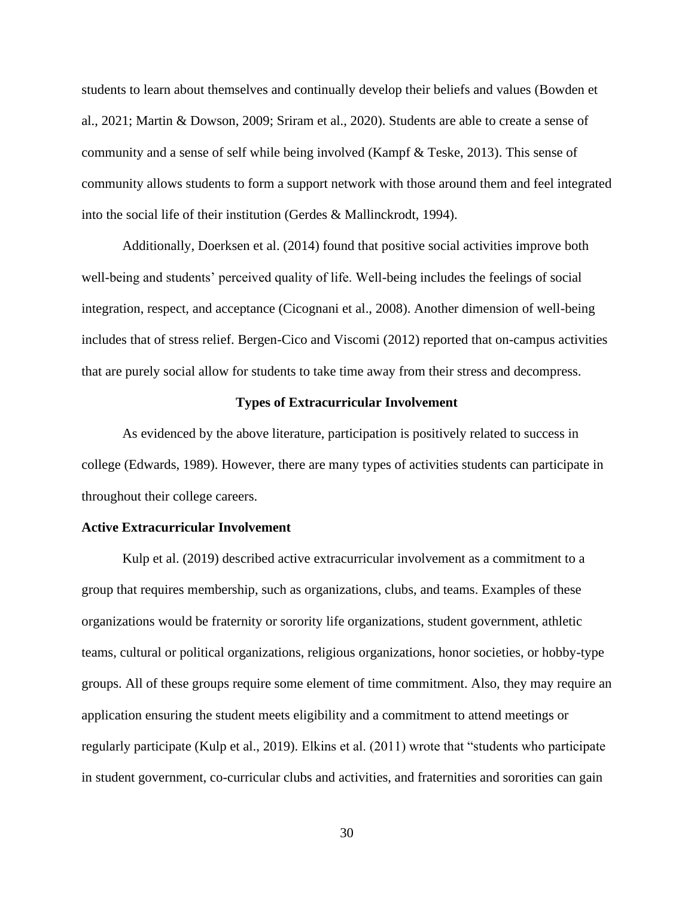students to learn about themselves and continually develop their beliefs and values (Bowden et al., 2021; Martin & Dowson, 2009; Sriram et al., 2020). Students are able to create a sense of community and a sense of self while being involved (Kampf & Teske, 2013). This sense of community allows students to form a support network with those around them and feel integrated into the social life of their institution (Gerdes & Mallinckrodt, 1994).

Additionally, Doerksen et al. (2014) found that positive social activities improve both well-being and students' perceived quality of life. Well-being includes the feelings of social integration, respect, and acceptance (Cicognani et al., 2008). Another dimension of well-being includes that of stress relief. Bergen-Cico and Viscomi (2012) reported that on-campus activities that are purely social allow for students to take time away from their stress and decompress.

## **Types of Extracurricular Involvement**

<span id="page-30-0"></span>As evidenced by the above literature, participation is positively related to success in college (Edwards, 1989). However, there are many types of activities students can participate in throughout their college careers.

#### <span id="page-30-1"></span>**Active Extracurricular Involvement**

Kulp et al. (2019) described active extracurricular involvement as a commitment to a group that requires membership, such as organizations, clubs, and teams. Examples of these organizations would be fraternity or sorority life organizations, student government, athletic teams, cultural or political organizations, religious organizations, honor societies, or hobby-type groups. All of these groups require some element of time commitment. Also, they may require an application ensuring the student meets eligibility and a commitment to attend meetings or regularly participate (Kulp et al., 2019). Elkins et al. (2011) wrote that "students who participate in student government, co-curricular clubs and activities, and fraternities and sororities can gain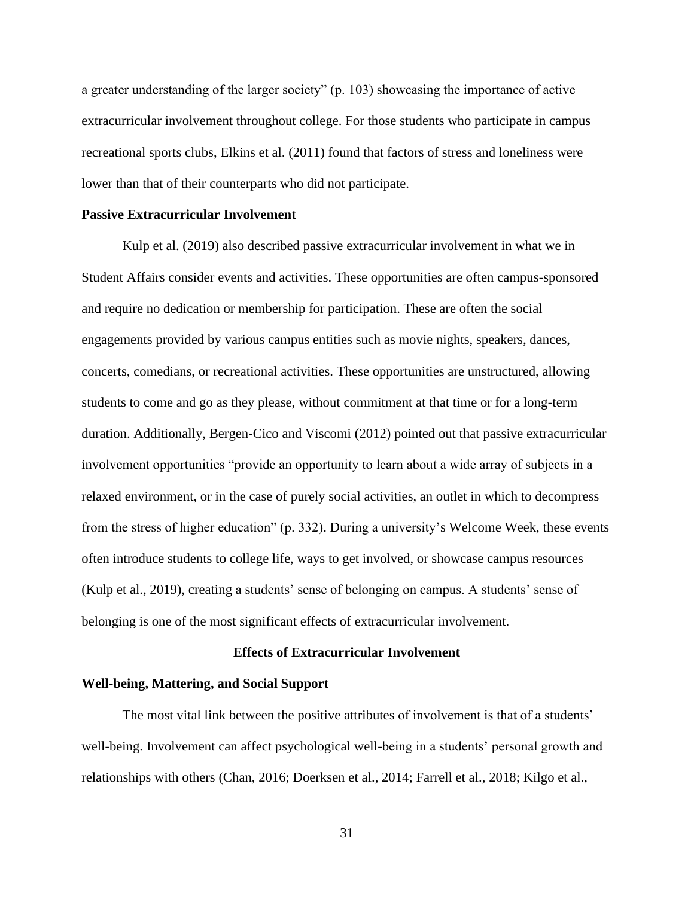a greater understanding of the larger society" (p. 103) showcasing the importance of active extracurricular involvement throughout college. For those students who participate in campus recreational sports clubs, Elkins et al. (2011) found that factors of stress and loneliness were lower than that of their counterparts who did not participate.

## <span id="page-31-0"></span>**Passive Extracurricular Involvement**

Kulp et al. (2019) also described passive extracurricular involvement in what we in Student Affairs consider events and activities. These opportunities are often campus-sponsored and require no dedication or membership for participation. These are often the social engagements provided by various campus entities such as movie nights, speakers, dances, concerts, comedians, or recreational activities. These opportunities are unstructured, allowing students to come and go as they please, without commitment at that time or for a long-term duration. Additionally, Bergen-Cico and Viscomi (2012) pointed out that passive extracurricular involvement opportunities "provide an opportunity to learn about a wide array of subjects in a relaxed environment, or in the case of purely social activities, an outlet in which to decompress from the stress of higher education" (p. 332). During a university's Welcome Week, these events often introduce students to college life, ways to get involved, or showcase campus resources (Kulp et al., 2019), creating a students' sense of belonging on campus. A students' sense of belonging is one of the most significant effects of extracurricular involvement.

## **Effects of Extracurricular Involvement**

#### <span id="page-31-2"></span><span id="page-31-1"></span>**Well-being, Mattering, and Social Support**

The most vital link between the positive attributes of involvement is that of a students' well-being. Involvement can affect psychological well-being in a students' personal growth and relationships with others (Chan, 2016; Doerksen et al., 2014; Farrell et al., 2018; Kilgo et al.,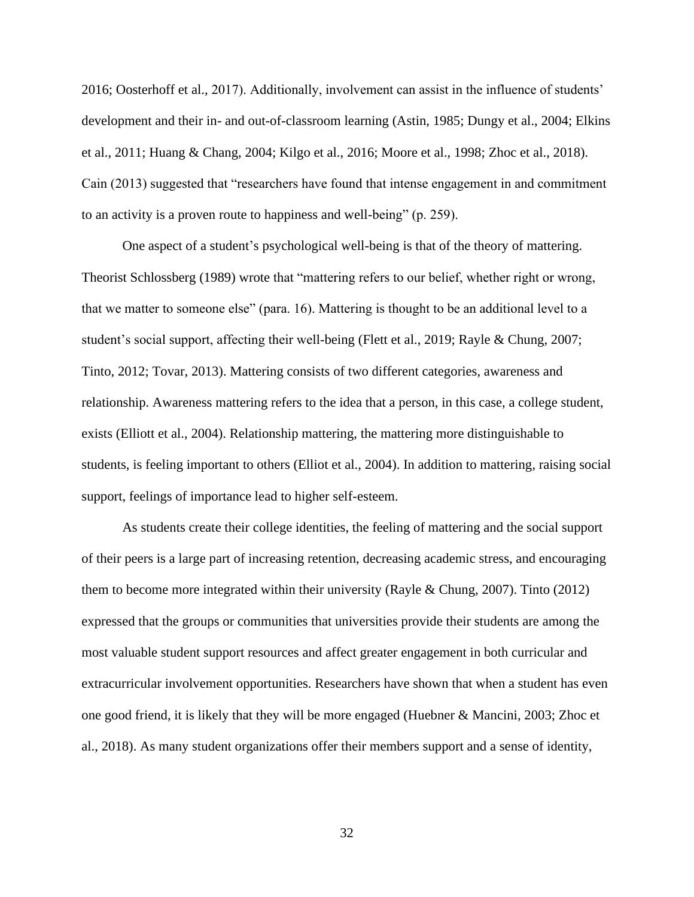2016; Oosterhoff et al., 2017). Additionally, involvement can assist in the influence of students' development and their in- and out-of-classroom learning (Astin, 1985; Dungy et al., 2004; Elkins et al., 2011; Huang & Chang, 2004; Kilgo et al., 2016; Moore et al., 1998; Zhoc et al., 2018). Cain (2013) suggested that "researchers have found that intense engagement in and commitment to an activity is a proven route to happiness and well-being" (p. 259).

One aspect of a student's psychological well-being is that of the theory of mattering. Theorist Schlossberg (1989) wrote that "mattering refers to our belief, whether right or wrong, that we matter to someone else" (para. 16). Mattering is thought to be an additional level to a student's social support, affecting their well-being (Flett et al., 2019; Rayle & Chung, 2007; Tinto, 2012; Tovar, 2013). Mattering consists of two different categories, awareness and relationship. Awareness mattering refers to the idea that a person, in this case, a college student, exists (Elliott et al., 2004). Relationship mattering, the mattering more distinguishable to students, is feeling important to others (Elliot et al., 2004). In addition to mattering, raising social support, feelings of importance lead to higher self-esteem.

As students create their college identities, the feeling of mattering and the social support of their peers is a large part of increasing retention, decreasing academic stress, and encouraging them to become more integrated within their university (Rayle & Chung, 2007). Tinto (2012) expressed that the groups or communities that universities provide their students are among the most valuable student support resources and affect greater engagement in both curricular and extracurricular involvement opportunities. Researchers have shown that when a student has even one good friend, it is likely that they will be more engaged (Huebner & Mancini, 2003; Zhoc et al., 2018). As many student organizations offer their members support and a sense of identity,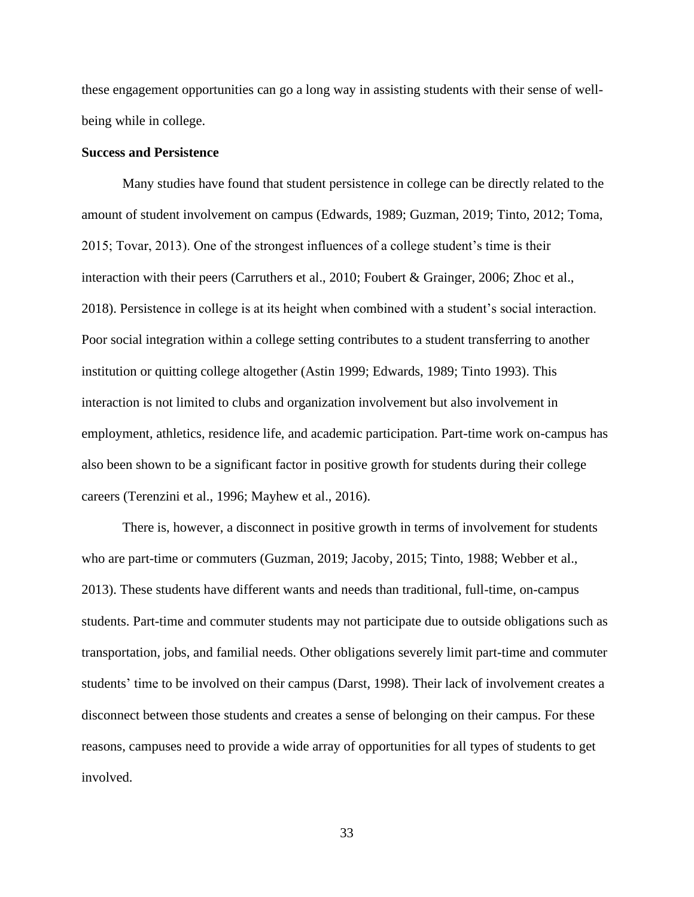these engagement opportunities can go a long way in assisting students with their sense of wellbeing while in college.

## <span id="page-33-0"></span>**Success and Persistence**

Many studies have found that student persistence in college can be directly related to the amount of student involvement on campus (Edwards, 1989; Guzman, 2019; Tinto, 2012; Toma, 2015; Tovar, 2013). One of the strongest influences of a college student's time is their interaction with their peers (Carruthers et al., 2010; Foubert & Grainger, 2006; Zhoc et al., 2018). Persistence in college is at its height when combined with a student's social interaction. Poor social integration within a college setting contributes to a student transferring to another institution or quitting college altogether (Astin 1999; Edwards, 1989; Tinto 1993). This interaction is not limited to clubs and organization involvement but also involvement in employment, athletics, residence life, and academic participation. Part-time work on-campus has also been shown to be a significant factor in positive growth for students during their college careers (Terenzini et al., 1996; Mayhew et al., 2016).

There is, however, a disconnect in positive growth in terms of involvement for students who are part-time or commuters (Guzman, 2019; Jacoby, 2015; Tinto, 1988; Webber et al., 2013). These students have different wants and needs than traditional, full-time, on-campus students. Part-time and commuter students may not participate due to outside obligations such as transportation, jobs, and familial needs. Other obligations severely limit part-time and commuter students' time to be involved on their campus (Darst, 1998). Their lack of involvement creates a disconnect between those students and creates a sense of belonging on their campus. For these reasons, campuses need to provide a wide array of opportunities for all types of students to get involved.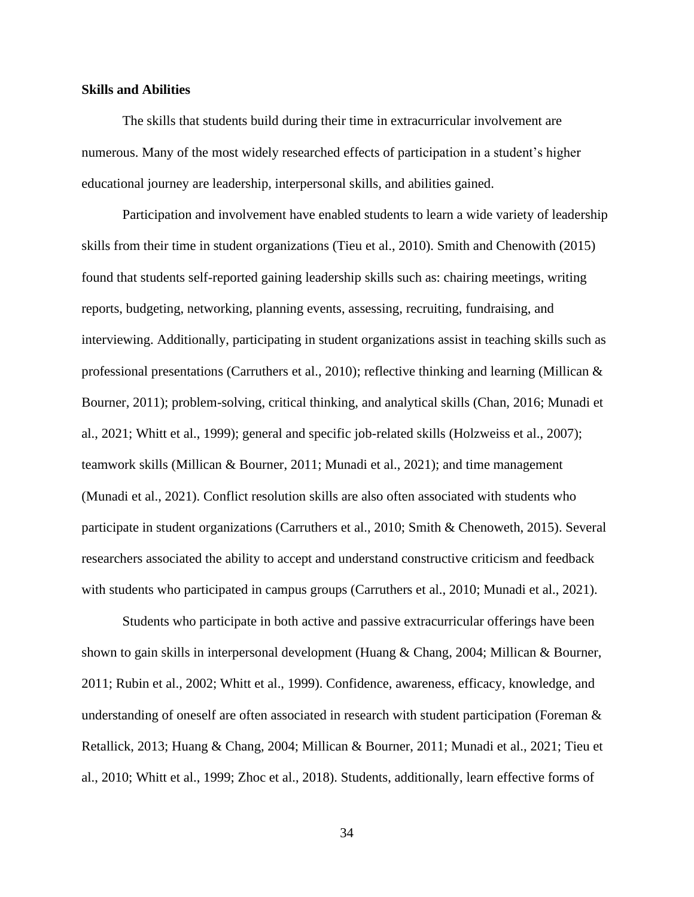## <span id="page-34-0"></span>**Skills and Abilities**

The skills that students build during their time in extracurricular involvement are numerous. Many of the most widely researched effects of participation in a student's higher educational journey are leadership, interpersonal skills, and abilities gained.

Participation and involvement have enabled students to learn a wide variety of leadership skills from their time in student organizations (Tieu et al., 2010). Smith and Chenowith (2015) found that students self-reported gaining leadership skills such as: chairing meetings, writing reports, budgeting, networking, planning events, assessing, recruiting, fundraising, and interviewing. Additionally, participating in student organizations assist in teaching skills such as professional presentations (Carruthers et al., 2010); reflective thinking and learning (Millican & Bourner, 2011); problem-solving, critical thinking, and analytical skills (Chan, 2016; Munadi et al., 2021; Whitt et al., 1999); general and specific job-related skills (Holzweiss et al., 2007); teamwork skills (Millican & Bourner, 2011; Munadi et al., 2021); and time management (Munadi et al., 2021). Conflict resolution skills are also often associated with students who participate in student organizations (Carruthers et al., 2010; Smith & Chenoweth, 2015). Several researchers associated the ability to accept and understand constructive criticism and feedback with students who participated in campus groups (Carruthers et al., 2010; Munadi et al., 2021).

Students who participate in both active and passive extracurricular offerings have been shown to gain skills in interpersonal development (Huang & Chang, 2004; Millican & Bourner, 2011; Rubin et al., 2002; Whitt et al., 1999). Confidence, awareness, efficacy, knowledge, and understanding of oneself are often associated in research with student participation (Foreman & Retallick, 2013; Huang & Chang, 2004; Millican & Bourner, 2011; Munadi et al., 2021; Tieu et al., 2010; Whitt et al., 1999; Zhoc et al., 2018). Students, additionally, learn effective forms of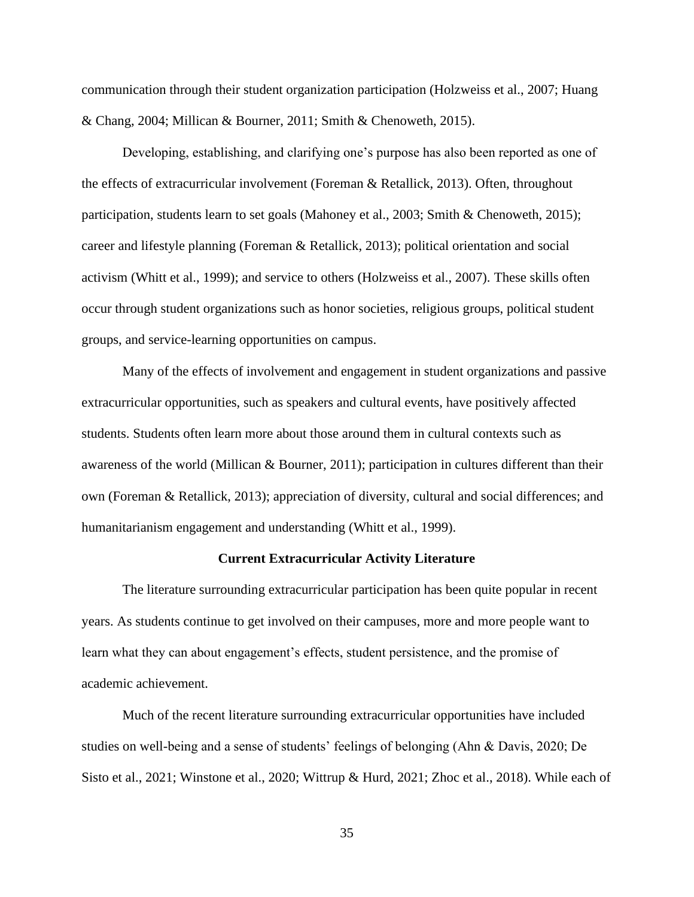communication through their student organization participation (Holzweiss et al., 2007; Huang & Chang, 2004; Millican & Bourner, 2011; Smith & Chenoweth, 2015).

Developing, establishing, and clarifying one's purpose has also been reported as one of the effects of extracurricular involvement (Foreman & Retallick, 2013). Often, throughout participation, students learn to set goals (Mahoney et al., 2003; Smith & Chenoweth, 2015); career and lifestyle planning (Foreman & Retallick, 2013); political orientation and social activism (Whitt et al., 1999); and service to others (Holzweiss et al., 2007). These skills often occur through student organizations such as honor societies, religious groups, political student groups, and service-learning opportunities on campus.

Many of the effects of involvement and engagement in student organizations and passive extracurricular opportunities, such as speakers and cultural events, have positively affected students. Students often learn more about those around them in cultural contexts such as awareness of the world (Millican & Bourner, 2011); participation in cultures different than their own (Foreman & Retallick, 2013); appreciation of diversity, cultural and social differences; and humanitarianism engagement and understanding (Whitt et al., 1999).

#### **Current Extracurricular Activity Literature**

<span id="page-35-0"></span>The literature surrounding extracurricular participation has been quite popular in recent years. As students continue to get involved on their campuses, more and more people want to learn what they can about engagement's effects, student persistence, and the promise of academic achievement.

Much of the recent literature surrounding extracurricular opportunities have included studies on well-being and a sense of students' feelings of belonging (Ahn & Davis, 2020; De Sisto et al., 2021; Winstone et al., 2020; Wittrup & Hurd, 2021; Zhoc et al., 2018). While each of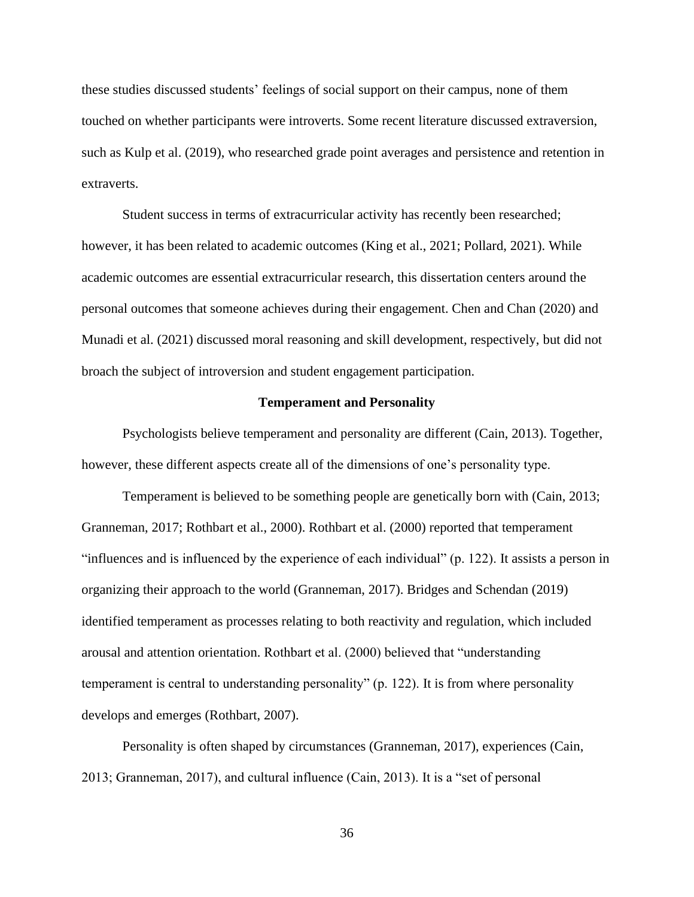these studies discussed students' feelings of social support on their campus, none of them touched on whether participants were introverts. Some recent literature discussed extraversion, such as Kulp et al. (2019), who researched grade point averages and persistence and retention in extraverts.

Student success in terms of extracurricular activity has recently been researched; however, it has been related to academic outcomes (King et al., 2021; Pollard, 2021). While academic outcomes are essential extracurricular research, this dissertation centers around the personal outcomes that someone achieves during their engagement. Chen and Chan (2020) and Munadi et al. (2021) discussed moral reasoning and skill development, respectively, but did not broach the subject of introversion and student engagement participation.

### **Temperament and Personality**

Psychologists believe temperament and personality are different (Cain, 2013). Together, however, these different aspects create all of the dimensions of one's personality type.

Temperament is believed to be something people are genetically born with (Cain, 2013; Granneman, 2017; Rothbart et al., 2000). Rothbart et al. (2000) reported that temperament "influences and is influenced by the experience of each individual" (p. 122). It assists a person in organizing their approach to the world (Granneman, 2017). Bridges and Schendan (2019) identified temperament as processes relating to both reactivity and regulation, which included arousal and attention orientation. Rothbart et al. (2000) believed that "understanding temperament is central to understanding personality" (p. 122). It is from where personality develops and emerges (Rothbart, 2007).

Personality is often shaped by circumstances (Granneman, 2017), experiences (Cain, 2013; Granneman, 2017), and cultural influence (Cain, 2013). It is a "set of personal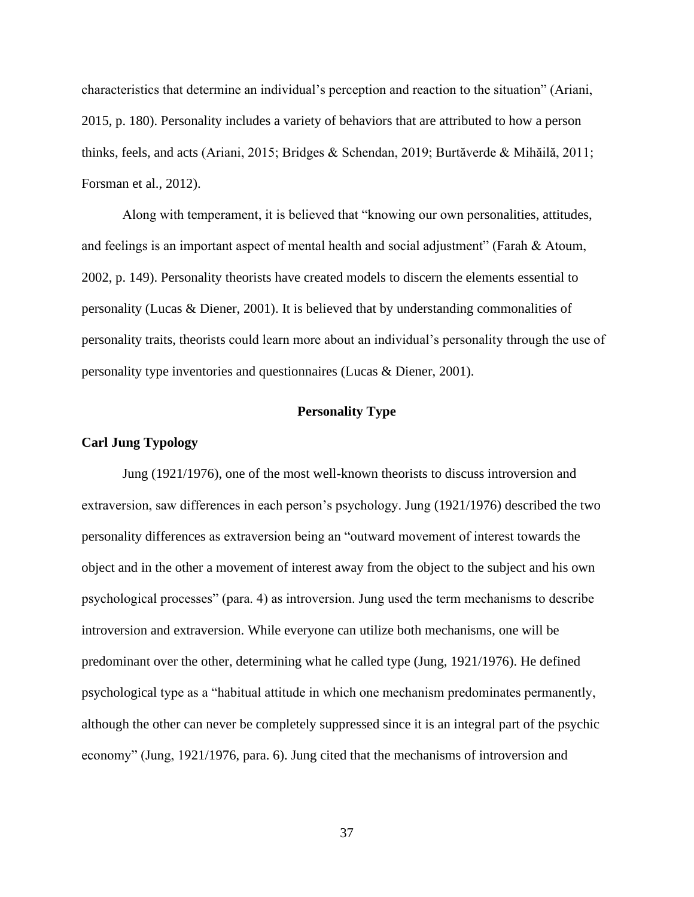characteristics that determine an individual's perception and reaction to the situation" (Ariani, 2015, p. 180). Personality includes a variety of behaviors that are attributed to how a person thinks, feels, and acts (Ariani, 2015; Bridges & Schendan, 2019; Burtăverde & Mihăilă, 2011; Forsman et al., 2012).

Along with temperament, it is believed that "knowing our own personalities, attitudes, and feelings is an important aspect of mental health and social adjustment" (Farah & Atoum, 2002, p. 149). Personality theorists have created models to discern the elements essential to personality (Lucas & Diener, 2001). It is believed that by understanding commonalities of personality traits, theorists could learn more about an individual's personality through the use of personality type inventories and questionnaires (Lucas & Diener, 2001).

# **Personality Type**

# **Carl Jung Typology**

Jung (1921/1976), one of the most well-known theorists to discuss introversion and extraversion, saw differences in each person's psychology. Jung (1921/1976) described the two personality differences as extraversion being an "outward movement of interest towards the object and in the other a movement of interest away from the object to the subject and his own psychological processes" (para. 4) as introversion. Jung used the term mechanisms to describe introversion and extraversion. While everyone can utilize both mechanisms, one will be predominant over the other, determining what he called type (Jung, 1921/1976). He defined psychological type as a "habitual attitude in which one mechanism predominates permanently, although the other can never be completely suppressed since it is an integral part of the psychic economy" (Jung, 1921/1976, para. 6). Jung cited that the mechanisms of introversion and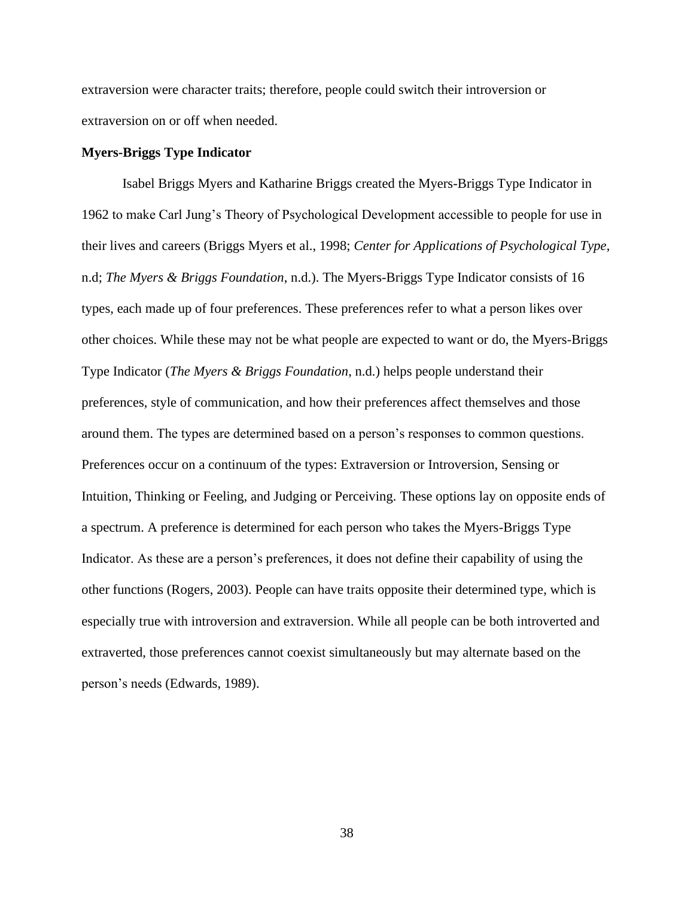extraversion were character traits; therefore, people could switch their introversion or extraversion on or off when needed.

# **Myers-Briggs Type Indicator**

Isabel Briggs Myers and Katharine Briggs created the Myers-Briggs Type Indicator in 1962 to make Carl Jung's Theory of Psychological Development accessible to people for use in their lives and careers (Briggs Myers et al., 1998; *Center for Applications of Psychological Type*, n.d; *The Myers & Briggs Foundation*, n.d.). The Myers-Briggs Type Indicator consists of 16 types, each made up of four preferences. These preferences refer to what a person likes over other choices. While these may not be what people are expected to want or do, the Myers-Briggs Type Indicator (*The Myers & Briggs Foundation*, n.d.) helps people understand their preferences, style of communication, and how their preferences affect themselves and those around them. The types are determined based on a person's responses to common questions. Preferences occur on a continuum of the types: Extraversion or Introversion, Sensing or Intuition, Thinking or Feeling, and Judging or Perceiving. These options lay on opposite ends of a spectrum. A preference is determined for each person who takes the Myers-Briggs Type Indicator. As these are a person's preferences, it does not define their capability of using the other functions (Rogers, 2003). People can have traits opposite their determined type, which is especially true with introversion and extraversion. While all people can be both introverted and extraverted, those preferences cannot coexist simultaneously but may alternate based on the person's needs (Edwards, 1989).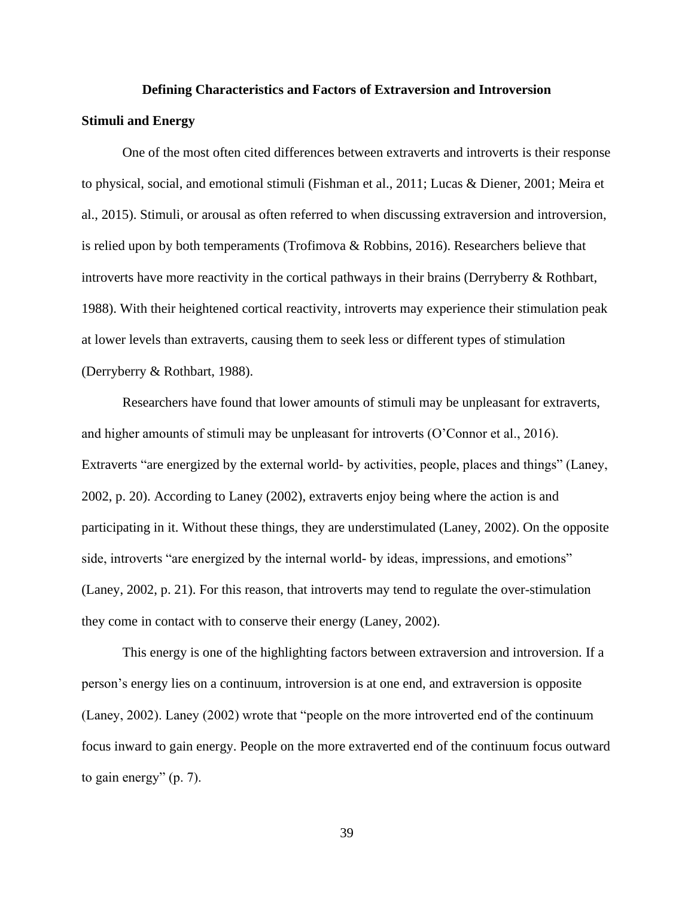#### **Defining Characteristics and Factors of Extraversion and Introversion**

# **Stimuli and Energy**

One of the most often cited differences between extraverts and introverts is their response to physical, social, and emotional stimuli (Fishman et al., 2011; Lucas & Diener, 2001; Meira et al., 2015). Stimuli, or arousal as often referred to when discussing extraversion and introversion, is relied upon by both temperaments (Trofimova & Robbins, 2016). Researchers believe that introverts have more reactivity in the cortical pathways in their brains (Derryberry  $\&$  Rothbart, 1988). With their heightened cortical reactivity, introverts may experience their stimulation peak at lower levels than extraverts, causing them to seek less or different types of stimulation (Derryberry & Rothbart, 1988).

Researchers have found that lower amounts of stimuli may be unpleasant for extraverts, and higher amounts of stimuli may be unpleasant for introverts (O'Connor et al., 2016). Extraverts "are energized by the external world- by activities, people, places and things" (Laney, 2002, p. 20). According to Laney (2002), extraverts enjoy being where the action is and participating in it. Without these things, they are understimulated (Laney, 2002). On the opposite side, introverts "are energized by the internal world- by ideas, impressions, and emotions" (Laney, 2002, p. 21). For this reason, that introverts may tend to regulate the over-stimulation they come in contact with to conserve their energy (Laney, 2002).

This energy is one of the highlighting factors between extraversion and introversion. If a person's energy lies on a continuum, introversion is at one end, and extraversion is opposite (Laney, 2002). Laney (2002) wrote that "people on the more introverted end of the continuum focus inward to gain energy. People on the more extraverted end of the continuum focus outward to gain energy" (p. 7).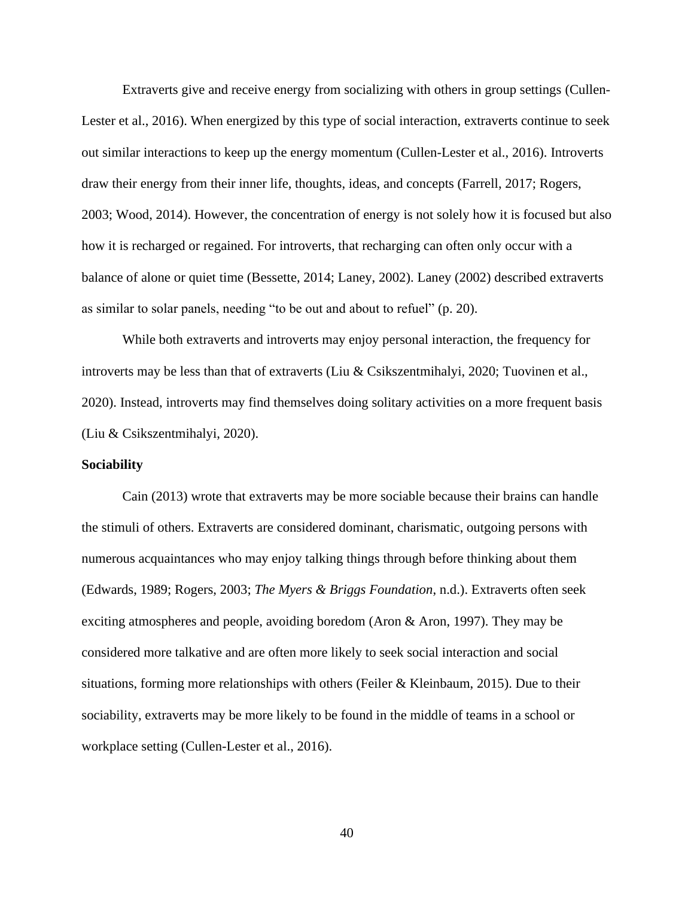Extraverts give and receive energy from socializing with others in group settings (Cullen-Lester et al., 2016). When energized by this type of social interaction, extraverts continue to seek out similar interactions to keep up the energy momentum (Cullen-Lester et al., 2016). Introverts draw their energy from their inner life, thoughts, ideas, and concepts (Farrell, 2017; Rogers, 2003; Wood, 2014). However, the concentration of energy is not solely how it is focused but also how it is recharged or regained. For introverts, that recharging can often only occur with a balance of alone or quiet time (Bessette, 2014; Laney, 2002). Laney (2002) described extraverts as similar to solar panels, needing "to be out and about to refuel" (p. 20).

While both extraverts and introverts may enjoy personal interaction, the frequency for introverts may be less than that of extraverts (Liu & Csikszentmihalyi, 2020; Tuovinen et al., 2020). Instead, introverts may find themselves doing solitary activities on a more frequent basis (Liu & Csikszentmihalyi, 2020).

# **Sociability**

Cain (2013) wrote that extraverts may be more sociable because their brains can handle the stimuli of others. Extraverts are considered dominant, charismatic, outgoing persons with numerous acquaintances who may enjoy talking things through before thinking about them (Edwards, 1989; Rogers, 2003; *The Myers & Briggs Foundation*, n.d.). Extraverts often seek exciting atmospheres and people, avoiding boredom (Aron & Aron, 1997). They may be considered more talkative and are often more likely to seek social interaction and social situations, forming more relationships with others (Feiler & Kleinbaum, 2015). Due to their sociability, extraverts may be more likely to be found in the middle of teams in a school or workplace setting (Cullen-Lester et al., 2016).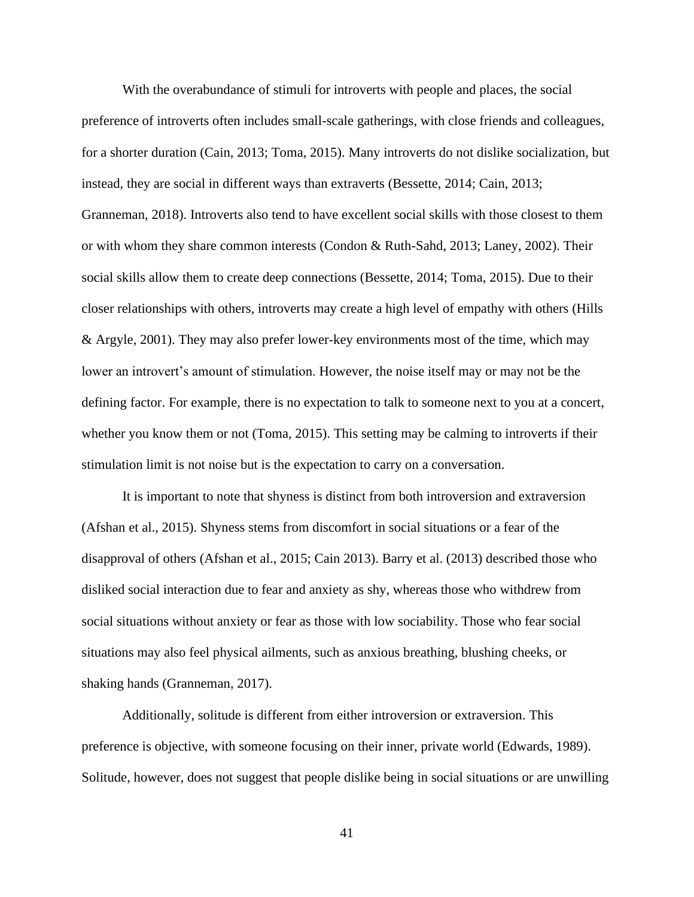With the overabundance of stimuli for introverts with people and places, the social preference of introverts often includes small-scale gatherings, with close friends and colleagues, for a shorter duration (Cain, 2013; Toma, 2015). Many introverts do not dislike socialization, but instead, they are social in different ways than extraverts (Bessette, 2014; Cain, 2013; Granneman, 2018). Introverts also tend to have excellent social skills with those closest to them or with whom they share common interests (Condon & Ruth-Sahd, 2013; Laney, 2002). Their social skills allow them to create deep connections (Bessette, 2014; Toma, 2015). Due to their closer relationships with others, introverts may create a high level of empathy with others (Hills & Argyle, 2001). They may also prefer lower-key environments most of the time, which may lower an introvert's amount of stimulation. However, the noise itself may or may not be the defining factor. For example, there is no expectation to talk to someone next to you at a concert, whether you know them or not (Toma, 2015). This setting may be calming to introverts if their stimulation limit is not noise but is the expectation to carry on a conversation.

It is important to note that shyness is distinct from both introversion and extraversion (Afshan et al., 2015). Shyness stems from discomfort in social situations or a fear of the disapproval of others (Afshan et al., 2015; Cain 2013). Barry et al. (2013) described those who disliked social interaction due to fear and anxiety as shy, whereas those who withdrew from social situations without anxiety or fear as those with low sociability. Those who fear social situations may also feel physical ailments, such as anxious breathing, blushing cheeks, or shaking hands (Granneman, 2017).

Additionally, solitude is different from either introversion or extraversion. This preference is objective, with someone focusing on their inner, private world (Edwards, 1989). Solitude, however, does not suggest that people dislike being in social situations or are unwilling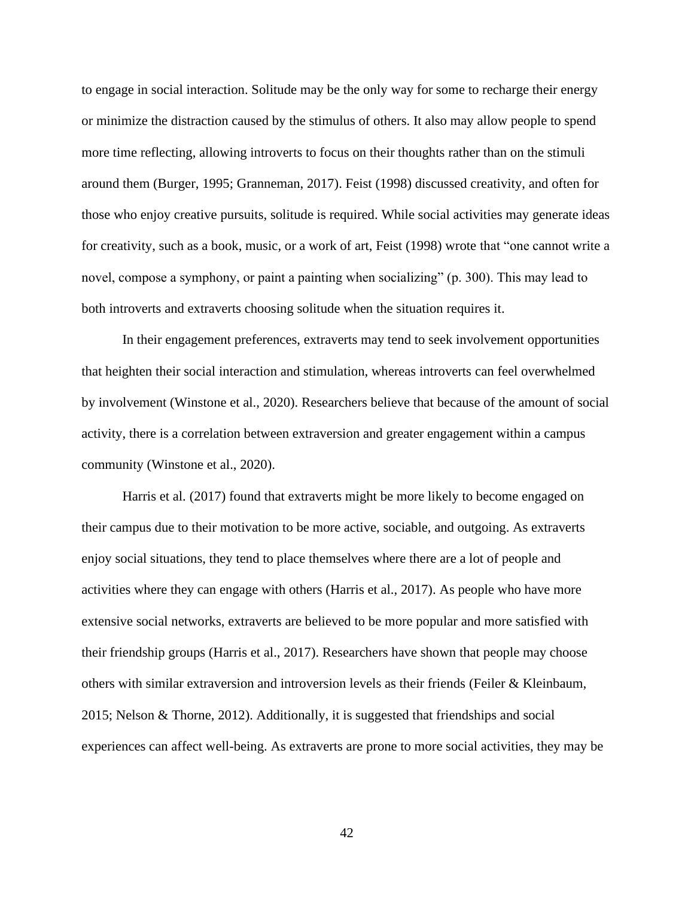to engage in social interaction. Solitude may be the only way for some to recharge their energy or minimize the distraction caused by the stimulus of others. It also may allow people to spend more time reflecting, allowing introverts to focus on their thoughts rather than on the stimuli around them (Burger, 1995; Granneman, 2017). Feist (1998) discussed creativity, and often for those who enjoy creative pursuits, solitude is required. While social activities may generate ideas for creativity, such as a book, music, or a work of art, Feist (1998) wrote that "one cannot write a novel, compose a symphony, or paint a painting when socializing" (p. 300). This may lead to both introverts and extraverts choosing solitude when the situation requires it.

In their engagement preferences, extraverts may tend to seek involvement opportunities that heighten their social interaction and stimulation, whereas introverts can feel overwhelmed by involvement (Winstone et al., 2020). Researchers believe that because of the amount of social activity, there is a correlation between extraversion and greater engagement within a campus community (Winstone et al., 2020).

Harris et al. (2017) found that extraverts might be more likely to become engaged on their campus due to their motivation to be more active, sociable, and outgoing. As extraverts enjoy social situations, they tend to place themselves where there are a lot of people and activities where they can engage with others (Harris et al., 2017). As people who have more extensive social networks, extraverts are believed to be more popular and more satisfied with their friendship groups (Harris et al., 2017). Researchers have shown that people may choose others with similar extraversion and introversion levels as their friends (Feiler  $\&$  Kleinbaum, 2015; Nelson & Thorne, 2012). Additionally, it is suggested that friendships and social experiences can affect well-being. As extraverts are prone to more social activities, they may be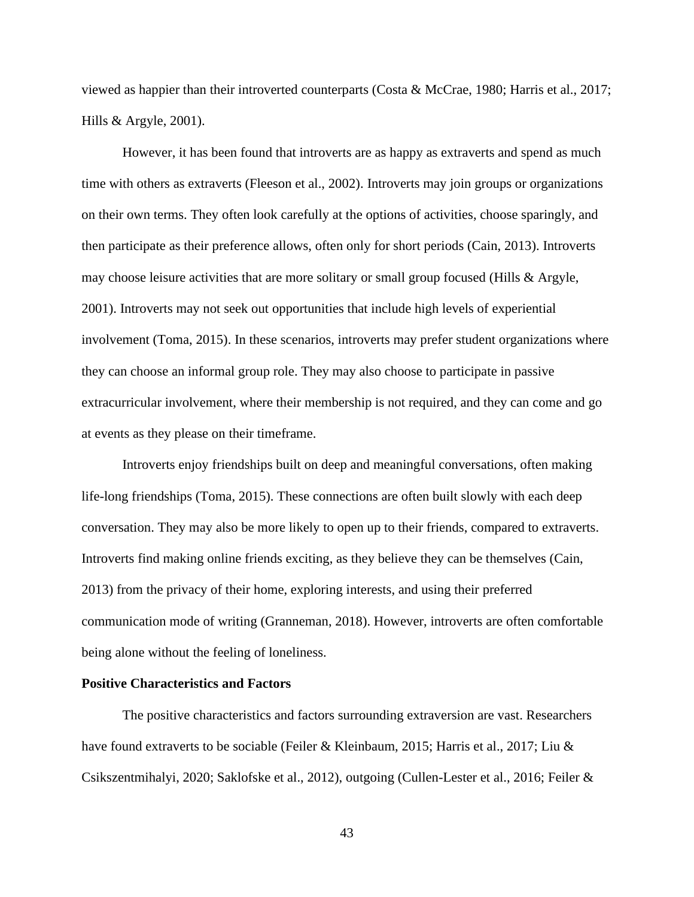viewed as happier than their introverted counterparts (Costa & McCrae, 1980; Harris et al., 2017; Hills & Argyle, 2001).

However, it has been found that introverts are as happy as extraverts and spend as much time with others as extraverts (Fleeson et al., 2002). Introverts may join groups or organizations on their own terms. They often look carefully at the options of activities, choose sparingly, and then participate as their preference allows, often only for short periods (Cain, 2013). Introverts may choose leisure activities that are more solitary or small group focused (Hills  $\&$  Argyle, 2001). Introverts may not seek out opportunities that include high levels of experiential involvement (Toma, 2015). In these scenarios, introverts may prefer student organizations where they can choose an informal group role. They may also choose to participate in passive extracurricular involvement, where their membership is not required, and they can come and go at events as they please on their timeframe.

Introverts enjoy friendships built on deep and meaningful conversations, often making life-long friendships (Toma, 2015). These connections are often built slowly with each deep conversation. They may also be more likely to open up to their friends, compared to extraverts. Introverts find making online friends exciting, as they believe they can be themselves (Cain, 2013) from the privacy of their home, exploring interests, and using their preferred communication mode of writing (Granneman, 2018). However, introverts are often comfortable being alone without the feeling of loneliness.

# **Positive Characteristics and Factors**

The positive characteristics and factors surrounding extraversion are vast. Researchers have found extraverts to be sociable (Feiler & Kleinbaum, 2015; Harris et al., 2017; Liu & Csikszentmihalyi, 2020; Saklofske et al., 2012), outgoing (Cullen-Lester et al., 2016; Feiler &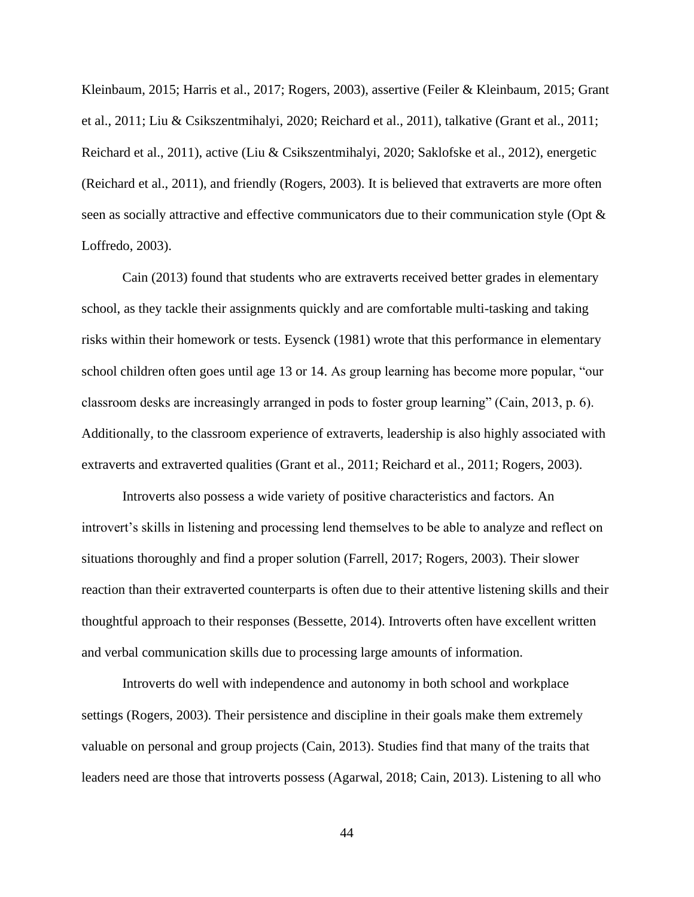Kleinbaum, 2015; Harris et al., 2017; Rogers, 2003), assertive (Feiler & Kleinbaum, 2015; Grant et al., 2011; Liu & Csikszentmihalyi, 2020; Reichard et al., 2011), talkative (Grant et al., 2011; Reichard et al., 2011), active (Liu & Csikszentmihalyi, 2020; Saklofske et al., 2012), energetic (Reichard et al., 2011), and friendly (Rogers, 2003). It is believed that extraverts are more often seen as socially attractive and effective communicators due to their communication style (Opt & Loffredo, 2003).

Cain (2013) found that students who are extraverts received better grades in elementary school, as they tackle their assignments quickly and are comfortable multi-tasking and taking risks within their homework or tests. Eysenck (1981) wrote that this performance in elementary school children often goes until age 13 or 14. As group learning has become more popular, "our classroom desks are increasingly arranged in pods to foster group learning" (Cain, 2013, p. 6). Additionally, to the classroom experience of extraverts, leadership is also highly associated with extraverts and extraverted qualities (Grant et al., 2011; Reichard et al., 2011; Rogers, 2003).

Introverts also possess a wide variety of positive characteristics and factors. An introvert's skills in listening and processing lend themselves to be able to analyze and reflect on situations thoroughly and find a proper solution (Farrell, 2017; Rogers, 2003). Their slower reaction than their extraverted counterparts is often due to their attentive listening skills and their thoughtful approach to their responses (Bessette, 2014). Introverts often have excellent written and verbal communication skills due to processing large amounts of information.

Introverts do well with independence and autonomy in both school and workplace settings (Rogers, 2003). Their persistence and discipline in their goals make them extremely valuable on personal and group projects (Cain, 2013). Studies find that many of the traits that leaders need are those that introverts possess (Agarwal, 2018; Cain, 2013). Listening to all who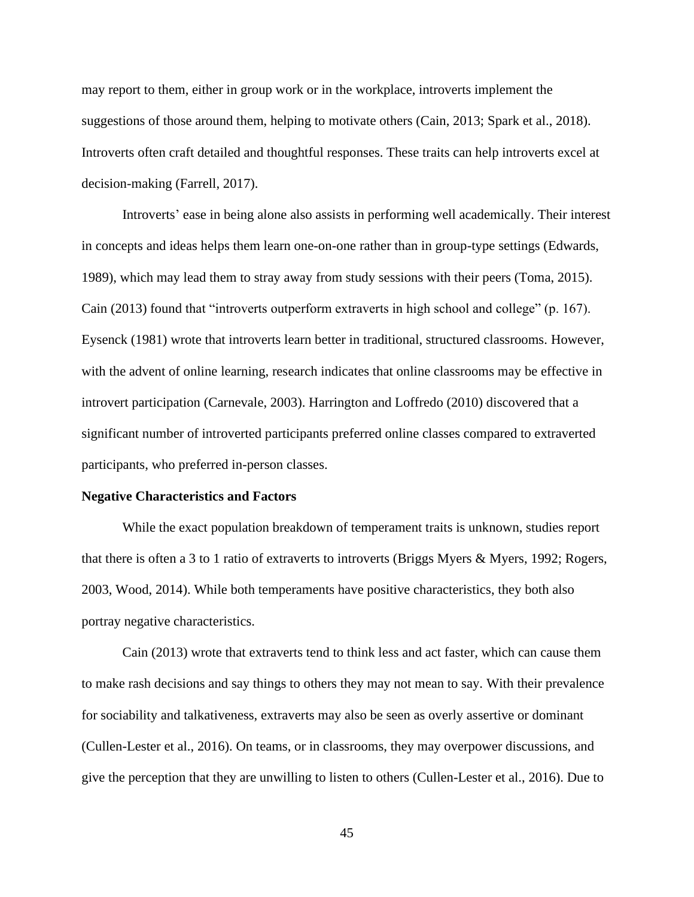may report to them, either in group work or in the workplace, introverts implement the suggestions of those around them, helping to motivate others (Cain, 2013; Spark et al., 2018). Introverts often craft detailed and thoughtful responses. These traits can help introverts excel at decision-making (Farrell, 2017).

Introverts' ease in being alone also assists in performing well academically. Their interest in concepts and ideas helps them learn one-on-one rather than in group-type settings (Edwards, 1989), which may lead them to stray away from study sessions with their peers (Toma, 2015). Cain (2013) found that "introverts outperform extraverts in high school and college" (p. 167). Eysenck (1981) wrote that introverts learn better in traditional, structured classrooms. However, with the advent of online learning, research indicates that online classrooms may be effective in introvert participation (Carnevale, 2003). Harrington and Loffredo (2010) discovered that a significant number of introverted participants preferred online classes compared to extraverted participants, who preferred in-person classes.

#### **Negative Characteristics and Factors**

While the exact population breakdown of temperament traits is unknown, studies report that there is often a 3 to 1 ratio of extraverts to introverts (Briggs Myers & Myers, 1992; Rogers, 2003, Wood, 2014). While both temperaments have positive characteristics, they both also portray negative characteristics.

Cain (2013) wrote that extraverts tend to think less and act faster, which can cause them to make rash decisions and say things to others they may not mean to say. With their prevalence for sociability and talkativeness, extraverts may also be seen as overly assertive or dominant (Cullen-Lester et al., 2016). On teams, or in classrooms, they may overpower discussions, and give the perception that they are unwilling to listen to others (Cullen-Lester et al., 2016). Due to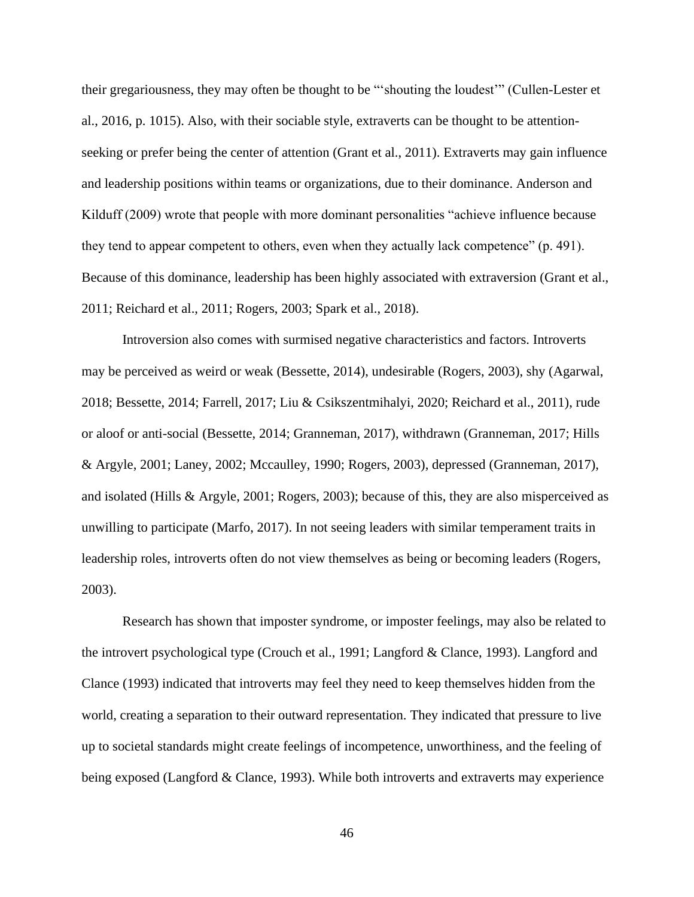their gregariousness, they may often be thought to be "'shouting the loudest'" (Cullen-Lester et al., 2016, p. 1015). Also, with their sociable style, extraverts can be thought to be attentionseeking or prefer being the center of attention (Grant et al., 2011). Extraverts may gain influence and leadership positions within teams or organizations, due to their dominance. Anderson and Kilduff (2009) wrote that people with more dominant personalities "achieve influence because they tend to appear competent to others, even when they actually lack competence" (p. 491). Because of this dominance, leadership has been highly associated with extraversion (Grant et al., 2011; Reichard et al., 2011; Rogers, 2003; Spark et al., 2018).

Introversion also comes with surmised negative characteristics and factors. Introverts may be perceived as weird or weak (Bessette, 2014), undesirable (Rogers, 2003), shy (Agarwal, 2018; Bessette, 2014; Farrell, 2017; Liu & Csikszentmihalyi, 2020; Reichard et al., 2011), rude or aloof or anti-social (Bessette, 2014; Granneman, 2017), withdrawn (Granneman, 2017; Hills & Argyle, 2001; Laney, 2002; Mccaulley, 1990; Rogers, 2003), depressed (Granneman, 2017), and isolated (Hills & Argyle, 2001; Rogers, 2003); because of this, they are also misperceived as unwilling to participate (Marfo, 2017). In not seeing leaders with similar temperament traits in leadership roles, introverts often do not view themselves as being or becoming leaders (Rogers, 2003).

Research has shown that imposter syndrome, or imposter feelings, may also be related to the introvert psychological type (Crouch et al., 1991; Langford & Clance, 1993). Langford and Clance (1993) indicated that introverts may feel they need to keep themselves hidden from the world, creating a separation to their outward representation. They indicated that pressure to live up to societal standards might create feelings of incompetence, unworthiness, and the feeling of being exposed (Langford & Clance, 1993). While both introverts and extraverts may experience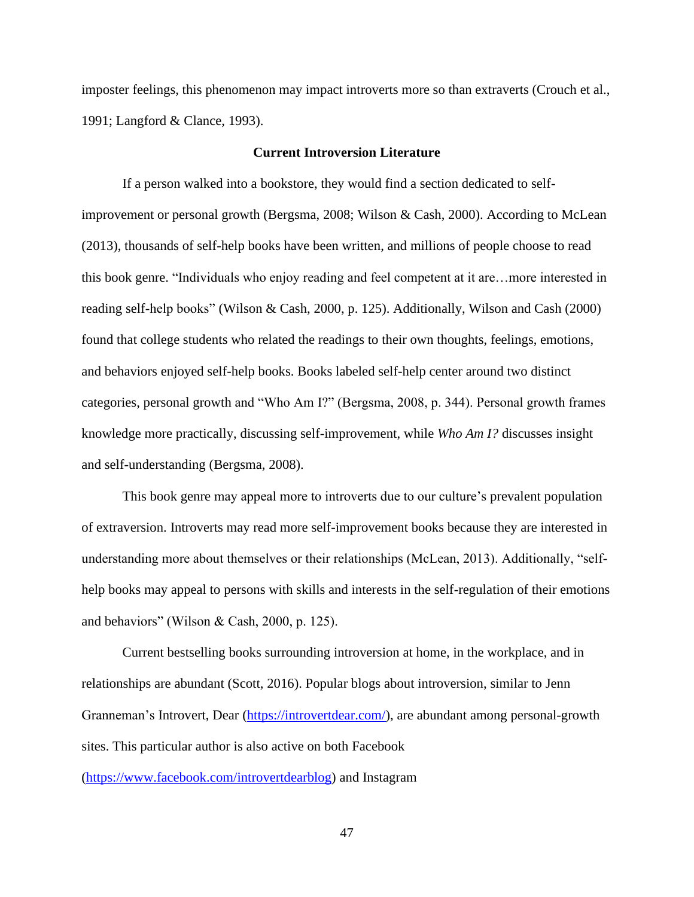imposter feelings, this phenomenon may impact introverts more so than extraverts (Crouch et al., 1991; Langford & Clance, 1993).

### **Current Introversion Literature**

If a person walked into a bookstore, they would find a section dedicated to selfimprovement or personal growth (Bergsma, 2008; Wilson & Cash, 2000). According to McLean (2013), thousands of self-help books have been written, and millions of people choose to read this book genre. "Individuals who enjoy reading and feel competent at it are…more interested in reading self-help books" (Wilson & Cash, 2000, p. 125). Additionally, Wilson and Cash (2000) found that college students who related the readings to their own thoughts, feelings, emotions, and behaviors enjoyed self-help books. Books labeled self-help center around two distinct categories, personal growth and "Who Am I?" (Bergsma, 2008, p. 344). Personal growth frames knowledge more practically, discussing self-improvement, while *Who Am I?* discusses insight and self-understanding (Bergsma, 2008).

This book genre may appeal more to introverts due to our culture's prevalent population of extraversion. Introverts may read more self-improvement books because they are interested in understanding more about themselves or their relationships (McLean, 2013). Additionally, "selfhelp books may appeal to persons with skills and interests in the self-regulation of their emotions and behaviors" (Wilson & Cash, 2000, p. 125).

Current bestselling books surrounding introversion at home, in the workplace, and in relationships are abundant (Scott, 2016). Popular blogs about introversion, similar to Jenn Granneman's Introvert, Dear [\(https://introvertdear.com/\)](https://introvertdear.com/), are abundant among personal-growth sites. This particular author is also active on both Facebook

[\(https://www.facebook.com/introvertdearblog\)](https://www.facebook.com/introvertdearblog) and Instagram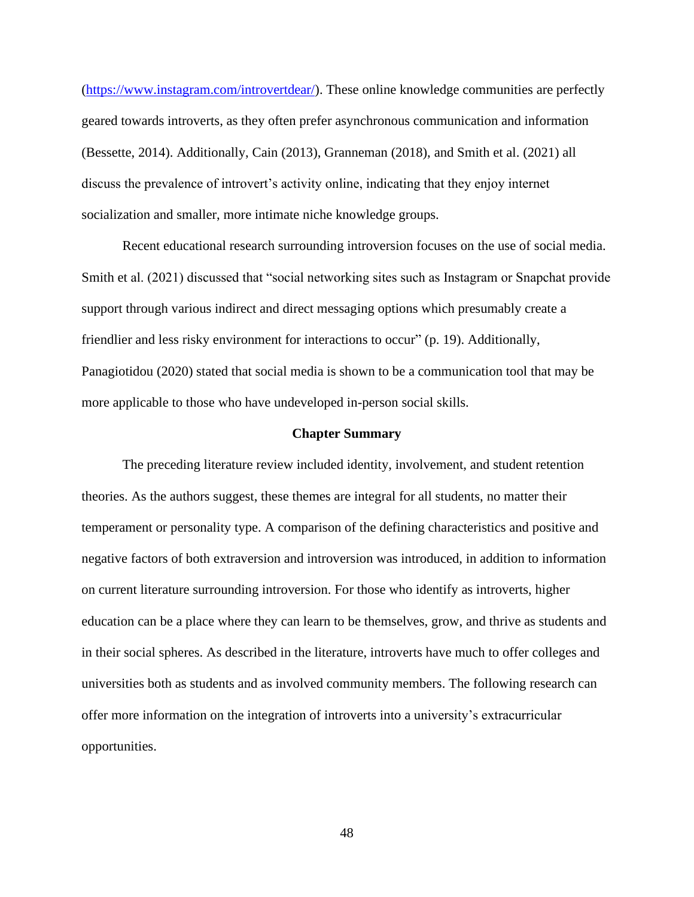[\(https://www.instagram.com/introvertdear/\)](https://www.instagram.com/introvertdear/). These online knowledge communities are perfectly geared towards introverts, as they often prefer asynchronous communication and information (Bessette, 2014). Additionally, Cain (2013), Granneman (2018), and Smith et al. (2021) all discuss the prevalence of introvert's activity online, indicating that they enjoy internet socialization and smaller, more intimate niche knowledge groups.

Recent educational research surrounding introversion focuses on the use of social media. Smith et al. (2021) discussed that "social networking sites such as Instagram or Snapchat provide support through various indirect and direct messaging options which presumably create a friendlier and less risky environment for interactions to occur" (p. 19). Additionally, Panagiotidou (2020) stated that social media is shown to be a communication tool that may be more applicable to those who have undeveloped in-person social skills.

#### **Chapter Summary**

The preceding literature review included identity, involvement, and student retention theories. As the authors suggest, these themes are integral for all students, no matter their temperament or personality type. A comparison of the defining characteristics and positive and negative factors of both extraversion and introversion was introduced, in addition to information on current literature surrounding introversion. For those who identify as introverts, higher education can be a place where they can learn to be themselves, grow, and thrive as students and in their social spheres. As described in the literature, introverts have much to offer colleges and universities both as students and as involved community members. The following research can offer more information on the integration of introverts into a university's extracurricular opportunities.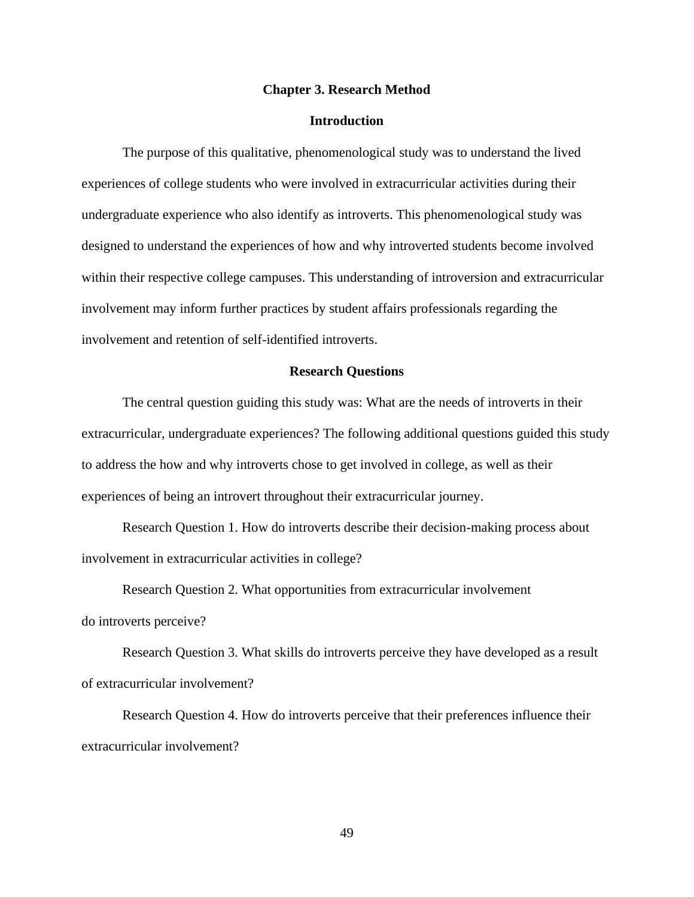#### **Chapter 3. Research Method**

# **Introduction**

The purpose of this qualitative, phenomenological study was to understand the lived experiences of college students who were involved in extracurricular activities during their undergraduate experience who also identify as introverts. This phenomenological study was designed to understand the experiences of how and why introverted students become involved within their respective college campuses. This understanding of introversion and extracurricular involvement may inform further practices by student affairs professionals regarding the involvement and retention of self-identified introverts.

### **Research Questions**

The central question guiding this study was: What are the needs of introverts in their extracurricular, undergraduate experiences? The following additional questions guided this study to address the how and why introverts chose to get involved in college, as well as their experiences of being an introvert throughout their extracurricular journey.

Research Question 1. How do introverts describe their decision-making process about involvement in extracurricular activities in college?

Research Question 2. What opportunities from extracurricular involvement do introverts perceive?

Research Question 3. What skills do introverts perceive they have developed as a result of extracurricular involvement?

Research Question 4. How do introverts perceive that their preferences influence their extracurricular involvement?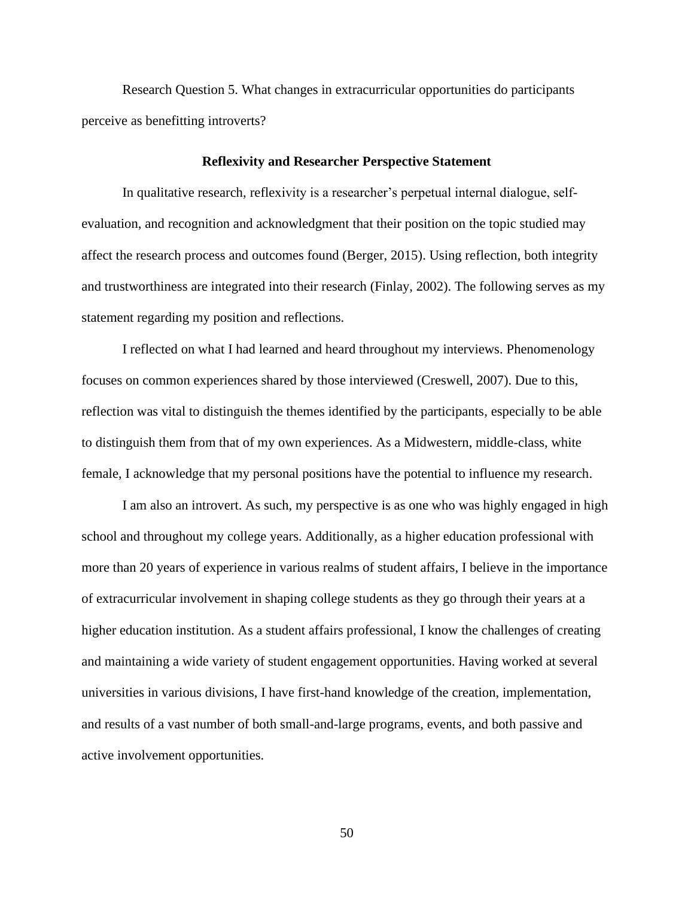Research Question 5. What changes in extracurricular opportunities do participants perceive as benefitting introverts?

## **Reflexivity and Researcher Perspective Statement**

In qualitative research, reflexivity is a researcher's perpetual internal dialogue, selfevaluation, and recognition and acknowledgment that their position on the topic studied may affect the research process and outcomes found (Berger, 2015). Using reflection, both integrity and trustworthiness are integrated into their research (Finlay, 2002). The following serves as my statement regarding my position and reflections.

I reflected on what I had learned and heard throughout my interviews. Phenomenology focuses on common experiences shared by those interviewed (Creswell, 2007). Due to this, reflection was vital to distinguish the themes identified by the participants, especially to be able to distinguish them from that of my own experiences. As a Midwestern, middle-class, white female, I acknowledge that my personal positions have the potential to influence my research.

I am also an introvert. As such, my perspective is as one who was highly engaged in high school and throughout my college years. Additionally, as a higher education professional with more than 20 years of experience in various realms of student affairs, I believe in the importance of extracurricular involvement in shaping college students as they go through their years at a higher education institution. As a student affairs professional, I know the challenges of creating and maintaining a wide variety of student engagement opportunities. Having worked at several universities in various divisions, I have first-hand knowledge of the creation, implementation, and results of a vast number of both small-and-large programs, events, and both passive and active involvement opportunities.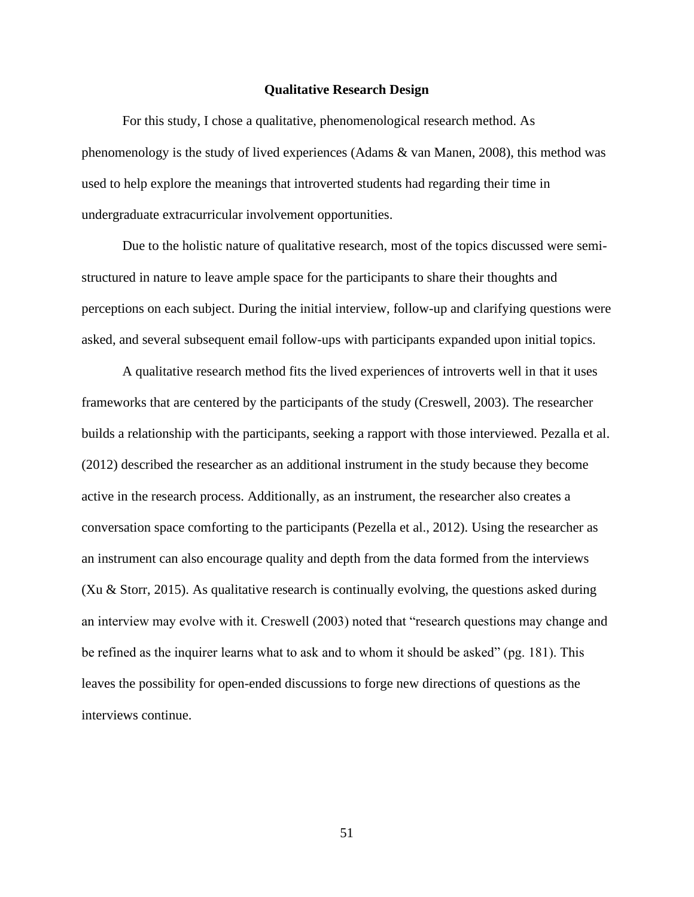#### **Qualitative Research Design**

For this study, I chose a qualitative, phenomenological research method. As phenomenology is the study of lived experiences (Adams & van Manen, 2008), this method was used to help explore the meanings that introverted students had regarding their time in undergraduate extracurricular involvement opportunities.

Due to the holistic nature of qualitative research, most of the topics discussed were semistructured in nature to leave ample space for the participants to share their thoughts and perceptions on each subject. During the initial interview, follow-up and clarifying questions were asked, and several subsequent email follow-ups with participants expanded upon initial topics.

A qualitative research method fits the lived experiences of introverts well in that it uses frameworks that are centered by the participants of the study (Creswell, 2003). The researcher builds a relationship with the participants, seeking a rapport with those interviewed. Pezalla et al. (2012) described the researcher as an additional instrument in the study because they become active in the research process. Additionally, as an instrument, the researcher also creates a conversation space comforting to the participants (Pezella et al., 2012). Using the researcher as an instrument can also encourage quality and depth from the data formed from the interviews (Xu & Storr, 2015). As qualitative research is continually evolving, the questions asked during an interview may evolve with it. Creswell (2003) noted that "research questions may change and be refined as the inquirer learns what to ask and to whom it should be asked" (pg. 181). This leaves the possibility for open-ended discussions to forge new directions of questions as the interviews continue.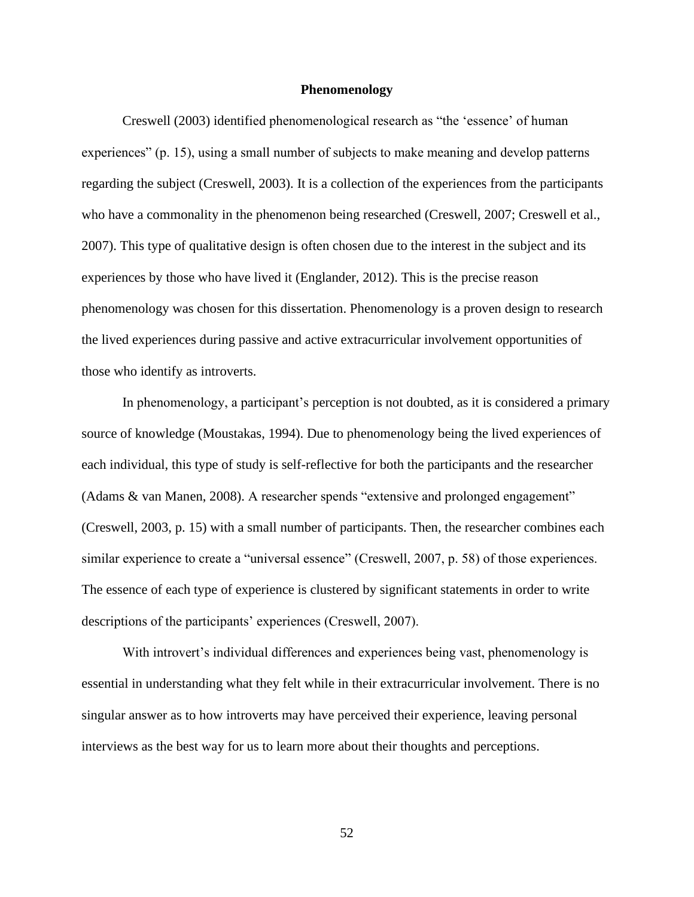#### **Phenomenology**

Creswell (2003) identified phenomenological research as "the 'essence' of human experiences" (p. 15), using a small number of subjects to make meaning and develop patterns regarding the subject (Creswell, 2003). It is a collection of the experiences from the participants who have a commonality in the phenomenon being researched (Creswell, 2007; Creswell et al., 2007). This type of qualitative design is often chosen due to the interest in the subject and its experiences by those who have lived it (Englander, 2012). This is the precise reason phenomenology was chosen for this dissertation. Phenomenology is a proven design to research the lived experiences during passive and active extracurricular involvement opportunities of those who identify as introverts.

In phenomenology, a participant's perception is not doubted, as it is considered a primary source of knowledge (Moustakas, 1994). Due to phenomenology being the lived experiences of each individual, this type of study is self-reflective for both the participants and the researcher (Adams & van Manen, 2008). A researcher spends "extensive and prolonged engagement" (Creswell, 2003, p. 15) with a small number of participants. Then, the researcher combines each similar experience to create a "universal essence" (Creswell, 2007, p. 58) of those experiences. The essence of each type of experience is clustered by significant statements in order to write descriptions of the participants' experiences (Creswell, 2007).

With introvert's individual differences and experiences being vast, phenomenology is essential in understanding what they felt while in their extracurricular involvement. There is no singular answer as to how introverts may have perceived their experience, leaving personal interviews as the best way for us to learn more about their thoughts and perceptions.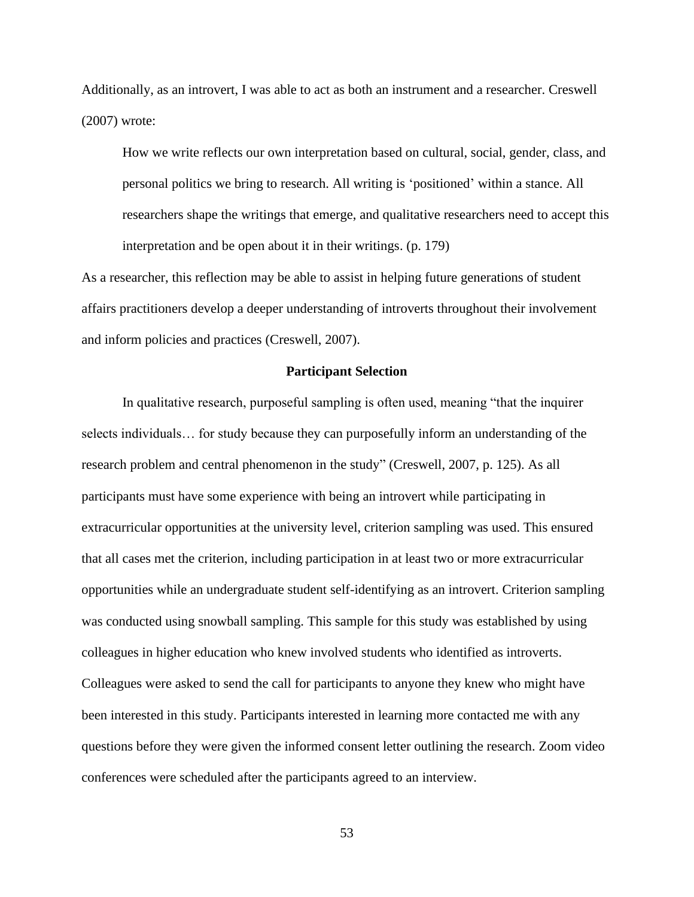Additionally, as an introvert, I was able to act as both an instrument and a researcher. Creswell (2007) wrote:

How we write reflects our own interpretation based on cultural, social, gender, class, and personal politics we bring to research. All writing is 'positioned' within a stance. All researchers shape the writings that emerge, and qualitative researchers need to accept this interpretation and be open about it in their writings. (p. 179)

As a researcher, this reflection may be able to assist in helping future generations of student affairs practitioners develop a deeper understanding of introverts throughout their involvement and inform policies and practices (Creswell, 2007).

### **Participant Selection**

In qualitative research, purposeful sampling is often used, meaning "that the inquirer selects individuals… for study because they can purposefully inform an understanding of the research problem and central phenomenon in the study" (Creswell, 2007, p. 125). As all participants must have some experience with being an introvert while participating in extracurricular opportunities at the university level, criterion sampling was used. This ensured that all cases met the criterion, including participation in at least two or more extracurricular opportunities while an undergraduate student self-identifying as an introvert. Criterion sampling was conducted using snowball sampling. This sample for this study was established by using colleagues in higher education who knew involved students who identified as introverts. Colleagues were asked to send the call for participants to anyone they knew who might have been interested in this study. Participants interested in learning more contacted me with any questions before they were given the informed consent letter outlining the research. Zoom video conferences were scheduled after the participants agreed to an interview.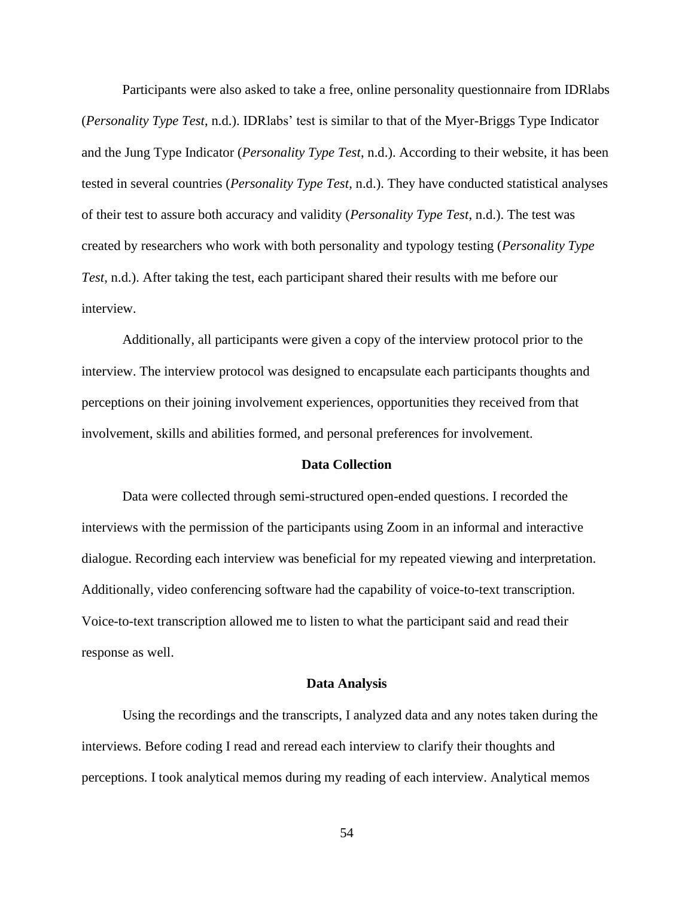Participants were also asked to take a free, online personality questionnaire from IDRlabs (*Personality Type Test*, n.d.). IDRlabs' test is similar to that of the Myer-Briggs Type Indicator and the Jung Type Indicator (*Personality Type Test*, n.d.). According to their website, it has been tested in several countries (*Personality Type Test*, n.d.). They have conducted statistical analyses of their test to assure both accuracy and validity (*Personality Type Test*, n.d.). The test was created by researchers who work with both personality and typology testing (*Personality Type Test*, n.d.). After taking the test, each participant shared their results with me before our interview.

Additionally, all participants were given a copy of the interview protocol prior to the interview. The interview protocol was designed to encapsulate each participants thoughts and perceptions on their joining involvement experiences, opportunities they received from that involvement, skills and abilities formed, and personal preferences for involvement.

### **Data Collection**

Data were collected through semi-structured open-ended questions. I recorded the interviews with the permission of the participants using Zoom in an informal and interactive dialogue. Recording each interview was beneficial for my repeated viewing and interpretation. Additionally, video conferencing software had the capability of voice-to-text transcription. Voice-to-text transcription allowed me to listen to what the participant said and read their response as well.

### **Data Analysis**

Using the recordings and the transcripts, I analyzed data and any notes taken during the interviews. Before coding I read and reread each interview to clarify their thoughts and perceptions. I took analytical memos during my reading of each interview. Analytical memos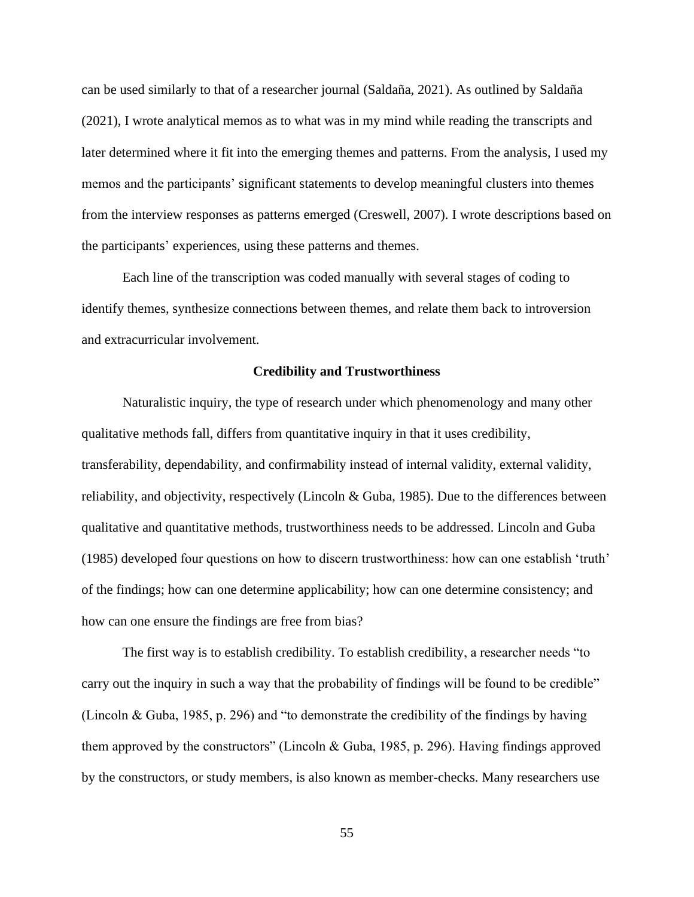can be used similarly to that of a researcher journal (Saldaña, 2021). As outlined by Saldaña (2021), I wrote analytical memos as to what was in my mind while reading the transcripts and later determined where it fit into the emerging themes and patterns. From the analysis, I used my memos and the participants' significant statements to develop meaningful clusters into themes from the interview responses as patterns emerged (Creswell, 2007). I wrote descriptions based on the participants' experiences, using these patterns and themes.

Each line of the transcription was coded manually with several stages of coding to identify themes, synthesize connections between themes, and relate them back to introversion and extracurricular involvement.

### **Credibility and Trustworthiness**

Naturalistic inquiry, the type of research under which phenomenology and many other qualitative methods fall, differs from quantitative inquiry in that it uses credibility, transferability, dependability, and confirmability instead of internal validity, external validity, reliability, and objectivity, respectively (Lincoln & Guba, 1985). Due to the differences between qualitative and quantitative methods, trustworthiness needs to be addressed. Lincoln and Guba (1985) developed four questions on how to discern trustworthiness: how can one establish 'truth' of the findings; how can one determine applicability; how can one determine consistency; and how can one ensure the findings are free from bias?

The first way is to establish credibility. To establish credibility, a researcher needs "to carry out the inquiry in such a way that the probability of findings will be found to be credible" (Lincoln & Guba, 1985, p. 296) and "to demonstrate the credibility of the findings by having them approved by the constructors" (Lincoln & Guba, 1985, p. 296). Having findings approved by the constructors, or study members, is also known as member-checks. Many researchers use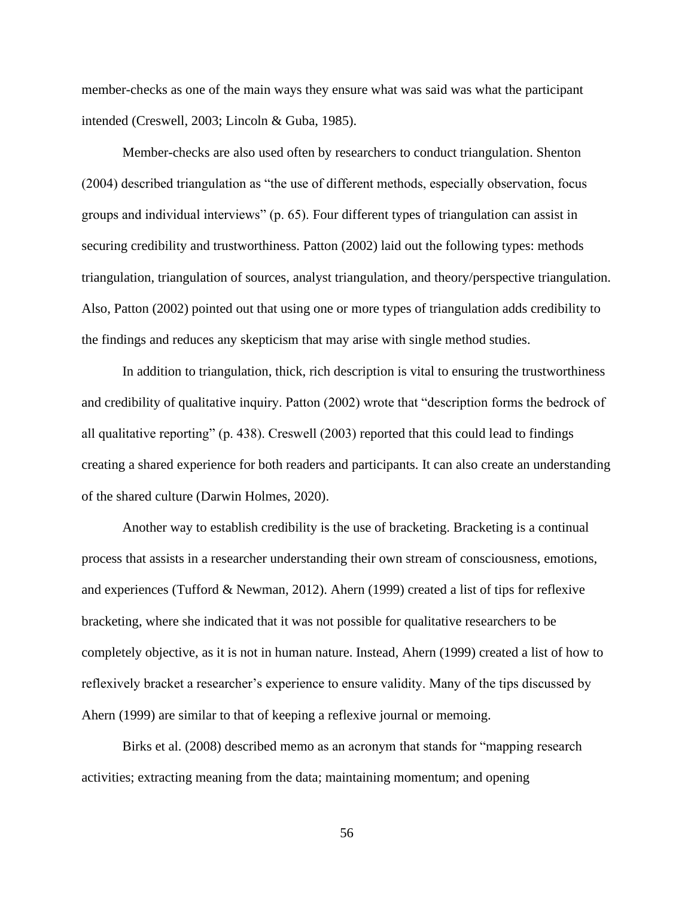member-checks as one of the main ways they ensure what was said was what the participant intended (Creswell, 2003; Lincoln & Guba, 1985).

Member-checks are also used often by researchers to conduct triangulation. Shenton (2004) described triangulation as "the use of different methods, especially observation, focus groups and individual interviews" (p. 65). Four different types of triangulation can assist in securing credibility and trustworthiness. Patton (2002) laid out the following types: methods triangulation, triangulation of sources, analyst triangulation, and theory/perspective triangulation. Also, Patton (2002) pointed out that using one or more types of triangulation adds credibility to the findings and reduces any skepticism that may arise with single method studies.

In addition to triangulation, thick, rich description is vital to ensuring the trustworthiness and credibility of qualitative inquiry. Patton (2002) wrote that "description forms the bedrock of all qualitative reporting" (p. 438). Creswell (2003) reported that this could lead to findings creating a shared experience for both readers and participants. It can also create an understanding of the shared culture (Darwin Holmes, 2020).

Another way to establish credibility is the use of bracketing. Bracketing is a continual process that assists in a researcher understanding their own stream of consciousness, emotions, and experiences (Tufford & Newman, 2012). Ahern (1999) created a list of tips for reflexive bracketing, where she indicated that it was not possible for qualitative researchers to be completely objective, as it is not in human nature. Instead, Ahern (1999) created a list of how to reflexively bracket a researcher's experience to ensure validity. Many of the tips discussed by Ahern (1999) are similar to that of keeping a reflexive journal or memoing.

Birks et al. (2008) described memo as an acronym that stands for "mapping research activities; extracting meaning from the data; maintaining momentum; and opening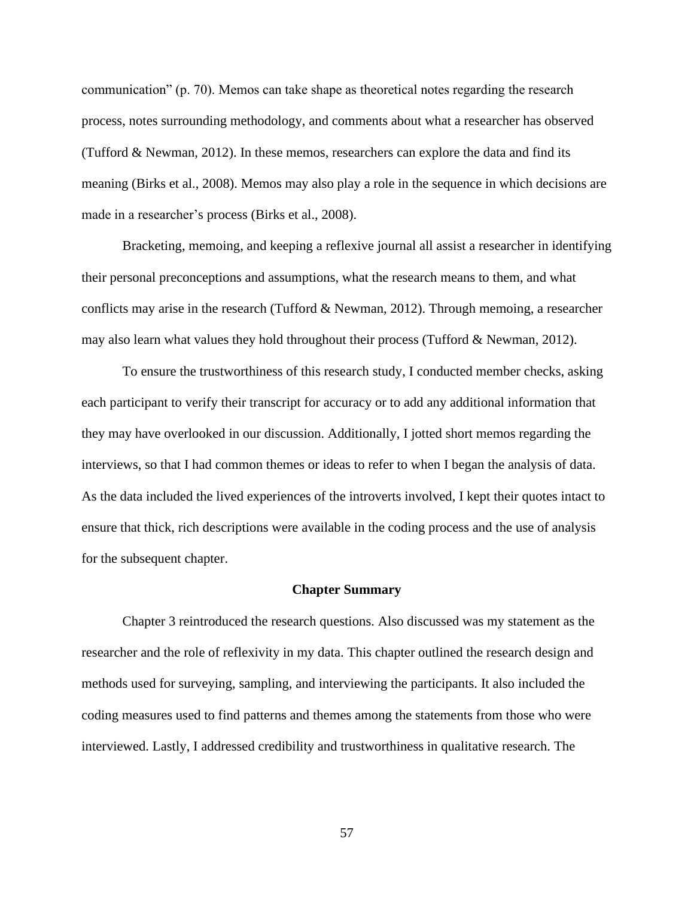communication" (p. 70). Memos can take shape as theoretical notes regarding the research process, notes surrounding methodology, and comments about what a researcher has observed (Tufford & Newman, 2012). In these memos, researchers can explore the data and find its meaning (Birks et al., 2008). Memos may also play a role in the sequence in which decisions are made in a researcher's process (Birks et al., 2008).

Bracketing, memoing, and keeping a reflexive journal all assist a researcher in identifying their personal preconceptions and assumptions, what the research means to them, and what conflicts may arise in the research (Tufford & Newman, 2012). Through memoing, a researcher may also learn what values they hold throughout their process (Tufford & Newman, 2012).

To ensure the trustworthiness of this research study, I conducted member checks, asking each participant to verify their transcript for accuracy or to add any additional information that they may have overlooked in our discussion. Additionally, I jotted short memos regarding the interviews, so that I had common themes or ideas to refer to when I began the analysis of data. As the data included the lived experiences of the introverts involved, I kept their quotes intact to ensure that thick, rich descriptions were available in the coding process and the use of analysis for the subsequent chapter.

#### **Chapter Summary**

Chapter 3 reintroduced the research questions. Also discussed was my statement as the researcher and the role of reflexivity in my data. This chapter outlined the research design and methods used for surveying, sampling, and interviewing the participants. It also included the coding measures used to find patterns and themes among the statements from those who were interviewed. Lastly, I addressed credibility and trustworthiness in qualitative research. The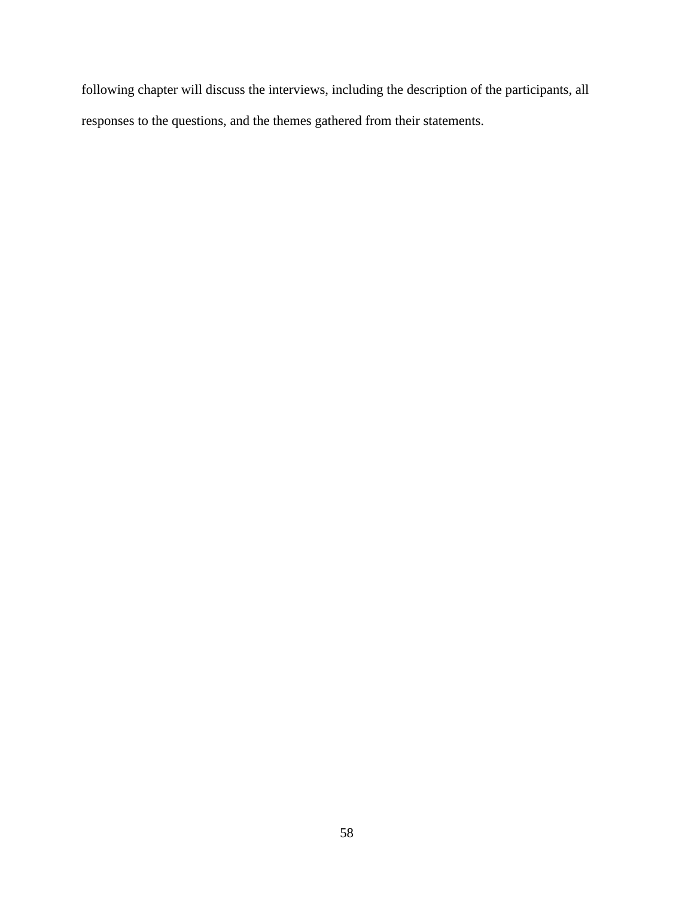following chapter will discuss the interviews, including the description of the participants, all responses to the questions, and the themes gathered from their statements.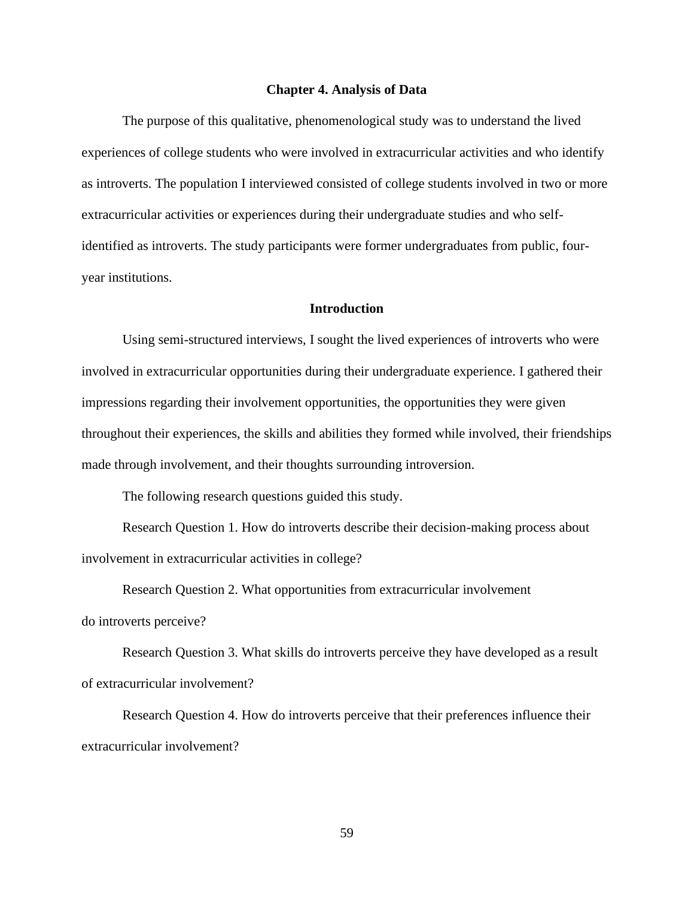#### **Chapter 4. Analysis of Data**

The purpose of this qualitative, phenomenological study was to understand the lived experiences of college students who were involved in extracurricular activities and who identify as introverts. The population I interviewed consisted of college students involved in two or more extracurricular activities or experiences during their undergraduate studies and who selfidentified as introverts. The study participants were former undergraduates from public, fouryear institutions.

# **Introduction**

Using semi-structured interviews, I sought the lived experiences of introverts who were involved in extracurricular opportunities during their undergraduate experience. I gathered their impressions regarding their involvement opportunities, the opportunities they were given throughout their experiences, the skills and abilities they formed while involved, their friendships made through involvement, and their thoughts surrounding introversion.

The following research questions guided this study.

Research Question 1. How do introverts describe their decision-making process about involvement in extracurricular activities in college?

Research Question 2. What opportunities from extracurricular involvement do introverts perceive?

Research Question 3. What skills do introverts perceive they have developed as a result of extracurricular involvement?

Research Question 4. How do introverts perceive that their preferences influence their extracurricular involvement?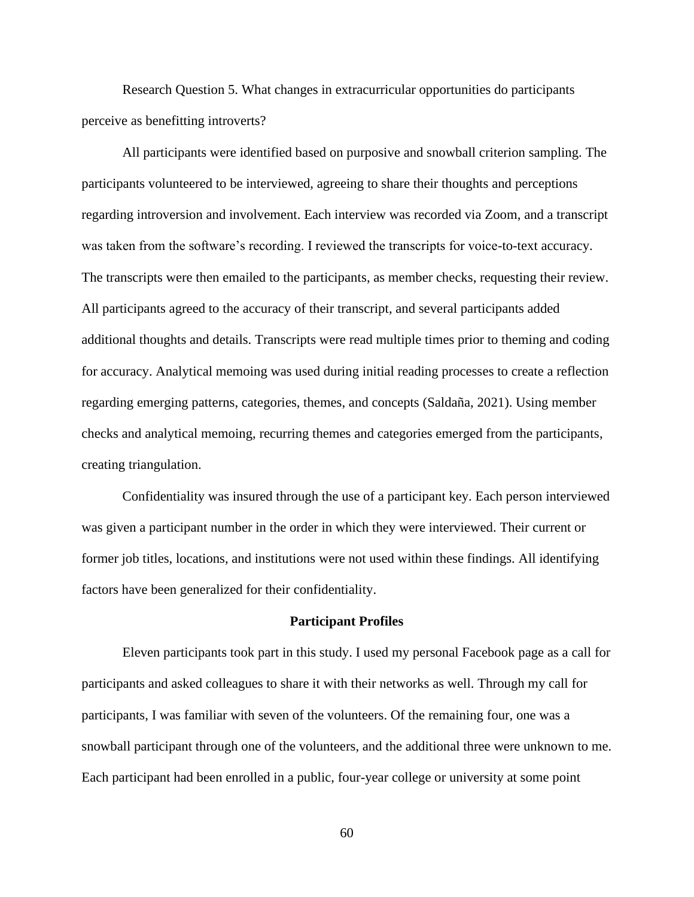Research Question 5. What changes in extracurricular opportunities do participants perceive as benefitting introverts?

All participants were identified based on purposive and snowball criterion sampling. The participants volunteered to be interviewed, agreeing to share their thoughts and perceptions regarding introversion and involvement. Each interview was recorded via Zoom, and a transcript was taken from the software's recording. I reviewed the transcripts for voice-to-text accuracy. The transcripts were then emailed to the participants, as member checks, requesting their review. All participants agreed to the accuracy of their transcript, and several participants added additional thoughts and details. Transcripts were read multiple times prior to theming and coding for accuracy. Analytical memoing was used during initial reading processes to create a reflection regarding emerging patterns, categories, themes, and concepts (Saldaña, 2021). Using member checks and analytical memoing, recurring themes and categories emerged from the participants, creating triangulation.

Confidentiality was insured through the use of a participant key. Each person interviewed was given a participant number in the order in which they were interviewed. Their current or former job titles, locations, and institutions were not used within these findings. All identifying factors have been generalized for their confidentiality.

#### **Participant Profiles**

Eleven participants took part in this study. I used my personal Facebook page as a call for participants and asked colleagues to share it with their networks as well. Through my call for participants, I was familiar with seven of the volunteers. Of the remaining four, one was a snowball participant through one of the volunteers, and the additional three were unknown to me. Each participant had been enrolled in a public, four-year college or university at some point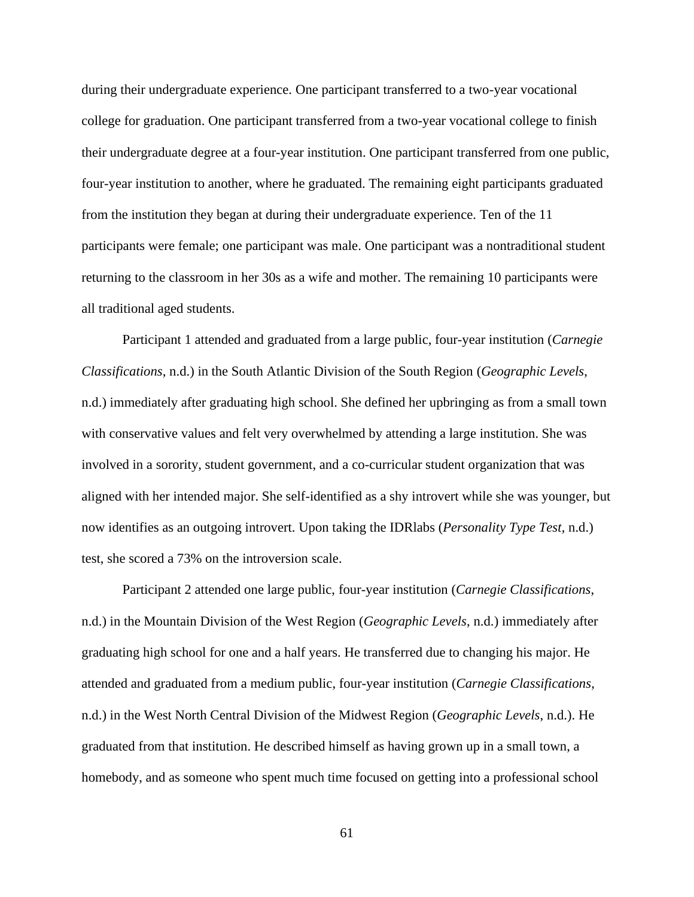during their undergraduate experience. One participant transferred to a two-year vocational college for graduation. One participant transferred from a two-year vocational college to finish their undergraduate degree at a four-year institution. One participant transferred from one public, four-year institution to another, where he graduated. The remaining eight participants graduated from the institution they began at during their undergraduate experience. Ten of the 11 participants were female; one participant was male. One participant was a nontraditional student returning to the classroom in her 30s as a wife and mother. The remaining 10 participants were all traditional aged students.

Participant 1 attended and graduated from a large public, four-year institution (*Carnegie Classifications*, n.d.) in the South Atlantic Division of the South Region (*Geographic Levels*, n.d.) immediately after graduating high school. She defined her upbringing as from a small town with conservative values and felt very overwhelmed by attending a large institution. She was involved in a sorority, student government, and a co-curricular student organization that was aligned with her intended major. She self-identified as a shy introvert while she was younger, but now identifies as an outgoing introvert. Upon taking the IDRlabs (*Personality Type Test*, n.d.) test, she scored a 73% on the introversion scale.

Participant 2 attended one large public, four-year institution (*Carnegie Classifications*, n.d.) in the Mountain Division of the West Region (*Geographic Levels*, n.d.) immediately after graduating high school for one and a half years. He transferred due to changing his major. He attended and graduated from a medium public, four-year institution (*Carnegie Classifications*, n.d.) in the West North Central Division of the Midwest Region (*Geographic Levels*, n.d.). He graduated from that institution. He described himself as having grown up in a small town, a homebody, and as someone who spent much time focused on getting into a professional school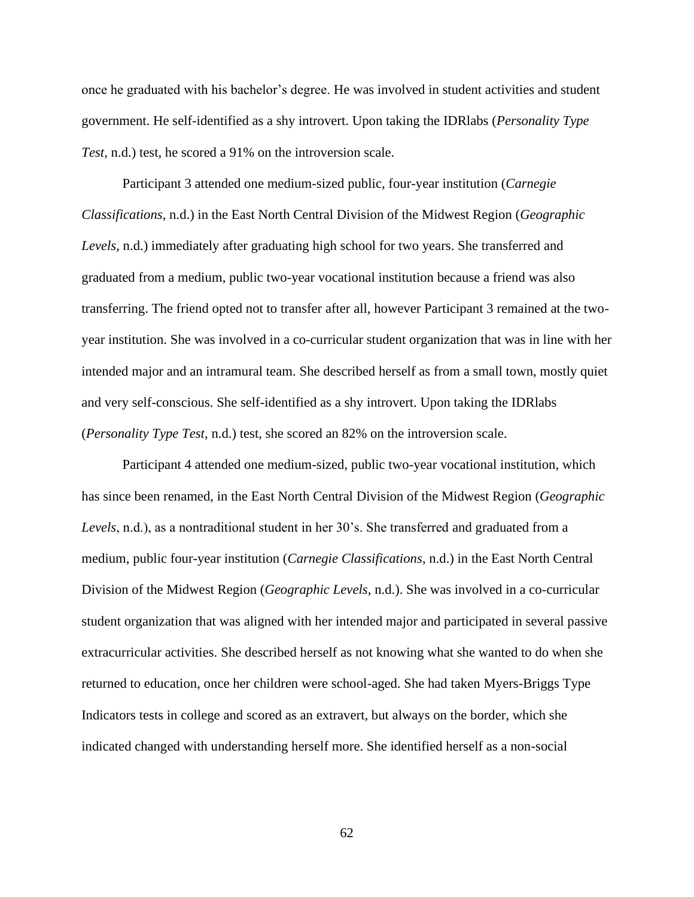once he graduated with his bachelor's degree. He was involved in student activities and student government. He self-identified as a shy introvert. Upon taking the IDRlabs (*Personality Type Test*, n.d.) test, he scored a 91% on the introversion scale.

Participant 3 attended one medium-sized public, four-year institution (*Carnegie Classifications*, n.d.) in the East North Central Division of the Midwest Region (*Geographic Levels*, n.d.) immediately after graduating high school for two years. She transferred and graduated from a medium, public two-year vocational institution because a friend was also transferring. The friend opted not to transfer after all, however Participant 3 remained at the twoyear institution. She was involved in a co-curricular student organization that was in line with her intended major and an intramural team. She described herself as from a small town, mostly quiet and very self-conscious. She self-identified as a shy introvert. Upon taking the IDRlabs (*Personality Type Test*, n.d.) test, she scored an 82% on the introversion scale.

Participant 4 attended one medium-sized, public two-year vocational institution, which has since been renamed, in the East North Central Division of the Midwest Region (*Geographic Levels*, n.d.), as a nontraditional student in her 30's. She transferred and graduated from a medium, public four-year institution (*Carnegie Classifications*, n.d.) in the East North Central Division of the Midwest Region (*Geographic Levels*, n.d.). She was involved in a co-curricular student organization that was aligned with her intended major and participated in several passive extracurricular activities. She described herself as not knowing what she wanted to do when she returned to education, once her children were school-aged. She had taken Myers-Briggs Type Indicators tests in college and scored as an extravert, but always on the border, which she indicated changed with understanding herself more. She identified herself as a non-social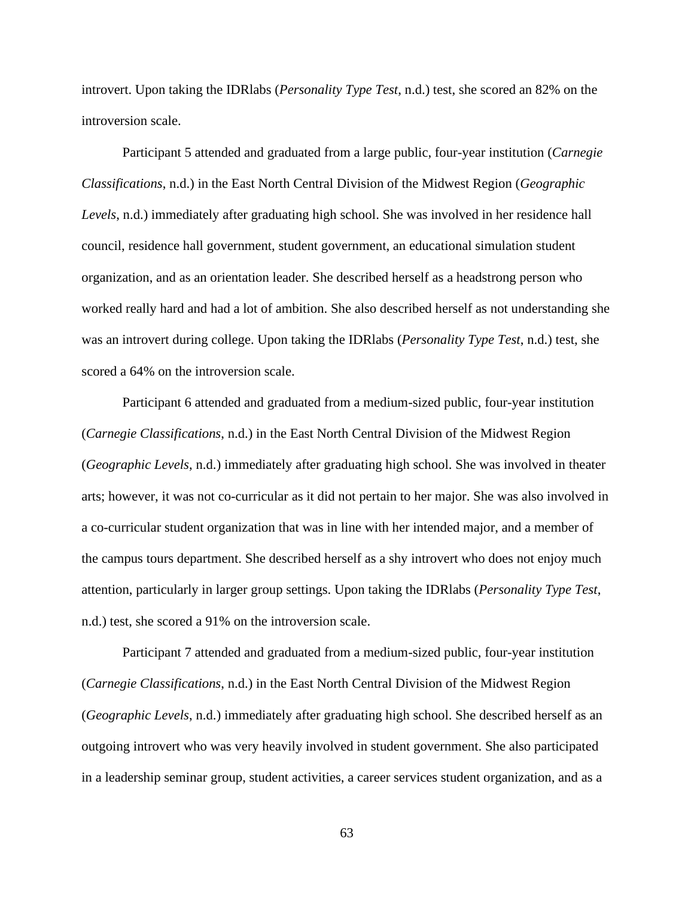introvert. Upon taking the IDRlabs (*Personality Type Test*, n.d.) test, she scored an 82% on the introversion scale.

Participant 5 attended and graduated from a large public, four-year institution (*Carnegie Classifications*, n.d.) in the East North Central Division of the Midwest Region (*Geographic Levels*, n.d.) immediately after graduating high school. She was involved in her residence hall council, residence hall government, student government, an educational simulation student organization, and as an orientation leader. She described herself as a headstrong person who worked really hard and had a lot of ambition. She also described herself as not understanding she was an introvert during college. Upon taking the IDRlabs (*Personality Type Test*, n.d.) test, she scored a 64% on the introversion scale.

Participant 6 attended and graduated from a medium-sized public, four-year institution (*Carnegie Classifications*, n.d.) in the East North Central Division of the Midwest Region (*Geographic Levels*, n.d.) immediately after graduating high school. She was involved in theater arts; however, it was not co-curricular as it did not pertain to her major. She was also involved in a co-curricular student organization that was in line with her intended major, and a member of the campus tours department. She described herself as a shy introvert who does not enjoy much attention, particularly in larger group settings. Upon taking the IDRlabs (*Personality Type Test*, n.d.) test, she scored a 91% on the introversion scale.

Participant 7 attended and graduated from a medium-sized public, four-year institution (*Carnegie Classifications*, n.d.) in the East North Central Division of the Midwest Region (*Geographic Levels*, n.d.) immediately after graduating high school. She described herself as an outgoing introvert who was very heavily involved in student government. She also participated in a leadership seminar group, student activities, a career services student organization, and as a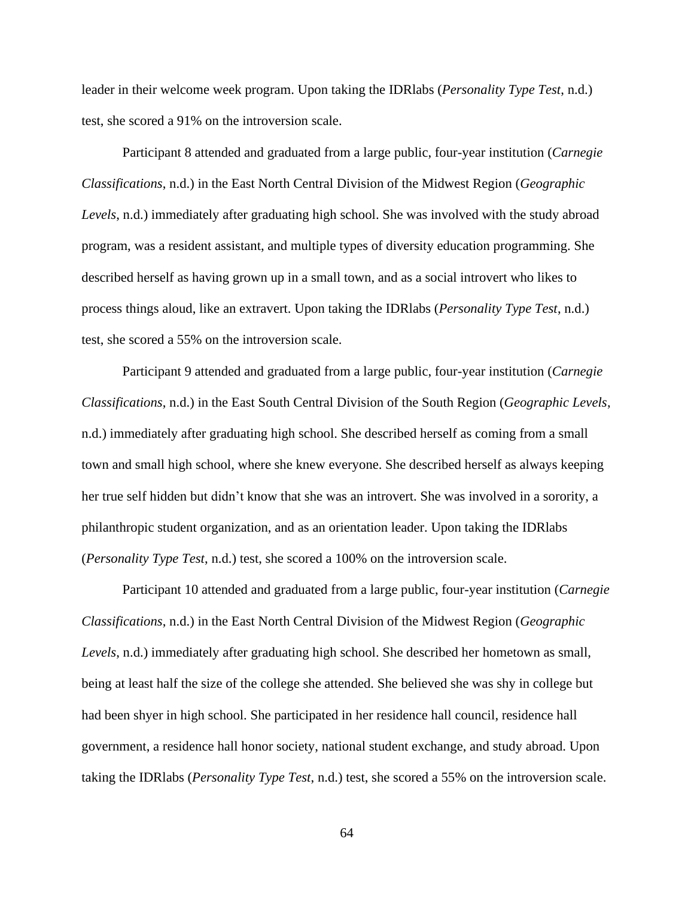leader in their welcome week program. Upon taking the IDRlabs (*Personality Type Test*, n.d.) test, she scored a 91% on the introversion scale.

Participant 8 attended and graduated from a large public, four-year institution (*Carnegie Classifications*, n.d.) in the East North Central Division of the Midwest Region (*Geographic Levels*, n.d.) immediately after graduating high school. She was involved with the study abroad program, was a resident assistant, and multiple types of diversity education programming. She described herself as having grown up in a small town, and as a social introvert who likes to process things aloud, like an extravert. Upon taking the IDRlabs (*Personality Type Test*, n.d.) test, she scored a 55% on the introversion scale.

Participant 9 attended and graduated from a large public, four-year institution (*Carnegie Classifications*, n.d.) in the East South Central Division of the South Region (*Geographic Levels*, n.d.) immediately after graduating high school. She described herself as coming from a small town and small high school, where she knew everyone. She described herself as always keeping her true self hidden but didn't know that she was an introvert. She was involved in a sorority, a philanthropic student organization, and as an orientation leader. Upon taking the IDRlabs (*Personality Type Test*, n.d.) test, she scored a 100% on the introversion scale.

Participant 10 attended and graduated from a large public, four-year institution (*Carnegie Classifications*, n.d.) in the East North Central Division of the Midwest Region (*Geographic Levels*, n.d.) immediately after graduating high school. She described her hometown as small, being at least half the size of the college she attended. She believed she was shy in college but had been shyer in high school. She participated in her residence hall council, residence hall government, a residence hall honor society, national student exchange, and study abroad. Upon taking the IDRlabs (*Personality Type Test*, n.d.) test, she scored a 55% on the introversion scale.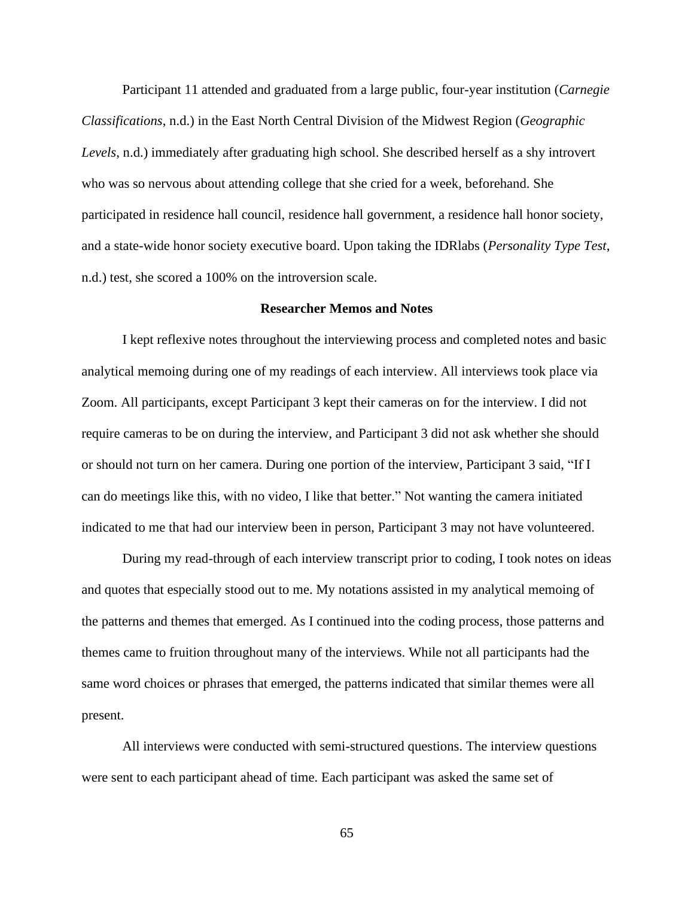Participant 11 attended and graduated from a large public, four-year institution (*Carnegie Classifications*, n.d.) in the East North Central Division of the Midwest Region (*Geographic Levels*, n.d.) immediately after graduating high school. She described herself as a shy introvert who was so nervous about attending college that she cried for a week, beforehand. She participated in residence hall council, residence hall government, a residence hall honor society, and a state-wide honor society executive board. Upon taking the IDRlabs (*Personality Type Test*, n.d.) test, she scored a 100% on the introversion scale.

# **Researcher Memos and Notes**

I kept reflexive notes throughout the interviewing process and completed notes and basic analytical memoing during one of my readings of each interview. All interviews took place via Zoom. All participants, except Participant 3 kept their cameras on for the interview. I did not require cameras to be on during the interview, and Participant 3 did not ask whether she should or should not turn on her camera. During one portion of the interview, Participant 3 said, "If I can do meetings like this, with no video, I like that better." Not wanting the camera initiated indicated to me that had our interview been in person, Participant 3 may not have volunteered.

During my read-through of each interview transcript prior to coding, I took notes on ideas and quotes that especially stood out to me. My notations assisted in my analytical memoing of the patterns and themes that emerged. As I continued into the coding process, those patterns and themes came to fruition throughout many of the interviews. While not all participants had the same word choices or phrases that emerged, the patterns indicated that similar themes were all present.

All interviews were conducted with semi-structured questions. The interview questions were sent to each participant ahead of time. Each participant was asked the same set of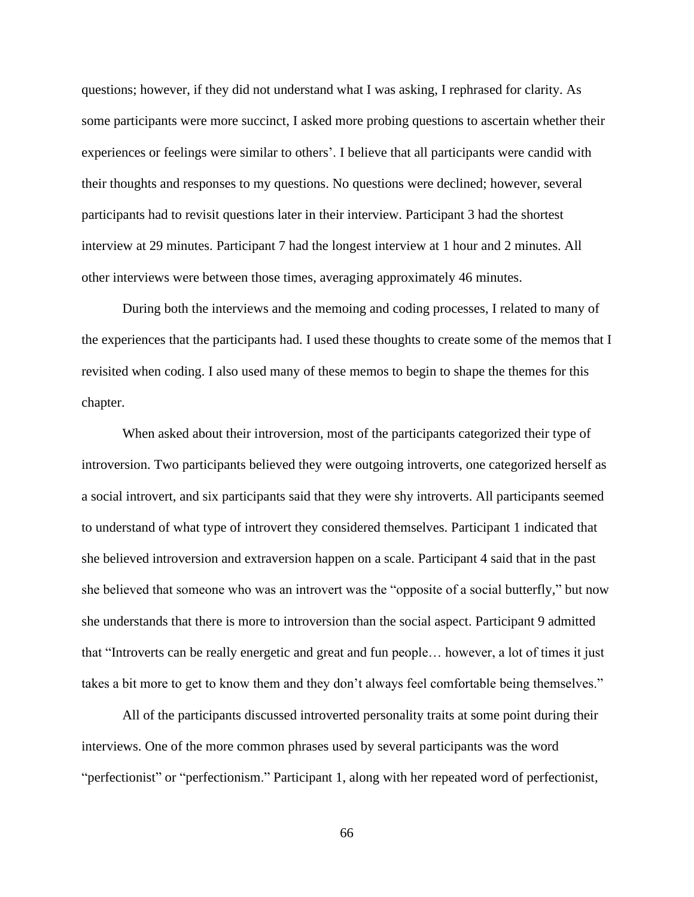questions; however, if they did not understand what I was asking, I rephrased for clarity. As some participants were more succinct, I asked more probing questions to ascertain whether their experiences or feelings were similar to others'. I believe that all participants were candid with their thoughts and responses to my questions. No questions were declined; however, several participants had to revisit questions later in their interview. Participant 3 had the shortest interview at 29 minutes. Participant 7 had the longest interview at 1 hour and 2 minutes. All other interviews were between those times, averaging approximately 46 minutes.

During both the interviews and the memoing and coding processes, I related to many of the experiences that the participants had. I used these thoughts to create some of the memos that I revisited when coding. I also used many of these memos to begin to shape the themes for this chapter.

When asked about their introversion, most of the participants categorized their type of introversion. Two participants believed they were outgoing introverts, one categorized herself as a social introvert, and six participants said that they were shy introverts. All participants seemed to understand of what type of introvert they considered themselves. Participant 1 indicated that she believed introversion and extraversion happen on a scale. Participant 4 said that in the past she believed that someone who was an introvert was the "opposite of a social butterfly," but now she understands that there is more to introversion than the social aspect. Participant 9 admitted that "Introverts can be really energetic and great and fun people… however, a lot of times it just takes a bit more to get to know them and they don't always feel comfortable being themselves."

All of the participants discussed introverted personality traits at some point during their interviews. One of the more common phrases used by several participants was the word "perfectionist" or "perfectionism." Participant 1, along with her repeated word of perfectionist,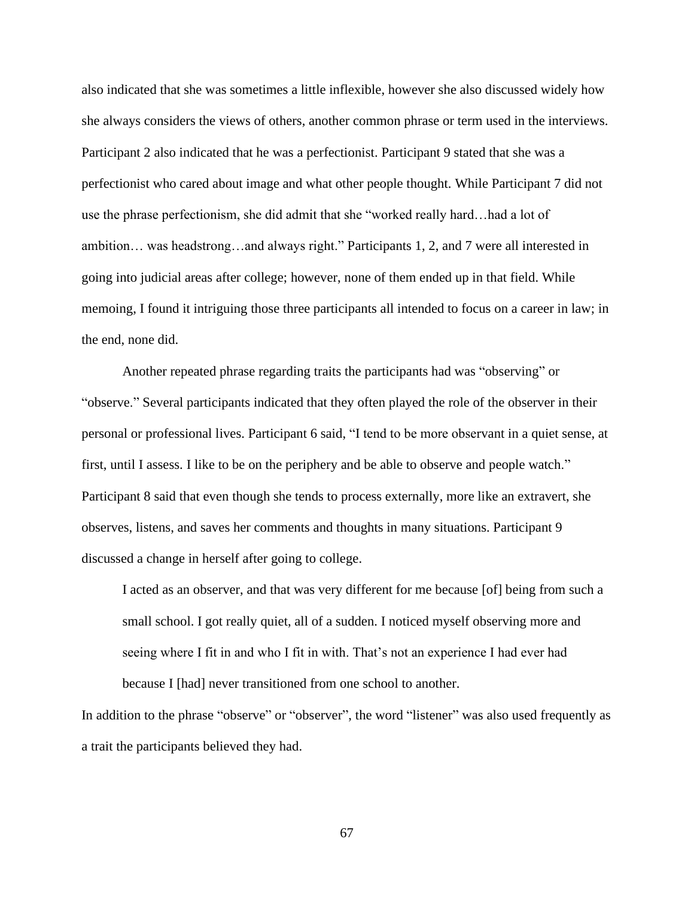also indicated that she was sometimes a little inflexible, however she also discussed widely how she always considers the views of others, another common phrase or term used in the interviews. Participant 2 also indicated that he was a perfectionist. Participant 9 stated that she was a perfectionist who cared about image and what other people thought. While Participant 7 did not use the phrase perfectionism, she did admit that she "worked really hard…had a lot of ambition… was headstrong…and always right." Participants 1, 2, and 7 were all interested in going into judicial areas after college; however, none of them ended up in that field. While memoing, I found it intriguing those three participants all intended to focus on a career in law; in the end, none did.

Another repeated phrase regarding traits the participants had was "observing" or "observe." Several participants indicated that they often played the role of the observer in their personal or professional lives. Participant 6 said, "I tend to be more observant in a quiet sense, at first, until I assess. I like to be on the periphery and be able to observe and people watch." Participant 8 said that even though she tends to process externally, more like an extravert, she observes, listens, and saves her comments and thoughts in many situations. Participant 9 discussed a change in herself after going to college.

I acted as an observer, and that was very different for me because [of] being from such a small school. I got really quiet, all of a sudden. I noticed myself observing more and seeing where I fit in and who I fit in with. That's not an experience I had ever had because I [had] never transitioned from one school to another.

In addition to the phrase "observe" or "observer", the word "listener" was also used frequently as a trait the participants believed they had.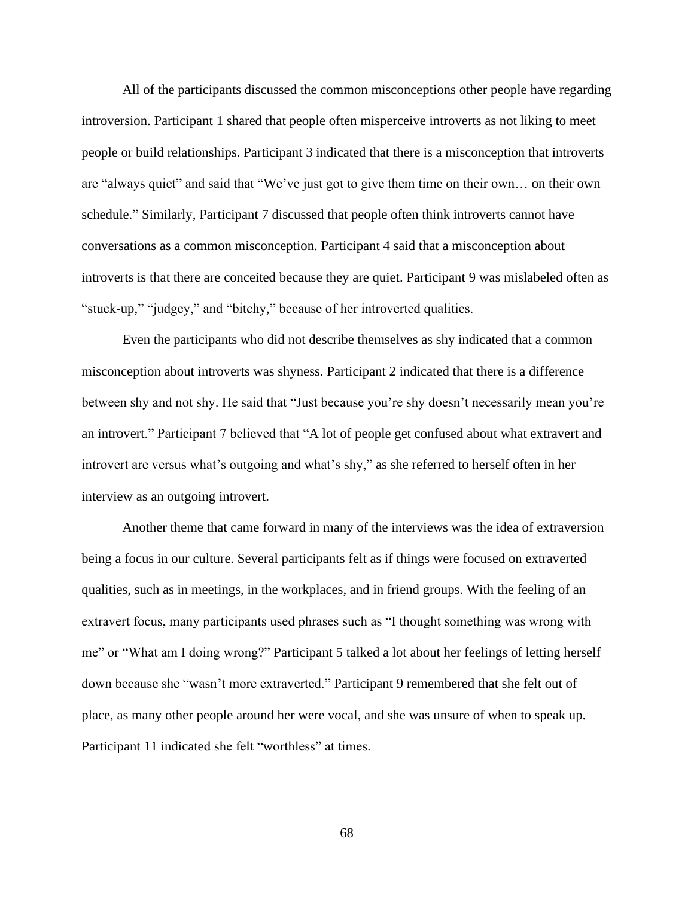All of the participants discussed the common misconceptions other people have regarding introversion. Participant 1 shared that people often misperceive introverts as not liking to meet people or build relationships. Participant 3 indicated that there is a misconception that introverts are "always quiet" and said that "We've just got to give them time on their own… on their own schedule." Similarly, Participant 7 discussed that people often think introverts cannot have conversations as a common misconception. Participant 4 said that a misconception about introverts is that there are conceited because they are quiet. Participant 9 was mislabeled often as "stuck-up," "judgey," and "bitchy," because of her introverted qualities.

Even the participants who did not describe themselves as shy indicated that a common misconception about introverts was shyness. Participant 2 indicated that there is a difference between shy and not shy. He said that "Just because you're shy doesn't necessarily mean you're an introvert." Participant 7 believed that "A lot of people get confused about what extravert and introvert are versus what's outgoing and what's shy," as she referred to herself often in her interview as an outgoing introvert.

Another theme that came forward in many of the interviews was the idea of extraversion being a focus in our culture. Several participants felt as if things were focused on extraverted qualities, such as in meetings, in the workplaces, and in friend groups. With the feeling of an extravert focus, many participants used phrases such as "I thought something was wrong with me" or "What am I doing wrong?" Participant 5 talked a lot about her feelings of letting herself down because she "wasn't more extraverted." Participant 9 remembered that she felt out of place, as many other people around her were vocal, and she was unsure of when to speak up. Participant 11 indicated she felt "worthless" at times.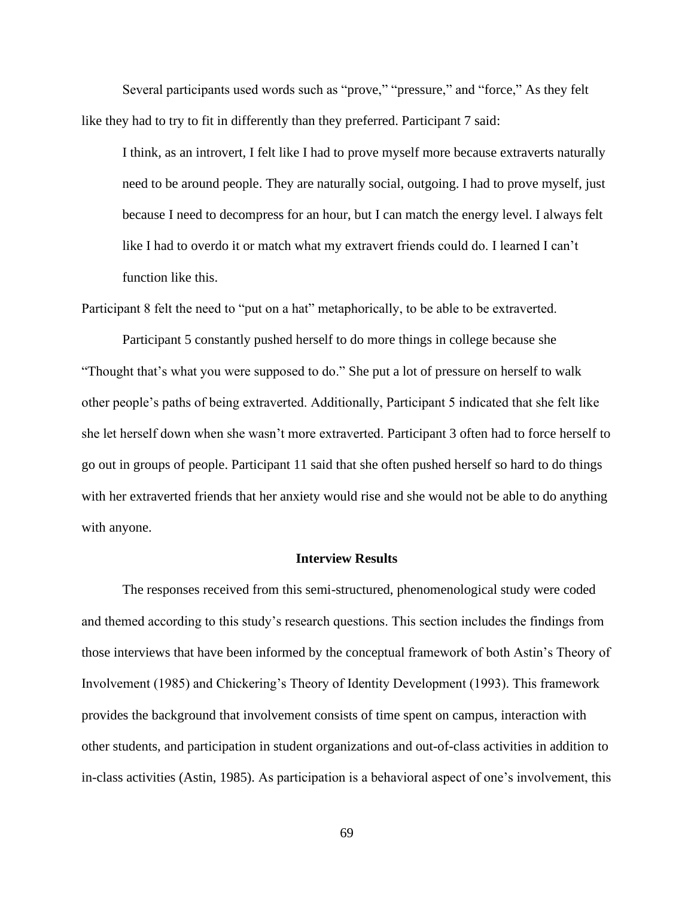Several participants used words such as "prove," "pressure," and "force," As they felt like they had to try to fit in differently than they preferred. Participant 7 said:

I think, as an introvert, I felt like I had to prove myself more because extraverts naturally need to be around people. They are naturally social, outgoing. I had to prove myself, just because I need to decompress for an hour, but I can match the energy level. I always felt like I had to overdo it or match what my extravert friends could do. I learned I can't function like this.

Participant 8 felt the need to "put on a hat" metaphorically, to be able to be extraverted.

Participant 5 constantly pushed herself to do more things in college because she "Thought that's what you were supposed to do." She put a lot of pressure on herself to walk other people's paths of being extraverted. Additionally, Participant 5 indicated that she felt like she let herself down when she wasn't more extraverted. Participant 3 often had to force herself to go out in groups of people. Participant 11 said that she often pushed herself so hard to do things with her extraverted friends that her anxiety would rise and she would not be able to do anything with anyone.

# **Interview Results**

The responses received from this semi-structured, phenomenological study were coded and themed according to this study's research questions. This section includes the findings from those interviews that have been informed by the conceptual framework of both Astin's Theory of Involvement (1985) and Chickering's Theory of Identity Development (1993). This framework provides the background that involvement consists of time spent on campus, interaction with other students, and participation in student organizations and out-of-class activities in addition to in-class activities (Astin, 1985). As participation is a behavioral aspect of one's involvement, this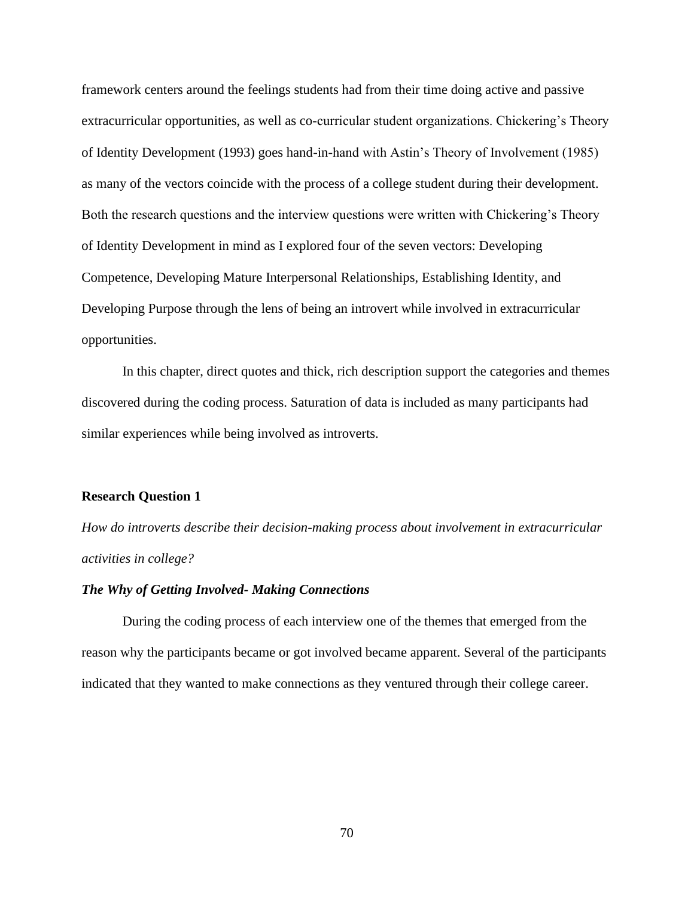framework centers around the feelings students had from their time doing active and passive extracurricular opportunities, as well as co-curricular student organizations. Chickering's Theory of Identity Development (1993) goes hand-in-hand with Astin's Theory of Involvement (1985) as many of the vectors coincide with the process of a college student during their development. Both the research questions and the interview questions were written with Chickering's Theory of Identity Development in mind as I explored four of the seven vectors: Developing Competence, Developing Mature Interpersonal Relationships, Establishing Identity, and Developing Purpose through the lens of being an introvert while involved in extracurricular opportunities.

In this chapter, direct quotes and thick, rich description support the categories and themes discovered during the coding process. Saturation of data is included as many participants had similar experiences while being involved as introverts.

### **Research Question 1**

*How do introverts describe their decision-making process about involvement in extracurricular activities in college?*

# *The Why of Getting Involved- Making Connections*

During the coding process of each interview one of the themes that emerged from the reason why the participants became or got involved became apparent. Several of the participants indicated that they wanted to make connections as they ventured through their college career.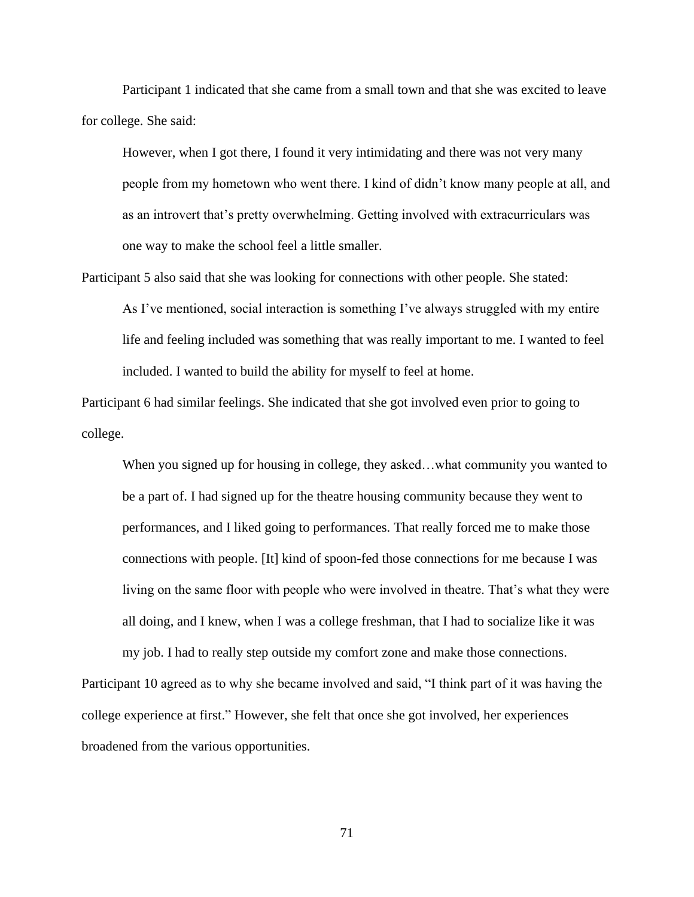Participant 1 indicated that she came from a small town and that she was excited to leave for college. She said:

However, when I got there, I found it very intimidating and there was not very many people from my hometown who went there. I kind of didn't know many people at all, and as an introvert that's pretty overwhelming. Getting involved with extracurriculars was one way to make the school feel a little smaller.

Participant 5 also said that she was looking for connections with other people. She stated:

As I've mentioned, social interaction is something I've always struggled with my entire life and feeling included was something that was really important to me. I wanted to feel included. I wanted to build the ability for myself to feel at home.

Participant 6 had similar feelings. She indicated that she got involved even prior to going to college.

When you signed up for housing in college, they asked...what community you wanted to be a part of. I had signed up for the theatre housing community because they went to performances, and I liked going to performances. That really forced me to make those connections with people. [It] kind of spoon-fed those connections for me because I was living on the same floor with people who were involved in theatre. That's what they were all doing, and I knew, when I was a college freshman, that I had to socialize like it was my job. I had to really step outside my comfort zone and make those connections.

Participant 10 agreed as to why she became involved and said, "I think part of it was having the college experience at first." However, she felt that once she got involved, her experiences broadened from the various opportunities.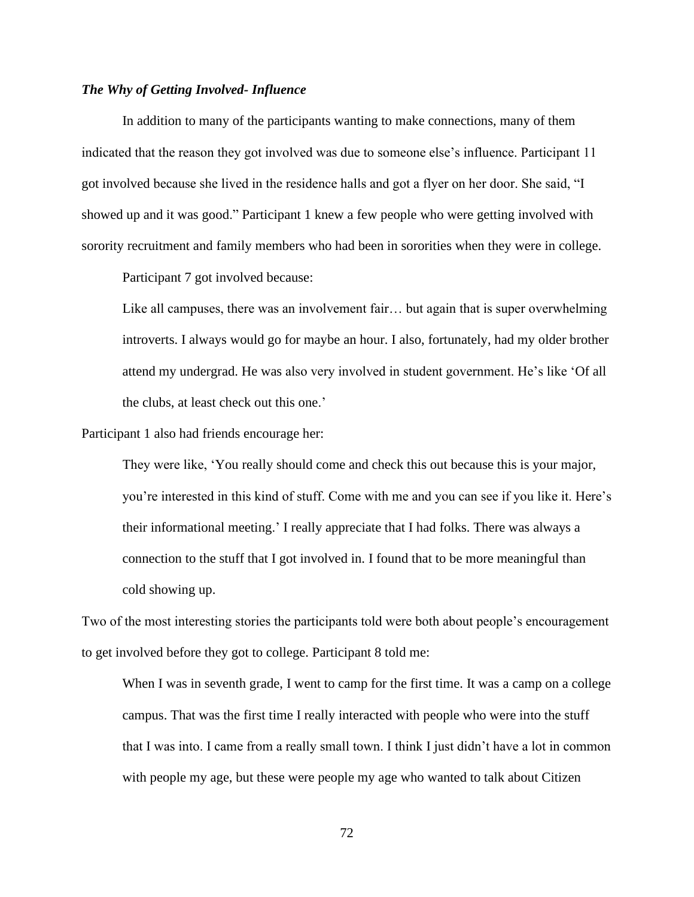## *The Why of Getting Involved- Influence*

In addition to many of the participants wanting to make connections, many of them indicated that the reason they got involved was due to someone else's influence. Participant 11 got involved because she lived in the residence halls and got a flyer on her door. She said, "I showed up and it was good." Participant 1 knew a few people who were getting involved with sorority recruitment and family members who had been in sororities when they were in college.

Participant 7 got involved because:

Like all campuses, there was an involvement fair... but again that is super overwhelming introverts. I always would go for maybe an hour. I also, fortunately, had my older brother attend my undergrad. He was also very involved in student government. He's like 'Of all the clubs, at least check out this one.'

Participant 1 also had friends encourage her:

They were like, 'You really should come and check this out because this is your major, you're interested in this kind of stuff. Come with me and you can see if you like it. Here's their informational meeting.' I really appreciate that I had folks. There was always a connection to the stuff that I got involved in. I found that to be more meaningful than cold showing up.

Two of the most interesting stories the participants told were both about people's encouragement to get involved before they got to college. Participant 8 told me:

When I was in seventh grade, I went to camp for the first time. It was a camp on a college campus. That was the first time I really interacted with people who were into the stuff that I was into. I came from a really small town. I think I just didn't have a lot in common with people my age, but these were people my age who wanted to talk about Citizen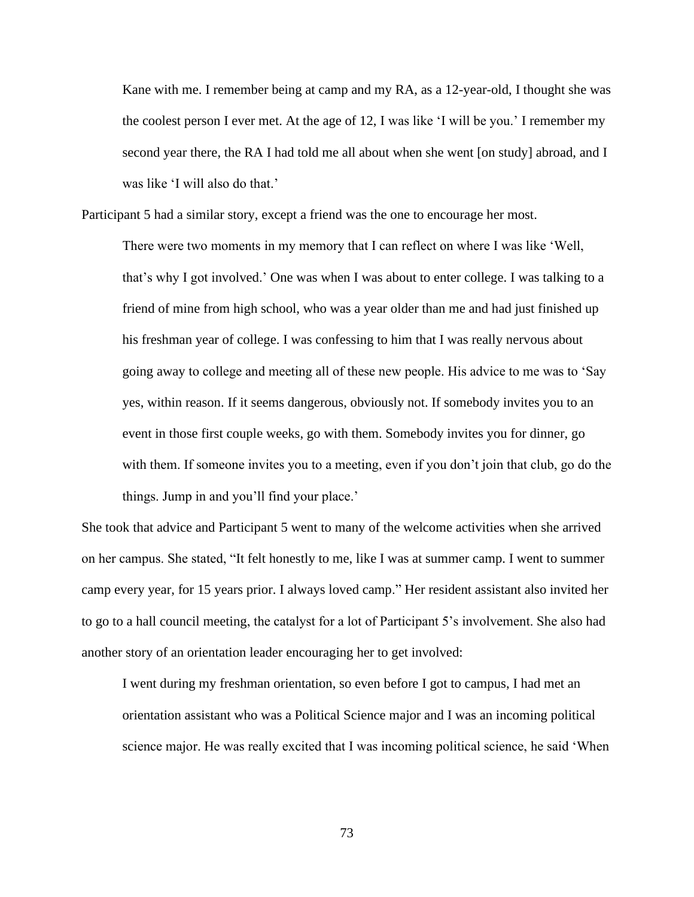Kane with me. I remember being at camp and my RA, as a 12-year-old, I thought she was the coolest person I ever met. At the age of 12, I was like 'I will be you.' I remember my second year there, the RA I had told me all about when she went [on study] abroad, and I was like 'I will also do that.'

Participant 5 had a similar story, except a friend was the one to encourage her most.

There were two moments in my memory that I can reflect on where I was like 'Well, that's why I got involved.' One was when I was about to enter college. I was talking to a friend of mine from high school, who was a year older than me and had just finished up his freshman year of college. I was confessing to him that I was really nervous about going away to college and meeting all of these new people. His advice to me was to 'Say yes, within reason. If it seems dangerous, obviously not. If somebody invites you to an event in those first couple weeks, go with them. Somebody invites you for dinner, go with them. If someone invites you to a meeting, even if you don't join that club, go do the things. Jump in and you'll find your place.'

She took that advice and Participant 5 went to many of the welcome activities when she arrived on her campus. She stated, "It felt honestly to me, like I was at summer camp. I went to summer camp every year, for 15 years prior. I always loved camp." Her resident assistant also invited her to go to a hall council meeting, the catalyst for a lot of Participant 5's involvement. She also had another story of an orientation leader encouraging her to get involved:

I went during my freshman orientation, so even before I got to campus, I had met an orientation assistant who was a Political Science major and I was an incoming political science major. He was really excited that I was incoming political science, he said 'When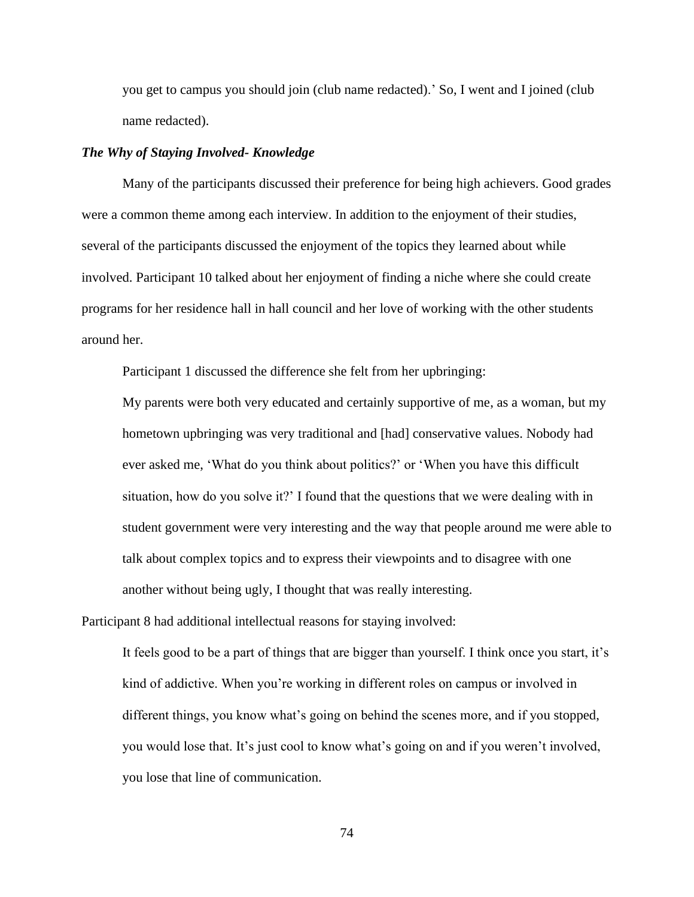you get to campus you should join (club name redacted).' So, I went and I joined (club name redacted).

#### *The Why of Staying Involved- Knowledge*

Many of the participants discussed their preference for being high achievers. Good grades were a common theme among each interview. In addition to the enjoyment of their studies, several of the participants discussed the enjoyment of the topics they learned about while involved. Participant 10 talked about her enjoyment of finding a niche where she could create programs for her residence hall in hall council and her love of working with the other students around her.

Participant 1 discussed the difference she felt from her upbringing:

My parents were both very educated and certainly supportive of me, as a woman, but my hometown upbringing was very traditional and [had] conservative values. Nobody had ever asked me, 'What do you think about politics?' or 'When you have this difficult situation, how do you solve it?' I found that the questions that we were dealing with in student government were very interesting and the way that people around me were able to talk about complex topics and to express their viewpoints and to disagree with one another without being ugly, I thought that was really interesting.

Participant 8 had additional intellectual reasons for staying involved:

It feels good to be a part of things that are bigger than yourself. I think once you start, it's kind of addictive. When you're working in different roles on campus or involved in different things, you know what's going on behind the scenes more, and if you stopped, you would lose that. It's just cool to know what's going on and if you weren't involved, you lose that line of communication.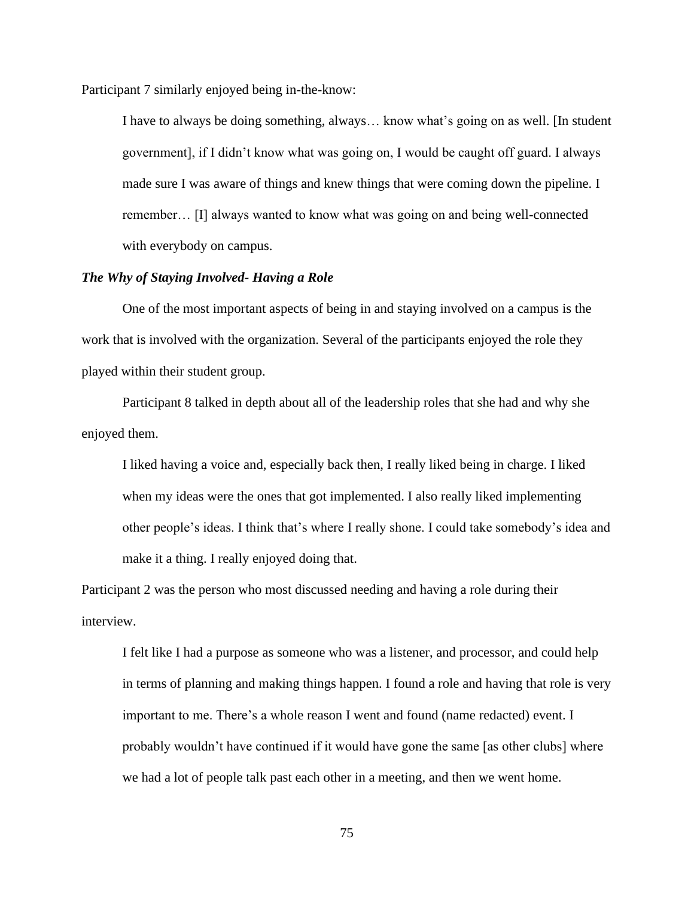Participant 7 similarly enjoyed being in-the-know:

I have to always be doing something, always… know what's going on as well. [In student government], if I didn't know what was going on, I would be caught off guard. I always made sure I was aware of things and knew things that were coming down the pipeline. I remember… [I] always wanted to know what was going on and being well-connected with everybody on campus.

## *The Why of Staying Involved- Having a Role*

One of the most important aspects of being in and staying involved on a campus is the work that is involved with the organization. Several of the participants enjoyed the role they played within their student group.

Participant 8 talked in depth about all of the leadership roles that she had and why she enjoyed them.

I liked having a voice and, especially back then, I really liked being in charge. I liked when my ideas were the ones that got implemented. I also really liked implementing other people's ideas. I think that's where I really shone. I could take somebody's idea and make it a thing. I really enjoyed doing that.

Participant 2 was the person who most discussed needing and having a role during their interview.

I felt like I had a purpose as someone who was a listener, and processor, and could help in terms of planning and making things happen. I found a role and having that role is very important to me. There's a whole reason I went and found (name redacted) event. I probably wouldn't have continued if it would have gone the same [as other clubs] where we had a lot of people talk past each other in a meeting, and then we went home.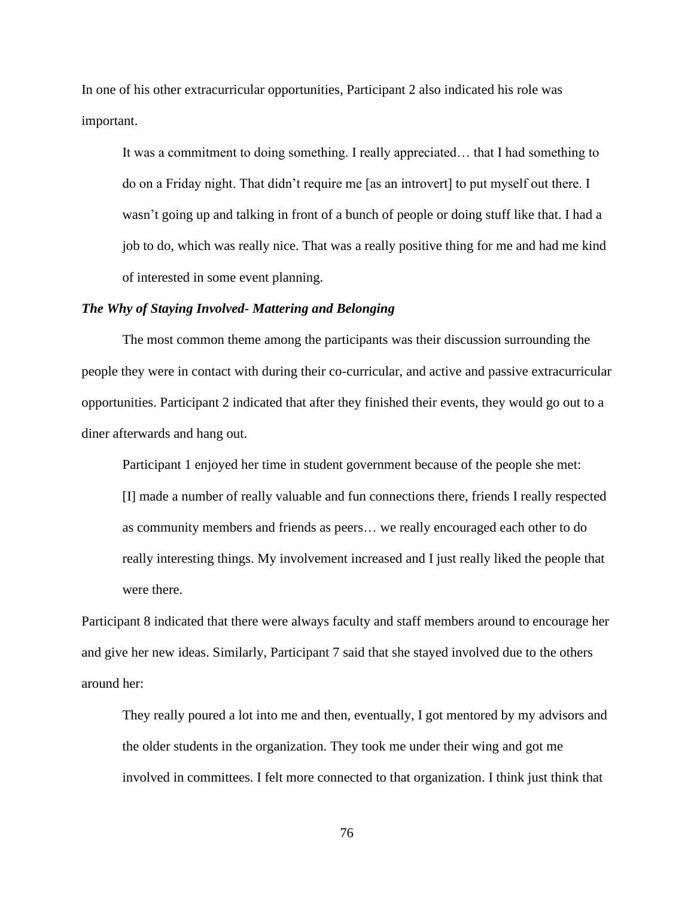In one of his other extracurricular opportunities, Participant 2 also indicated his role was important.

It was a commitment to doing something. I really appreciated… that I had something to do on a Friday night. That didn't require me [as an introvert] to put myself out there. I wasn't going up and talking in front of a bunch of people or doing stuff like that. I had a job to do, which was really nice. That was a really positive thing for me and had me kind of interested in some event planning.

### *The Why of Staying Involved- Mattering and Belonging*

The most common theme among the participants was their discussion surrounding the people they were in contact with during their co-curricular, and active and passive extracurricular opportunities. Participant 2 indicated that after they finished their events, they would go out to a diner afterwards and hang out.

Participant 1 enjoyed her time in student government because of the people she met: [I] made a number of really valuable and fun connections there, friends I really respected as community members and friends as peers… we really encouraged each other to do really interesting things. My involvement increased and I just really liked the people that were there.

Participant 8 indicated that there were always faculty and staff members around to encourage her and give her new ideas. Similarly, Participant 7 said that she stayed involved due to the others around her:

They really poured a lot into me and then, eventually, I got mentored by my advisors and the older students in the organization. They took me under their wing and got me involved in committees. I felt more connected to that organization. I think just think that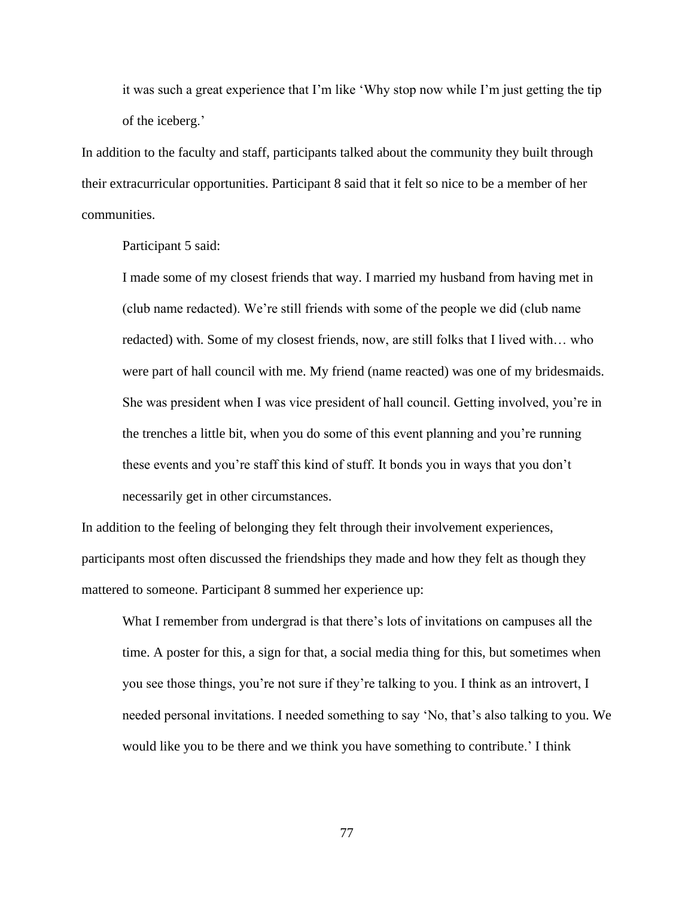it was such a great experience that I'm like 'Why stop now while I'm just getting the tip of the iceberg.'

In addition to the faculty and staff, participants talked about the community they built through their extracurricular opportunities. Participant 8 said that it felt so nice to be a member of her communities.

Participant 5 said:

I made some of my closest friends that way. I married my husband from having met in (club name redacted). We're still friends with some of the people we did (club name redacted) with. Some of my closest friends, now, are still folks that I lived with… who were part of hall council with me. My friend (name reacted) was one of my bridesmaids. She was president when I was vice president of hall council. Getting involved, you're in the trenches a little bit, when you do some of this event planning and you're running these events and you're staff this kind of stuff. It bonds you in ways that you don't necessarily get in other circumstances.

In addition to the feeling of belonging they felt through their involvement experiences, participants most often discussed the friendships they made and how they felt as though they mattered to someone. Participant 8 summed her experience up:

What I remember from undergrad is that there's lots of invitations on campuses all the time. A poster for this, a sign for that, a social media thing for this, but sometimes when you see those things, you're not sure if they're talking to you. I think as an introvert, I needed personal invitations. I needed something to say 'No, that's also talking to you. We would like you to be there and we think you have something to contribute.' I think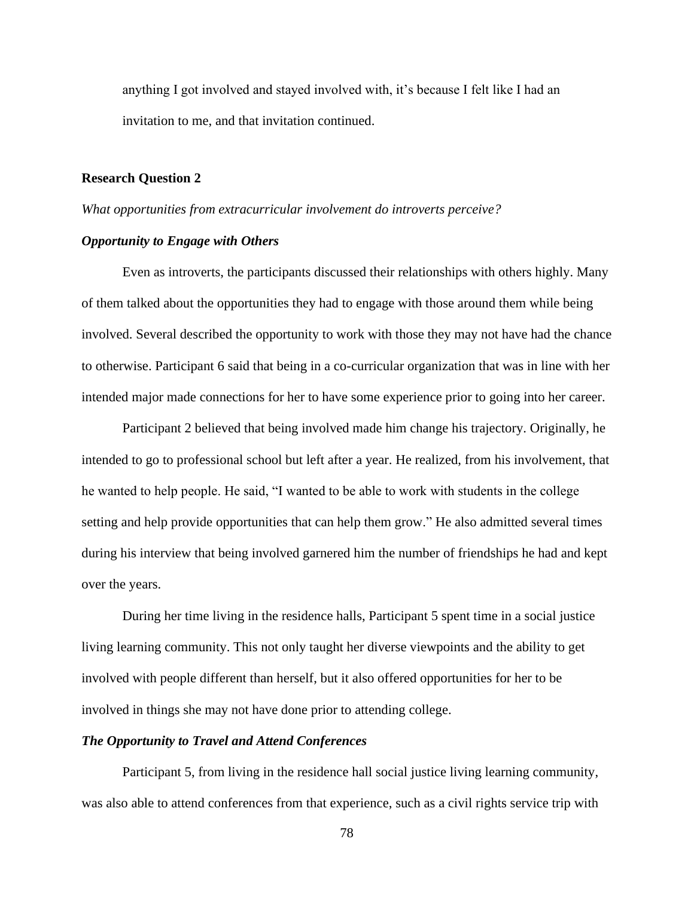anything I got involved and stayed involved with, it's because I felt like I had an invitation to me, and that invitation continued.

#### **Research Question 2**

#### *What opportunities from extracurricular involvement do introverts perceive?*

#### *Opportunity to Engage with Others*

Even as introverts, the participants discussed their relationships with others highly. Many of them talked about the opportunities they had to engage with those around them while being involved. Several described the opportunity to work with those they may not have had the chance to otherwise. Participant 6 said that being in a co-curricular organization that was in line with her intended major made connections for her to have some experience prior to going into her career.

Participant 2 believed that being involved made him change his trajectory. Originally, he intended to go to professional school but left after a year. He realized, from his involvement, that he wanted to help people. He said, "I wanted to be able to work with students in the college setting and help provide opportunities that can help them grow." He also admitted several times during his interview that being involved garnered him the number of friendships he had and kept over the years.

During her time living in the residence halls, Participant 5 spent time in a social justice living learning community. This not only taught her diverse viewpoints and the ability to get involved with people different than herself, but it also offered opportunities for her to be involved in things she may not have done prior to attending college.

## *The Opportunity to Travel and Attend Conferences*

Participant 5, from living in the residence hall social justice living learning community, was also able to attend conferences from that experience, such as a civil rights service trip with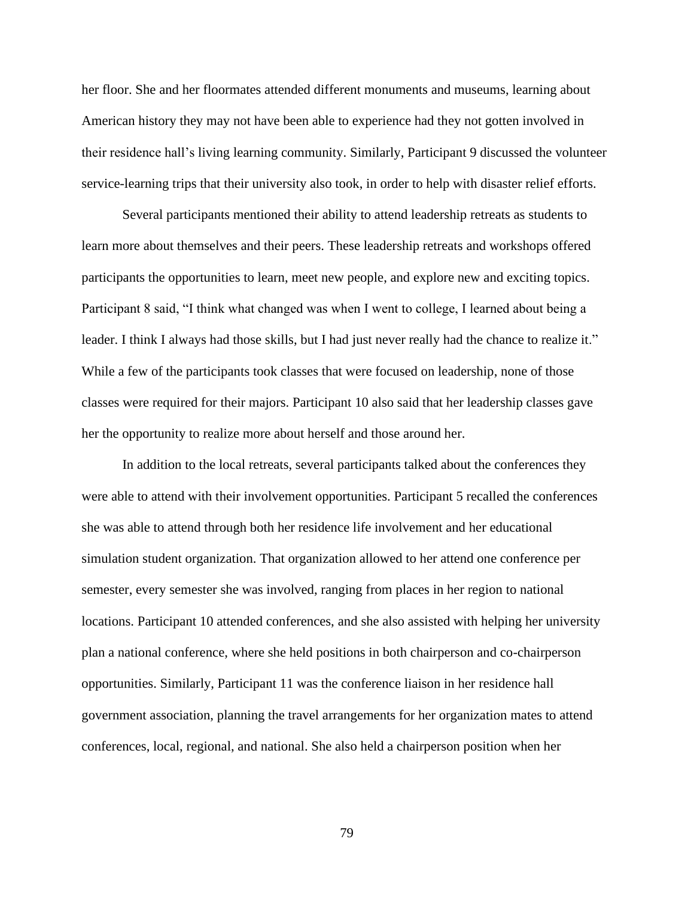her floor. She and her floormates attended different monuments and museums, learning about American history they may not have been able to experience had they not gotten involved in their residence hall's living learning community. Similarly, Participant 9 discussed the volunteer service-learning trips that their university also took, in order to help with disaster relief efforts.

Several participants mentioned their ability to attend leadership retreats as students to learn more about themselves and their peers. These leadership retreats and workshops offered participants the opportunities to learn, meet new people, and explore new and exciting topics. Participant 8 said, "I think what changed was when I went to college, I learned about being a leader. I think I always had those skills, but I had just never really had the chance to realize it." While a few of the participants took classes that were focused on leadership, none of those classes were required for their majors. Participant 10 also said that her leadership classes gave her the opportunity to realize more about herself and those around her.

In addition to the local retreats, several participants talked about the conferences they were able to attend with their involvement opportunities. Participant 5 recalled the conferences she was able to attend through both her residence life involvement and her educational simulation student organization. That organization allowed to her attend one conference per semester, every semester she was involved, ranging from places in her region to national locations. Participant 10 attended conferences, and she also assisted with helping her university plan a national conference, where she held positions in both chairperson and co-chairperson opportunities. Similarly, Participant 11 was the conference liaison in her residence hall government association, planning the travel arrangements for her organization mates to attend conferences, local, regional, and national. She also held a chairperson position when her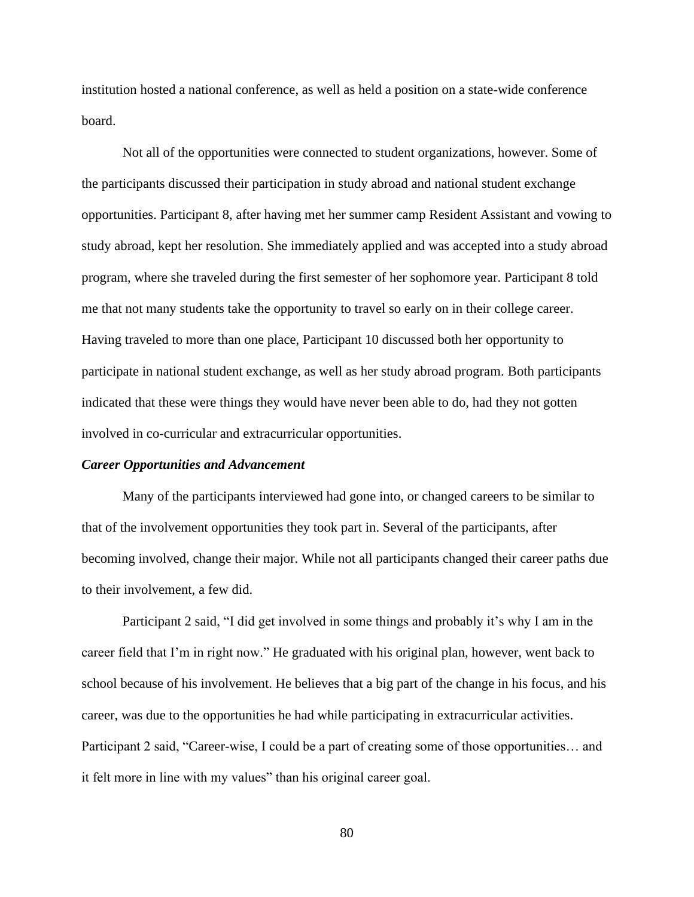institution hosted a national conference, as well as held a position on a state-wide conference board.

Not all of the opportunities were connected to student organizations, however. Some of the participants discussed their participation in study abroad and national student exchange opportunities. Participant 8, after having met her summer camp Resident Assistant and vowing to study abroad, kept her resolution. She immediately applied and was accepted into a study abroad program, where she traveled during the first semester of her sophomore year. Participant 8 told me that not many students take the opportunity to travel so early on in their college career. Having traveled to more than one place, Participant 10 discussed both her opportunity to participate in national student exchange, as well as her study abroad program. Both participants indicated that these were things they would have never been able to do, had they not gotten involved in co-curricular and extracurricular opportunities.

#### *Career Opportunities and Advancement*

Many of the participants interviewed had gone into, or changed careers to be similar to that of the involvement opportunities they took part in. Several of the participants, after becoming involved, change their major. While not all participants changed their career paths due to their involvement, a few did.

Participant 2 said, "I did get involved in some things and probably it's why I am in the career field that I'm in right now." He graduated with his original plan, however, went back to school because of his involvement. He believes that a big part of the change in his focus, and his career, was due to the opportunities he had while participating in extracurricular activities. Participant 2 said, "Career-wise, I could be a part of creating some of those opportunities… and it felt more in line with my values" than his original career goal.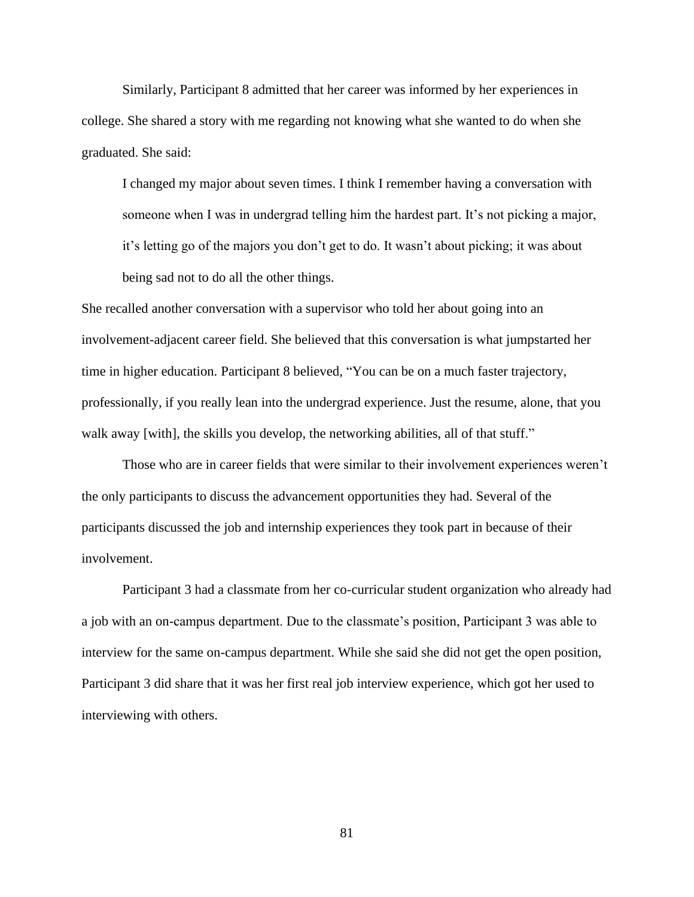Similarly, Participant 8 admitted that her career was informed by her experiences in college. She shared a story with me regarding not knowing what she wanted to do when she graduated. She said:

I changed my major about seven times. I think I remember having a conversation with someone when I was in undergrad telling him the hardest part. It's not picking a major, it's letting go of the majors you don't get to do. It wasn't about picking; it was about being sad not to do all the other things.

She recalled another conversation with a supervisor who told her about going into an involvement-adjacent career field. She believed that this conversation is what jumpstarted her time in higher education. Participant 8 believed, "You can be on a much faster trajectory, professionally, if you really lean into the undergrad experience. Just the resume, alone, that you walk away [with], the skills you develop, the networking abilities, all of that stuff."

Those who are in career fields that were similar to their involvement experiences weren't the only participants to discuss the advancement opportunities they had. Several of the participants discussed the job and internship experiences they took part in because of their involvement.

Participant 3 had a classmate from her co-curricular student organization who already had a job with an on-campus department. Due to the classmate's position, Participant 3 was able to interview for the same on-campus department. While she said she did not get the open position, Participant 3 did share that it was her first real job interview experience, which got her used to interviewing with others.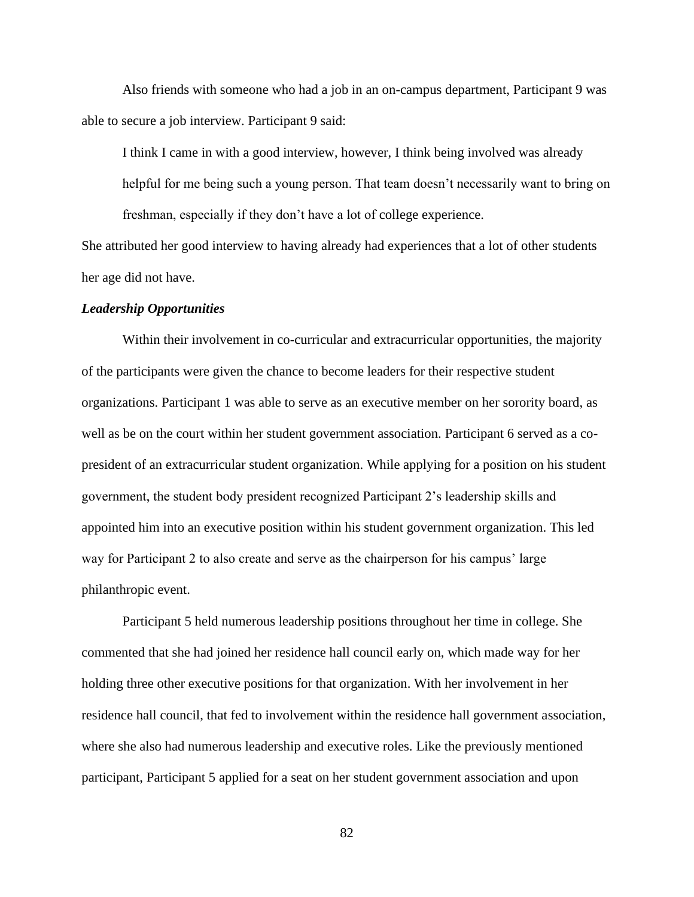Also friends with someone who had a job in an on-campus department, Participant 9 was able to secure a job interview. Participant 9 said:

I think I came in with a good interview, however, I think being involved was already helpful for me being such a young person. That team doesn't necessarily want to bring on freshman, especially if they don't have a lot of college experience.

She attributed her good interview to having already had experiences that a lot of other students her age did not have.

#### *Leadership Opportunities*

Within their involvement in co-curricular and extracurricular opportunities, the majority of the participants were given the chance to become leaders for their respective student organizations. Participant 1 was able to serve as an executive member on her sorority board, as well as be on the court within her student government association. Participant 6 served as a copresident of an extracurricular student organization. While applying for a position on his student government, the student body president recognized Participant 2's leadership skills and appointed him into an executive position within his student government organization. This led way for Participant 2 to also create and serve as the chairperson for his campus' large philanthropic event.

Participant 5 held numerous leadership positions throughout her time in college. She commented that she had joined her residence hall council early on, which made way for her holding three other executive positions for that organization. With her involvement in her residence hall council, that fed to involvement within the residence hall government association, where she also had numerous leadership and executive roles. Like the previously mentioned participant, Participant 5 applied for a seat on her student government association and upon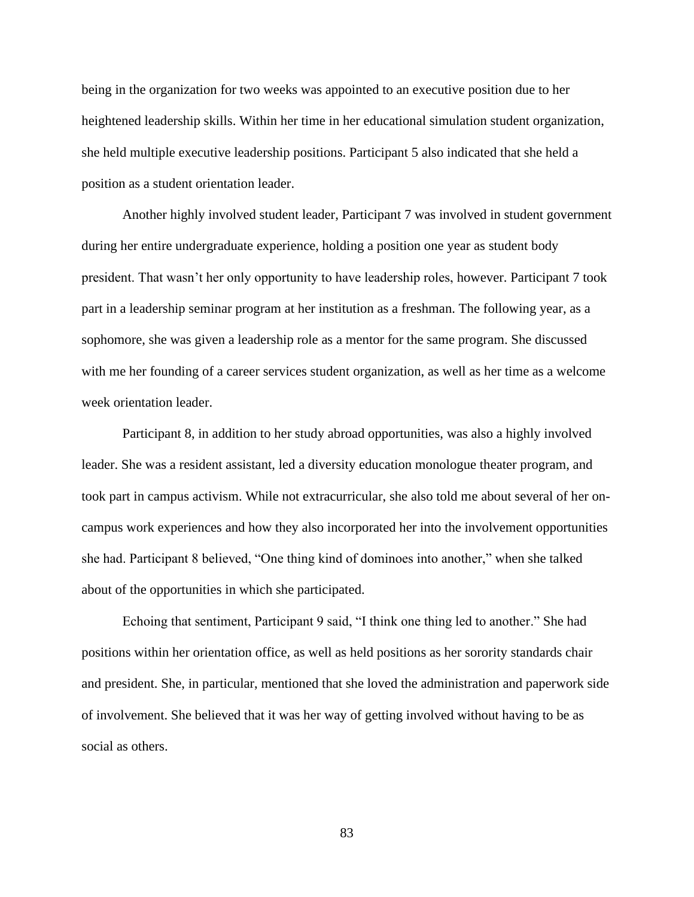being in the organization for two weeks was appointed to an executive position due to her heightened leadership skills. Within her time in her educational simulation student organization, she held multiple executive leadership positions. Participant 5 also indicated that she held a position as a student orientation leader.

Another highly involved student leader, Participant 7 was involved in student government during her entire undergraduate experience, holding a position one year as student body president. That wasn't her only opportunity to have leadership roles, however. Participant 7 took part in a leadership seminar program at her institution as a freshman. The following year, as a sophomore, she was given a leadership role as a mentor for the same program. She discussed with me her founding of a career services student organization, as well as her time as a welcome week orientation leader.

Participant 8, in addition to her study abroad opportunities, was also a highly involved leader. She was a resident assistant, led a diversity education monologue theater program, and took part in campus activism. While not extracurricular, she also told me about several of her oncampus work experiences and how they also incorporated her into the involvement opportunities she had. Participant 8 believed, "One thing kind of dominoes into another," when she talked about of the opportunities in which she participated.

Echoing that sentiment, Participant 9 said, "I think one thing led to another." She had positions within her orientation office, as well as held positions as her sorority standards chair and president. She, in particular, mentioned that she loved the administration and paperwork side of involvement. She believed that it was her way of getting involved without having to be as social as others.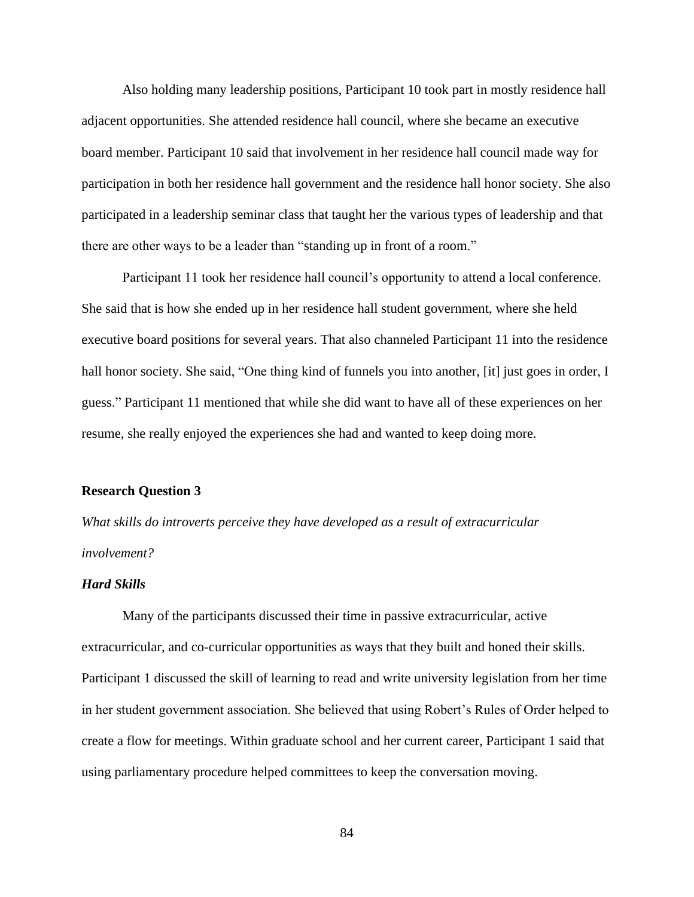Also holding many leadership positions, Participant 10 took part in mostly residence hall adjacent opportunities. She attended residence hall council, where she became an executive board member. Participant 10 said that involvement in her residence hall council made way for participation in both her residence hall government and the residence hall honor society. She also participated in a leadership seminar class that taught her the various types of leadership and that there are other ways to be a leader than "standing up in front of a room."

Participant 11 took her residence hall council's opportunity to attend a local conference. She said that is how she ended up in her residence hall student government, where she held executive board positions for several years. That also channeled Participant 11 into the residence hall honor society. She said, "One thing kind of funnels you into another, [it] just goes in order, I guess." Participant 11 mentioned that while she did want to have all of these experiences on her resume, she really enjoyed the experiences she had and wanted to keep doing more.

## **Research Question 3**

*What skills do introverts perceive they have developed as a result of extracurricular involvement?*

## *Hard Skills*

Many of the participants discussed their time in passive extracurricular, active extracurricular, and co-curricular opportunities as ways that they built and honed their skills. Participant 1 discussed the skill of learning to read and write university legislation from her time in her student government association. She believed that using Robert's Rules of Order helped to create a flow for meetings. Within graduate school and her current career, Participant 1 said that using parliamentary procedure helped committees to keep the conversation moving.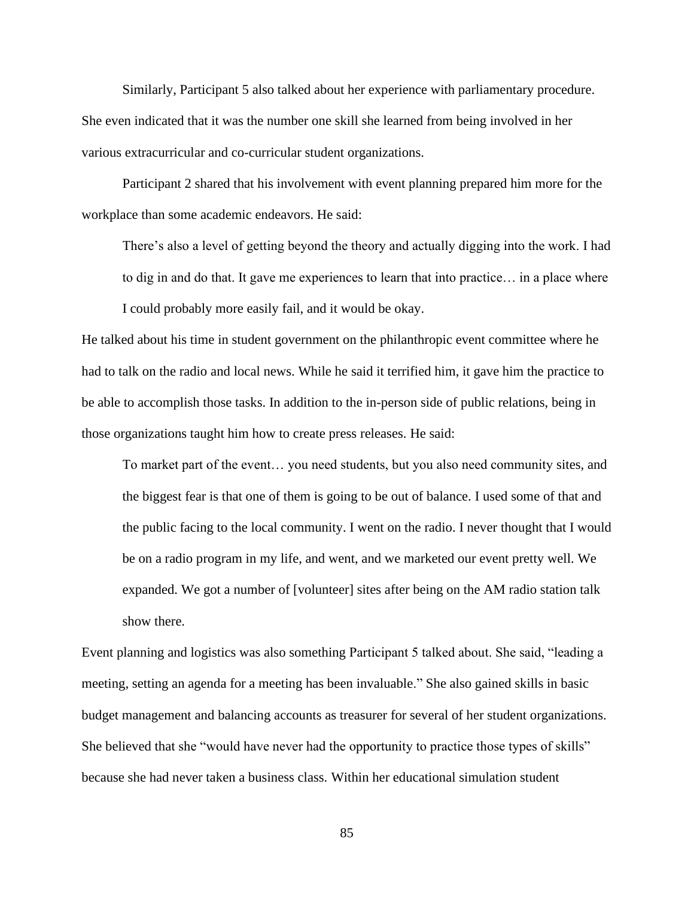Similarly, Participant 5 also talked about her experience with parliamentary procedure. She even indicated that it was the number one skill she learned from being involved in her various extracurricular and co-curricular student organizations.

Participant 2 shared that his involvement with event planning prepared him more for the workplace than some academic endeavors. He said:

There's also a level of getting beyond the theory and actually digging into the work. I had to dig in and do that. It gave me experiences to learn that into practice… in a place where I could probably more easily fail, and it would be okay.

He talked about his time in student government on the philanthropic event committee where he had to talk on the radio and local news. While he said it terrified him, it gave him the practice to be able to accomplish those tasks. In addition to the in-person side of public relations, being in those organizations taught him how to create press releases. He said:

To market part of the event… you need students, but you also need community sites, and the biggest fear is that one of them is going to be out of balance. I used some of that and the public facing to the local community. I went on the radio. I never thought that I would be on a radio program in my life, and went, and we marketed our event pretty well. We expanded. We got a number of [volunteer] sites after being on the AM radio station talk show there.

Event planning and logistics was also something Participant 5 talked about. She said, "leading a meeting, setting an agenda for a meeting has been invaluable." She also gained skills in basic budget management and balancing accounts as treasurer for several of her student organizations. She believed that she "would have never had the opportunity to practice those types of skills" because she had never taken a business class. Within her educational simulation student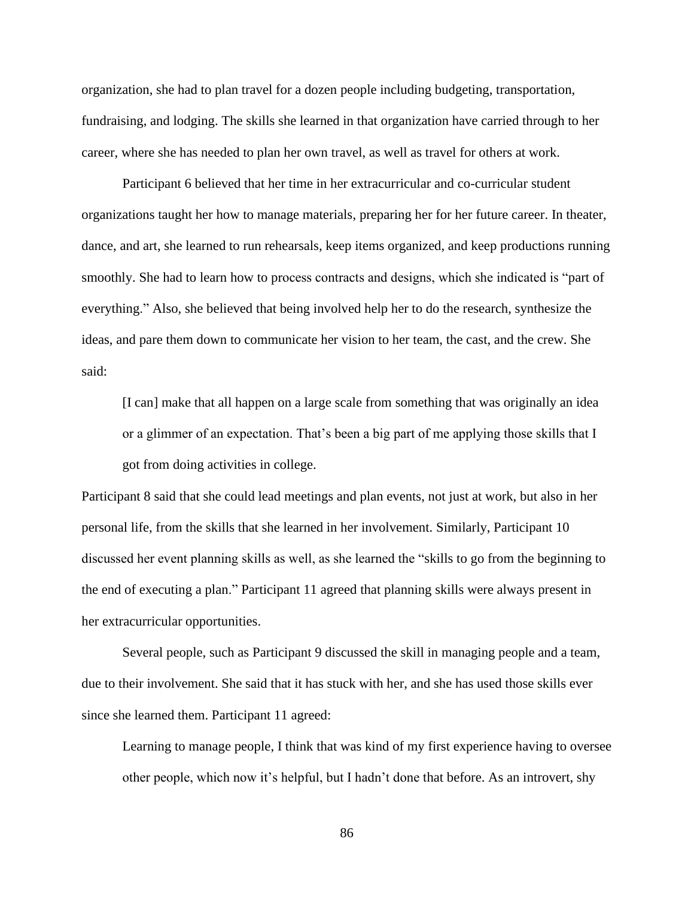organization, she had to plan travel for a dozen people including budgeting, transportation, fundraising, and lodging. The skills she learned in that organization have carried through to her career, where she has needed to plan her own travel, as well as travel for others at work.

Participant 6 believed that her time in her extracurricular and co-curricular student organizations taught her how to manage materials, preparing her for her future career. In theater, dance, and art, she learned to run rehearsals, keep items organized, and keep productions running smoothly. She had to learn how to process contracts and designs, which she indicated is "part of everything." Also, she believed that being involved help her to do the research, synthesize the ideas, and pare them down to communicate her vision to her team, the cast, and the crew. She said:

[I can] make that all happen on a large scale from something that was originally an idea or a glimmer of an expectation. That's been a big part of me applying those skills that I got from doing activities in college.

Participant 8 said that she could lead meetings and plan events, not just at work, but also in her personal life, from the skills that she learned in her involvement. Similarly, Participant 10 discussed her event planning skills as well, as she learned the "skills to go from the beginning to the end of executing a plan." Participant 11 agreed that planning skills were always present in her extracurricular opportunities.

Several people, such as Participant 9 discussed the skill in managing people and a team, due to their involvement. She said that it has stuck with her, and she has used those skills ever since she learned them. Participant 11 agreed:

Learning to manage people, I think that was kind of my first experience having to oversee other people, which now it's helpful, but I hadn't done that before. As an introvert, shy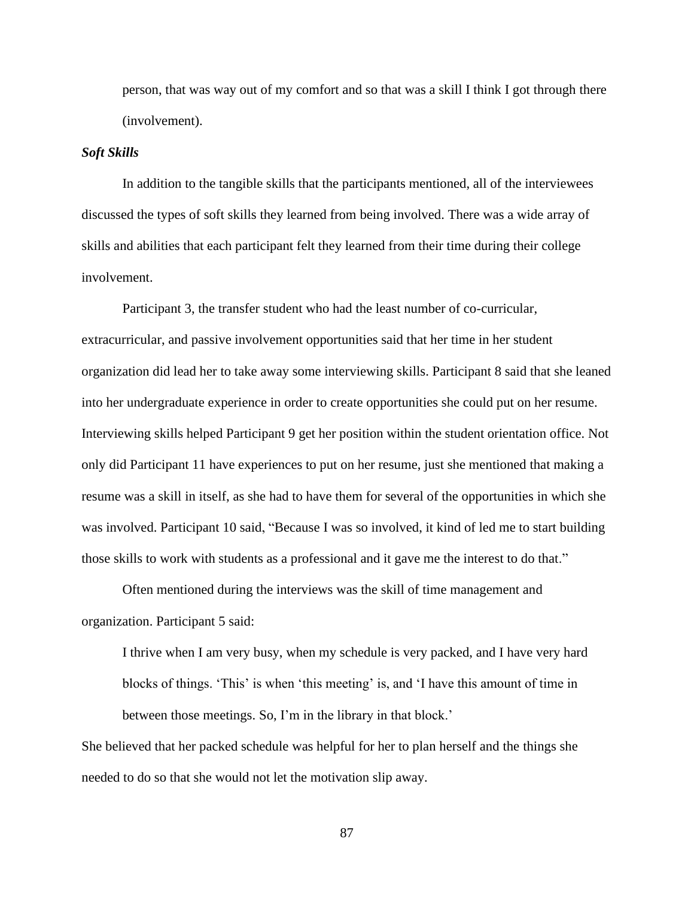person, that was way out of my comfort and so that was a skill I think I got through there (involvement).

#### *Soft Skills*

In addition to the tangible skills that the participants mentioned, all of the interviewees discussed the types of soft skills they learned from being involved. There was a wide array of skills and abilities that each participant felt they learned from their time during their college involvement.

Participant 3, the transfer student who had the least number of co-curricular, extracurricular, and passive involvement opportunities said that her time in her student organization did lead her to take away some interviewing skills. Participant 8 said that she leaned into her undergraduate experience in order to create opportunities she could put on her resume. Interviewing skills helped Participant 9 get her position within the student orientation office. Not only did Participant 11 have experiences to put on her resume, just she mentioned that making a resume was a skill in itself, as she had to have them for several of the opportunities in which she was involved. Participant 10 said, "Because I was so involved, it kind of led me to start building those skills to work with students as a professional and it gave me the interest to do that."

Often mentioned during the interviews was the skill of time management and organization. Participant 5 said:

I thrive when I am very busy, when my schedule is very packed, and I have very hard blocks of things. 'This' is when 'this meeting' is, and 'I have this amount of time in between those meetings. So, I'm in the library in that block.'

She believed that her packed schedule was helpful for her to plan herself and the things she needed to do so that she would not let the motivation slip away.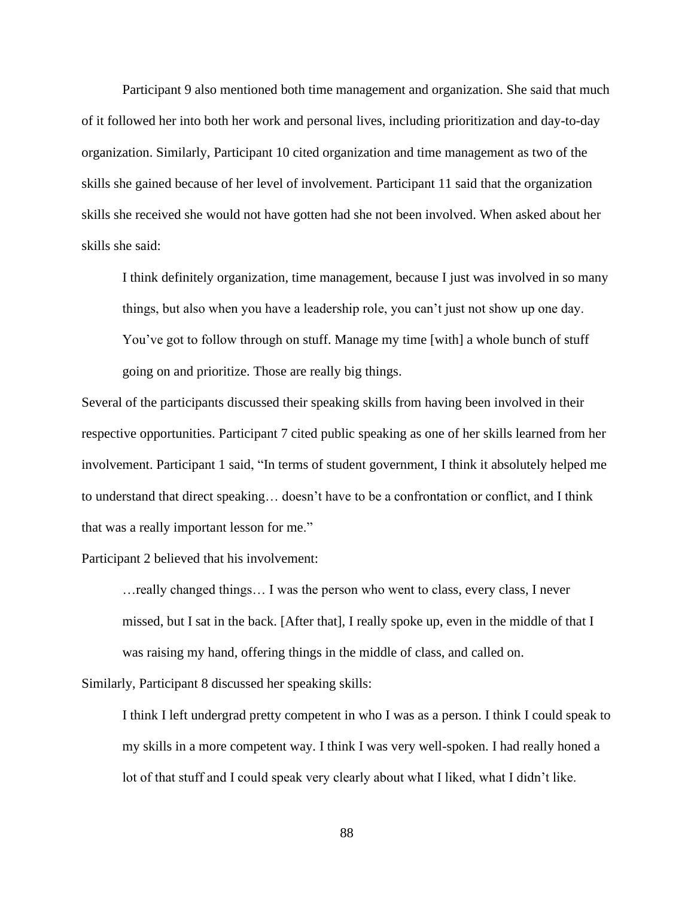Participant 9 also mentioned both time management and organization. She said that much of it followed her into both her work and personal lives, including prioritization and day-to-day organization. Similarly, Participant 10 cited organization and time management as two of the skills she gained because of her level of involvement. Participant 11 said that the organization skills she received she would not have gotten had she not been involved. When asked about her skills she said:

I think definitely organization, time management, because I just was involved in so many things, but also when you have a leadership role, you can't just not show up one day. You've got to follow through on stuff. Manage my time [with] a whole bunch of stuff going on and prioritize. Those are really big things.

Several of the participants discussed their speaking skills from having been involved in their respective opportunities. Participant 7 cited public speaking as one of her skills learned from her involvement. Participant 1 said, "In terms of student government, I think it absolutely helped me to understand that direct speaking… doesn't have to be a confrontation or conflict, and I think that was a really important lesson for me."

Participant 2 believed that his involvement:

…really changed things… I was the person who went to class, every class, I never missed, but I sat in the back. [After that], I really spoke up, even in the middle of that I was raising my hand, offering things in the middle of class, and called on.

Similarly, Participant 8 discussed her speaking skills:

I think I left undergrad pretty competent in who I was as a person. I think I could speak to my skills in a more competent way. I think I was very well-spoken. I had really honed a lot of that stuff and I could speak very clearly about what I liked, what I didn't like.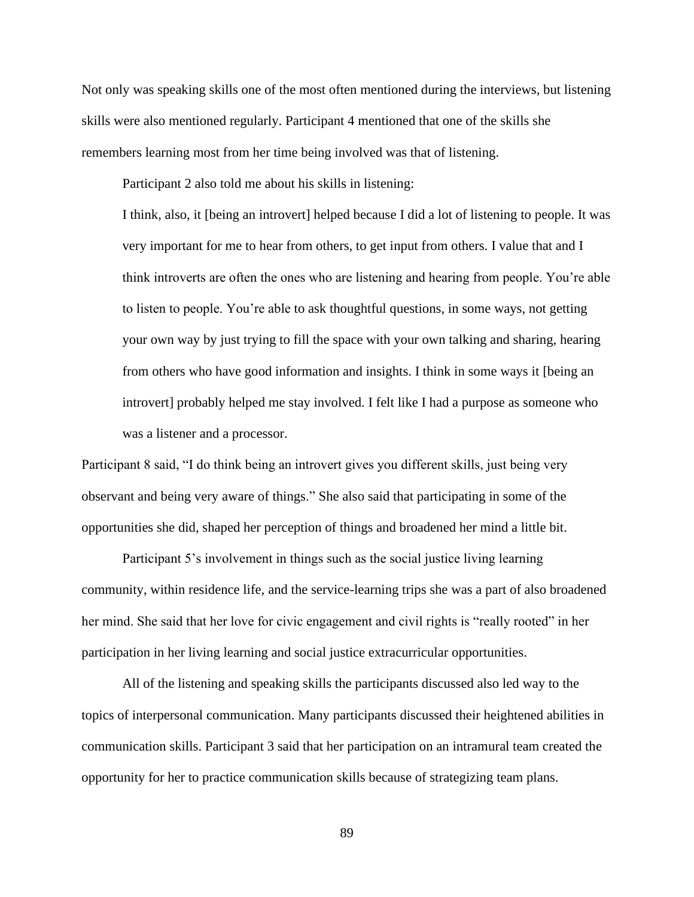Not only was speaking skills one of the most often mentioned during the interviews, but listening skills were also mentioned regularly. Participant 4 mentioned that one of the skills she remembers learning most from her time being involved was that of listening.

Participant 2 also told me about his skills in listening:

I think, also, it [being an introvert] helped because I did a lot of listening to people. It was very important for me to hear from others, to get input from others. I value that and I think introverts are often the ones who are listening and hearing from people. You're able to listen to people. You're able to ask thoughtful questions, in some ways, not getting your own way by just trying to fill the space with your own talking and sharing, hearing from others who have good information and insights. I think in some ways it [being an introvert] probably helped me stay involved. I felt like I had a purpose as someone who was a listener and a processor.

Participant 8 said, "I do think being an introvert gives you different skills, just being very observant and being very aware of things." She also said that participating in some of the opportunities she did, shaped her perception of things and broadened her mind a little bit.

Participant 5's involvement in things such as the social justice living learning community, within residence life, and the service-learning trips she was a part of also broadened her mind. She said that her love for civic engagement and civil rights is "really rooted" in her participation in her living learning and social justice extracurricular opportunities.

All of the listening and speaking skills the participants discussed also led way to the topics of interpersonal communication. Many participants discussed their heightened abilities in communication skills. Participant 3 said that her participation on an intramural team created the opportunity for her to practice communication skills because of strategizing team plans.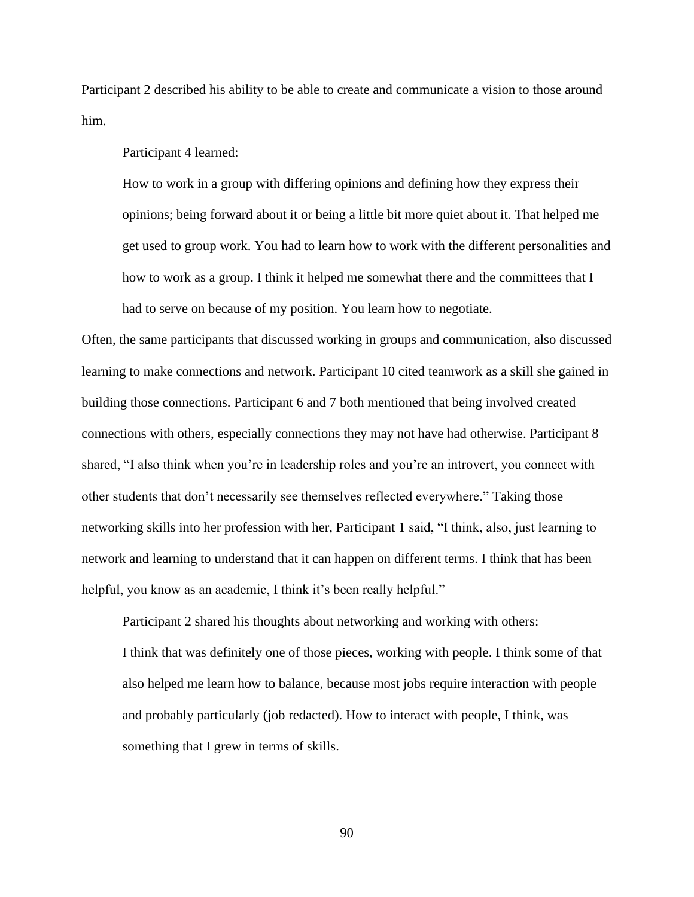Participant 2 described his ability to be able to create and communicate a vision to those around him.

Participant 4 learned:

How to work in a group with differing opinions and defining how they express their opinions; being forward about it or being a little bit more quiet about it. That helped me get used to group work. You had to learn how to work with the different personalities and how to work as a group. I think it helped me somewhat there and the committees that I had to serve on because of my position. You learn how to negotiate.

Often, the same participants that discussed working in groups and communication, also discussed learning to make connections and network. Participant 10 cited teamwork as a skill she gained in building those connections. Participant 6 and 7 both mentioned that being involved created connections with others, especially connections they may not have had otherwise. Participant 8 shared, "I also think when you're in leadership roles and you're an introvert, you connect with other students that don't necessarily see themselves reflected everywhere." Taking those networking skills into her profession with her, Participant 1 said, "I think, also, just learning to network and learning to understand that it can happen on different terms. I think that has been helpful, you know as an academic, I think it's been really helpful."

Participant 2 shared his thoughts about networking and working with others: I think that was definitely one of those pieces, working with people. I think some of that also helped me learn how to balance, because most jobs require interaction with people and probably particularly (job redacted). How to interact with people, I think, was something that I grew in terms of skills.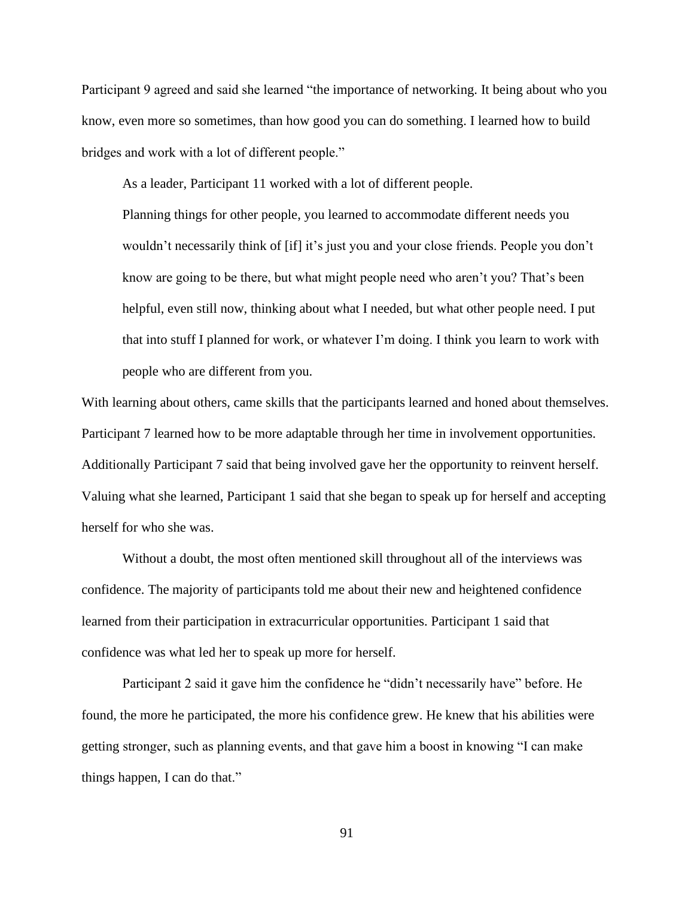Participant 9 agreed and said she learned "the importance of networking. It being about who you know, even more so sometimes, than how good you can do something. I learned how to build bridges and work with a lot of different people."

As a leader, Participant 11 worked with a lot of different people.

Planning things for other people, you learned to accommodate different needs you wouldn't necessarily think of [if] it's just you and your close friends. People you don't know are going to be there, but what might people need who aren't you? That's been helpful, even still now, thinking about what I needed, but what other people need. I put that into stuff I planned for work, or whatever I'm doing. I think you learn to work with people who are different from you.

With learning about others, came skills that the participants learned and honed about themselves. Participant 7 learned how to be more adaptable through her time in involvement opportunities. Additionally Participant 7 said that being involved gave her the opportunity to reinvent herself. Valuing what she learned, Participant 1 said that she began to speak up for herself and accepting herself for who she was.

Without a doubt, the most often mentioned skill throughout all of the interviews was confidence. The majority of participants told me about their new and heightened confidence learned from their participation in extracurricular opportunities. Participant 1 said that confidence was what led her to speak up more for herself.

Participant 2 said it gave him the confidence he "didn't necessarily have" before. He found, the more he participated, the more his confidence grew. He knew that his abilities were getting stronger, such as planning events, and that gave him a boost in knowing "I can make things happen, I can do that."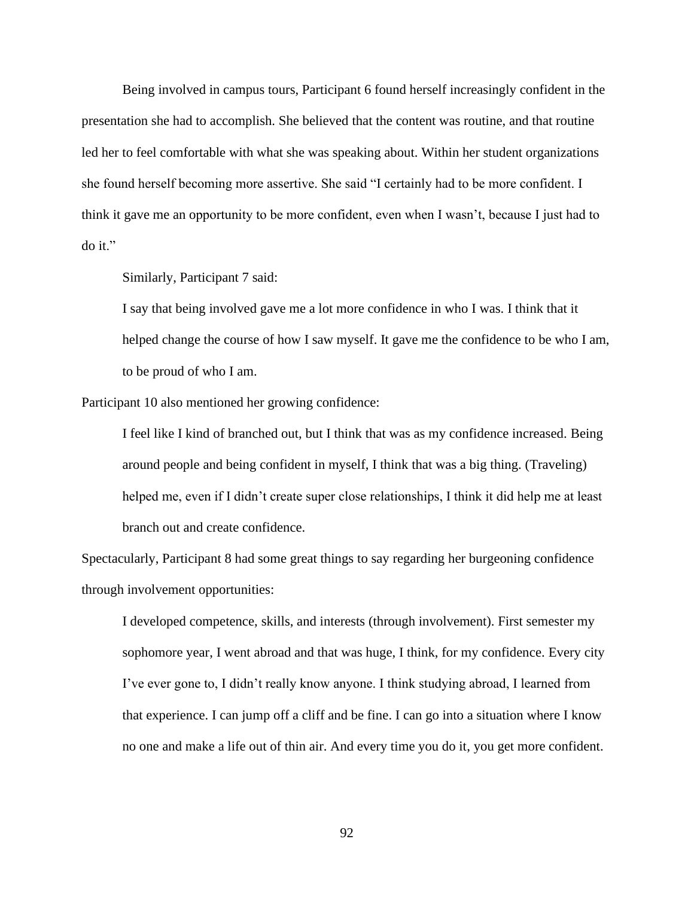Being involved in campus tours, Participant 6 found herself increasingly confident in the presentation she had to accomplish. She believed that the content was routine, and that routine led her to feel comfortable with what she was speaking about. Within her student organizations she found herself becoming more assertive. She said "I certainly had to be more confident. I think it gave me an opportunity to be more confident, even when I wasn't, because I just had to do it."

Similarly, Participant 7 said:

I say that being involved gave me a lot more confidence in who I was. I think that it helped change the course of how I saw myself. It gave me the confidence to be who I am, to be proud of who I am.

Participant 10 also mentioned her growing confidence:

I feel like I kind of branched out, but I think that was as my confidence increased. Being around people and being confident in myself, I think that was a big thing. (Traveling) helped me, even if I didn't create super close relationships, I think it did help me at least branch out and create confidence.

Spectacularly, Participant 8 had some great things to say regarding her burgeoning confidence through involvement opportunities:

I developed competence, skills, and interests (through involvement). First semester my sophomore year, I went abroad and that was huge, I think, for my confidence. Every city I've ever gone to, I didn't really know anyone. I think studying abroad, I learned from that experience. I can jump off a cliff and be fine. I can go into a situation where I know no one and make a life out of thin air. And every time you do it, you get more confident.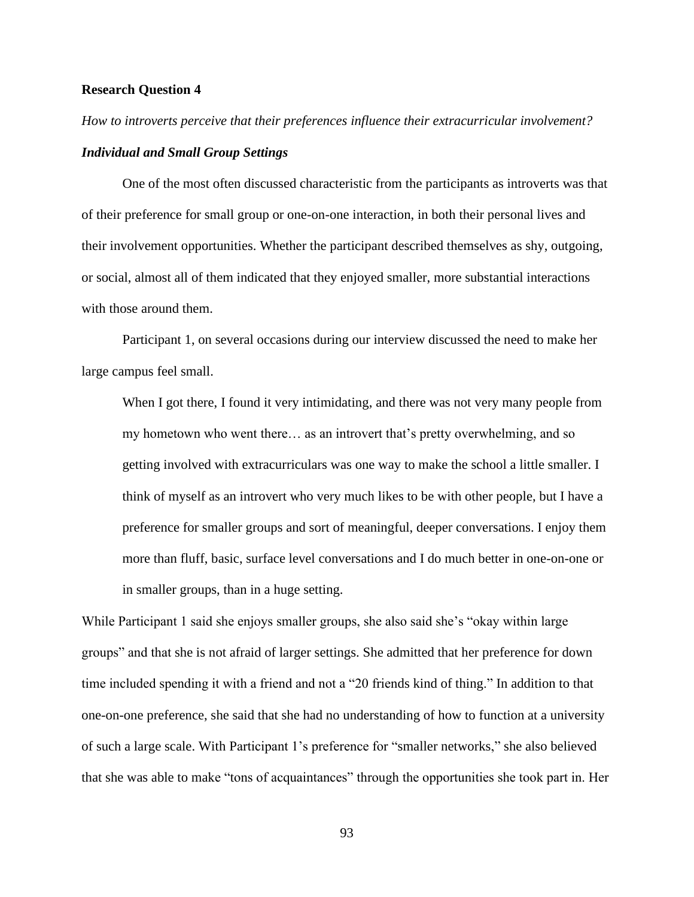## **Research Question 4**

# *How to introverts perceive that their preferences influence their extracurricular involvement? Individual and Small Group Settings*

One of the most often discussed characteristic from the participants as introverts was that of their preference for small group or one-on-one interaction, in both their personal lives and their involvement opportunities. Whether the participant described themselves as shy, outgoing, or social, almost all of them indicated that they enjoyed smaller, more substantial interactions with those around them.

Participant 1, on several occasions during our interview discussed the need to make her large campus feel small.

When I got there, I found it very intimidating, and there was not very many people from my hometown who went there… as an introvert that's pretty overwhelming, and so getting involved with extracurriculars was one way to make the school a little smaller. I think of myself as an introvert who very much likes to be with other people, but I have a preference for smaller groups and sort of meaningful, deeper conversations. I enjoy them more than fluff, basic, surface level conversations and I do much better in one-on-one or in smaller groups, than in a huge setting.

While Participant 1 said she enjoys smaller groups, she also said she's "okay within large groups" and that she is not afraid of larger settings. She admitted that her preference for down time included spending it with a friend and not a "20 friends kind of thing." In addition to that one-on-one preference, she said that she had no understanding of how to function at a university of such a large scale. With Participant 1's preference for "smaller networks," she also believed that she was able to make "tons of acquaintances" through the opportunities she took part in. Her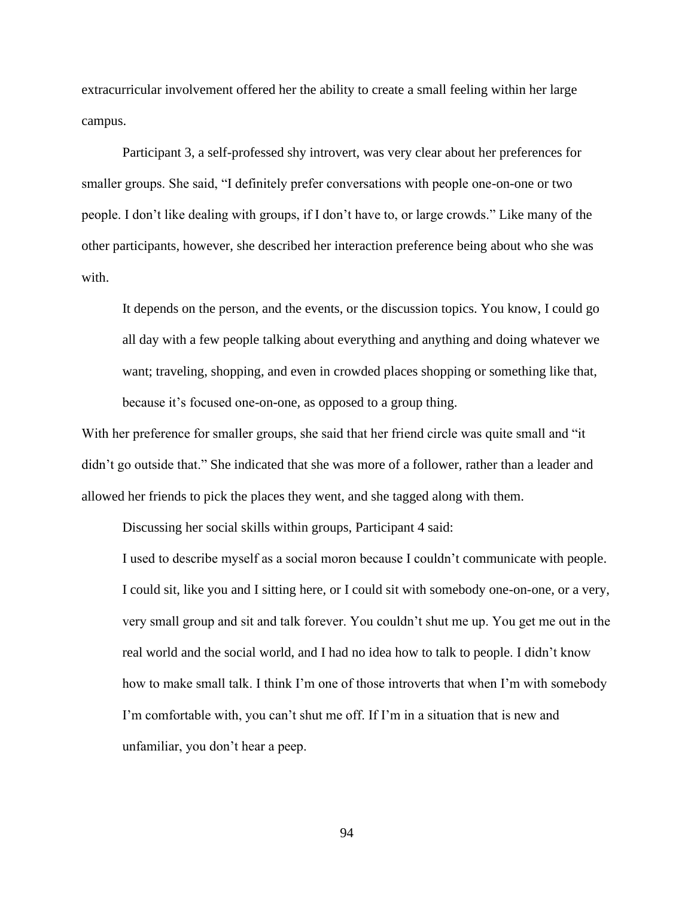extracurricular involvement offered her the ability to create a small feeling within her large campus.

Participant 3, a self-professed shy introvert, was very clear about her preferences for smaller groups. She said, "I definitely prefer conversations with people one-on-one or two people. I don't like dealing with groups, if I don't have to, or large crowds." Like many of the other participants, however, she described her interaction preference being about who she was with.

It depends on the person, and the events, or the discussion topics. You know, I could go all day with a few people talking about everything and anything and doing whatever we want; traveling, shopping, and even in crowded places shopping or something like that, because it's focused one-on-one, as opposed to a group thing.

With her preference for smaller groups, she said that her friend circle was quite small and "it didn't go outside that." She indicated that she was more of a follower, rather than a leader and allowed her friends to pick the places they went, and she tagged along with them.

Discussing her social skills within groups, Participant 4 said:

I used to describe myself as a social moron because I couldn't communicate with people. I could sit, like you and I sitting here, or I could sit with somebody one-on-one, or a very, very small group and sit and talk forever. You couldn't shut me up. You get me out in the real world and the social world, and I had no idea how to talk to people. I didn't know how to make small talk. I think I'm one of those introverts that when I'm with somebody I'm comfortable with, you can't shut me off. If I'm in a situation that is new and unfamiliar, you don't hear a peep.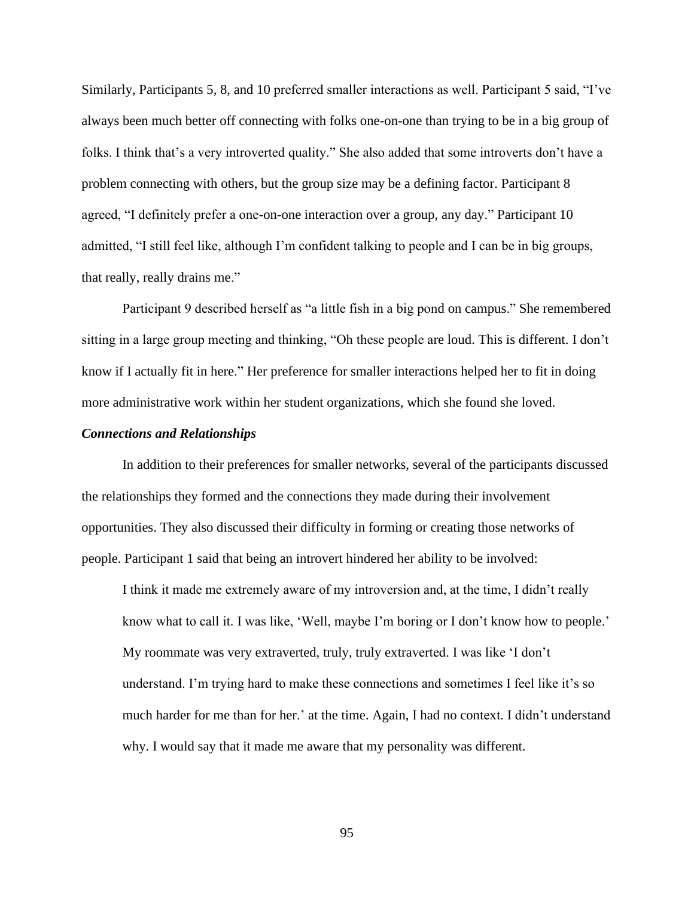Similarly, Participants 5, 8, and 10 preferred smaller interactions as well. Participant 5 said, "I've always been much better off connecting with folks one-on-one than trying to be in a big group of folks. I think that's a very introverted quality." She also added that some introverts don't have a problem connecting with others, but the group size may be a defining factor. Participant 8 agreed, "I definitely prefer a one-on-one interaction over a group, any day." Participant 10 admitted, "I still feel like, although I'm confident talking to people and I can be in big groups, that really, really drains me."

Participant 9 described herself as "a little fish in a big pond on campus." She remembered sitting in a large group meeting and thinking, "Oh these people are loud. This is different. I don't know if I actually fit in here." Her preference for smaller interactions helped her to fit in doing more administrative work within her student organizations, which she found she loved.

#### *Connections and Relationships*

In addition to their preferences for smaller networks, several of the participants discussed the relationships they formed and the connections they made during their involvement opportunities. They also discussed their difficulty in forming or creating those networks of people. Participant 1 said that being an introvert hindered her ability to be involved:

I think it made me extremely aware of my introversion and, at the time, I didn't really know what to call it. I was like, 'Well, maybe I'm boring or I don't know how to people.' My roommate was very extraverted, truly, truly extraverted. I was like 'I don't understand. I'm trying hard to make these connections and sometimes I feel like it's so much harder for me than for her.' at the time. Again, I had no context. I didn't understand why. I would say that it made me aware that my personality was different.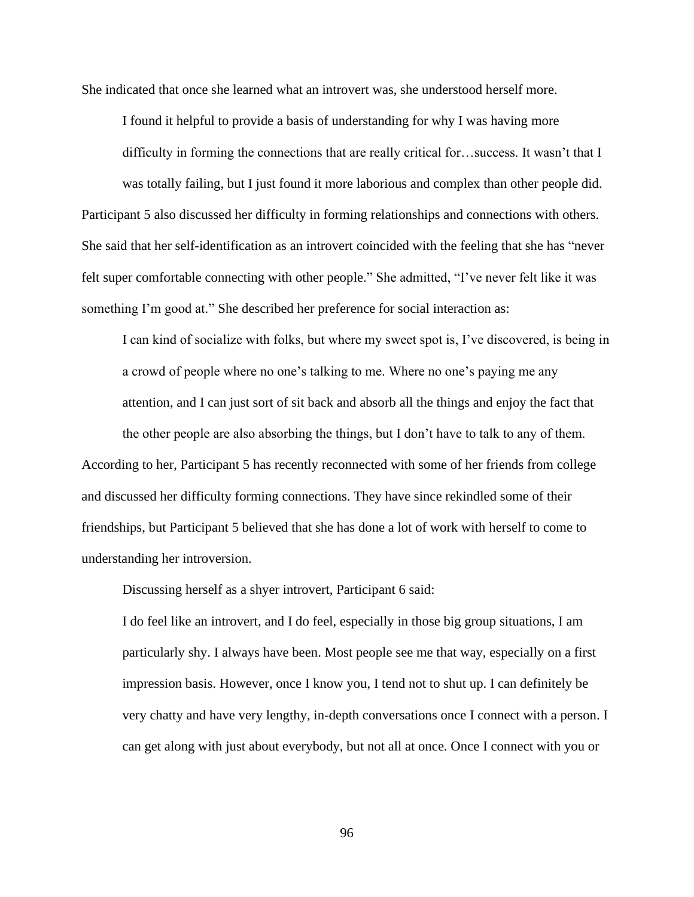She indicated that once she learned what an introvert was, she understood herself more.

I found it helpful to provide a basis of understanding for why I was having more difficulty in forming the connections that are really critical for…success. It wasn't that I was totally failing, but I just found it more laborious and complex than other people did.

Participant 5 also discussed her difficulty in forming relationships and connections with others. She said that her self-identification as an introvert coincided with the feeling that she has "never felt super comfortable connecting with other people." She admitted, "I've never felt like it was something I'm good at." She described her preference for social interaction as:

I can kind of socialize with folks, but where my sweet spot is, I've discovered, is being in a crowd of people where no one's talking to me. Where no one's paying me any attention, and I can just sort of sit back and absorb all the things and enjoy the fact that

the other people are also absorbing the things, but I don't have to talk to any of them. According to her, Participant 5 has recently reconnected with some of her friends from college and discussed her difficulty forming connections. They have since rekindled some of their friendships, but Participant 5 believed that she has done a lot of work with herself to come to understanding her introversion.

Discussing herself as a shyer introvert, Participant 6 said:

I do feel like an introvert, and I do feel, especially in those big group situations, I am particularly shy. I always have been. Most people see me that way, especially on a first impression basis. However, once I know you, I tend not to shut up. I can definitely be very chatty and have very lengthy, in-depth conversations once I connect with a person. I can get along with just about everybody, but not all at once. Once I connect with you or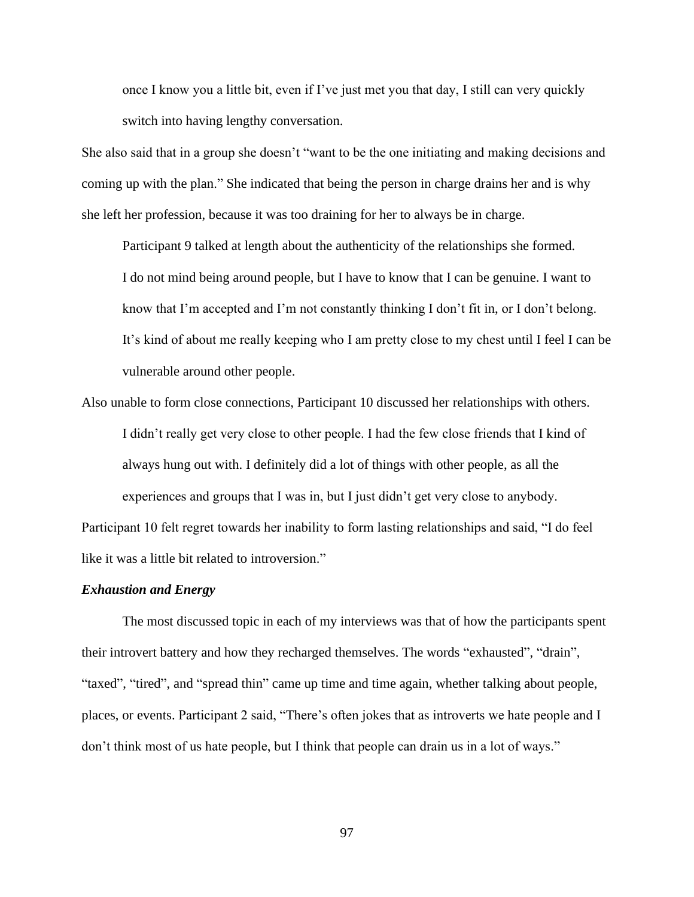once I know you a little bit, even if I've just met you that day, I still can very quickly switch into having lengthy conversation.

She also said that in a group she doesn't "want to be the one initiating and making decisions and coming up with the plan." She indicated that being the person in charge drains her and is why she left her profession, because it was too draining for her to always be in charge.

Participant 9 talked at length about the authenticity of the relationships she formed. I do not mind being around people, but I have to know that I can be genuine. I want to know that I'm accepted and I'm not constantly thinking I don't fit in, or I don't belong. It's kind of about me really keeping who I am pretty close to my chest until I feel I can be vulnerable around other people.

Also unable to form close connections, Participant 10 discussed her relationships with others. I didn't really get very close to other people. I had the few close friends that I kind of always hung out with. I definitely did a lot of things with other people, as all the experiences and groups that I was in, but I just didn't get very close to anybody.

Participant 10 felt regret towards her inability to form lasting relationships and said, "I do feel like it was a little bit related to introversion."

#### *Exhaustion and Energy*

The most discussed topic in each of my interviews was that of how the participants spent their introvert battery and how they recharged themselves. The words "exhausted", "drain", "taxed", "tired", and "spread thin" came up time and time again, whether talking about people, places, or events. Participant 2 said, "There's often jokes that as introverts we hate people and I don't think most of us hate people, but I think that people can drain us in a lot of ways."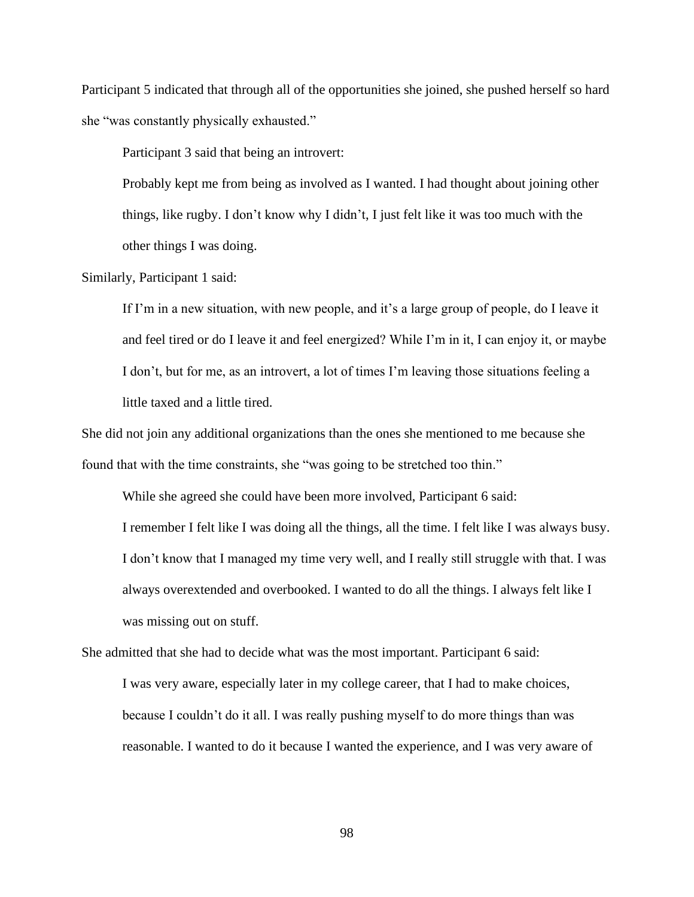Participant 5 indicated that through all of the opportunities she joined, she pushed herself so hard she "was constantly physically exhausted."

Participant 3 said that being an introvert:

Probably kept me from being as involved as I wanted. I had thought about joining other things, like rugby. I don't know why I didn't, I just felt like it was too much with the other things I was doing.

Similarly, Participant 1 said:

If I'm in a new situation, with new people, and it's a large group of people, do I leave it and feel tired or do I leave it and feel energized? While I'm in it, I can enjoy it, or maybe I don't, but for me, as an introvert, a lot of times I'm leaving those situations feeling a little taxed and a little tired.

She did not join any additional organizations than the ones she mentioned to me because she found that with the time constraints, she "was going to be stretched too thin."

While she agreed she could have been more involved, Participant 6 said: I remember I felt like I was doing all the things, all the time. I felt like I was always busy. I don't know that I managed my time very well, and I really still struggle with that. I was always overextended and overbooked. I wanted to do all the things. I always felt like I was missing out on stuff.

She admitted that she had to decide what was the most important. Participant 6 said:

I was very aware, especially later in my college career, that I had to make choices, because I couldn't do it all. I was really pushing myself to do more things than was reasonable. I wanted to do it because I wanted the experience, and I was very aware of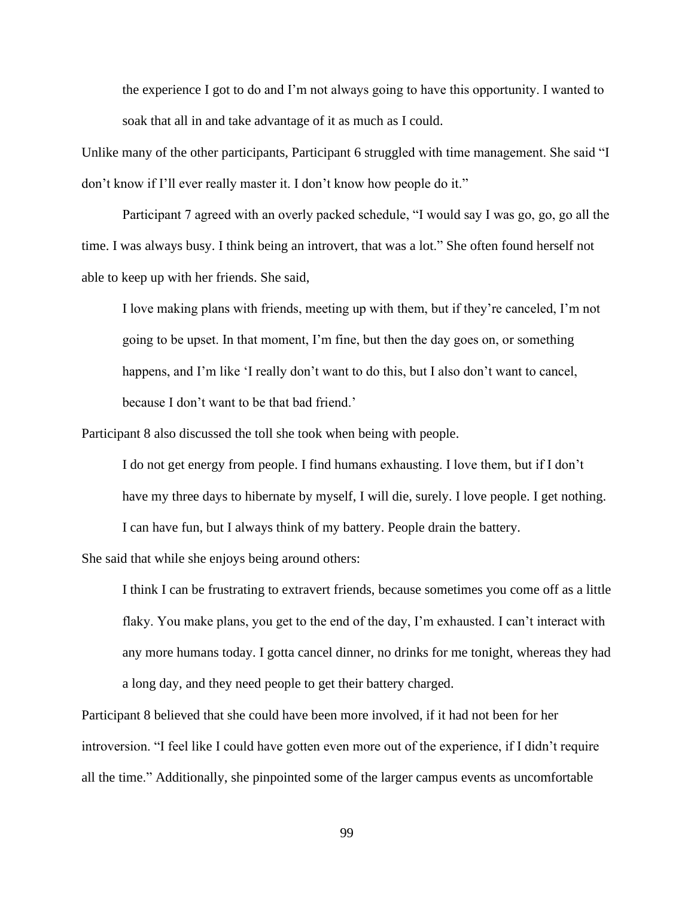the experience I got to do and I'm not always going to have this opportunity. I wanted to soak that all in and take advantage of it as much as I could.

Unlike many of the other participants, Participant 6 struggled with time management. She said "I don't know if I'll ever really master it. I don't know how people do it."

Participant 7 agreed with an overly packed schedule, "I would say I was go, go, go all the time. I was always busy. I think being an introvert, that was a lot." She often found herself not able to keep up with her friends. She said,

I love making plans with friends, meeting up with them, but if they're canceled, I'm not going to be upset. In that moment, I'm fine, but then the day goes on, or something happens, and I'm like 'I really don't want to do this, but I also don't want to cancel, because I don't want to be that bad friend.'

Participant 8 also discussed the toll she took when being with people.

I do not get energy from people. I find humans exhausting. I love them, but if I don't have my three days to hibernate by myself, I will die, surely. I love people. I get nothing. I can have fun, but I always think of my battery. People drain the battery.

She said that while she enjoys being around others:

I think I can be frustrating to extravert friends, because sometimes you come off as a little flaky. You make plans, you get to the end of the day, I'm exhausted. I can't interact with any more humans today. I gotta cancel dinner, no drinks for me tonight, whereas they had a long day, and they need people to get their battery charged.

Participant 8 believed that she could have been more involved, if it had not been for her introversion. "I feel like I could have gotten even more out of the experience, if I didn't require all the time." Additionally, she pinpointed some of the larger campus events as uncomfortable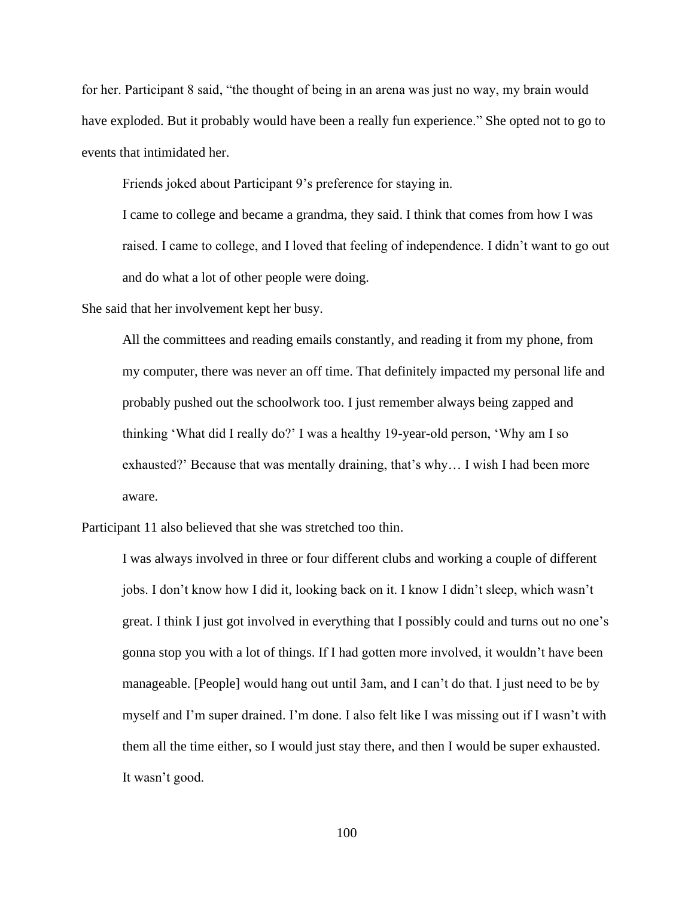for her. Participant 8 said, "the thought of being in an arena was just no way, my brain would have exploded. But it probably would have been a really fun experience." She opted not to go to events that intimidated her.

Friends joked about Participant 9's preference for staying in.

I came to college and became a grandma, they said. I think that comes from how I was raised. I came to college, and I loved that feeling of independence. I didn't want to go out and do what a lot of other people were doing.

She said that her involvement kept her busy.

All the committees and reading emails constantly, and reading it from my phone, from my computer, there was never an off time. That definitely impacted my personal life and probably pushed out the schoolwork too. I just remember always being zapped and thinking 'What did I really do?' I was a healthy 19-year-old person, 'Why am I so exhausted?' Because that was mentally draining, that's why… I wish I had been more aware.

Participant 11 also believed that she was stretched too thin.

I was always involved in three or four different clubs and working a couple of different jobs. I don't know how I did it, looking back on it. I know I didn't sleep, which wasn't great. I think I just got involved in everything that I possibly could and turns out no one's gonna stop you with a lot of things. If I had gotten more involved, it wouldn't have been manageable. [People] would hang out until 3am, and I can't do that. I just need to be by myself and I'm super drained. I'm done. I also felt like I was missing out if I wasn't with them all the time either, so I would just stay there, and then I would be super exhausted. It wasn't good.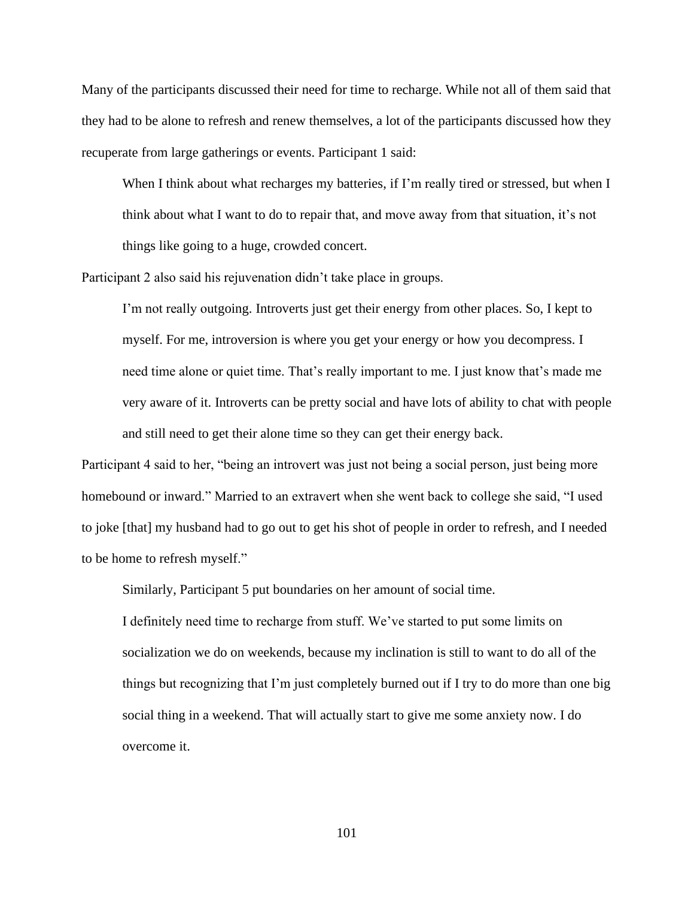Many of the participants discussed their need for time to recharge. While not all of them said that they had to be alone to refresh and renew themselves, a lot of the participants discussed how they recuperate from large gatherings or events. Participant 1 said:

When I think about what recharges my batteries, if I'm really tired or stressed, but when I think about what I want to do to repair that, and move away from that situation, it's not things like going to a huge, crowded concert.

Participant 2 also said his rejuvenation didn't take place in groups.

I'm not really outgoing. Introverts just get their energy from other places. So, I kept to myself. For me, introversion is where you get your energy or how you decompress. I need time alone or quiet time. That's really important to me. I just know that's made me very aware of it. Introverts can be pretty social and have lots of ability to chat with people and still need to get their alone time so they can get their energy back.

Participant 4 said to her, "being an introvert was just not being a social person, just being more homebound or inward." Married to an extravert when she went back to college she said, "I used to joke [that] my husband had to go out to get his shot of people in order to refresh, and I needed to be home to refresh myself."

Similarly, Participant 5 put boundaries on her amount of social time.

I definitely need time to recharge from stuff. We've started to put some limits on socialization we do on weekends, because my inclination is still to want to do all of the things but recognizing that I'm just completely burned out if I try to do more than one big social thing in a weekend. That will actually start to give me some anxiety now. I do overcome it.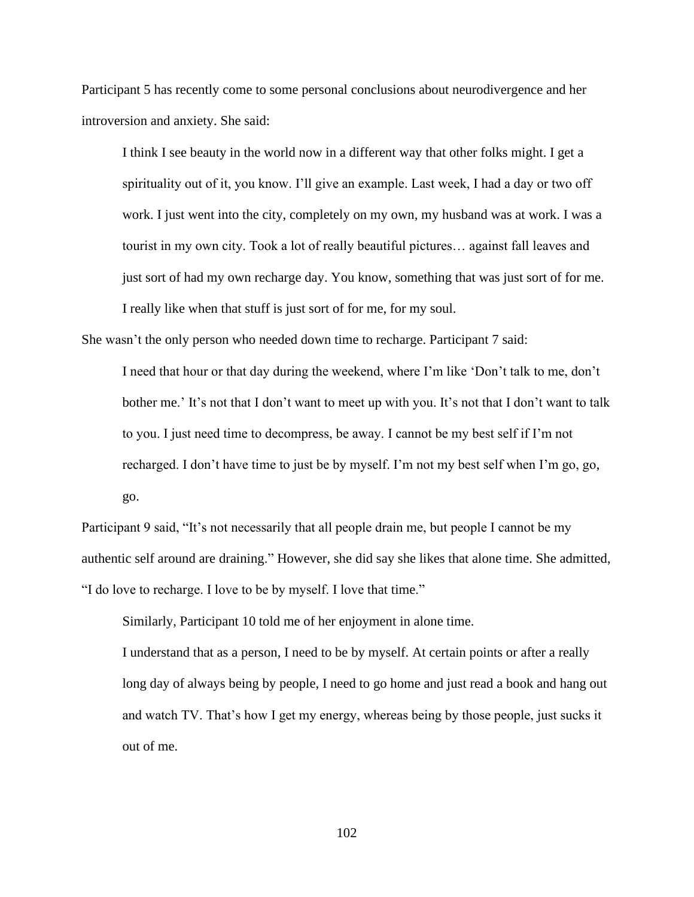Participant 5 has recently come to some personal conclusions about neurodivergence and her introversion and anxiety. She said:

I think I see beauty in the world now in a different way that other folks might. I get a spirituality out of it, you know. I'll give an example. Last week, I had a day or two off work. I just went into the city, completely on my own, my husband was at work. I was a tourist in my own city. Took a lot of really beautiful pictures… against fall leaves and just sort of had my own recharge day. You know, something that was just sort of for me. I really like when that stuff is just sort of for me, for my soul.

She wasn't the only person who needed down time to recharge. Participant 7 said:

I need that hour or that day during the weekend, where I'm like 'Don't talk to me, don't bother me.' It's not that I don't want to meet up with you. It's not that I don't want to talk to you. I just need time to decompress, be away. I cannot be my best self if I'm not recharged. I don't have time to just be by myself. I'm not my best self when I'm go, go, go.

Participant 9 said, "It's not necessarily that all people drain me, but people I cannot be my authentic self around are draining." However, she did say she likes that alone time. She admitted, "I do love to recharge. I love to be by myself. I love that time."

Similarly, Participant 10 told me of her enjoyment in alone time.

I understand that as a person, I need to be by myself. At certain points or after a really long day of always being by people, I need to go home and just read a book and hang out and watch TV. That's how I get my energy, whereas being by those people, just sucks it out of me.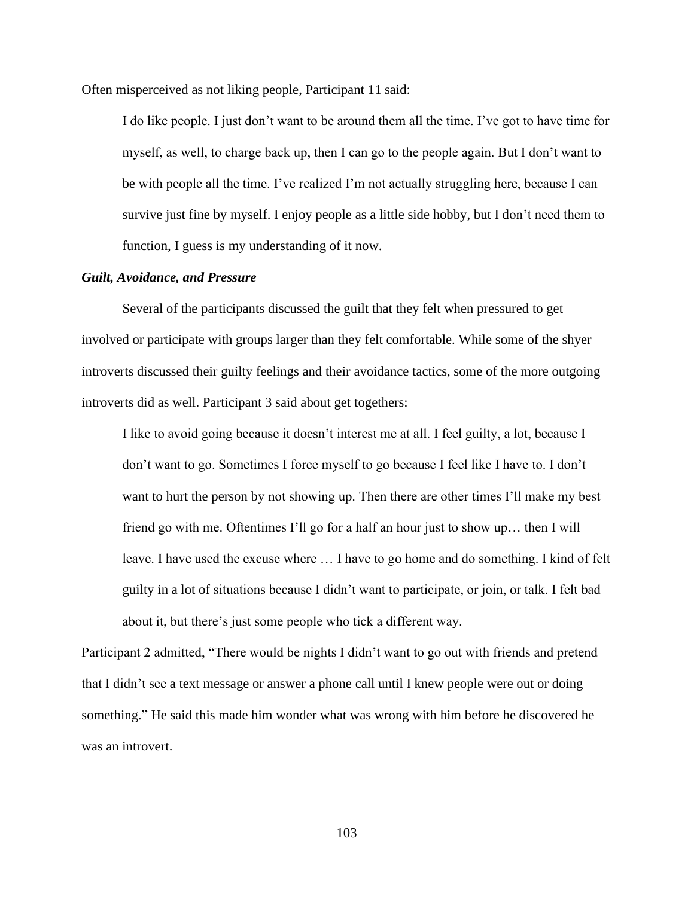Often misperceived as not liking people, Participant 11 said:

I do like people. I just don't want to be around them all the time. I've got to have time for myself, as well, to charge back up, then I can go to the people again. But I don't want to be with people all the time. I've realized I'm not actually struggling here, because I can survive just fine by myself. I enjoy people as a little side hobby, but I don't need them to function, I guess is my understanding of it now.

#### *Guilt, Avoidance, and Pressure*

Several of the participants discussed the guilt that they felt when pressured to get involved or participate with groups larger than they felt comfortable. While some of the shyer introverts discussed their guilty feelings and their avoidance tactics, some of the more outgoing introverts did as well. Participant 3 said about get togethers:

I like to avoid going because it doesn't interest me at all. I feel guilty, a lot, because I don't want to go. Sometimes I force myself to go because I feel like I have to. I don't want to hurt the person by not showing up. Then there are other times I'll make my best friend go with me. Oftentimes I'll go for a half an hour just to show up… then I will leave. I have used the excuse where … I have to go home and do something. I kind of felt guilty in a lot of situations because I didn't want to participate, or join, or talk. I felt bad about it, but there's just some people who tick a different way.

Participant 2 admitted, "There would be nights I didn't want to go out with friends and pretend that I didn't see a text message or answer a phone call until I knew people were out or doing something." He said this made him wonder what was wrong with him before he discovered he was an introvert.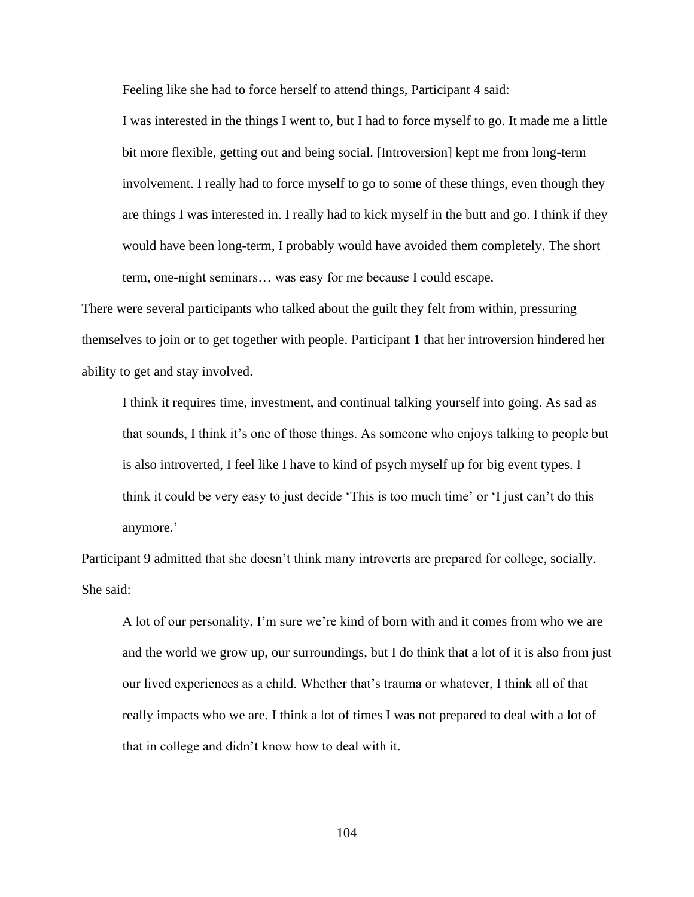Feeling like she had to force herself to attend things, Participant 4 said:

I was interested in the things I went to, but I had to force myself to go. It made me a little bit more flexible, getting out and being social. [Introversion] kept me from long-term involvement. I really had to force myself to go to some of these things, even though they are things I was interested in. I really had to kick myself in the butt and go. I think if they would have been long-term, I probably would have avoided them completely. The short term, one-night seminars… was easy for me because I could escape.

There were several participants who talked about the guilt they felt from within, pressuring themselves to join or to get together with people. Participant 1 that her introversion hindered her ability to get and stay involved.

I think it requires time, investment, and continual talking yourself into going. As sad as that sounds, I think it's one of those things. As someone who enjoys talking to people but is also introverted, I feel like I have to kind of psych myself up for big event types. I think it could be very easy to just decide 'This is too much time' or 'I just can't do this anymore.'

Participant 9 admitted that she doesn't think many introverts are prepared for college, socially. She said:

A lot of our personality, I'm sure we're kind of born with and it comes from who we are and the world we grow up, our surroundings, but I do think that a lot of it is also from just our lived experiences as a child. Whether that's trauma or whatever, I think all of that really impacts who we are. I think a lot of times I was not prepared to deal with a lot of that in college and didn't know how to deal with it.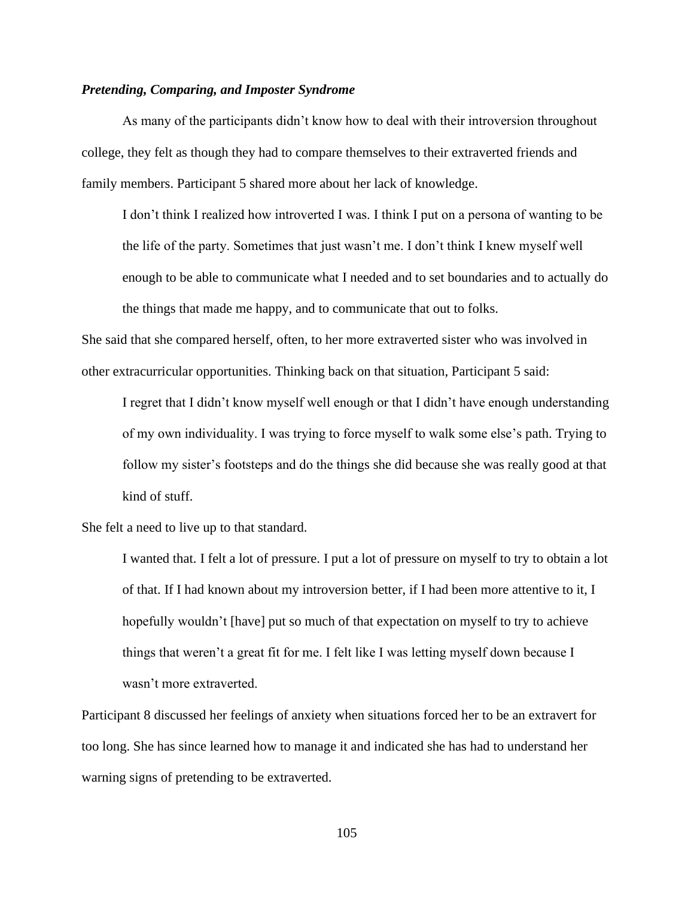#### *Pretending, Comparing, and Imposter Syndrome*

As many of the participants didn't know how to deal with their introversion throughout college, they felt as though they had to compare themselves to their extraverted friends and family members. Participant 5 shared more about her lack of knowledge.

I don't think I realized how introverted I was. I think I put on a persona of wanting to be the life of the party. Sometimes that just wasn't me. I don't think I knew myself well enough to be able to communicate what I needed and to set boundaries and to actually do the things that made me happy, and to communicate that out to folks.

She said that she compared herself, often, to her more extraverted sister who was involved in other extracurricular opportunities. Thinking back on that situation, Participant 5 said:

I regret that I didn't know myself well enough or that I didn't have enough understanding of my own individuality. I was trying to force myself to walk some else's path. Trying to follow my sister's footsteps and do the things she did because she was really good at that kind of stuff.

She felt a need to live up to that standard.

I wanted that. I felt a lot of pressure. I put a lot of pressure on myself to try to obtain a lot of that. If I had known about my introversion better, if I had been more attentive to it, I hopefully wouldn't [have] put so much of that expectation on myself to try to achieve things that weren't a great fit for me. I felt like I was letting myself down because I wasn't more extraverted.

Participant 8 discussed her feelings of anxiety when situations forced her to be an extravert for too long. She has since learned how to manage it and indicated she has had to understand her warning signs of pretending to be extraverted.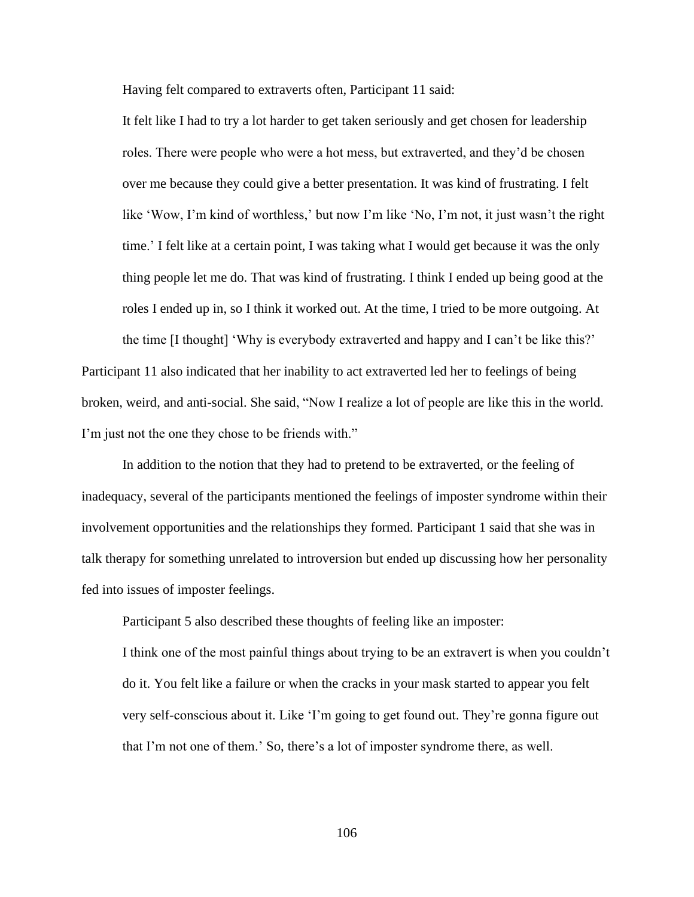Having felt compared to extraverts often, Participant 11 said:

It felt like I had to try a lot harder to get taken seriously and get chosen for leadership roles. There were people who were a hot mess, but extraverted, and they'd be chosen over me because they could give a better presentation. It was kind of frustrating. I felt like 'Wow, I'm kind of worthless,' but now I'm like 'No, I'm not, it just wasn't the right time.' I felt like at a certain point, I was taking what I would get because it was the only thing people let me do. That was kind of frustrating. I think I ended up being good at the roles I ended up in, so I think it worked out. At the time, I tried to be more outgoing. At

the time [I thought] 'Why is everybody extraverted and happy and I can't be like this?' Participant 11 also indicated that her inability to act extraverted led her to feelings of being broken, weird, and anti-social. She said, "Now I realize a lot of people are like this in the world. I'm just not the one they chose to be friends with."

In addition to the notion that they had to pretend to be extraverted, or the feeling of inadequacy, several of the participants mentioned the feelings of imposter syndrome within their involvement opportunities and the relationships they formed. Participant 1 said that she was in talk therapy for something unrelated to introversion but ended up discussing how her personality fed into issues of imposter feelings.

Participant 5 also described these thoughts of feeling like an imposter:

I think one of the most painful things about trying to be an extravert is when you couldn't do it. You felt like a failure or when the cracks in your mask started to appear you felt very self-conscious about it. Like 'I'm going to get found out. They're gonna figure out that I'm not one of them.' So, there's a lot of imposter syndrome there, as well.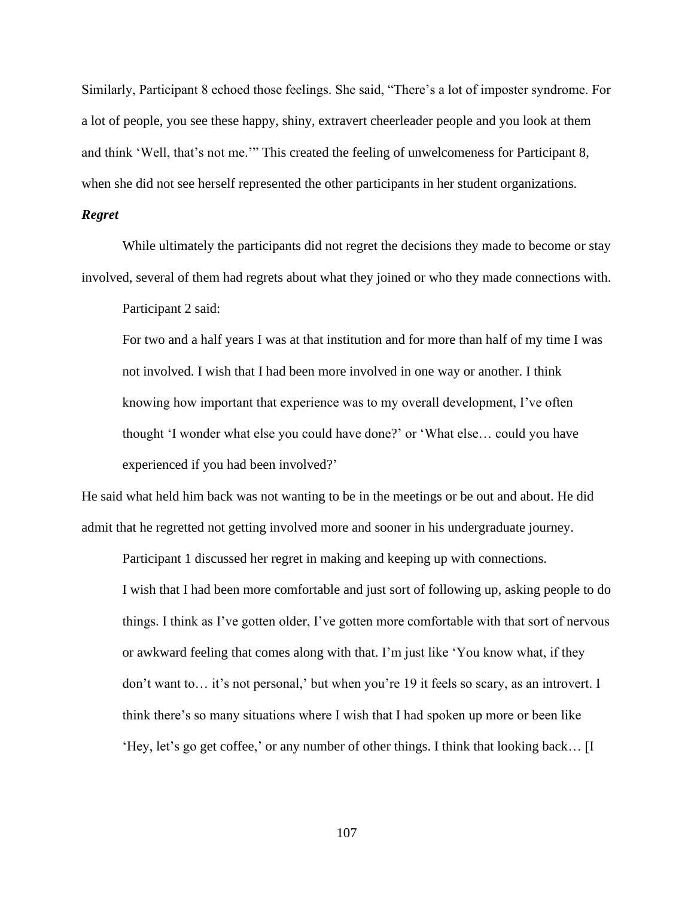Similarly, Participant 8 echoed those feelings. She said, "There's a lot of imposter syndrome. For a lot of people, you see these happy, shiny, extravert cheerleader people and you look at them and think 'Well, that's not me.'" This created the feeling of unwelcomeness for Participant 8, when she did not see herself represented the other participants in her student organizations.

#### *Regret*

While ultimately the participants did not regret the decisions they made to become or stay involved, several of them had regrets about what they joined or who they made connections with.

Participant 2 said:

For two and a half years I was at that institution and for more than half of my time I was not involved. I wish that I had been more involved in one way or another. I think knowing how important that experience was to my overall development, I've often thought 'I wonder what else you could have done?' or 'What else… could you have experienced if you had been involved?'

He said what held him back was not wanting to be in the meetings or be out and about. He did admit that he regretted not getting involved more and sooner in his undergraduate journey.

Participant 1 discussed her regret in making and keeping up with connections. I wish that I had been more comfortable and just sort of following up, asking people to do things. I think as I've gotten older, I've gotten more comfortable with that sort of nervous or awkward feeling that comes along with that. I'm just like 'You know what, if they don't want to… it's not personal,' but when you're 19 it feels so scary, as an introvert. I think there's so many situations where I wish that I had spoken up more or been like 'Hey, let's go get coffee,' or any number of other things. I think that looking back… [I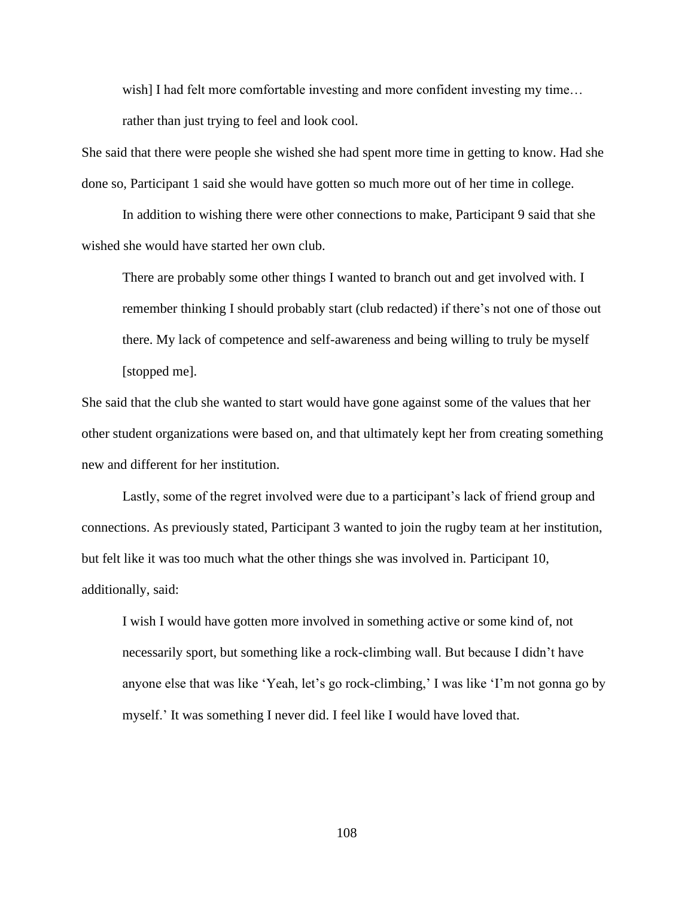wish] I had felt more comfortable investing and more confident investing my time... rather than just trying to feel and look cool.

She said that there were people she wished she had spent more time in getting to know. Had she done so, Participant 1 said she would have gotten so much more out of her time in college.

In addition to wishing there were other connections to make, Participant 9 said that she wished she would have started her own club.

There are probably some other things I wanted to branch out and get involved with. I remember thinking I should probably start (club redacted) if there's not one of those out there. My lack of competence and self-awareness and being willing to truly be myself [stopped me].

She said that the club she wanted to start would have gone against some of the values that her other student organizations were based on, and that ultimately kept her from creating something new and different for her institution.

Lastly, some of the regret involved were due to a participant's lack of friend group and connections. As previously stated, Participant 3 wanted to join the rugby team at her institution, but felt like it was too much what the other things she was involved in. Participant 10, additionally, said:

I wish I would have gotten more involved in something active or some kind of, not necessarily sport, but something like a rock-climbing wall. But because I didn't have anyone else that was like 'Yeah, let's go rock-climbing,' I was like 'I'm not gonna go by myself.' It was something I never did. I feel like I would have loved that.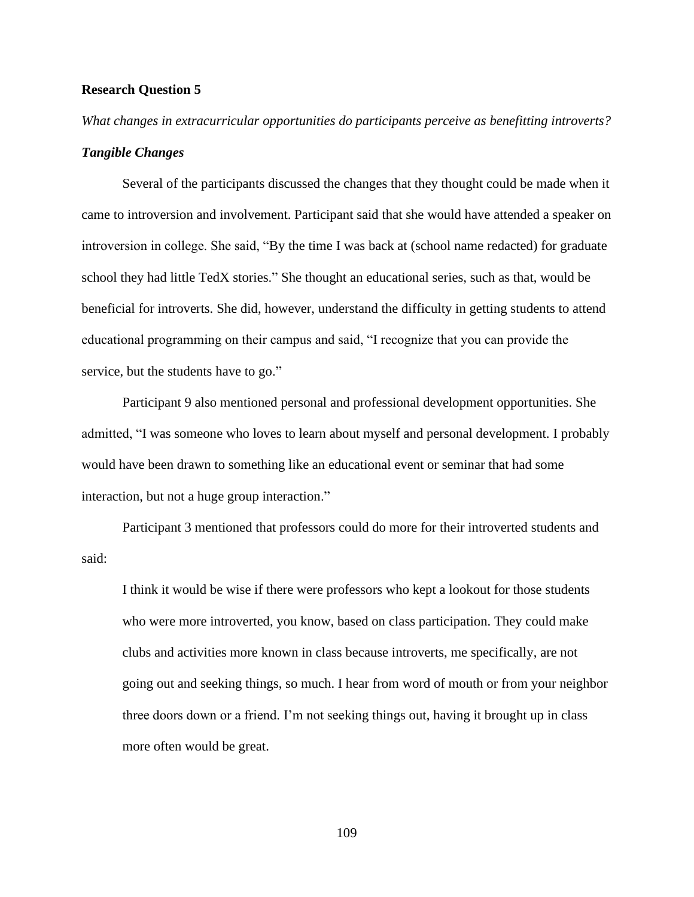#### **Research Question 5**

*What changes in extracurricular opportunities do participants perceive as benefitting introverts? Tangible Changes*

Several of the participants discussed the changes that they thought could be made when it came to introversion and involvement. Participant said that she would have attended a speaker on introversion in college. She said, "By the time I was back at (school name redacted) for graduate school they had little TedX stories." She thought an educational series, such as that, would be beneficial for introverts. She did, however, understand the difficulty in getting students to attend educational programming on their campus and said, "I recognize that you can provide the service, but the students have to go."

Participant 9 also mentioned personal and professional development opportunities. She admitted, "I was someone who loves to learn about myself and personal development. I probably would have been drawn to something like an educational event or seminar that had some interaction, but not a huge group interaction."

Participant 3 mentioned that professors could do more for their introverted students and said:

I think it would be wise if there were professors who kept a lookout for those students who were more introverted, you know, based on class participation. They could make clubs and activities more known in class because introverts, me specifically, are not going out and seeking things, so much. I hear from word of mouth or from your neighbor three doors down or a friend. I'm not seeking things out, having it brought up in class more often would be great.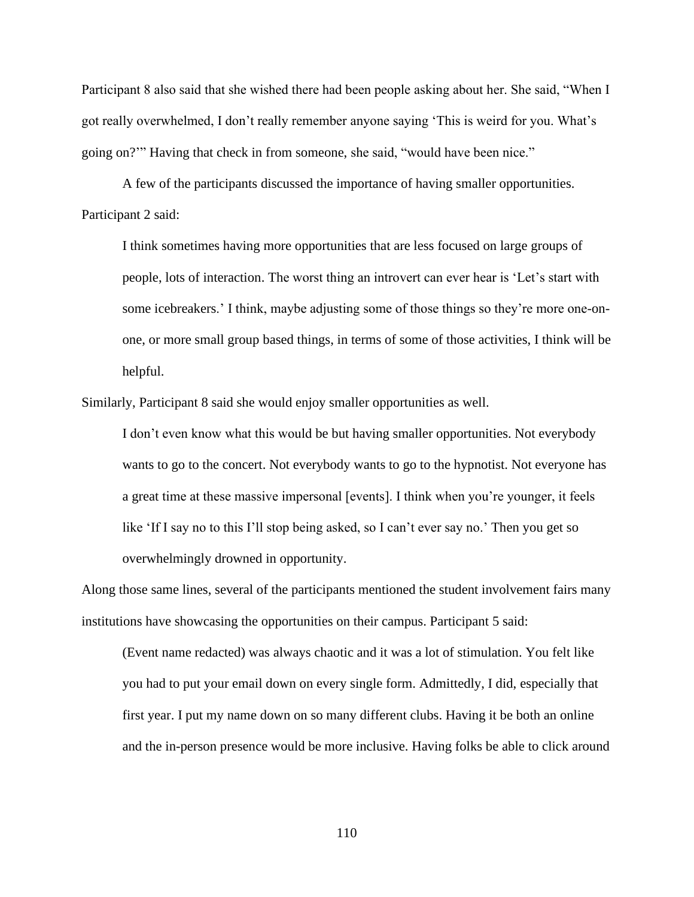Participant 8 also said that she wished there had been people asking about her. She said, "When I got really overwhelmed, I don't really remember anyone saying 'This is weird for you. What's going on?'" Having that check in from someone, she said, "would have been nice."

A few of the participants discussed the importance of having smaller opportunities. Participant 2 said:

I think sometimes having more opportunities that are less focused on large groups of people, lots of interaction. The worst thing an introvert can ever hear is 'Let's start with some icebreakers.' I think, maybe adjusting some of those things so they're more one-onone, or more small group based things, in terms of some of those activities, I think will be helpful.

Similarly, Participant 8 said she would enjoy smaller opportunities as well.

I don't even know what this would be but having smaller opportunities. Not everybody wants to go to the concert. Not everybody wants to go to the hypnotist. Not everyone has a great time at these massive impersonal [events]. I think when you're younger, it feels like 'If I say no to this I'll stop being asked, so I can't ever say no.' Then you get so overwhelmingly drowned in opportunity.

Along those same lines, several of the participants mentioned the student involvement fairs many institutions have showcasing the opportunities on their campus. Participant 5 said:

(Event name redacted) was always chaotic and it was a lot of stimulation. You felt like you had to put your email down on every single form. Admittedly, I did, especially that first year. I put my name down on so many different clubs. Having it be both an online and the in-person presence would be more inclusive. Having folks be able to click around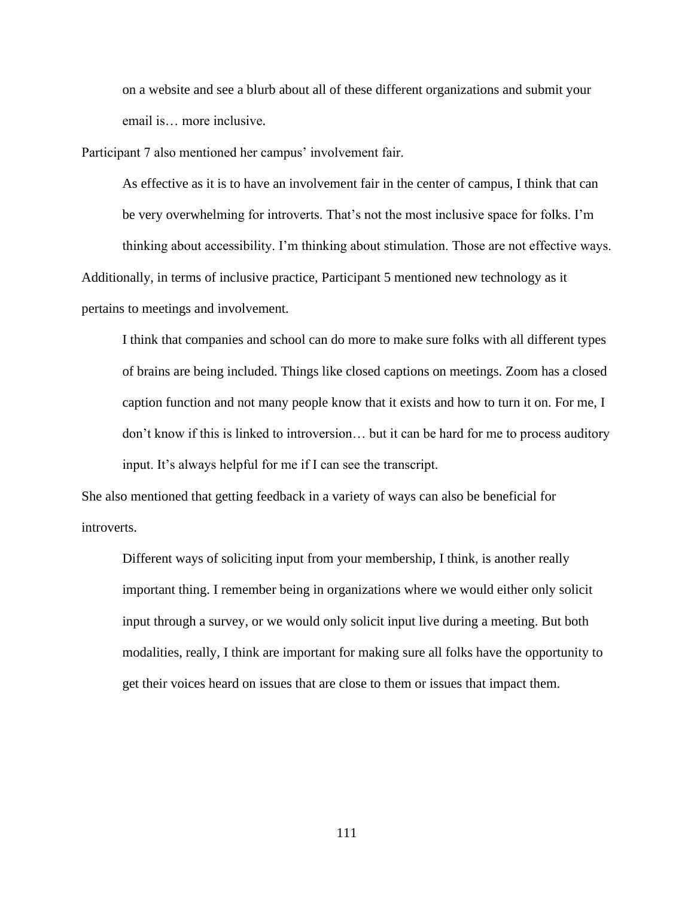on a website and see a blurb about all of these different organizations and submit your email is… more inclusive.

Participant 7 also mentioned her campus' involvement fair.

As effective as it is to have an involvement fair in the center of campus, I think that can be very overwhelming for introverts. That's not the most inclusive space for folks. I'm thinking about accessibility. I'm thinking about stimulation. Those are not effective ways. Additionally, in terms of inclusive practice, Participant 5 mentioned new technology as it pertains to meetings and involvement.

I think that companies and school can do more to make sure folks with all different types of brains are being included. Things like closed captions on meetings. Zoom has a closed caption function and not many people know that it exists and how to turn it on. For me, I don't know if this is linked to introversion… but it can be hard for me to process auditory input. It's always helpful for me if I can see the transcript.

She also mentioned that getting feedback in a variety of ways can also be beneficial for introverts.

Different ways of soliciting input from your membership, I think, is another really important thing. I remember being in organizations where we would either only solicit input through a survey, or we would only solicit input live during a meeting. But both modalities, really, I think are important for making sure all folks have the opportunity to get their voices heard on issues that are close to them or issues that impact them.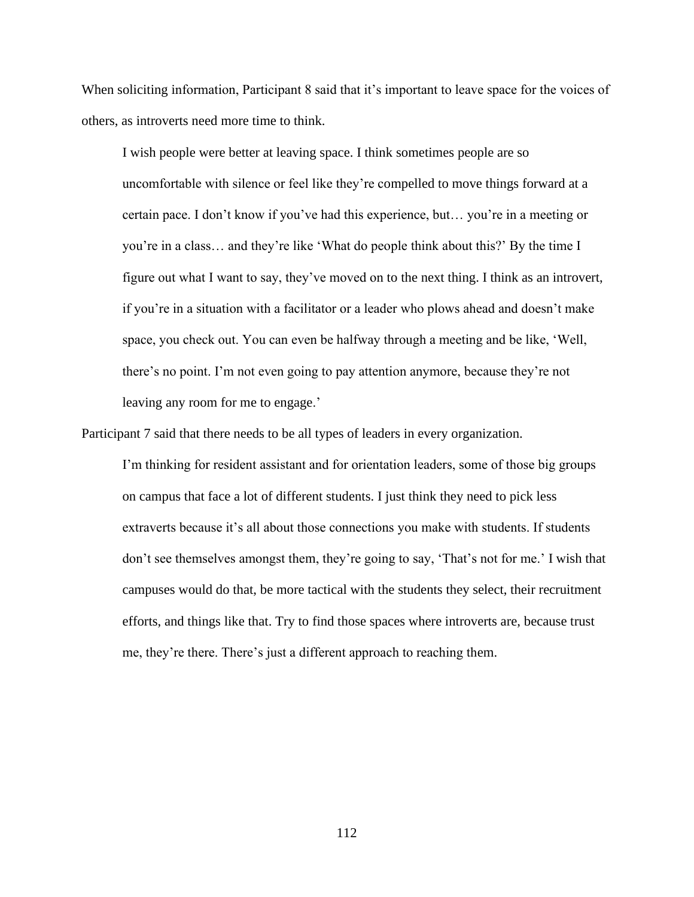When soliciting information, Participant 8 said that it's important to leave space for the voices of others, as introverts need more time to think.

I wish people were better at leaving space. I think sometimes people are so uncomfortable with silence or feel like they're compelled to move things forward at a certain pace. I don't know if you've had this experience, but… you're in a meeting or you're in a class… and they're like 'What do people think about this?' By the time I figure out what I want to say, they've moved on to the next thing. I think as an introvert, if you're in a situation with a facilitator or a leader who plows ahead and doesn't make space, you check out. You can even be halfway through a meeting and be like, 'Well, there's no point. I'm not even going to pay attention anymore, because they're not leaving any room for me to engage.'

Participant 7 said that there needs to be all types of leaders in every organization.

I'm thinking for resident assistant and for orientation leaders, some of those big groups on campus that face a lot of different students. I just think they need to pick less extraverts because it's all about those connections you make with students. If students don't see themselves amongst them, they're going to say, 'That's not for me.' I wish that campuses would do that, be more tactical with the students they select, their recruitment efforts, and things like that. Try to find those spaces where introverts are, because trust me, they're there. There's just a different approach to reaching them.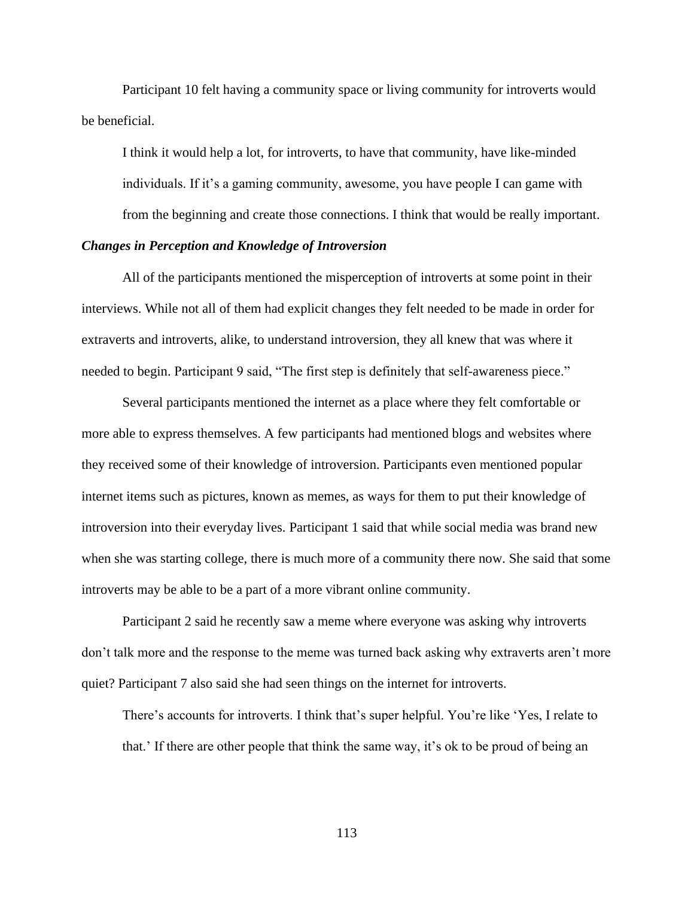Participant 10 felt having a community space or living community for introverts would be beneficial.

I think it would help a lot, for introverts, to have that community, have like-minded individuals. If it's a gaming community, awesome, you have people I can game with from the beginning and create those connections. I think that would be really important.

# *Changes in Perception and Knowledge of Introversion*

All of the participants mentioned the misperception of introverts at some point in their interviews. While not all of them had explicit changes they felt needed to be made in order for extraverts and introverts, alike, to understand introversion, they all knew that was where it needed to begin. Participant 9 said, "The first step is definitely that self-awareness piece."

Several participants mentioned the internet as a place where they felt comfortable or more able to express themselves. A few participants had mentioned blogs and websites where they received some of their knowledge of introversion. Participants even mentioned popular internet items such as pictures, known as memes, as ways for them to put their knowledge of introversion into their everyday lives. Participant 1 said that while social media was brand new when she was starting college, there is much more of a community there now. She said that some introverts may be able to be a part of a more vibrant online community.

Participant 2 said he recently saw a meme where everyone was asking why introverts don't talk more and the response to the meme was turned back asking why extraverts aren't more quiet? Participant 7 also said she had seen things on the internet for introverts.

There's accounts for introverts. I think that's super helpful. You're like 'Yes, I relate to that.' If there are other people that think the same way, it's ok to be proud of being an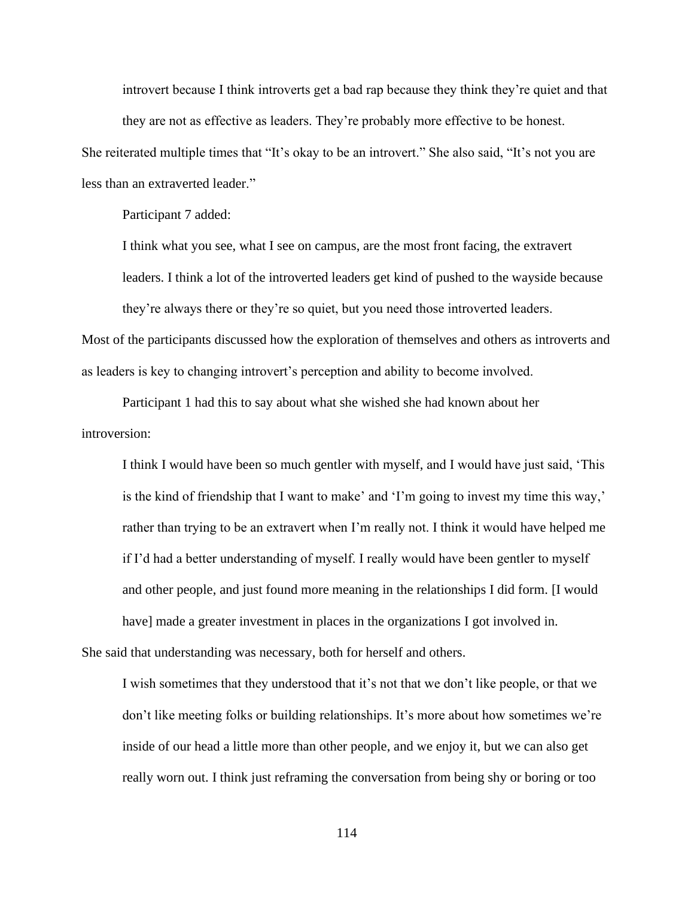introvert because I think introverts get a bad rap because they think they're quiet and that they are not as effective as leaders. They're probably more effective to be honest.

She reiterated multiple times that "It's okay to be an introvert." She also said, "It's not you are less than an extraverted leader."

Participant 7 added:

I think what you see, what I see on campus, are the most front facing, the extravert leaders. I think a lot of the introverted leaders get kind of pushed to the wayside because

Most of the participants discussed how the exploration of themselves and others as introverts and as leaders is key to changing introvert's perception and ability to become involved.

they're always there or they're so quiet, but you need those introverted leaders.

Participant 1 had this to say about what she wished she had known about her introversion:

I think I would have been so much gentler with myself, and I would have just said, 'This is the kind of friendship that I want to make' and 'I'm going to invest my time this way,' rather than trying to be an extravert when I'm really not. I think it would have helped me if I'd had a better understanding of myself. I really would have been gentler to myself and other people, and just found more meaning in the relationships I did form. [I would have] made a greater investment in places in the organizations I got involved in. She said that understanding was necessary, both for herself and others.

I wish sometimes that they understood that it's not that we don't like people, or that we don't like meeting folks or building relationships. It's more about how sometimes we're inside of our head a little more than other people, and we enjoy it, but we can also get really worn out. I think just reframing the conversation from being shy or boring or too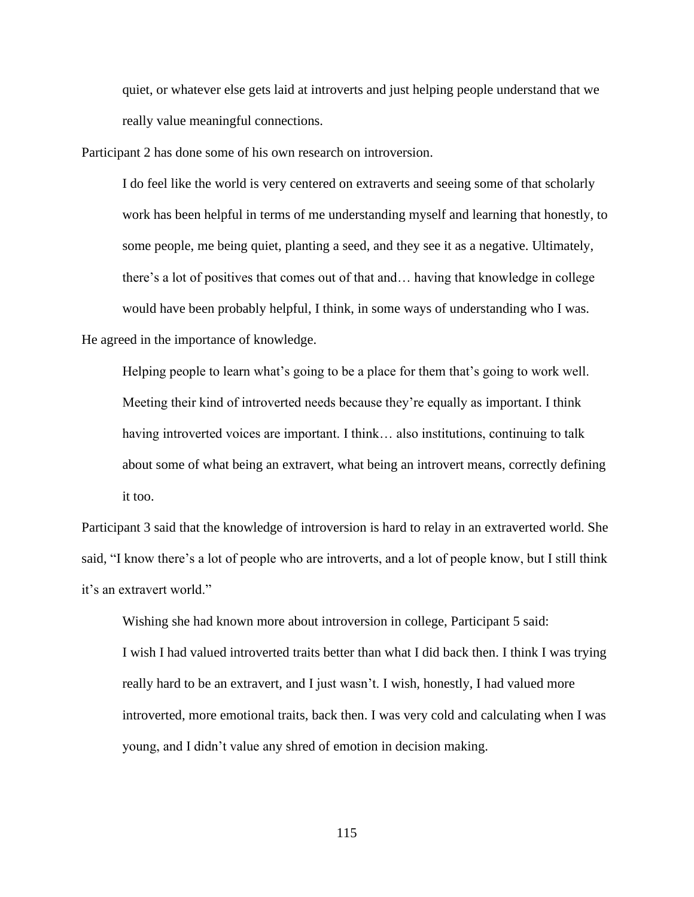quiet, or whatever else gets laid at introverts and just helping people understand that we really value meaningful connections.

Participant 2 has done some of his own research on introversion.

I do feel like the world is very centered on extraverts and seeing some of that scholarly work has been helpful in terms of me understanding myself and learning that honestly, to some people, me being quiet, planting a seed, and they see it as a negative. Ultimately, there's a lot of positives that comes out of that and… having that knowledge in college would have been probably helpful, I think, in some ways of understanding who I was. He agreed in the importance of knowledge.

Helping people to learn what's going to be a place for them that's going to work well. Meeting their kind of introverted needs because they're equally as important. I think having introverted voices are important. I think... also institutions, continuing to talk about some of what being an extravert, what being an introvert means, correctly defining it too.

Participant 3 said that the knowledge of introversion is hard to relay in an extraverted world. She said, "I know there's a lot of people who are introverts, and a lot of people know, but I still think it's an extravert world."

Wishing she had known more about introversion in college, Participant 5 said: I wish I had valued introverted traits better than what I did back then. I think I was trying really hard to be an extravert, and I just wasn't. I wish, honestly, I had valued more introverted, more emotional traits, back then. I was very cold and calculating when I was young, and I didn't value any shred of emotion in decision making.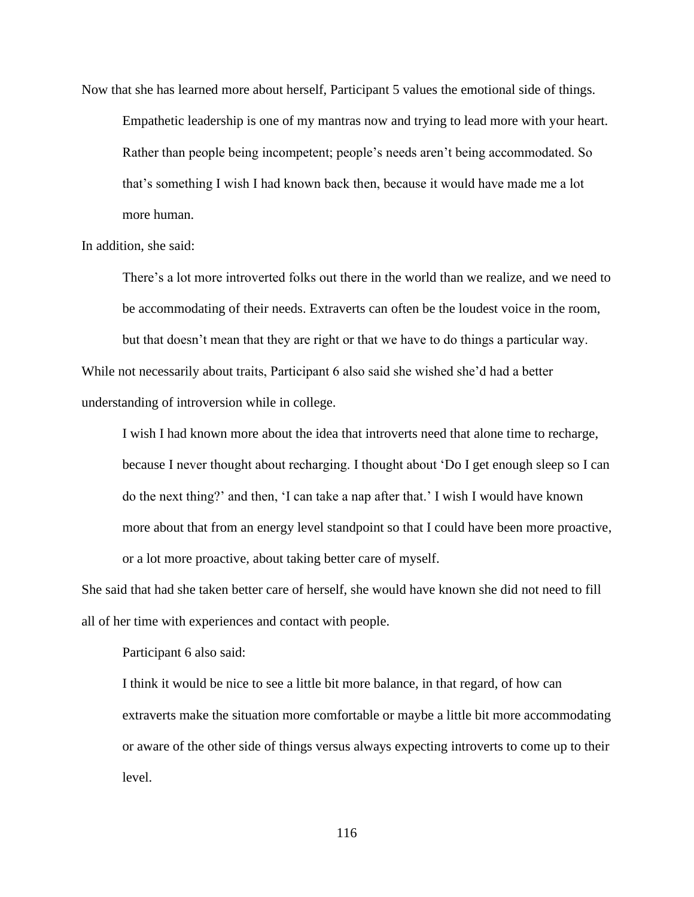Now that she has learned more about herself, Participant 5 values the emotional side of things. Empathetic leadership is one of my mantras now and trying to lead more with your heart. Rather than people being incompetent; people's needs aren't being accommodated. So that's something I wish I had known back then, because it would have made me a lot more human.

In addition, she said:

There's a lot more introverted folks out there in the world than we realize, and we need to be accommodating of their needs. Extraverts can often be the loudest voice in the room,

but that doesn't mean that they are right or that we have to do things a particular way.

While not necessarily about traits, Participant 6 also said she wished she'd had a better understanding of introversion while in college.

I wish I had known more about the idea that introverts need that alone time to recharge, because I never thought about recharging. I thought about 'Do I get enough sleep so I can do the next thing?' and then, 'I can take a nap after that.' I wish I would have known more about that from an energy level standpoint so that I could have been more proactive, or a lot more proactive, about taking better care of myself.

She said that had she taken better care of herself, she would have known she did not need to fill all of her time with experiences and contact with people.

Participant 6 also said:

I think it would be nice to see a little bit more balance, in that regard, of how can extraverts make the situation more comfortable or maybe a little bit more accommodating or aware of the other side of things versus always expecting introverts to come up to their level.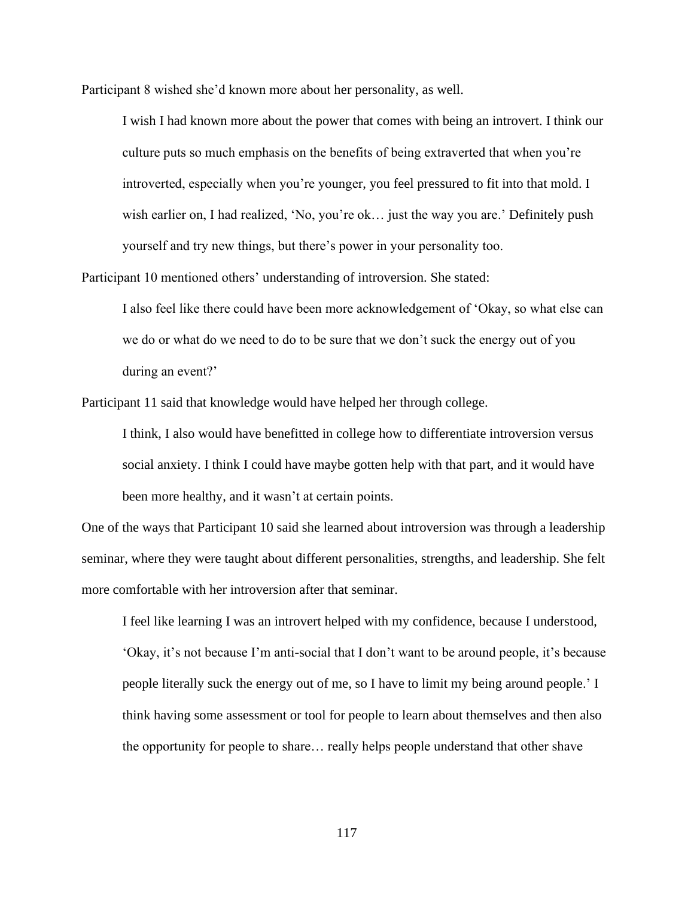Participant 8 wished she'd known more about her personality, as well.

I wish I had known more about the power that comes with being an introvert. I think our culture puts so much emphasis on the benefits of being extraverted that when you're introverted, especially when you're younger, you feel pressured to fit into that mold. I wish earlier on, I had realized, 'No, you're ok... just the way you are.' Definitely push yourself and try new things, but there's power in your personality too.

Participant 10 mentioned others' understanding of introversion. She stated:

I also feel like there could have been more acknowledgement of 'Okay, so what else can we do or what do we need to do to be sure that we don't suck the energy out of you during an event?'

Participant 11 said that knowledge would have helped her through college.

I think, I also would have benefitted in college how to differentiate introversion versus social anxiety. I think I could have maybe gotten help with that part, and it would have been more healthy, and it wasn't at certain points.

One of the ways that Participant 10 said she learned about introversion was through a leadership seminar, where they were taught about different personalities, strengths, and leadership. She felt more comfortable with her introversion after that seminar.

I feel like learning I was an introvert helped with my confidence, because I understood, 'Okay, it's not because I'm anti-social that I don't want to be around people, it's because people literally suck the energy out of me, so I have to limit my being around people.' I think having some assessment or tool for people to learn about themselves and then also the opportunity for people to share… really helps people understand that other shave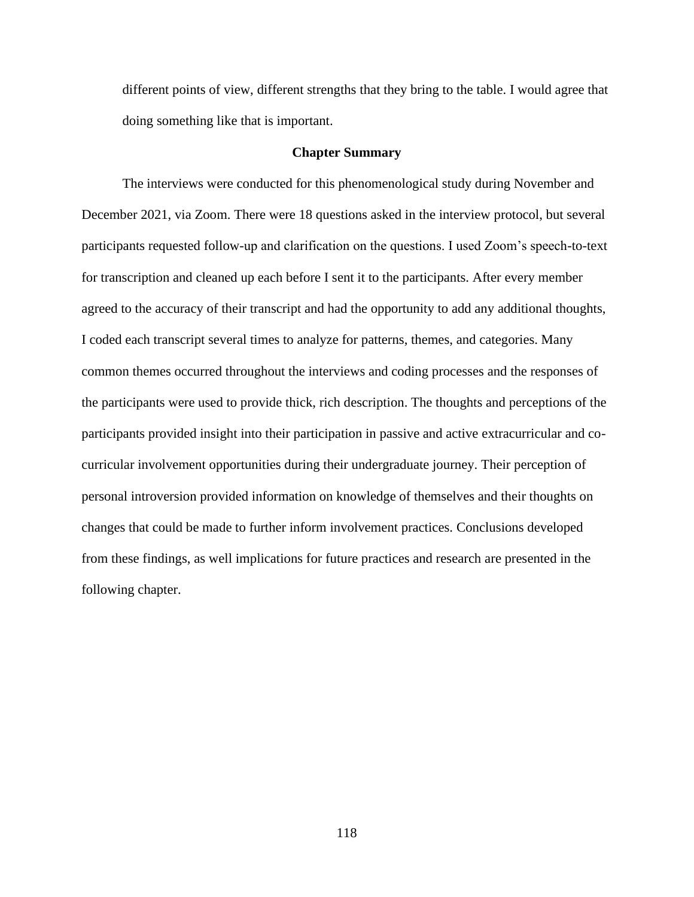different points of view, different strengths that they bring to the table. I would agree that doing something like that is important.

# **Chapter Summary**

The interviews were conducted for this phenomenological study during November and December 2021, via Zoom. There were 18 questions asked in the interview protocol, but several participants requested follow-up and clarification on the questions. I used Zoom's speech-to-text for transcription and cleaned up each before I sent it to the participants. After every member agreed to the accuracy of their transcript and had the opportunity to add any additional thoughts, I coded each transcript several times to analyze for patterns, themes, and categories. Many common themes occurred throughout the interviews and coding processes and the responses of the participants were used to provide thick, rich description. The thoughts and perceptions of the participants provided insight into their participation in passive and active extracurricular and cocurricular involvement opportunities during their undergraduate journey. Their perception of personal introversion provided information on knowledge of themselves and their thoughts on changes that could be made to further inform involvement practices. Conclusions developed from these findings, as well implications for future practices and research are presented in the following chapter.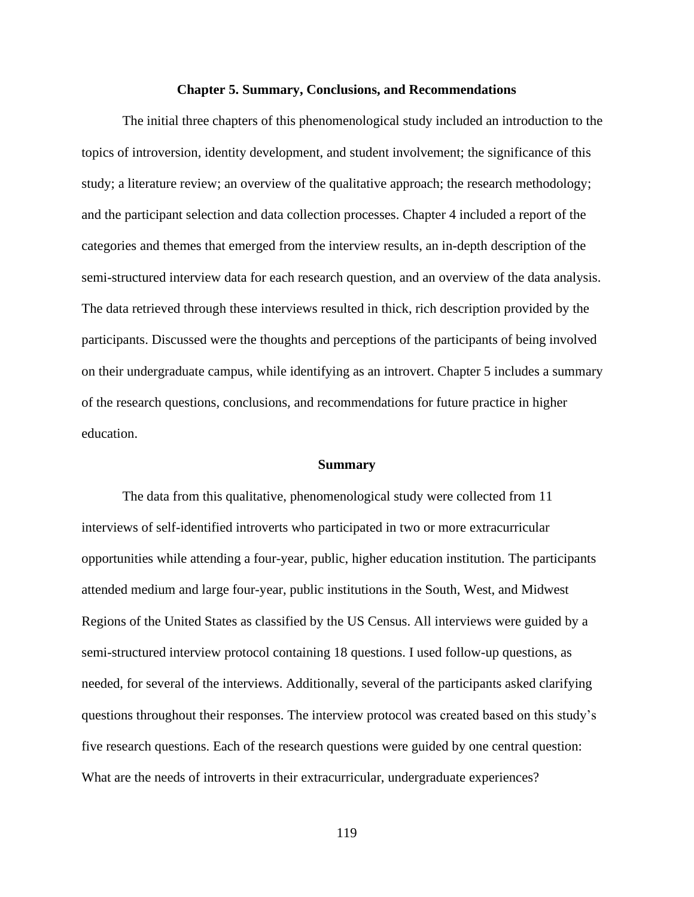#### **Chapter 5. Summary, Conclusions, and Recommendations**

The initial three chapters of this phenomenological study included an introduction to the topics of introversion, identity development, and student involvement; the significance of this study; a literature review; an overview of the qualitative approach; the research methodology; and the participant selection and data collection processes. Chapter 4 included a report of the categories and themes that emerged from the interview results, an in-depth description of the semi-structured interview data for each research question, and an overview of the data analysis. The data retrieved through these interviews resulted in thick, rich description provided by the participants. Discussed were the thoughts and perceptions of the participants of being involved on their undergraduate campus, while identifying as an introvert. Chapter 5 includes a summary of the research questions, conclusions, and recommendations for future practice in higher education.

#### **Summary**

The data from this qualitative, phenomenological study were collected from 11 interviews of self-identified introverts who participated in two or more extracurricular opportunities while attending a four-year, public, higher education institution. The participants attended medium and large four-year, public institutions in the South, West, and Midwest Regions of the United States as classified by the US Census. All interviews were guided by a semi-structured interview protocol containing 18 questions. I used follow-up questions, as needed, for several of the interviews. Additionally, several of the participants asked clarifying questions throughout their responses. The interview protocol was created based on this study's five research questions. Each of the research questions were guided by one central question: What are the needs of introverts in their extracurricular, undergraduate experiences?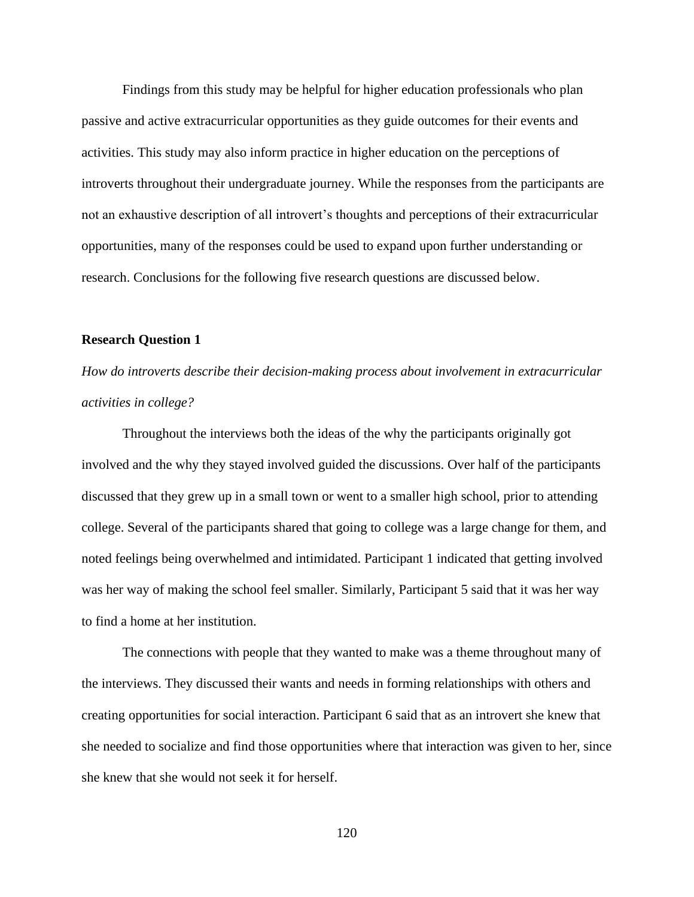Findings from this study may be helpful for higher education professionals who plan passive and active extracurricular opportunities as they guide outcomes for their events and activities. This study may also inform practice in higher education on the perceptions of introverts throughout their undergraduate journey. While the responses from the participants are not an exhaustive description of all introvert's thoughts and perceptions of their extracurricular opportunities, many of the responses could be used to expand upon further understanding or research. Conclusions for the following five research questions are discussed below.

# **Research Question 1**

*How do introverts describe their decision-making process about involvement in extracurricular activities in college?*

Throughout the interviews both the ideas of the why the participants originally got involved and the why they stayed involved guided the discussions. Over half of the participants discussed that they grew up in a small town or went to a smaller high school, prior to attending college. Several of the participants shared that going to college was a large change for them, and noted feelings being overwhelmed and intimidated. Participant 1 indicated that getting involved was her way of making the school feel smaller. Similarly, Participant 5 said that it was her way to find a home at her institution.

The connections with people that they wanted to make was a theme throughout many of the interviews. They discussed their wants and needs in forming relationships with others and creating opportunities for social interaction. Participant 6 said that as an introvert she knew that she needed to socialize and find those opportunities where that interaction was given to her, since she knew that she would not seek it for herself.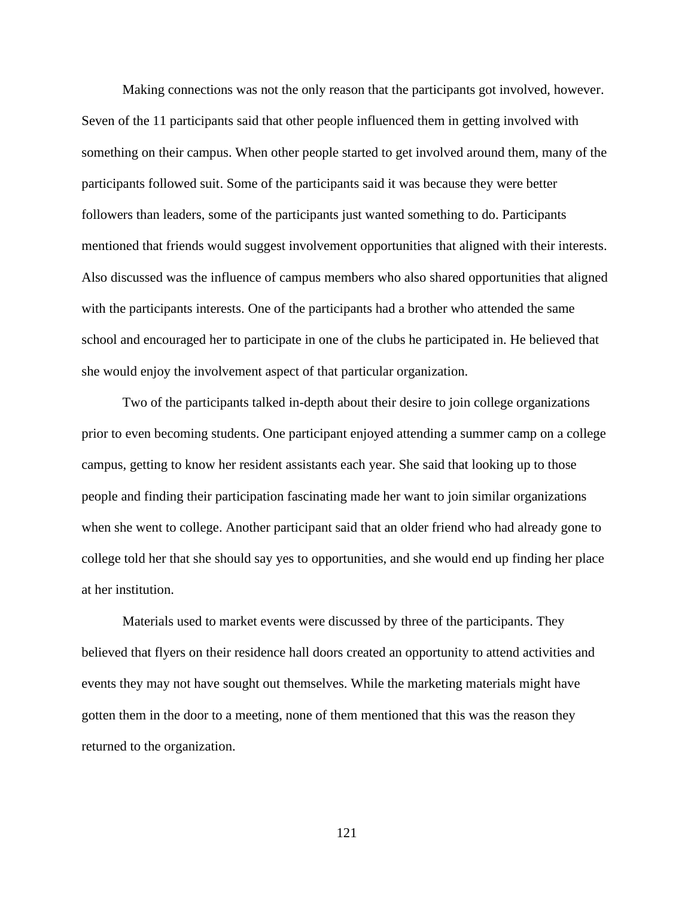Making connections was not the only reason that the participants got involved, however. Seven of the 11 participants said that other people influenced them in getting involved with something on their campus. When other people started to get involved around them, many of the participants followed suit. Some of the participants said it was because they were better followers than leaders, some of the participants just wanted something to do. Participants mentioned that friends would suggest involvement opportunities that aligned with their interests. Also discussed was the influence of campus members who also shared opportunities that aligned with the participants interests. One of the participants had a brother who attended the same school and encouraged her to participate in one of the clubs he participated in. He believed that she would enjoy the involvement aspect of that particular organization.

Two of the participants talked in-depth about their desire to join college organizations prior to even becoming students. One participant enjoyed attending a summer camp on a college campus, getting to know her resident assistants each year. She said that looking up to those people and finding their participation fascinating made her want to join similar organizations when she went to college. Another participant said that an older friend who had already gone to college told her that she should say yes to opportunities, and she would end up finding her place at her institution.

Materials used to market events were discussed by three of the participants. They believed that flyers on their residence hall doors created an opportunity to attend activities and events they may not have sought out themselves. While the marketing materials might have gotten them in the door to a meeting, none of them mentioned that this was the reason they returned to the organization.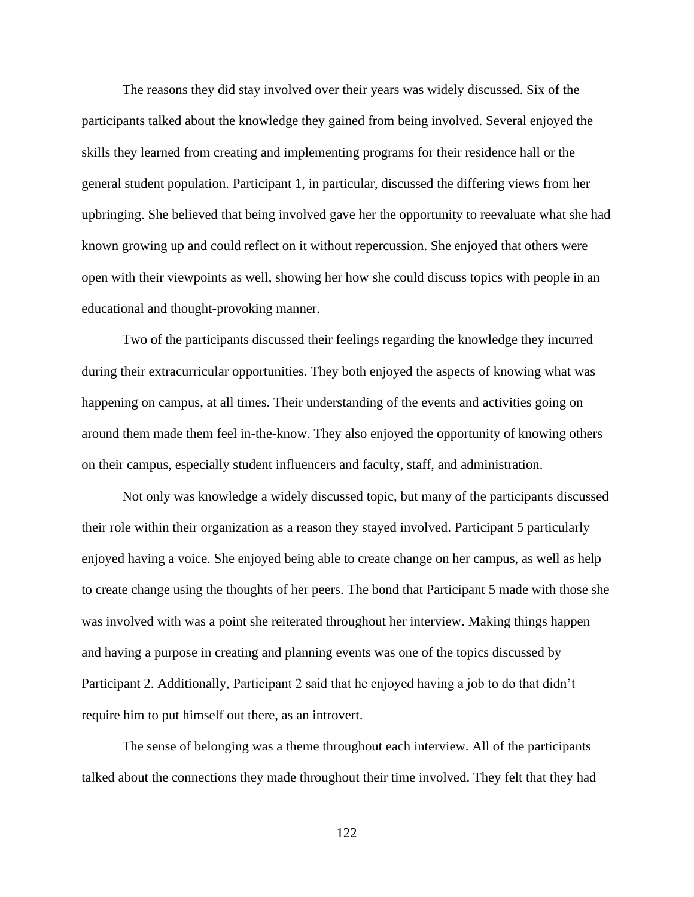The reasons they did stay involved over their years was widely discussed. Six of the participants talked about the knowledge they gained from being involved. Several enjoyed the skills they learned from creating and implementing programs for their residence hall or the general student population. Participant 1, in particular, discussed the differing views from her upbringing. She believed that being involved gave her the opportunity to reevaluate what she had known growing up and could reflect on it without repercussion. She enjoyed that others were open with their viewpoints as well, showing her how she could discuss topics with people in an educational and thought-provoking manner.

Two of the participants discussed their feelings regarding the knowledge they incurred during their extracurricular opportunities. They both enjoyed the aspects of knowing what was happening on campus, at all times. Their understanding of the events and activities going on around them made them feel in-the-know. They also enjoyed the opportunity of knowing others on their campus, especially student influencers and faculty, staff, and administration.

Not only was knowledge a widely discussed topic, but many of the participants discussed their role within their organization as a reason they stayed involved. Participant 5 particularly enjoyed having a voice. She enjoyed being able to create change on her campus, as well as help to create change using the thoughts of her peers. The bond that Participant 5 made with those she was involved with was a point she reiterated throughout her interview. Making things happen and having a purpose in creating and planning events was one of the topics discussed by Participant 2. Additionally, Participant 2 said that he enjoyed having a job to do that didn't require him to put himself out there, as an introvert.

The sense of belonging was a theme throughout each interview. All of the participants talked about the connections they made throughout their time involved. They felt that they had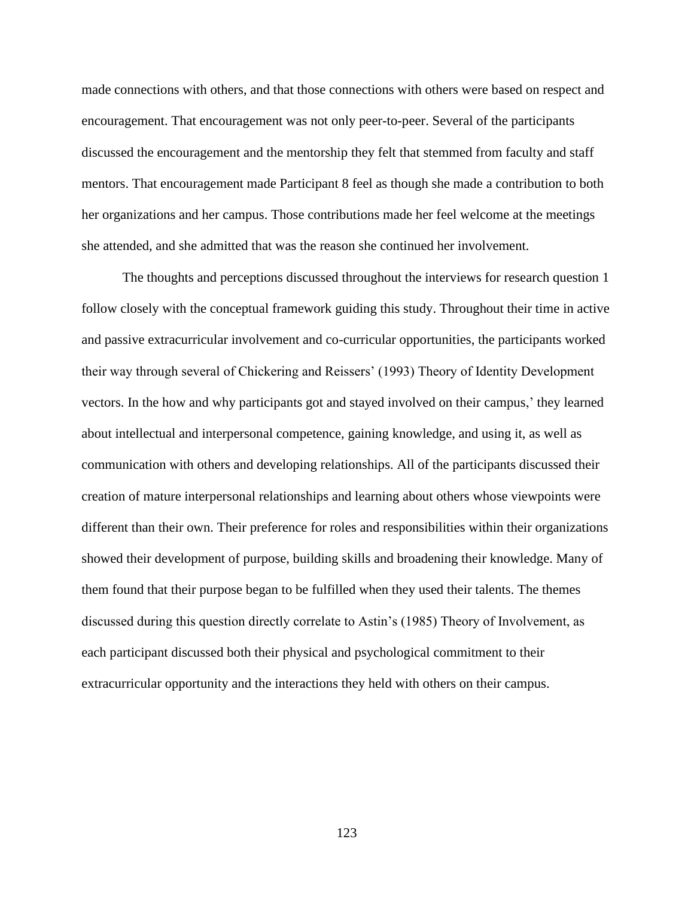made connections with others, and that those connections with others were based on respect and encouragement. That encouragement was not only peer-to-peer. Several of the participants discussed the encouragement and the mentorship they felt that stemmed from faculty and staff mentors. That encouragement made Participant 8 feel as though she made a contribution to both her organizations and her campus. Those contributions made her feel welcome at the meetings she attended, and she admitted that was the reason she continued her involvement.

The thoughts and perceptions discussed throughout the interviews for research question 1 follow closely with the conceptual framework guiding this study. Throughout their time in active and passive extracurricular involvement and co-curricular opportunities, the participants worked their way through several of Chickering and Reissers' (1993) Theory of Identity Development vectors. In the how and why participants got and stayed involved on their campus,' they learned about intellectual and interpersonal competence, gaining knowledge, and using it, as well as communication with others and developing relationships. All of the participants discussed their creation of mature interpersonal relationships and learning about others whose viewpoints were different than their own. Their preference for roles and responsibilities within their organizations showed their development of purpose, building skills and broadening their knowledge. Many of them found that their purpose began to be fulfilled when they used their talents. The themes discussed during this question directly correlate to Astin's (1985) Theory of Involvement, as each participant discussed both their physical and psychological commitment to their extracurricular opportunity and the interactions they held with others on their campus.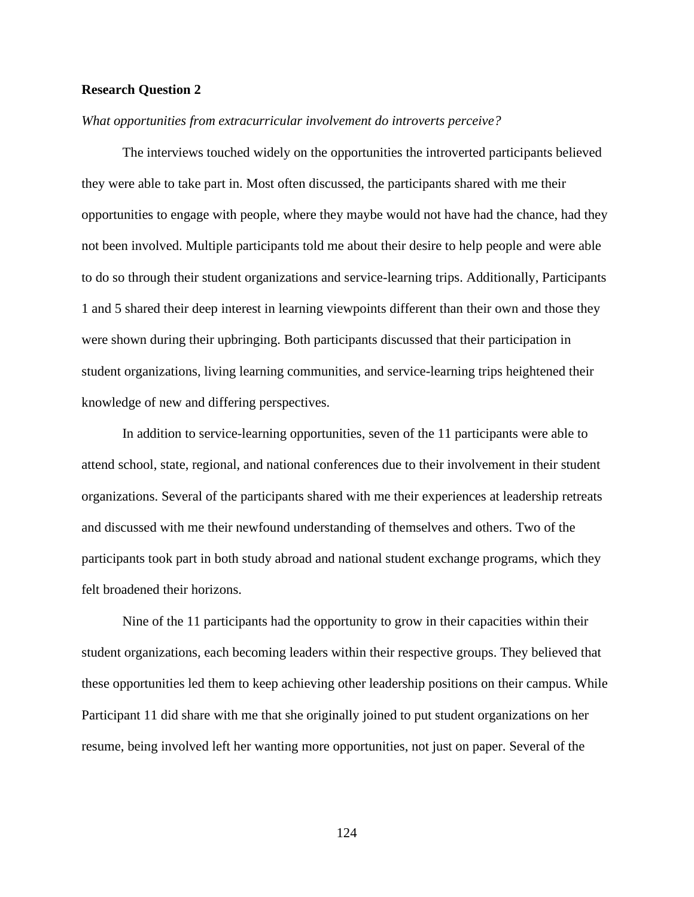### **Research Question 2**

### *What opportunities from extracurricular involvement do introverts perceive?*

The interviews touched widely on the opportunities the introverted participants believed they were able to take part in. Most often discussed, the participants shared with me their opportunities to engage with people, where they maybe would not have had the chance, had they not been involved. Multiple participants told me about their desire to help people and were able to do so through their student organizations and service-learning trips. Additionally, Participants 1 and 5 shared their deep interest in learning viewpoints different than their own and those they were shown during their upbringing. Both participants discussed that their participation in student organizations, living learning communities, and service-learning trips heightened their knowledge of new and differing perspectives.

In addition to service-learning opportunities, seven of the 11 participants were able to attend school, state, regional, and national conferences due to their involvement in their student organizations. Several of the participants shared with me their experiences at leadership retreats and discussed with me their newfound understanding of themselves and others. Two of the participants took part in both study abroad and national student exchange programs, which they felt broadened their horizons.

Nine of the 11 participants had the opportunity to grow in their capacities within their student organizations, each becoming leaders within their respective groups. They believed that these opportunities led them to keep achieving other leadership positions on their campus. While Participant 11 did share with me that she originally joined to put student organizations on her resume, being involved left her wanting more opportunities, not just on paper. Several of the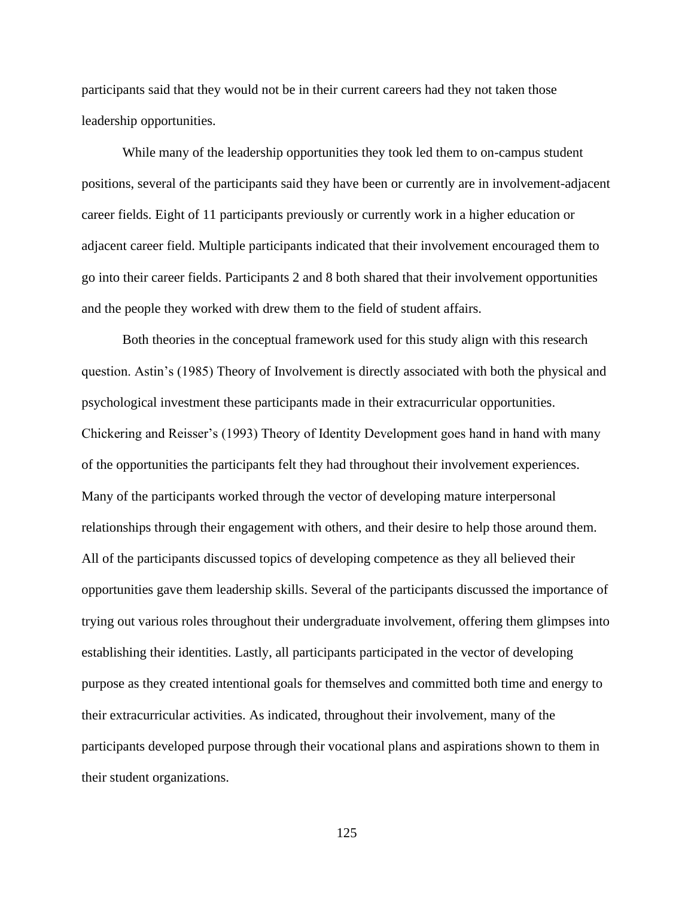participants said that they would not be in their current careers had they not taken those leadership opportunities.

While many of the leadership opportunities they took led them to on-campus student positions, several of the participants said they have been or currently are in involvement-adjacent career fields. Eight of 11 participants previously or currently work in a higher education or adjacent career field. Multiple participants indicated that their involvement encouraged them to go into their career fields. Participants 2 and 8 both shared that their involvement opportunities and the people they worked with drew them to the field of student affairs.

Both theories in the conceptual framework used for this study align with this research question. Astin's (1985) Theory of Involvement is directly associated with both the physical and psychological investment these participants made in their extracurricular opportunities. Chickering and Reisser's (1993) Theory of Identity Development goes hand in hand with many of the opportunities the participants felt they had throughout their involvement experiences. Many of the participants worked through the vector of developing mature interpersonal relationships through their engagement with others, and their desire to help those around them. All of the participants discussed topics of developing competence as they all believed their opportunities gave them leadership skills. Several of the participants discussed the importance of trying out various roles throughout their undergraduate involvement, offering them glimpses into establishing their identities. Lastly, all participants participated in the vector of developing purpose as they created intentional goals for themselves and committed both time and energy to their extracurricular activities. As indicated, throughout their involvement, many of the participants developed purpose through their vocational plans and aspirations shown to them in their student organizations.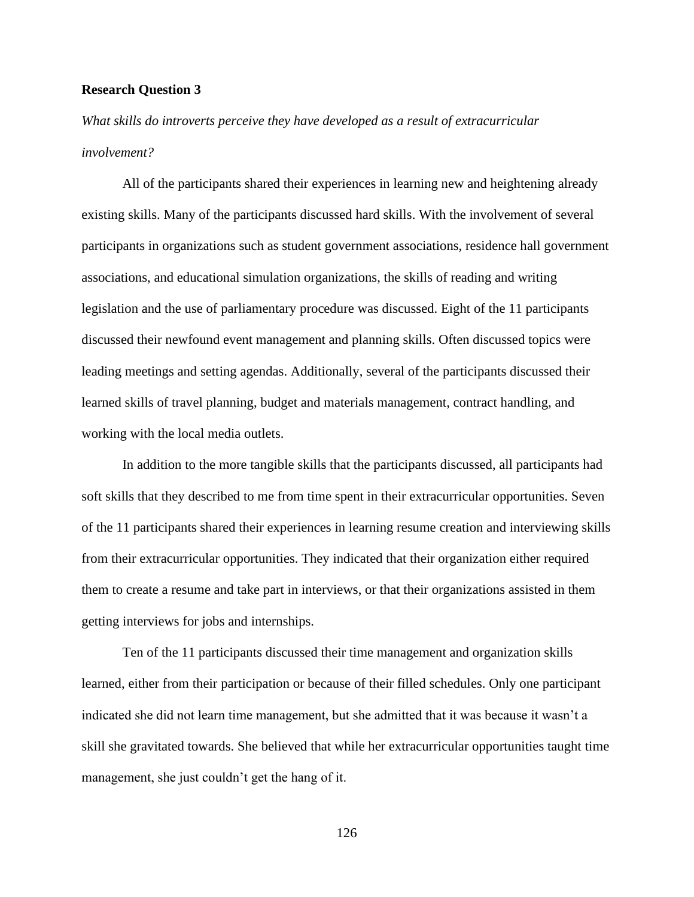### **Research Question 3**

*What skills do introverts perceive they have developed as a result of extracurricular involvement?*

All of the participants shared their experiences in learning new and heightening already existing skills. Many of the participants discussed hard skills. With the involvement of several participants in organizations such as student government associations, residence hall government associations, and educational simulation organizations, the skills of reading and writing legislation and the use of parliamentary procedure was discussed. Eight of the 11 participants discussed their newfound event management and planning skills. Often discussed topics were leading meetings and setting agendas. Additionally, several of the participants discussed their learned skills of travel planning, budget and materials management, contract handling, and working with the local media outlets.

In addition to the more tangible skills that the participants discussed, all participants had soft skills that they described to me from time spent in their extracurricular opportunities. Seven of the 11 participants shared their experiences in learning resume creation and interviewing skills from their extracurricular opportunities. They indicated that their organization either required them to create a resume and take part in interviews, or that their organizations assisted in them getting interviews for jobs and internships.

Ten of the 11 participants discussed their time management and organization skills learned, either from their participation or because of their filled schedules. Only one participant indicated she did not learn time management, but she admitted that it was because it wasn't a skill she gravitated towards. She believed that while her extracurricular opportunities taught time management, she just couldn't get the hang of it.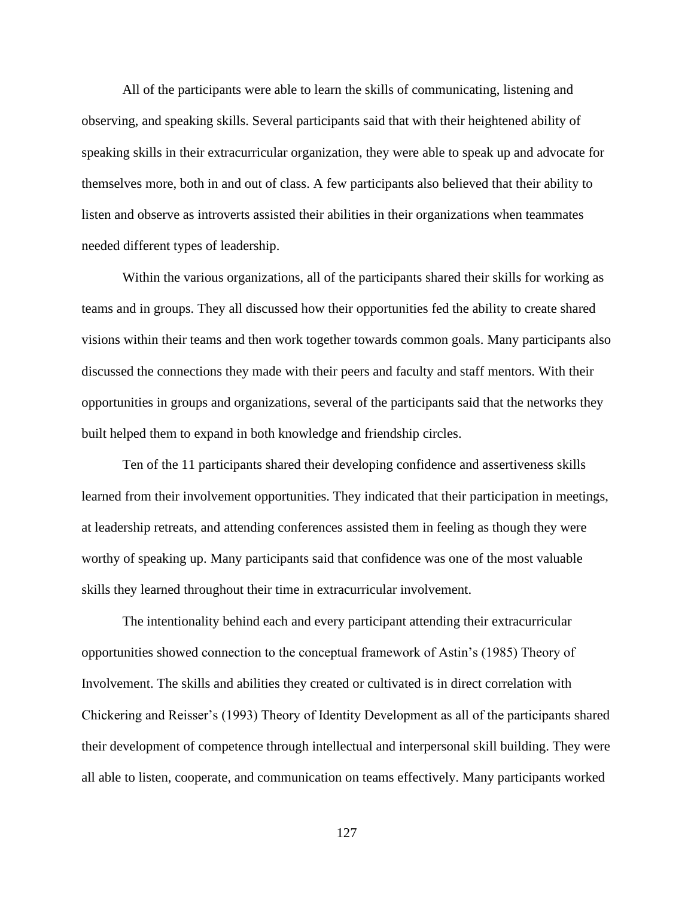All of the participants were able to learn the skills of communicating, listening and observing, and speaking skills. Several participants said that with their heightened ability of speaking skills in their extracurricular organization, they were able to speak up and advocate for themselves more, both in and out of class. A few participants also believed that their ability to listen and observe as introverts assisted their abilities in their organizations when teammates needed different types of leadership.

Within the various organizations, all of the participants shared their skills for working as teams and in groups. They all discussed how their opportunities fed the ability to create shared visions within their teams and then work together towards common goals. Many participants also discussed the connections they made with their peers and faculty and staff mentors. With their opportunities in groups and organizations, several of the participants said that the networks they built helped them to expand in both knowledge and friendship circles.

Ten of the 11 participants shared their developing confidence and assertiveness skills learned from their involvement opportunities. They indicated that their participation in meetings, at leadership retreats, and attending conferences assisted them in feeling as though they were worthy of speaking up. Many participants said that confidence was one of the most valuable skills they learned throughout their time in extracurricular involvement.

The intentionality behind each and every participant attending their extracurricular opportunities showed connection to the conceptual framework of Astin's (1985) Theory of Involvement. The skills and abilities they created or cultivated is in direct correlation with Chickering and Reisser's (1993) Theory of Identity Development as all of the participants shared their development of competence through intellectual and interpersonal skill building. They were all able to listen, cooperate, and communication on teams effectively. Many participants worked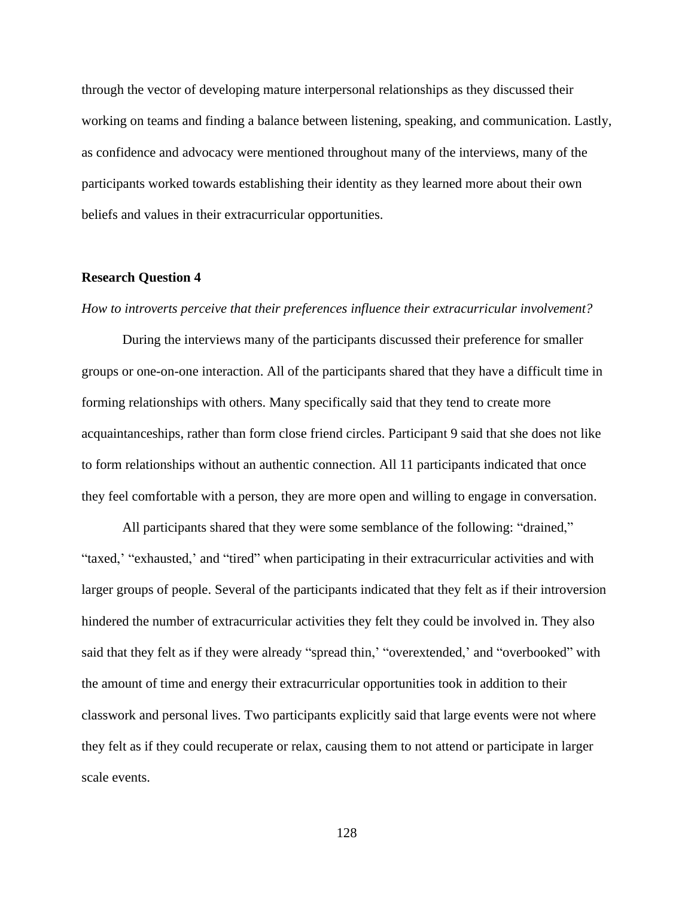through the vector of developing mature interpersonal relationships as they discussed their working on teams and finding a balance between listening, speaking, and communication. Lastly, as confidence and advocacy were mentioned throughout many of the interviews, many of the participants worked towards establishing their identity as they learned more about their own beliefs and values in their extracurricular opportunities.

### **Research Question 4**

### *How to introverts perceive that their preferences influence their extracurricular involvement?*

During the interviews many of the participants discussed their preference for smaller groups or one-on-one interaction. All of the participants shared that they have a difficult time in forming relationships with others. Many specifically said that they tend to create more acquaintanceships, rather than form close friend circles. Participant 9 said that she does not like to form relationships without an authentic connection. All 11 participants indicated that once they feel comfortable with a person, they are more open and willing to engage in conversation.

All participants shared that they were some semblance of the following: "drained," "taxed," "exhausted," and "tired" when participating in their extracurricular activities and with larger groups of people. Several of the participants indicated that they felt as if their introversion hindered the number of extracurricular activities they felt they could be involved in. They also said that they felt as if they were already "spread thin,' "overextended,' and "overbooked" with the amount of time and energy their extracurricular opportunities took in addition to their classwork and personal lives. Two participants explicitly said that large events were not where they felt as if they could recuperate or relax, causing them to not attend or participate in larger scale events.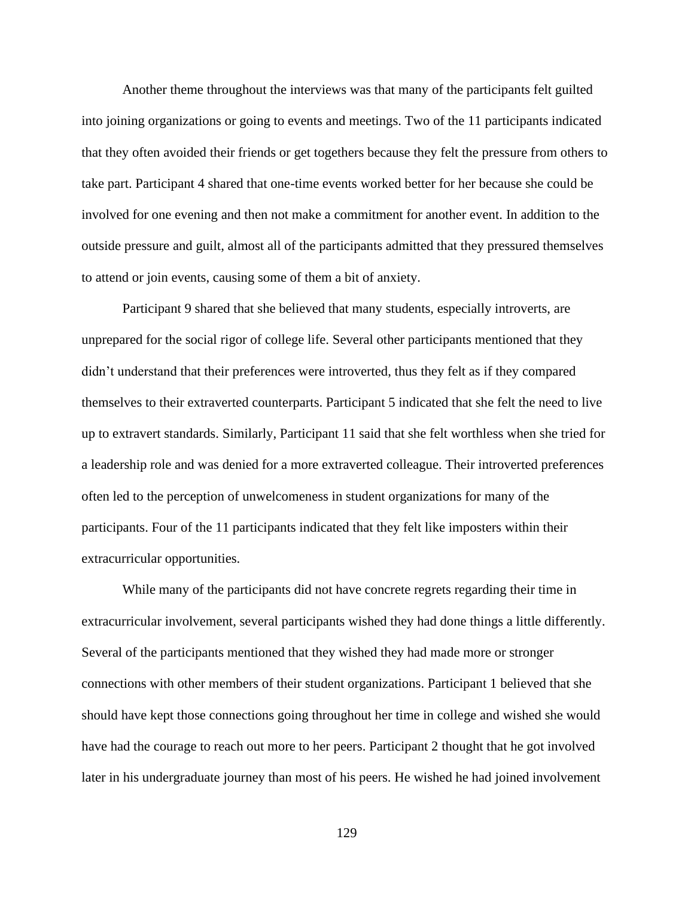Another theme throughout the interviews was that many of the participants felt guilted into joining organizations or going to events and meetings. Two of the 11 participants indicated that they often avoided their friends or get togethers because they felt the pressure from others to take part. Participant 4 shared that one-time events worked better for her because she could be involved for one evening and then not make a commitment for another event. In addition to the outside pressure and guilt, almost all of the participants admitted that they pressured themselves to attend or join events, causing some of them a bit of anxiety.

Participant 9 shared that she believed that many students, especially introverts, are unprepared for the social rigor of college life. Several other participants mentioned that they didn't understand that their preferences were introverted, thus they felt as if they compared themselves to their extraverted counterparts. Participant 5 indicated that she felt the need to live up to extravert standards. Similarly, Participant 11 said that she felt worthless when she tried for a leadership role and was denied for a more extraverted colleague. Their introverted preferences often led to the perception of unwelcomeness in student organizations for many of the participants. Four of the 11 participants indicated that they felt like imposters within their extracurricular opportunities.

While many of the participants did not have concrete regrets regarding their time in extracurricular involvement, several participants wished they had done things a little differently. Several of the participants mentioned that they wished they had made more or stronger connections with other members of their student organizations. Participant 1 believed that she should have kept those connections going throughout her time in college and wished she would have had the courage to reach out more to her peers. Participant 2 thought that he got involved later in his undergraduate journey than most of his peers. He wished he had joined involvement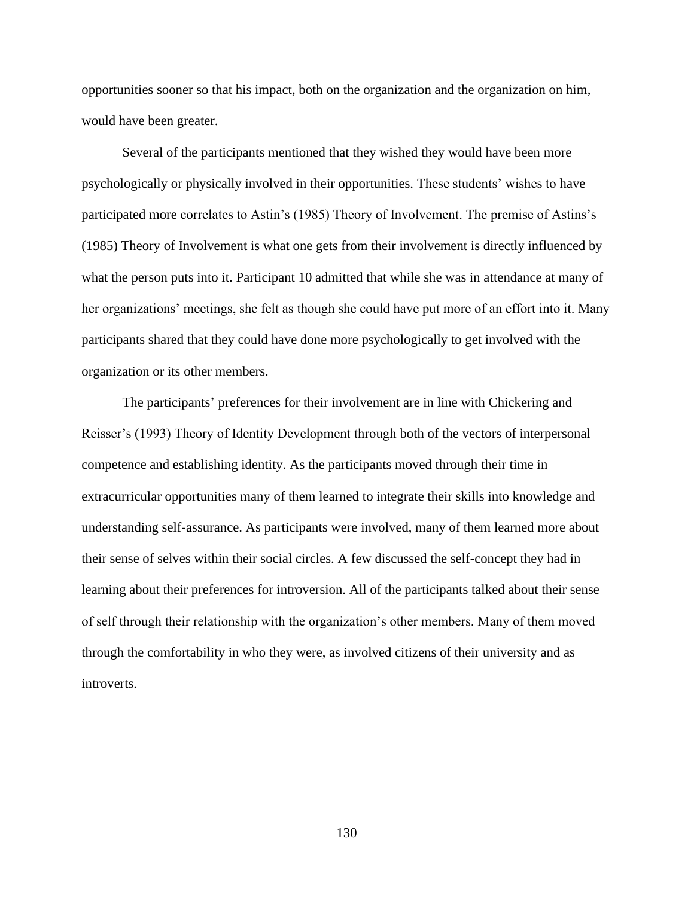opportunities sooner so that his impact, both on the organization and the organization on him, would have been greater.

Several of the participants mentioned that they wished they would have been more psychologically or physically involved in their opportunities. These students' wishes to have participated more correlates to Astin's (1985) Theory of Involvement. The premise of Astins's (1985) Theory of Involvement is what one gets from their involvement is directly influenced by what the person puts into it. Participant 10 admitted that while she was in attendance at many of her organizations' meetings, she felt as though she could have put more of an effort into it. Many participants shared that they could have done more psychologically to get involved with the organization or its other members.

The participants' preferences for their involvement are in line with Chickering and Reisser's (1993) Theory of Identity Development through both of the vectors of interpersonal competence and establishing identity. As the participants moved through their time in extracurricular opportunities many of them learned to integrate their skills into knowledge and understanding self-assurance. As participants were involved, many of them learned more about their sense of selves within their social circles. A few discussed the self-concept they had in learning about their preferences for introversion. All of the participants talked about their sense of self through their relationship with the organization's other members. Many of them moved through the comfortability in who they were, as involved citizens of their university and as introverts.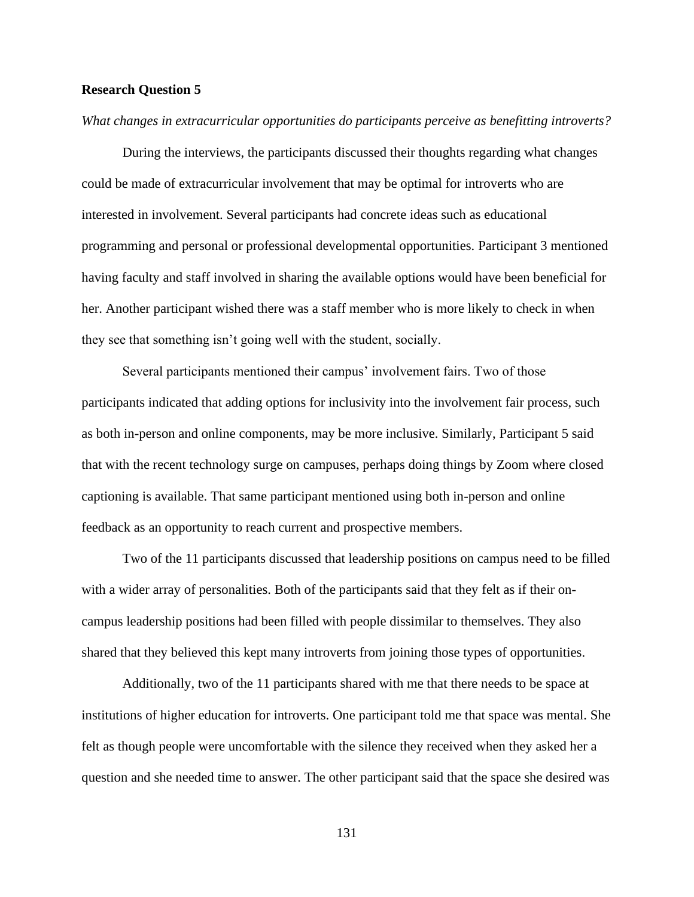# **Research Question 5**

### *What changes in extracurricular opportunities do participants perceive as benefitting introverts?*

During the interviews, the participants discussed their thoughts regarding what changes could be made of extracurricular involvement that may be optimal for introverts who are interested in involvement. Several participants had concrete ideas such as educational programming and personal or professional developmental opportunities. Participant 3 mentioned having faculty and staff involved in sharing the available options would have been beneficial for her. Another participant wished there was a staff member who is more likely to check in when they see that something isn't going well with the student, socially.

Several participants mentioned their campus' involvement fairs. Two of those participants indicated that adding options for inclusivity into the involvement fair process, such as both in-person and online components, may be more inclusive. Similarly, Participant 5 said that with the recent technology surge on campuses, perhaps doing things by Zoom where closed captioning is available. That same participant mentioned using both in-person and online feedback as an opportunity to reach current and prospective members.

Two of the 11 participants discussed that leadership positions on campus need to be filled with a wider array of personalities. Both of the participants said that they felt as if their oncampus leadership positions had been filled with people dissimilar to themselves. They also shared that they believed this kept many introverts from joining those types of opportunities.

Additionally, two of the 11 participants shared with me that there needs to be space at institutions of higher education for introverts. One participant told me that space was mental. She felt as though people were uncomfortable with the silence they received when they asked her a question and she needed time to answer. The other participant said that the space she desired was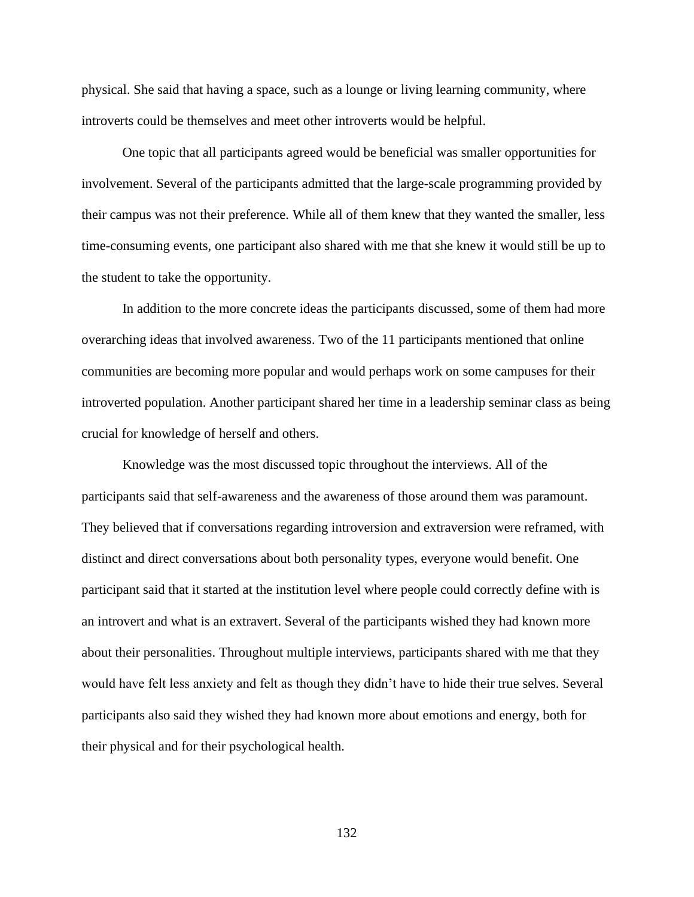physical. She said that having a space, such as a lounge or living learning community, where introverts could be themselves and meet other introverts would be helpful.

One topic that all participants agreed would be beneficial was smaller opportunities for involvement. Several of the participants admitted that the large-scale programming provided by their campus was not their preference. While all of them knew that they wanted the smaller, less time-consuming events, one participant also shared with me that she knew it would still be up to the student to take the opportunity.

In addition to the more concrete ideas the participants discussed, some of them had more overarching ideas that involved awareness. Two of the 11 participants mentioned that online communities are becoming more popular and would perhaps work on some campuses for their introverted population. Another participant shared her time in a leadership seminar class as being crucial for knowledge of herself and others.

Knowledge was the most discussed topic throughout the interviews. All of the participants said that self-awareness and the awareness of those around them was paramount. They believed that if conversations regarding introversion and extraversion were reframed, with distinct and direct conversations about both personality types, everyone would benefit. One participant said that it started at the institution level where people could correctly define with is an introvert and what is an extravert. Several of the participants wished they had known more about their personalities. Throughout multiple interviews, participants shared with me that they would have felt less anxiety and felt as though they didn't have to hide their true selves. Several participants also said they wished they had known more about emotions and energy, both for their physical and for their psychological health.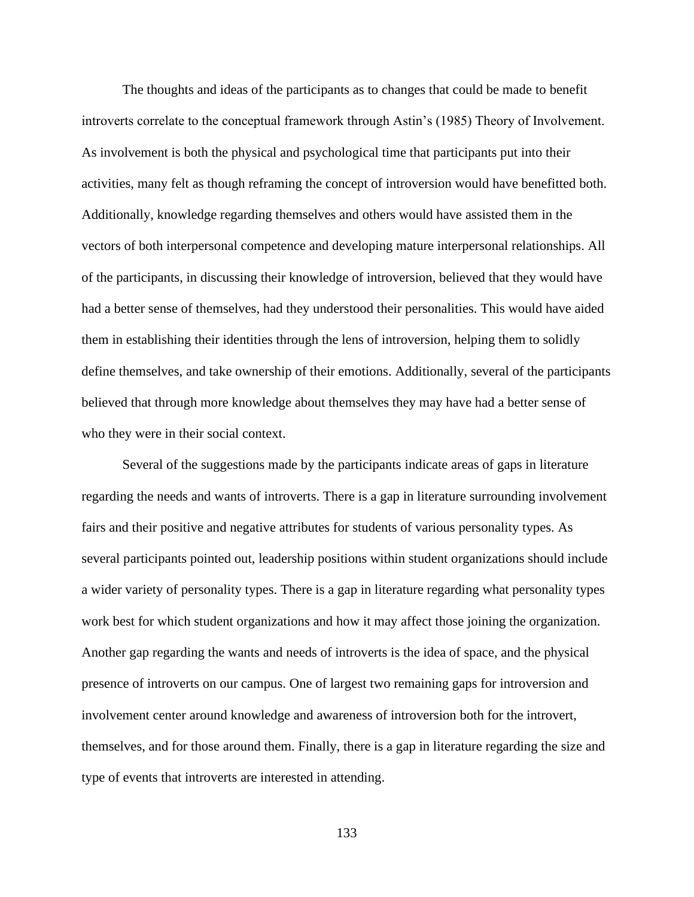The thoughts and ideas of the participants as to changes that could be made to benefit introverts correlate to the conceptual framework through Astin's (1985) Theory of Involvement. As involvement is both the physical and psychological time that participants put into their activities, many felt as though reframing the concept of introversion would have benefitted both. Additionally, knowledge regarding themselves and others would have assisted them in the vectors of both interpersonal competence and developing mature interpersonal relationships. All of the participants, in discussing their knowledge of introversion, believed that they would have had a better sense of themselves, had they understood their personalities. This would have aided them in establishing their identities through the lens of introversion, helping them to solidly define themselves, and take ownership of their emotions. Additionally, several of the participants believed that through more knowledge about themselves they may have had a better sense of who they were in their social context.

Several of the suggestions made by the participants indicate areas of gaps in literature regarding the needs and wants of introverts. There is a gap in literature surrounding involvement fairs and their positive and negative attributes for students of various personality types. As several participants pointed out, leadership positions within student organizations should include a wider variety of personality types. There is a gap in literature regarding what personality types work best for which student organizations and how it may affect those joining the organization. Another gap regarding the wants and needs of introverts is the idea of space, and the physical presence of introverts on our campus. One of largest two remaining gaps for introversion and involvement center around knowledge and awareness of introversion both for the introvert, themselves, and for those around them. Finally, there is a gap in literature regarding the size and type of events that introverts are interested in attending.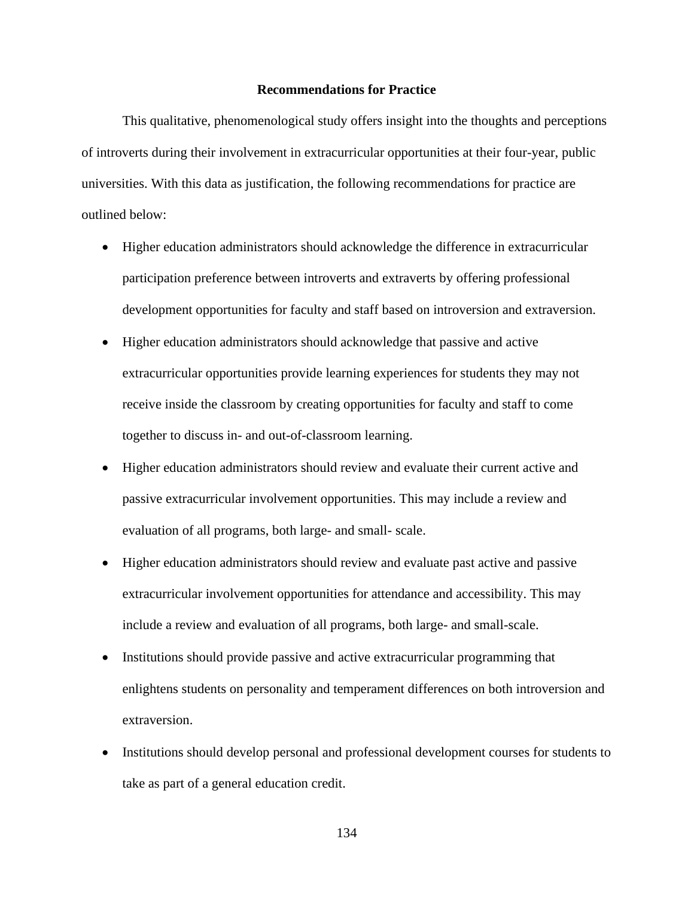## **Recommendations for Practice**

This qualitative, phenomenological study offers insight into the thoughts and perceptions of introverts during their involvement in extracurricular opportunities at their four-year, public universities. With this data as justification, the following recommendations for practice are outlined below:

- Higher education administrators should acknowledge the difference in extracurricular participation preference between introverts and extraverts by offering professional development opportunities for faculty and staff based on introversion and extraversion.
- Higher education administrators should acknowledge that passive and active extracurricular opportunities provide learning experiences for students they may not receive inside the classroom by creating opportunities for faculty and staff to come together to discuss in- and out-of-classroom learning.
- Higher education administrators should review and evaluate their current active and passive extracurricular involvement opportunities. This may include a review and evaluation of all programs, both large- and small- scale.
- Higher education administrators should review and evaluate past active and passive extracurricular involvement opportunities for attendance and accessibility. This may include a review and evaluation of all programs, both large- and small-scale.
- Institutions should provide passive and active extracurricular programming that enlightens students on personality and temperament differences on both introversion and extraversion.
- Institutions should develop personal and professional development courses for students to take as part of a general education credit.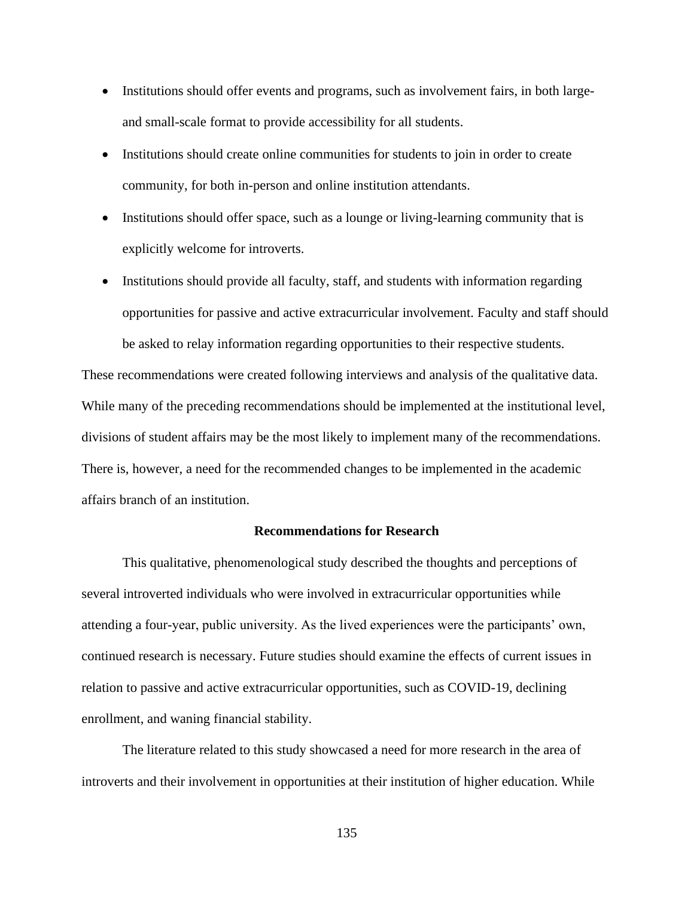- Institutions should offer events and programs, such as involvement fairs, in both largeand small-scale format to provide accessibility for all students.
- Institutions should create online communities for students to join in order to create community, for both in-person and online institution attendants.
- Institutions should offer space, such as a lounge or living-learning community that is explicitly welcome for introverts.
- Institutions should provide all faculty, staff, and students with information regarding opportunities for passive and active extracurricular involvement. Faculty and staff should be asked to relay information regarding opportunities to their respective students.

These recommendations were created following interviews and analysis of the qualitative data. While many of the preceding recommendations should be implemented at the institutional level, divisions of student affairs may be the most likely to implement many of the recommendations. There is, however, a need for the recommended changes to be implemented in the academic affairs branch of an institution.

# **Recommendations for Research**

This qualitative, phenomenological study described the thoughts and perceptions of several introverted individuals who were involved in extracurricular opportunities while attending a four-year, public university. As the lived experiences were the participants' own, continued research is necessary. Future studies should examine the effects of current issues in relation to passive and active extracurricular opportunities, such as COVID-19, declining enrollment, and waning financial stability.

The literature related to this study showcased a need for more research in the area of introverts and their involvement in opportunities at their institution of higher education. While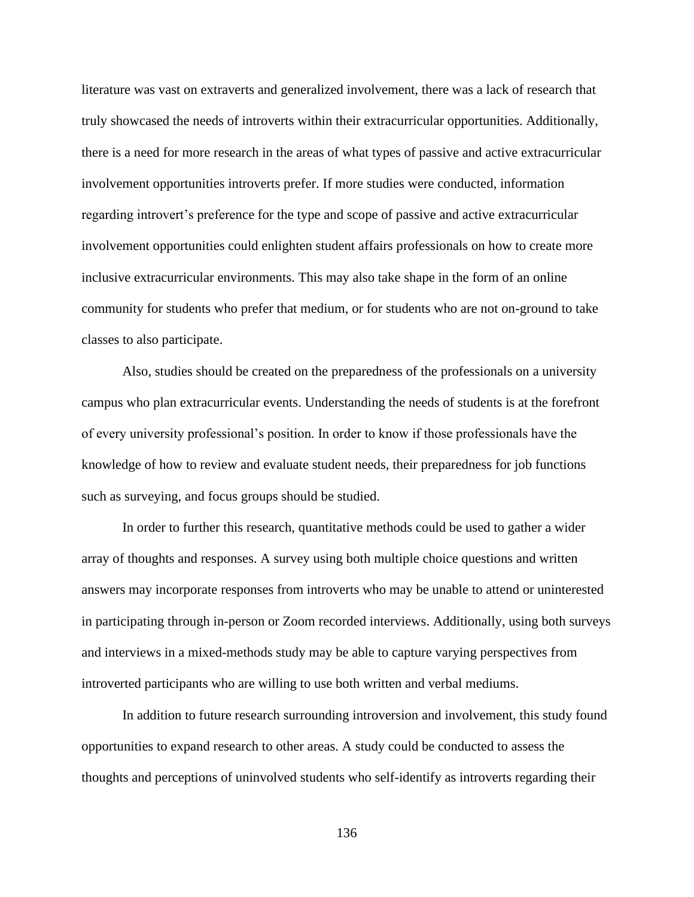literature was vast on extraverts and generalized involvement, there was a lack of research that truly showcased the needs of introverts within their extracurricular opportunities. Additionally, there is a need for more research in the areas of what types of passive and active extracurricular involvement opportunities introverts prefer. If more studies were conducted, information regarding introvert's preference for the type and scope of passive and active extracurricular involvement opportunities could enlighten student affairs professionals on how to create more inclusive extracurricular environments. This may also take shape in the form of an online community for students who prefer that medium, or for students who are not on-ground to take classes to also participate.

Also, studies should be created on the preparedness of the professionals on a university campus who plan extracurricular events. Understanding the needs of students is at the forefront of every university professional's position. In order to know if those professionals have the knowledge of how to review and evaluate student needs, their preparedness for job functions such as surveying, and focus groups should be studied.

In order to further this research, quantitative methods could be used to gather a wider array of thoughts and responses. A survey using both multiple choice questions and written answers may incorporate responses from introverts who may be unable to attend or uninterested in participating through in-person or Zoom recorded interviews. Additionally, using both surveys and interviews in a mixed-methods study may be able to capture varying perspectives from introverted participants who are willing to use both written and verbal mediums.

In addition to future research surrounding introversion and involvement, this study found opportunities to expand research to other areas. A study could be conducted to assess the thoughts and perceptions of uninvolved students who self-identify as introverts regarding their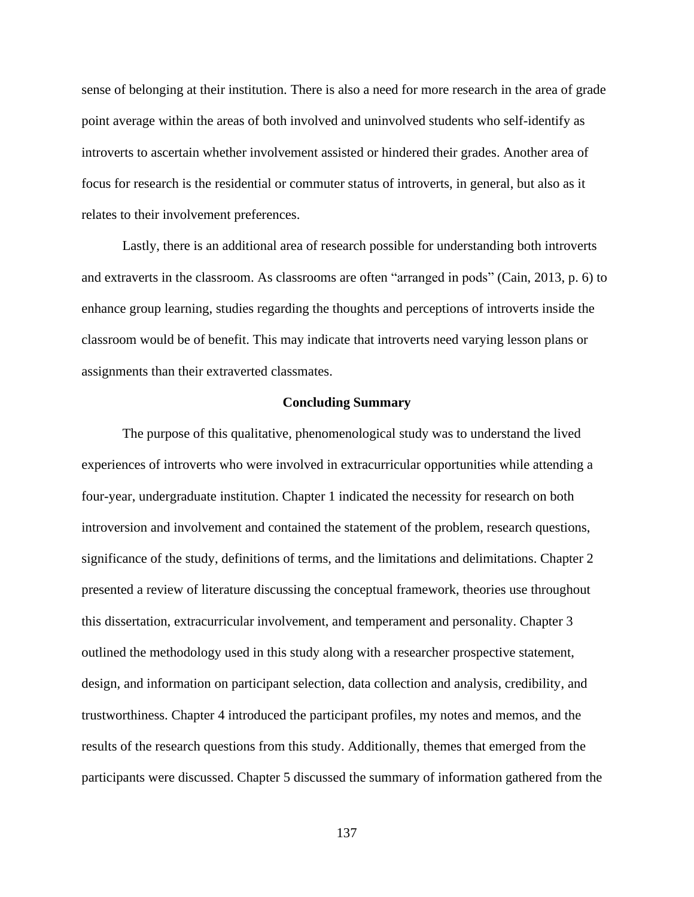sense of belonging at their institution. There is also a need for more research in the area of grade point average within the areas of both involved and uninvolved students who self-identify as introverts to ascertain whether involvement assisted or hindered their grades. Another area of focus for research is the residential or commuter status of introverts, in general, but also as it relates to their involvement preferences.

Lastly, there is an additional area of research possible for understanding both introverts and extraverts in the classroom. As classrooms are often "arranged in pods" (Cain, 2013, p. 6) to enhance group learning, studies regarding the thoughts and perceptions of introverts inside the classroom would be of benefit. This may indicate that introverts need varying lesson plans or assignments than their extraverted classmates.

#### **Concluding Summary**

The purpose of this qualitative, phenomenological study was to understand the lived experiences of introverts who were involved in extracurricular opportunities while attending a four-year, undergraduate institution. Chapter 1 indicated the necessity for research on both introversion and involvement and contained the statement of the problem, research questions, significance of the study, definitions of terms, and the limitations and delimitations. Chapter 2 presented a review of literature discussing the conceptual framework, theories use throughout this dissertation, extracurricular involvement, and temperament and personality. Chapter 3 outlined the methodology used in this study along with a researcher prospective statement, design, and information on participant selection, data collection and analysis, credibility, and trustworthiness. Chapter 4 introduced the participant profiles, my notes and memos, and the results of the research questions from this study. Additionally, themes that emerged from the participants were discussed. Chapter 5 discussed the summary of information gathered from the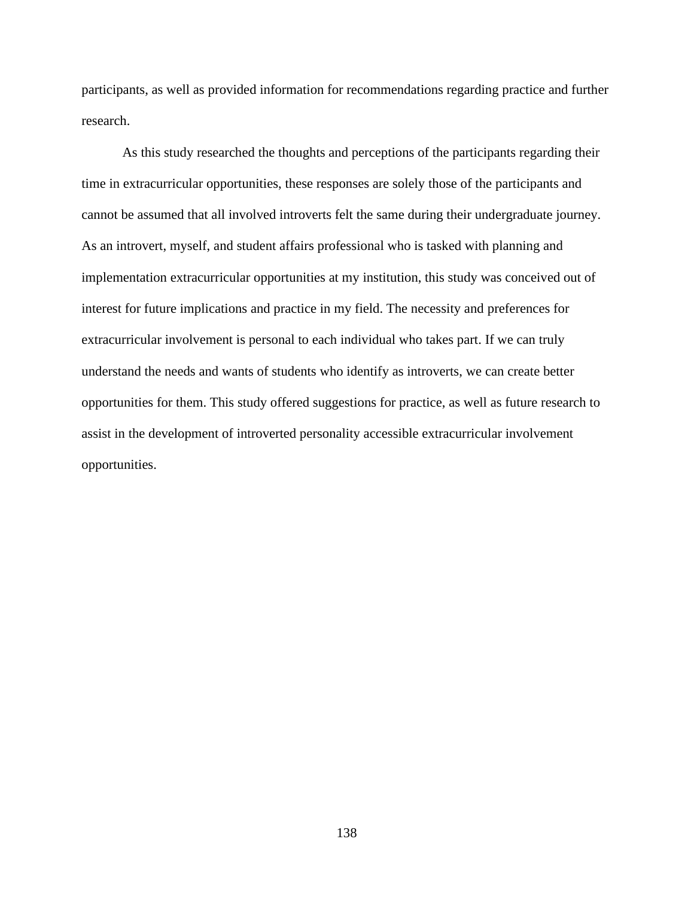participants, as well as provided information for recommendations regarding practice and further research.

As this study researched the thoughts and perceptions of the participants regarding their time in extracurricular opportunities, these responses are solely those of the participants and cannot be assumed that all involved introverts felt the same during their undergraduate journey. As an introvert, myself, and student affairs professional who is tasked with planning and implementation extracurricular opportunities at my institution, this study was conceived out of interest for future implications and practice in my field. The necessity and preferences for extracurricular involvement is personal to each individual who takes part. If we can truly understand the needs and wants of students who identify as introverts, we can create better opportunities for them. This study offered suggestions for practice, as well as future research to assist in the development of introverted personality accessible extracurricular involvement opportunities.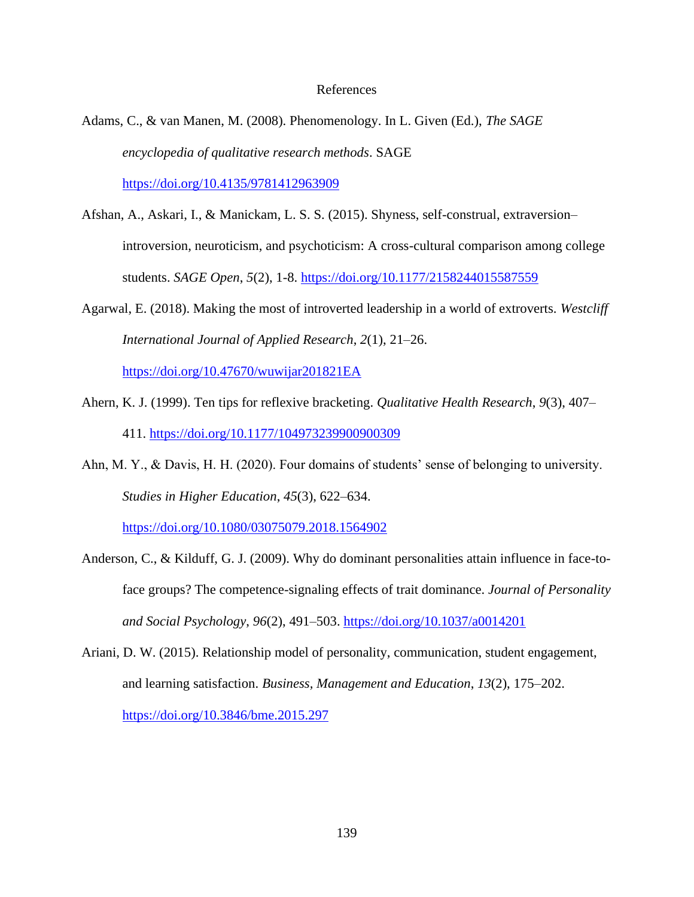## References

Adams, C., & van Manen, M. (2008). Phenomenology. In L. Given (Ed.), *The SAGE encyclopedia of qualitative research methods*. SAGE

<https://doi.org/10.4135/9781412963909>

- Afshan, A., Askari, I., & Manickam, L. S. S. (2015). Shyness, self-construal, extraversion– introversion, neuroticism, and psychoticism: A cross-cultural comparison among college students. *SAGE Open*, *5*(2), 1-8.<https://doi.org/10.1177/2158244015587559>
- Agarwal, E. (2018). Making the most of introverted leadership in a world of extroverts. *Westcliff International Journal of Applied Research*, *2*(1), 21–26.

<https://doi.org/10.47670/wuwijar201821EA>

- Ahern, K. J. (1999). Ten tips for reflexive bracketing. *Qualitative Health Research*, *9*(3), 407– 411.<https://doi.org/10.1177/104973239900900309>
- Ahn, M. Y., & Davis, H. H. (2020). Four domains of students' sense of belonging to university. *Studies in Higher Education*, *45*(3), 622–634.

<https://doi.org/10.1080/03075079.2018.1564902>

- Anderson, C., & Kilduff, G. J. (2009). Why do dominant personalities attain influence in face-toface groups? The competence-signaling effects of trait dominance. *Journal of Personality and Social Psychology*, *96*(2), 491–503.<https://doi.org/10.1037/a0014201>
- Ariani, D. W. (2015). Relationship model of personality, communication, student engagement, and learning satisfaction. *Business, Management and Education*, *13*(2), 175–202. <https://doi.org/10.3846/bme.2015.297>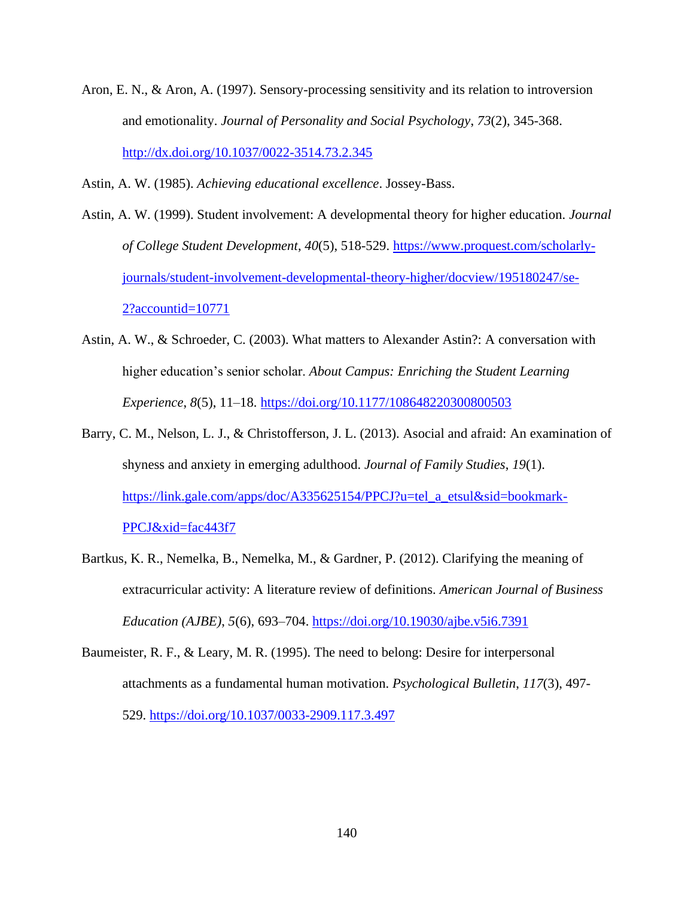Aron, E. N., & Aron, A. (1997). Sensory-processing sensitivity and its relation to introversion and emotionality. *Journal of Personality and Social Psychology*, *73*(2), 345-368. <http://dx.doi.org/10.1037/0022-3514.73.2.345>

Astin, A. W. (1985). *Achieving educational excellence*. Jossey-Bass.

Astin, A. W. (1999). Student involvement: A developmental theory for higher education. *Journal of College Student Development*, *40*(5), 518-529. [https://www.proquest.com/scholarly](https://www.proquest.com/scholarly-journals/student-involvement-developmental-theory-higher/docview/195180247/se-2?accountid=10771)[journals/student-involvement-developmental-theory-higher/docview/195180247/se-](https://www.proquest.com/scholarly-journals/student-involvement-developmental-theory-higher/docview/195180247/se-2?accountid=10771)[2?accountid=10771](https://www.proquest.com/scholarly-journals/student-involvement-developmental-theory-higher/docview/195180247/se-2?accountid=10771)

- Astin, A. W., & Schroeder, C. (2003). What matters to Alexander Astin?: A conversation with higher education's senior scholar. *About Campus: Enriching the Student Learning Experience*, *8*(5), 11–18.<https://doi.org/10.1177/108648220300800503>
- Barry, C. M., Nelson, L. J., & Christofferson, J. L. (2013). Asocial and afraid: An examination of shyness and anxiety in emerging adulthood. *Journal of Family Studies*, *19*(1). [https://link.gale.com/apps/doc/A335625154/PPCJ?u=tel\\_a\\_etsul&sid=bookmark-](https://link.gale.com/apps/doc/A335625154/PPCJ?u=tel_a_etsul&sid=bookmark-PPCJ&xid=fac443f7)[PPCJ&xid=fac443f7](https://link.gale.com/apps/doc/A335625154/PPCJ?u=tel_a_etsul&sid=bookmark-PPCJ&xid=fac443f7)
- Bartkus, K. R., Nemelka, B., Nemelka, M., & Gardner, P. (2012). Clarifying the meaning of extracurricular activity: A literature review of definitions. *American Journal of Business Education (AJBE)*, *5*(6), 693–704.<https://doi.org/10.19030/ajbe.v5i6.7391>
- Baumeister, R. F., & Leary, M. R. (1995). The need to belong: Desire for interpersonal attachments as a fundamental human motivation. *Psychological Bulletin*, *117*(3), 497- 529.<https://doi.org/10.1037/0033-2909.117.3.497>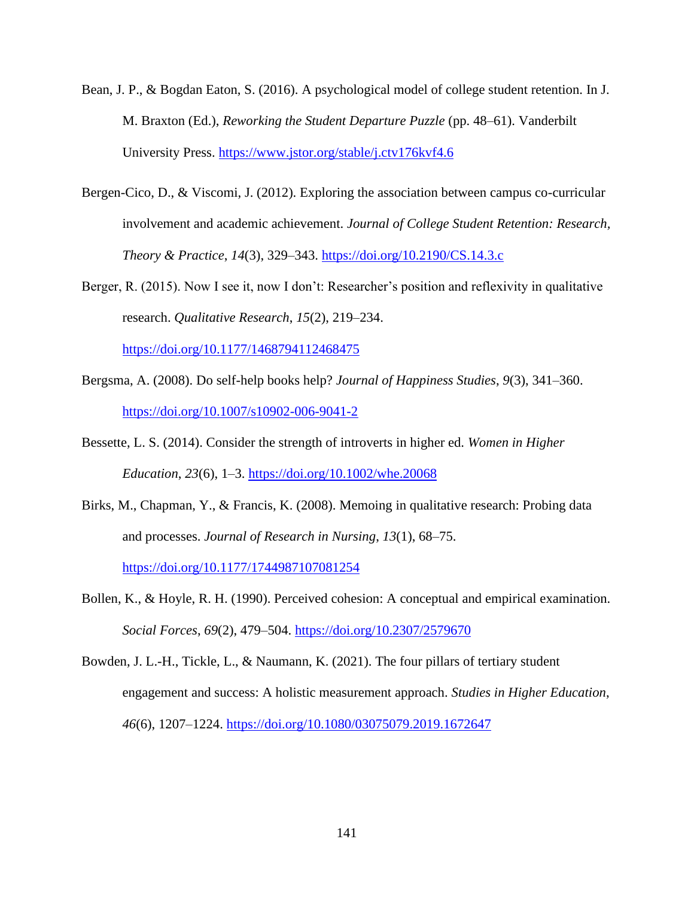- Bean, J. P., & Bogdan Eaton, S. (2016). A psychological model of college student retention. In J. M. Braxton (Ed.), *Reworking the Student Departure Puzzle* (pp. 48–61). Vanderbilt University Press.<https://www.jstor.org/stable/j.ctv176kvf4.6>
- Bergen-Cico, D., & Viscomi, J. (2012). Exploring the association between campus co-curricular involvement and academic achievement. *Journal of College Student Retention: Research, Theory & Practice*, *14*(3), 329–343.<https://doi.org/10.2190/CS.14.3.c>
- Berger, R. (2015). Now I see it, now I don't: Researcher's position and reflexivity in qualitative research. *Qualitative Research*, *15*(2), 219–234.

<https://doi.org/10.1177/1468794112468475>

- Bergsma, A. (2008). Do self-help books help? *Journal of Happiness Studies*, *9*(3), 341–360. <https://doi.org/10.1007/s10902-006-9041-2>
- Bessette, L. S. (2014). Consider the strength of introverts in higher ed. *Women in Higher Education*, *23*(6), 1–3.<https://doi.org/10.1002/whe.20068>
- Birks, M., Chapman, Y., & Francis, K. (2008). Memoing in qualitative research: Probing data and processes. *Journal of Research in Nursing*, *13*(1), 68–75. <https://doi.org/10.1177/1744987107081254>
- Bollen, K., & Hoyle, R. H. (1990). Perceived cohesion: A conceptual and empirical examination. *Social Forces*, *69*(2), 479–504.<https://doi.org/10.2307/2579670>
- Bowden, J. L.-H., Tickle, L., & Naumann, K. (2021). The four pillars of tertiary student engagement and success: A holistic measurement approach. *Studies in Higher Education*, *46*(6), 1207–1224.<https://doi.org/10.1080/03075079.2019.1672647>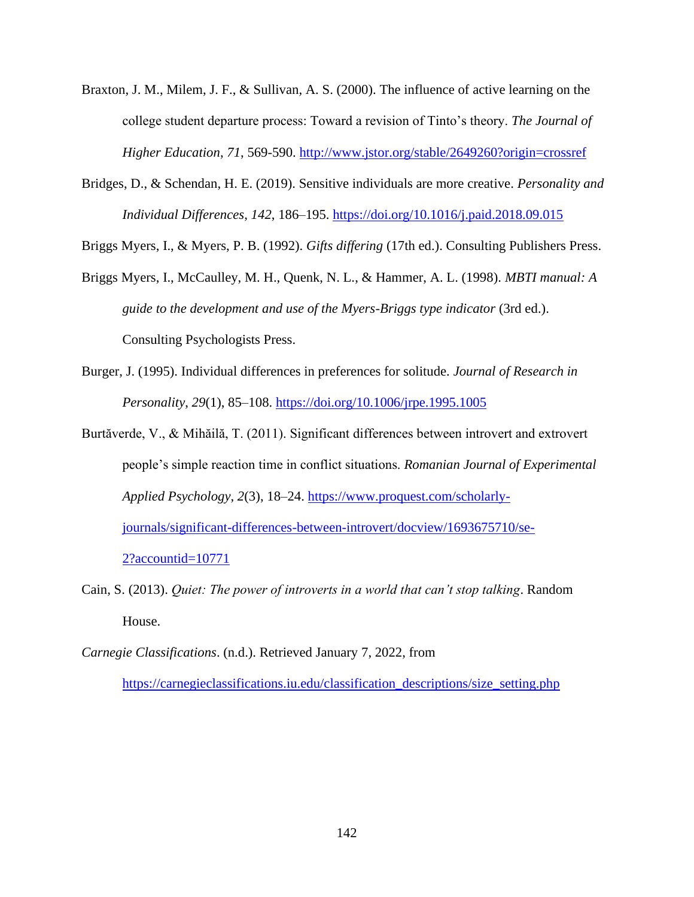- Braxton, J. M., Milem, J. F., & Sullivan, A. S. (2000). The influence of active learning on the college student departure process: Toward a revision of Tinto's theory. *The Journal of Higher Education*, *71*, 569-590.<http://www.jstor.org/stable/2649260?origin=crossref>
- Bridges, D., & Schendan, H. E. (2019). Sensitive individuals are more creative. *Personality and Individual Differences*, *142*, 186–195.<https://doi.org/10.1016/j.paid.2018.09.015>

Briggs Myers, I., & Myers, P. B. (1992). *Gifts differing* (17th ed.). Consulting Publishers Press.

- Briggs Myers, I., McCaulley, M. H., Quenk, N. L., & Hammer, A. L. (1998). *MBTI manual: A guide to the development and use of the Myers-Briggs type indicator* (3rd ed.). Consulting Psychologists Press.
- Burger, J. (1995). Individual differences in preferences for solitude. *Journal of Research in Personality*, *29*(1), 85–108.<https://doi.org/10.1006/jrpe.1995.1005>
- Burtăverde, V., & Mihăilă, T. (2011). Significant differences between introvert and extrovert people's simple reaction time in conflict situations. *Romanian Journal of Experimental Applied Psychology*, *2*(3), 18–24. [https://www.proquest.com/scholarly](https://www.proquest.com/scholarly-journals/significant-differences-between-introvert/docview/1693675710/se-2?accountid=10771)[journals/significant-differences-between-introvert/docview/1693675710/se-](https://www.proquest.com/scholarly-journals/significant-differences-between-introvert/docview/1693675710/se-2?accountid=10771)[2?accountid=10771](https://www.proquest.com/scholarly-journals/significant-differences-between-introvert/docview/1693675710/se-2?accountid=10771)
- Cain, S. (2013). *Quiet: The power of introverts in a world that can't stop talking*. Random House.
- *Carnegie Classifications*. (n.d.). Retrieved January 7, 2022, from

[https://carnegieclassifications.iu.edu/classification\\_descriptions/size\\_setting.php](https://carnegieclassifications.iu.edu/classification_descriptions/size_setting.php)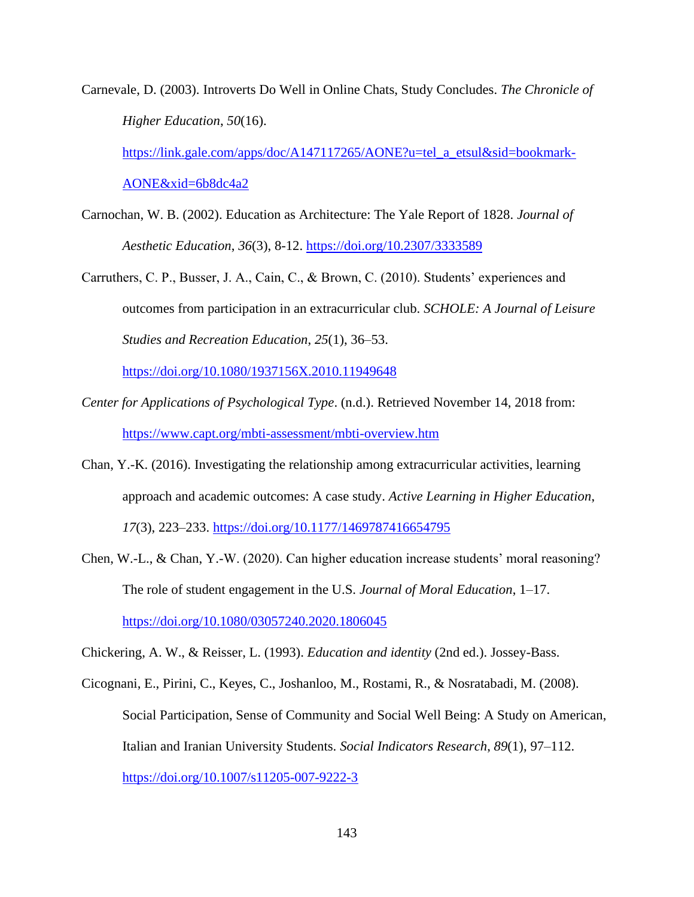Carnevale, D. (2003). Introverts Do Well in Online Chats, Study Concludes. *The Chronicle of Higher Education*, *50*(16).

[https://link.gale.com/apps/doc/A147117265/AONE?u=tel\\_a\\_etsul&sid=bookmark-](https://link.gale.com/apps/doc/A147117265/AONE?u=tel_a_etsul&sid=bookmark-AONE&xid=6b8dc4a2)[AONE&xid=6b8dc4a2](https://link.gale.com/apps/doc/A147117265/AONE?u=tel_a_etsul&sid=bookmark-AONE&xid=6b8dc4a2)

- Carnochan, W. B. (2002). Education as Architecture: The Yale Report of 1828. *Journal of Aesthetic Education*, *36*(3), 8-12.<https://doi.org/10.2307/3333589>
- Carruthers, C. P., Busser, J. A., Cain, C., & Brown, C. (2010). Students' experiences and outcomes from participation in an extracurricular club. *SCHOLE: A Journal of Leisure Studies and Recreation Education*, *25*(1), 36–53.

<https://doi.org/10.1080/1937156X.2010.11949648>

- *Center for Applications of Psychological Type*. (n.d.). Retrieved November 14, 2018 from: <https://www.capt.org/mbti-assessment/mbti-overview.htm>
- Chan, Y.-K. (2016). Investigating the relationship among extracurricular activities, learning approach and academic outcomes: A case study. *Active Learning in Higher Education*, *17*(3), 223–233.<https://doi.org/10.1177/1469787416654795>
- Chen, W.-L., & Chan, Y.-W. (2020). Can higher education increase students' moral reasoning? The role of student engagement in the U.S. *Journal of Moral Education*, 1–17. <https://doi.org/10.1080/03057240.2020.1806045>

Chickering, A. W., & Reisser, L. (1993). *Education and identity* (2nd ed.). Jossey-Bass.

Cicognani, E., Pirini, C., Keyes, C., Joshanloo, M., Rostami, R., & Nosratabadi, M. (2008). Social Participation, Sense of Community and Social Well Being: A Study on American, Italian and Iranian University Students. *Social Indicators Research*, *89*(1), 97–112. <https://doi.org/10.1007/s11205-007-9222-3>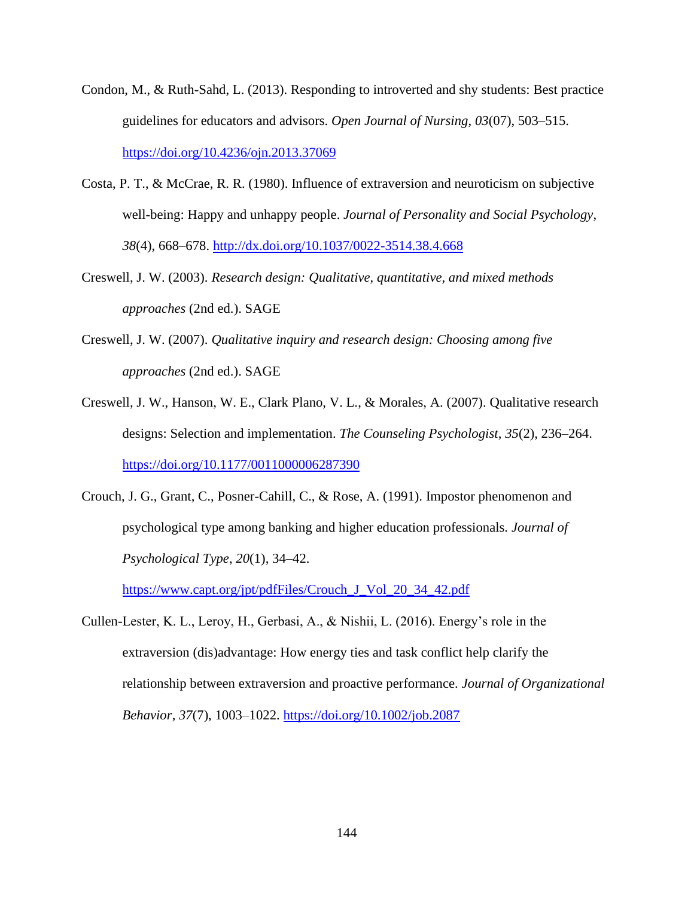- Condon, M., & Ruth-Sahd, L. (2013). Responding to introverted and shy students: Best practice guidelines for educators and advisors. *Open Journal of Nursing*, *03*(07), 503–515. <https://doi.org/10.4236/ojn.2013.37069>
- Costa, P. T., & McCrae, R. R. (1980). Influence of extraversion and neuroticism on subjective well-being: Happy and unhappy people. *Journal of Personality and Social Psychology*, *38*(4), 668–678.<http://dx.doi.org/10.1037/0022-3514.38.4.668>
- Creswell, J. W. (2003). *Research design: Qualitative, quantitative, and mixed methods approaches* (2nd ed.). SAGE
- Creswell, J. W. (2007). *Qualitative inquiry and research design: Choosing among five approaches* (2nd ed.). SAGE
- Creswell, J. W., Hanson, W. E., Clark Plano, V. L., & Morales, A. (2007). Qualitative research designs: Selection and implementation. *The Counseling Psychologist*, *35*(2), 236–264. <https://doi.org/10.1177/0011000006287390>
- Crouch, J. G., Grant, C., Posner-Cahill, C., & Rose, A. (1991). Impostor phenomenon and psychological type among banking and higher education professionals. *Journal of Psychological Type*, *20*(1), 34–42.

[https://www.capt.org/jpt/pdfFiles/Crouch\\_J\\_Vol\\_20\\_34\\_42.pdf](https://www.capt.org/jpt/pdfFiles/Crouch_J_Vol_20_34_42.pdf)

Cullen-Lester, K. L., Leroy, H., Gerbasi, A., & Nishii, L. (2016). Energy's role in the extraversion (dis)advantage: How energy ties and task conflict help clarify the relationship between extraversion and proactive performance. *Journal of Organizational Behavior*, *37*(7), 1003–1022.<https://doi.org/10.1002/job.2087>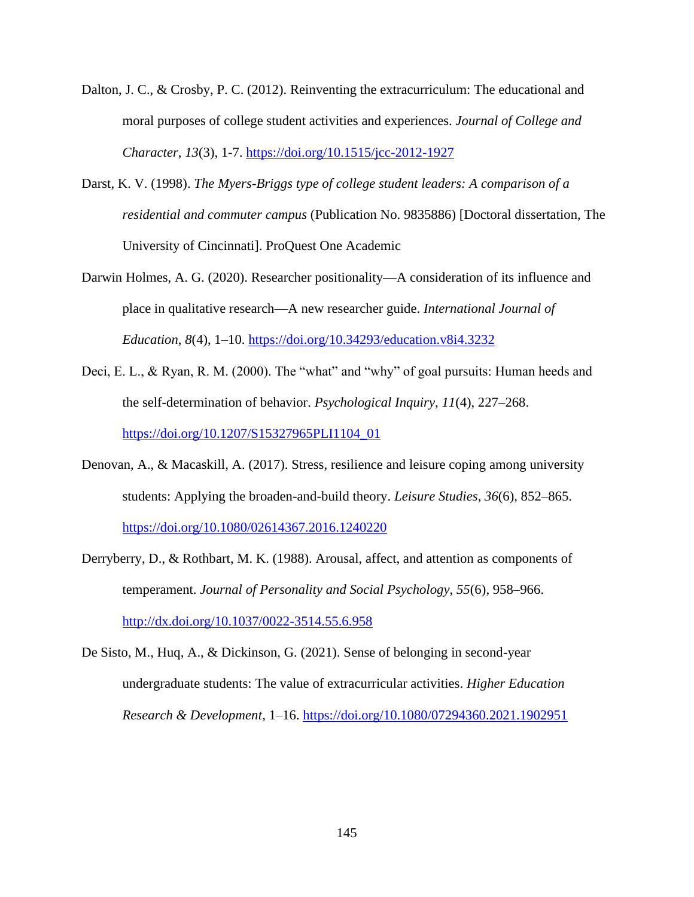- Dalton, J. C., & Crosby, P. C. (2012). Reinventing the extracurriculum: The educational and moral purposes of college student activities and experiences. *Journal of College and Character*, *13*(3), 1-7.<https://doi.org/10.1515/jcc-2012-1927>
- Darst, K. V. (1998). *The Myers-Briggs type of college student leaders: A comparison of a residential and commuter campus* (Publication No. 9835886) [Doctoral dissertation, The University of Cincinnati]. ProQuest One Academic
- Darwin Holmes, A. G. (2020). Researcher positionality—A consideration of its influence and place in qualitative research—A new researcher guide. *International Journal of Education*, *8*(4), 1–10.<https://doi.org/10.34293/education.v8i4.3232>
- Deci, E. L., & Ryan, R. M. (2000). The "what" and "why" of goal pursuits: Human heeds and the self-determination of behavior. *Psychological Inquiry*, *11*(4), 227–268. [https://doi.org/10.1207/S15327965PLI1104\\_01](https://doi.org/10.1207/S15327965PLI1104_01)
- Denovan, A., & Macaskill, A. (2017). Stress, resilience and leisure coping among university students: Applying the broaden-and-build theory. *Leisure Studies*, *36*(6), 852–865. <https://doi.org/10.1080/02614367.2016.1240220>
- Derryberry, D., & Rothbart, M. K. (1988). Arousal, affect, and attention as components of temperament. *Journal of Personality and Social Psychology*, *55*(6), 958–966. <http://dx.doi.org/10.1037/0022-3514.55.6.958>
- De Sisto, M., Huq, A., & Dickinson, G. (2021). Sense of belonging in second-year undergraduate students: The value of extracurricular activities. *Higher Education Research & Development*, 1–16.<https://doi.org/10.1080/07294360.2021.1902951>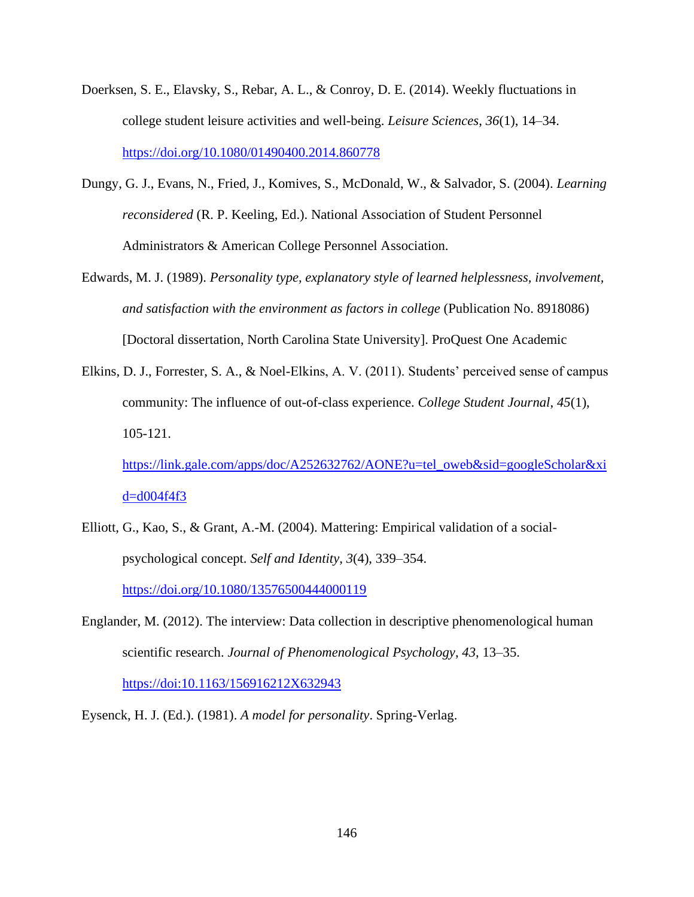- Doerksen, S. E., Elavsky, S., Rebar, A. L., & Conroy, D. E. (2014). Weekly fluctuations in college student leisure activities and well-being. *Leisure Sciences*, *36*(1), 14–34. <https://doi.org/10.1080/01490400.2014.860778>
- Dungy, G. J., Evans, N., Fried, J., Komives, S., McDonald, W., & Salvador, S. (2004). *Learning reconsidered* (R. P. Keeling, Ed.). National Association of Student Personnel Administrators & American College Personnel Association.
- Edwards, M. J. (1989). *Personality type, explanatory style of learned helplessness, involvement, and satisfaction with the environment as factors in college* (Publication No. 8918086) [Doctoral dissertation, North Carolina State University]. ProQuest One Academic
- Elkins, D. J., Forrester, S. A., & Noel-Elkins, A. V. (2011). Students' perceived sense of campus community: The influence of out-of-class experience. *College Student Journal*, *45*(1), 105-121.

[https://link.gale.com/apps/doc/A252632762/AONE?u=tel\\_oweb&sid=googleScholar&xi](https://link.gale.com/apps/doc/A252632762/AONE?u=tel_oweb&sid=googleScholar&xid=d004f4f3)  $d=$ d $004$ f $4$ f $3$ 

- Elliott, G., Kao, S., & Grant, A.-M. (2004). Mattering: Empirical validation of a socialpsychological concept. *Self and Identity*, *3*(4), 339–354. <https://doi.org/10.1080/13576500444000119>
- Englander, M. (2012). The interview: Data collection in descriptive phenomenological human scientific research. *Journal of Phenomenological Psychology*, *43*, 13–35. <https://doi:10.1163/156916212X632943>

Eysenck, H. J. (Ed.). (1981). *A model for personality*. Spring-Verlag.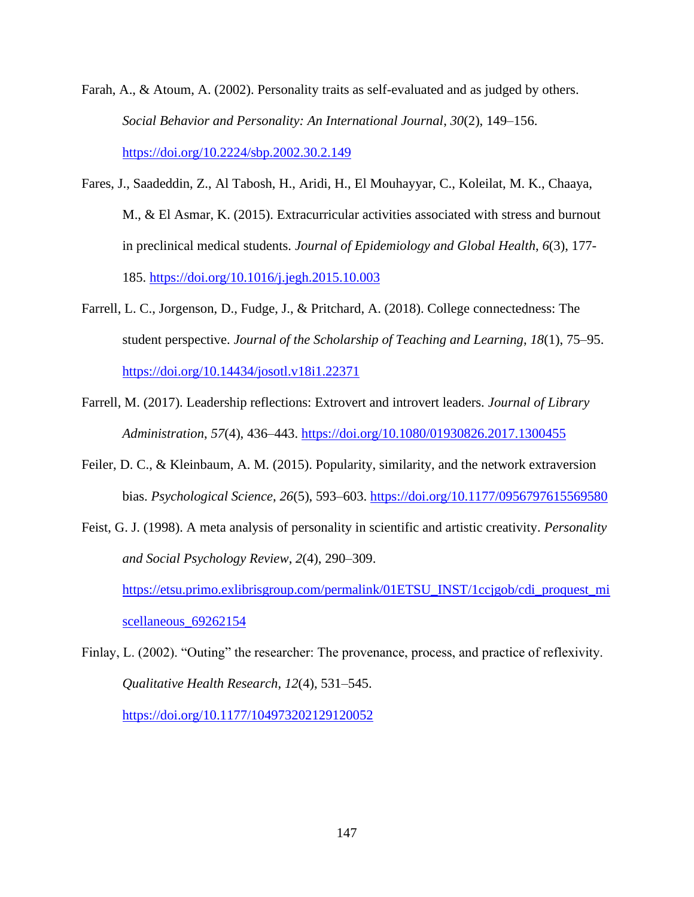- Farah, A., & Atoum, A. (2002). Personality traits as self-evaluated and as judged by others. *Social Behavior and Personality: An International Journal*, *30*(2), 149–156. <https://doi.org/10.2224/sbp.2002.30.2.149>
- Fares, J., Saadeddin, Z., Al Tabosh, H., Aridi, H., El Mouhayyar, C., Koleilat, M. K., Chaaya, M., & El Asmar, K. (2015). Extracurricular activities associated with stress and burnout in preclinical medical students. *Journal of Epidemiology and Global Health*, *6*(3), 177- 185.<https://doi.org/10.1016/j.jegh.2015.10.003>
- Farrell, L. C., Jorgenson, D., Fudge, J., & Pritchard, A. (2018). College connectedness: The student perspective. *Journal of the Scholarship of Teaching and Learning*, *18*(1), 75–95. <https://doi.org/10.14434/josotl.v18i1.22371>
- Farrell, M. (2017). Leadership reflections: Extrovert and introvert leaders. *Journal of Library Administration*, *57*(4), 436–443.<https://doi.org/10.1080/01930826.2017.1300455>
- Feiler, D. C., & Kleinbaum, A. M. (2015). Popularity, similarity, and the network extraversion bias. *Psychological Science*, *26*(5), 593–603.<https://doi.org/10.1177/0956797615569580>
- Feist, G. J. (1998). A meta analysis of personality in scientific and artistic creativity. *Personality and Social Psychology Review*, *2*(4), 290–309. [https://etsu.primo.exlibrisgroup.com/permalink/01ETSU\\_INST/1ccjgob/cdi\\_proquest\\_mi](https://etsu.primo.exlibrisgroup.com/permalink/01ETSU_INST/1ccjgob/cdi_proquest_miscellaneous_69262154) [scellaneous\\_69262154](https://etsu.primo.exlibrisgroup.com/permalink/01ETSU_INST/1ccjgob/cdi_proquest_miscellaneous_69262154)
- Finlay, L. (2002). "Outing" the researcher: The provenance, process, and practice of reflexivity. *Qualitative Health Research*, *12*(4), 531–545. <https://doi.org/10.1177/104973202129120052>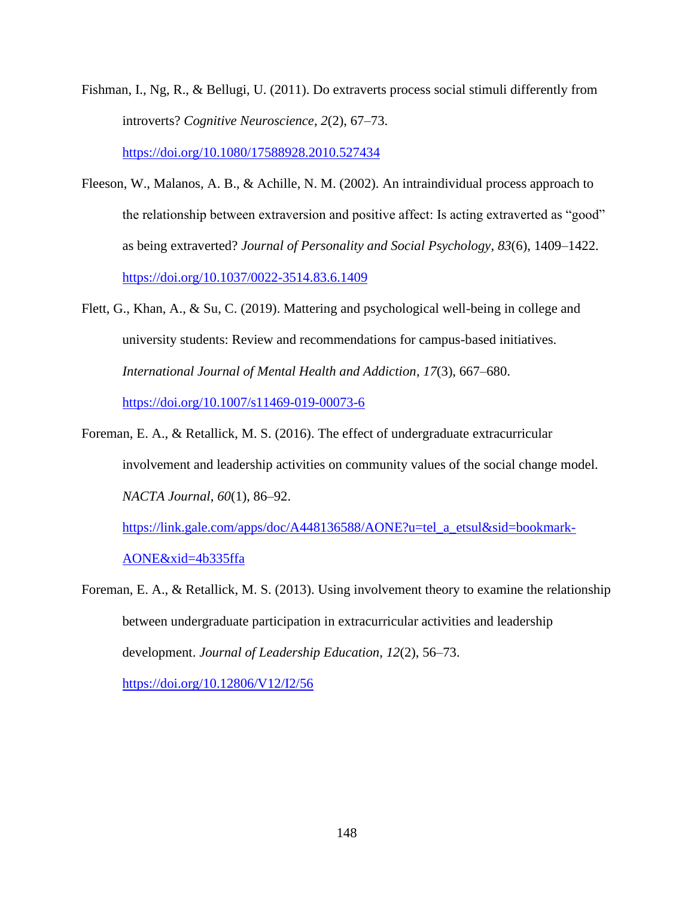Fishman, I., Ng, R., & Bellugi, U. (2011). Do extraverts process social stimuli differently from introverts? *Cognitive Neuroscience*, *2*(2), 67–73.

<https://doi.org/10.1080/17588928.2010.527434>

- Fleeson, W., Malanos, A. B., & Achille, N. M. (2002). An intraindividual process approach to the relationship between extraversion and positive affect: Is acting extraverted as "good" as being extraverted? *Journal of Personality and Social Psychology*, *83*(6), 1409–1422. <https://doi.org/10.1037/0022-3514.83.6.1409>
- Flett, G., Khan, A., & Su, C. (2019). Mattering and psychological well-being in college and university students: Review and recommendations for campus-based initiatives. *International Journal of Mental Health and Addiction*, *17*(3), 667–680. <https://doi.org/10.1007/s11469-019-00073-6>
- Foreman, E. A., & Retallick, M. S. (2016). The effect of undergraduate extracurricular involvement and leadership activities on community values of the social change model. *NACTA Journal*, *60*(1), 86–92.

[https://link.gale.com/apps/doc/A448136588/AONE?u=tel\\_a\\_etsul&sid=bookmark-](https://link.gale.com/apps/doc/A448136588/AONE?u=tel_a_etsul&sid=bookmark-AONE&xid=4b335ffa)[AONE&xid=4b335ffa](https://link.gale.com/apps/doc/A448136588/AONE?u=tel_a_etsul&sid=bookmark-AONE&xid=4b335ffa)

Foreman, E. A., & Retallick, M. S. (2013). Using involvement theory to examine the relationship between undergraduate participation in extracurricular activities and leadership development. *Journal of Leadership Education*, *12*(2), 56–73. <https://doi.org/10.12806/V12/I2/56>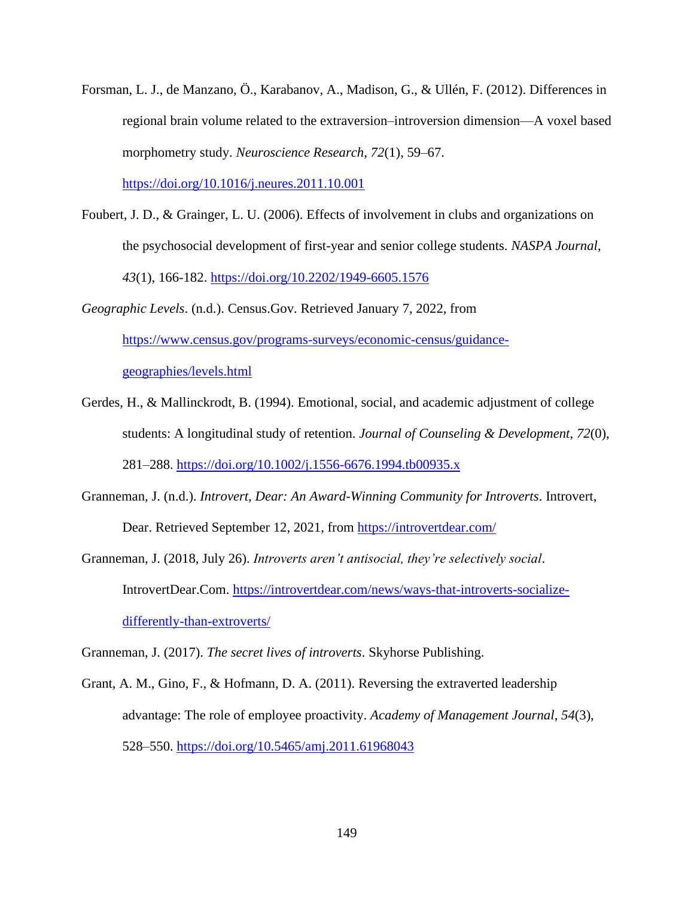- Forsman, L. J., de Manzano, Ö., Karabanov, A., Madison, G., & Ullén, F. (2012). Differences in regional brain volume related to the extraversion–introversion dimension—A voxel based morphometry study. *Neuroscience Research*, *72*(1), 59–67. <https://doi.org/10.1016/j.neures.2011.10.001>
- Foubert, J. D., & Grainger, L. U. (2006). Effects of involvement in clubs and organizations on the psychosocial development of first-year and senior college students. *NASPA Journal*, *43*(1), 166-182.<https://doi.org/10.2202/1949-6605.1576>
- *Geographic Levels*. (n.d.). Census.Gov. Retrieved January 7, 2022, from [https://www.census.gov/programs-surveys/economic-census/guidance](https://www.census.gov/programs-surveys/economic-census/guidance-geographies/levels.html)[geographies/levels.html](https://www.census.gov/programs-surveys/economic-census/guidance-geographies/levels.html)
- Gerdes, H., & Mallinckrodt, B. (1994). Emotional, social, and academic adjustment of college students: A longitudinal study of retention. *Journal of Counseling & Development*, *72*(0), 281–288.<https://doi.org/10.1002/j.1556-6676.1994.tb00935.x>
- Granneman, J. (n.d.). *Introvert, Dear: An Award-Winning Community for Introverts*. Introvert, Dear. Retrieved September 12, 2021, from<https://introvertdear.com/>
- Granneman, J. (2018, July 26). *Introverts aren't antisocial, they're selectively social*. IntrovertDear.Com. [https://introvertdear.com/news/ways-that-introverts-socialize](https://introvertdear.com/news/ways-that-introverts-socialize-differently-than-extroverts/)[differently-than-extroverts/](https://introvertdear.com/news/ways-that-introverts-socialize-differently-than-extroverts/)

Granneman, J. (2017). *The secret lives of introverts*. Skyhorse Publishing.

Grant, A. M., Gino, F., & Hofmann, D. A. (2011). Reversing the extraverted leadership advantage: The role of employee proactivity. *Academy of Management Journal*, *54*(3), 528–550.<https://doi.org/10.5465/amj.2011.61968043>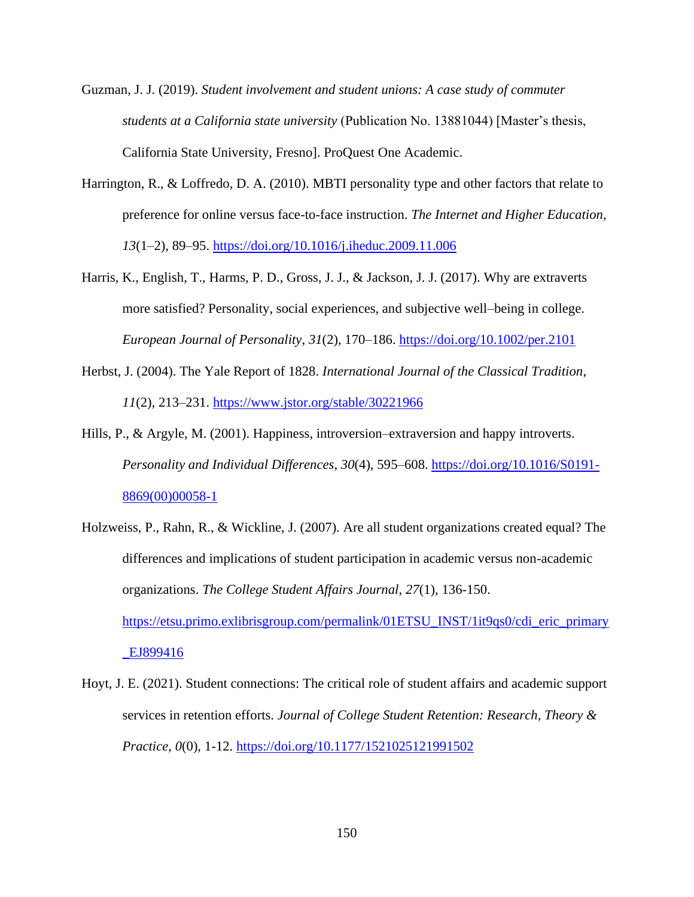- Guzman, J. J. (2019). *Student involvement and student unions: A case study of commuter students at a California state university* (Publication No. 13881044) [Master's thesis, California State University, Fresno]. ProQuest One Academic.
- Harrington, R., & Loffredo, D. A. (2010). MBTI personality type and other factors that relate to preference for online versus face-to-face instruction. *The Internet and Higher Education*, *13*(1–2), 89–95.<https://doi.org/10.1016/j.iheduc.2009.11.006>
- Harris, K., English, T., Harms, P. D., Gross, J. J., & Jackson, J. J. (2017). Why are extraverts more satisfied? Personality, social experiences, and subjective well–being in college. *European Journal of Personality*, *31*(2), 170–186.<https://doi.org/10.1002/per.2101>
- Herbst, J. (2004). The Yale Report of 1828. *International Journal of the Classical Tradition*, *11*(2), 213–231. <https://www.jstor.org/stable/30221966>
- Hills, P., & Argyle, M. (2001). Happiness, introversion–extraversion and happy introverts. *Personality and Individual Differences*, *30*(4), 595–608. [https://doi.org/10.1016/S0191-](https://doi.org/10.1016/S0191-8869(00)00058-1) [8869\(00\)00058-1](https://doi.org/10.1016/S0191-8869(00)00058-1)
- Holzweiss, P., Rahn, R., & Wickline, J. (2007). Are all student organizations created equal? The differences and implications of student participation in academic versus non-academic organizations. *The College Student Affairs Journal*, *27*(1), 136-150. [https://etsu.primo.exlibrisgroup.com/permalink/01ETSU\\_INST/1it9qs0/cdi\\_eric\\_primary](https://etsu.primo.exlibrisgroup.com/permalink/01ETSU_INST/1it9qs0/cdi_eric_primary_EJ899416) [\\_EJ899416](https://etsu.primo.exlibrisgroup.com/permalink/01ETSU_INST/1it9qs0/cdi_eric_primary_EJ899416)
- Hoyt, J. E. (2021). Student connections: The critical role of student affairs and academic support services in retention efforts. *Journal of College Student Retention: Research, Theory & Practice*, *0*(0), 1-12.<https://doi.org/10.1177/1521025121991502>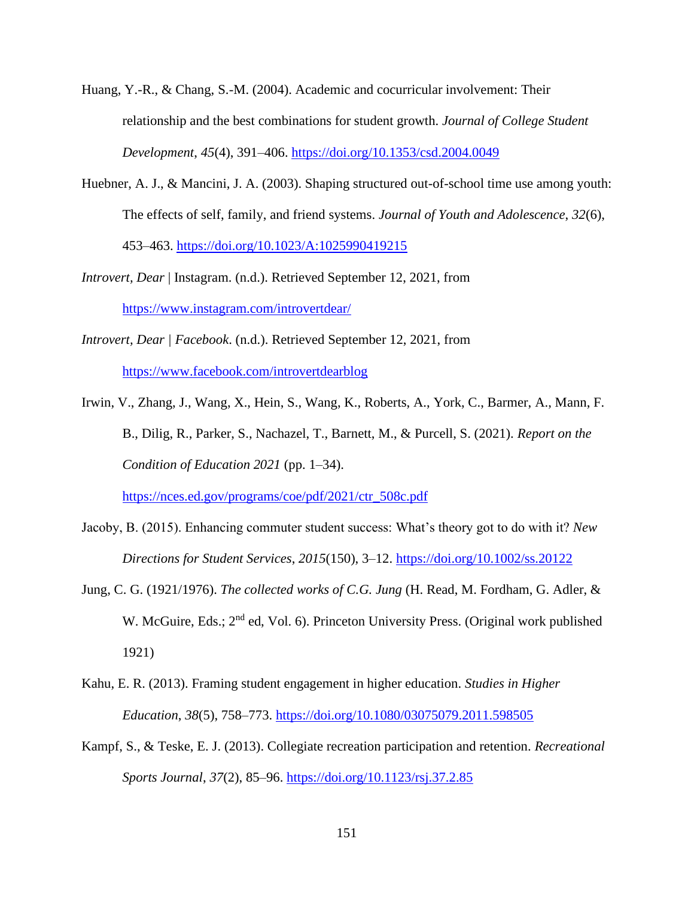- Huang, Y.-R., & Chang, S.-M. (2004). Academic and cocurricular involvement: Their relationship and the best combinations for student growth. *Journal of College Student Development*, *45*(4), 391–406.<https://doi.org/10.1353/csd.2004.0049>
- Huebner, A. J., & Mancini, J. A. (2003). Shaping structured out-of-school time use among youth: The effects of self, family, and friend systems. *Journal of Youth and Adolescence*, *32*(6), 453–463.<https://doi.org/10.1023/A:1025990419215>
- *Introvert, Dear* | Instagram. (n.d.). Retrieved September 12, 2021, from <https://www.instagram.com/introvertdear/>
- *Introvert, Dear | Facebook*. (n.d.). Retrieved September 12, 2021, from <https://www.facebook.com/introvertdearblog>
- Irwin, V., Zhang, J., Wang, X., Hein, S., Wang, K., Roberts, A., York, C., Barmer, A., Mann, F. B., Dilig, R., Parker, S., Nachazel, T., Barnett, M., & Purcell, S. (2021). *Report on the Condition of Education 2021* (pp. 1–34).

[https://nces.ed.gov/programs/coe/pdf/2021/ctr\\_508c.pdf](https://nces.ed.gov/programs/coe/pdf/2021/ctr_508c.pdf)

- Jacoby, B. (2015). Enhancing commuter student success: What's theory got to do with it? *New Directions for Student Services*, *2015*(150), 3–12.<https://doi.org/10.1002/ss.20122>
- Jung, C. G. (1921/1976). *The collected works of C.G. Jung* (H. Read, M. Fordham, G. Adler, & W. McGuire, Eds.; 2<sup>nd</sup> ed, Vol. 6). Princeton University Press. (Original work published 1921)
- Kahu, E. R. (2013). Framing student engagement in higher education. *Studies in Higher Education*, *38*(5), 758–773.<https://doi.org/10.1080/03075079.2011.598505>
- Kampf, S., & Teske, E. J. (2013). Collegiate recreation participation and retention. *Recreational Sports Journal*, *37*(2), 85–96.<https://doi.org/10.1123/rsj.37.2.85>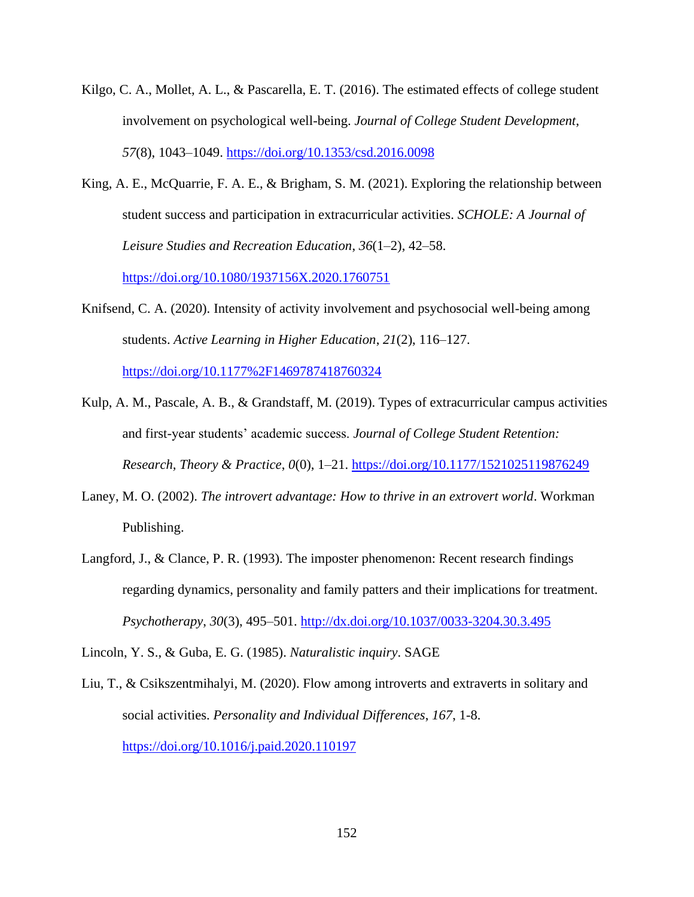- Kilgo, C. A., Mollet, A. L., & Pascarella, E. T. (2016). The estimated effects of college student involvement on psychological well-being. *Journal of College Student Development*, *57*(8), 1043–1049.<https://doi.org/10.1353/csd.2016.0098>
- King, A. E., McQuarrie, F. A. E., & Brigham, S. M. (2021). Exploring the relationship between student success and participation in extracurricular activities. *SCHOLE: A Journal of Leisure Studies and Recreation Education*, *36*(1–2), 42–58.

<https://doi.org/10.1080/1937156X.2020.1760751>

Knifsend, C. A. (2020). Intensity of activity involvement and psychosocial well-being among students. *Active Learning in Higher Education*, *21*(2), 116–127.

<https://doi.org/10.1177%2F1469787418760324>

- Kulp, A. M., Pascale, A. B., & Grandstaff, M. (2019). Types of extracurricular campus activities and first-year students' academic success. *Journal of College Student Retention: Research, Theory & Practice*, *0*(0), 1–21.<https://doi.org/10.1177/1521025119876249>
- Laney, M. O. (2002). *The introvert advantage: How to thrive in an extrovert world*. Workman Publishing.
- Langford, J., & Clance, P. R. (1993). The imposter phenomenon: Recent research findings regarding dynamics, personality and family patters and their implications for treatment. *Psychotherapy*, *30*(3), 495–501.<http://dx.doi.org/10.1037/0033-3204.30.3.495>

Lincoln, Y. S., & Guba, E. G. (1985). *Naturalistic inquiry*. SAGE

Liu, T., & Csikszentmihalyi, M. (2020). Flow among introverts and extraverts in solitary and social activities. *Personality and Individual Differences*, *167*, 1-8. <https://doi.org/10.1016/j.paid.2020.110197>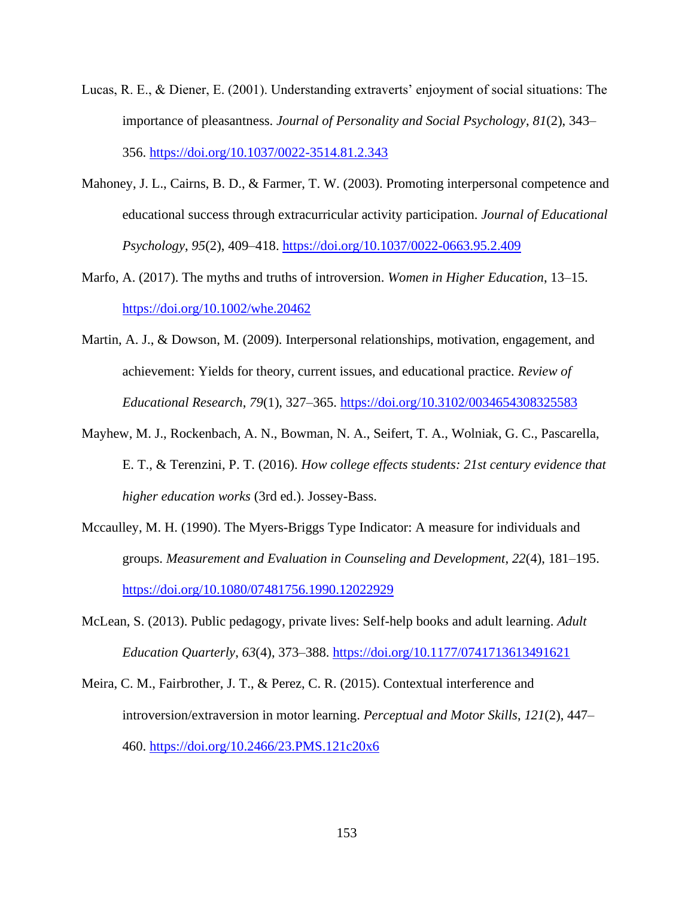- Lucas, R. E., & Diener, E. (2001). Understanding extraverts' enjoyment of social situations: The importance of pleasantness. *Journal of Personality and Social Psychology*, *81*(2), 343– 356.<https://doi.org/10.1037/0022-3514.81.2.343>
- Mahoney, J. L., Cairns, B. D., & Farmer, T. W. (2003). Promoting interpersonal competence and educational success through extracurricular activity participation. *Journal of Educational Psychology*, *95*(2), 409–418.<https://doi.org/10.1037/0022-0663.95.2.409>
- Marfo, A. (2017). The myths and truths of introversion. *Women in Higher Education*, 13–15. <https://doi.org/10.1002/whe.20462>
- Martin, A. J., & Dowson, M. (2009). Interpersonal relationships, motivation, engagement, and achievement: Yields for theory, current issues, and educational practice. *Review of Educational Research*, *79*(1), 327–365.<https://doi.org/10.3102/0034654308325583>
- Mayhew, M. J., Rockenbach, A. N., Bowman, N. A., Seifert, T. A., Wolniak, G. C., Pascarella, E. T., & Terenzini, P. T. (2016). *How college effects students: 21st century evidence that higher education works* (3rd ed.). Jossey-Bass.
- Mccaulley, M. H. (1990). The Myers-Briggs Type Indicator: A measure for individuals and groups. *Measurement and Evaluation in Counseling and Development*, *22*(4), 181–195. <https://doi.org/10.1080/07481756.1990.12022929>
- McLean, S. (2013). Public pedagogy, private lives: Self-help books and adult learning. *Adult Education Quarterly*, *63*(4), 373–388.<https://doi.org/10.1177/0741713613491621>
- Meira, C. M., Fairbrother, J. T., & Perez, C. R. (2015). Contextual interference and introversion/extraversion in motor learning. *Perceptual and Motor Skills*, *121*(2), 447– 460.<https://doi.org/10.2466/23.PMS.121c20x6>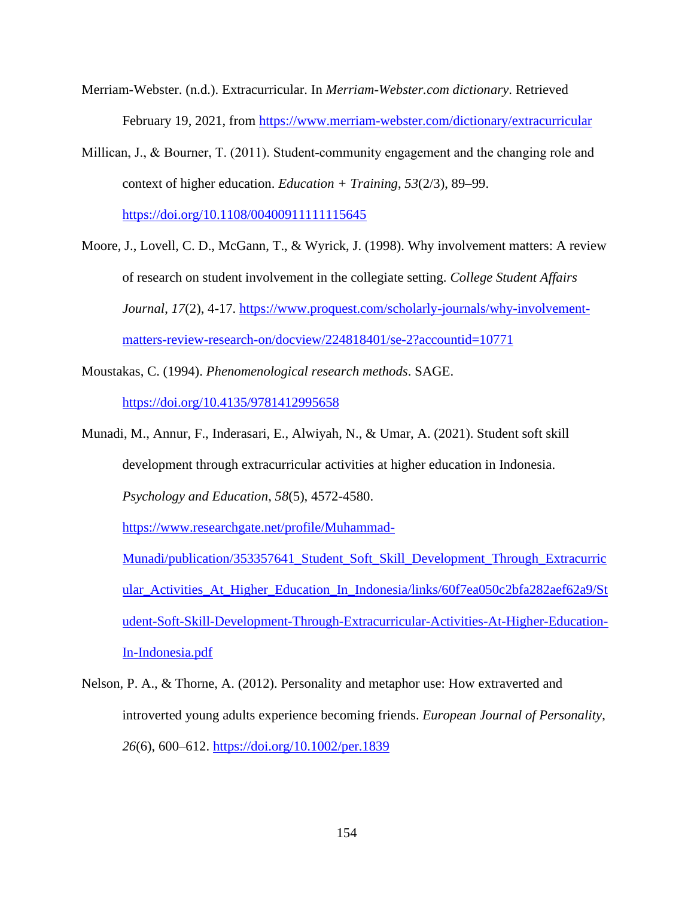- Merriam-Webster. (n.d.). Extracurricular. In *Merriam-Webster.com dictionary*. Retrieved February 19, 2021, from<https://www.merriam-webster.com/dictionary/extracurricular>
- Millican, J., & Bourner, T. (2011). Student-community engagement and the changing role and context of higher education. *Education + Training*, *53*(2/3), 89–99.

<https://doi.org/10.1108/00400911111115645>

- Moore, J., Lovell, C. D., McGann, T., & Wyrick, J. (1998). Why involvement matters: A review of research on student involvement in the collegiate setting. *College Student Affairs Journal*, *17*(2), 4-17. [https://www.proquest.com/scholarly-journals/why-involvement](https://www.proquest.com/scholarly-journals/why-involvement-matters-review-research-on/docview/224818401/se-2?accountid=10771)[matters-review-research-on/docview/224818401/se-2?accountid=10771](https://www.proquest.com/scholarly-journals/why-involvement-matters-review-research-on/docview/224818401/se-2?accountid=10771)
- Moustakas, C. (1994). *Phenomenological research methods*. SAGE. <https://doi.org/10.4135/9781412995658>
- Munadi, M., Annur, F., Inderasari, E., Alwiyah, N., & Umar, A. (2021). Student soft skill development through extracurricular activities at higher education in Indonesia. *Psychology and Education*, *58*(5), 4572-4580. [https://www.researchgate.net/profile/Muhammad-](https://www.researchgate.net/profile/Muhammad-Munadi/publication/353357641_Student_Soft_Skill_Development_Through_Extracurricular_Activities_At_Higher_Education_In_Indonesia/links/60f7ea050c2bfa282aef62a9/Student-Soft-Skill-Development-Through-Extracurricular-Activities-At-Higher-Education-In-Indonesia.pdf)[Munadi/publication/353357641\\_Student\\_Soft\\_Skill\\_Development\\_Through\\_Extracurric](https://www.researchgate.net/profile/Muhammad-Munadi/publication/353357641_Student_Soft_Skill_Development_Through_Extracurricular_Activities_At_Higher_Education_In_Indonesia/links/60f7ea050c2bfa282aef62a9/Student-Soft-Skill-Development-Through-Extracurricular-Activities-At-Higher-Education-In-Indonesia.pdf) ular Activities At Higher Education In Indonesia/links/60f7ea050c2bfa282aef62a9/St

[In-Indonesia.pdf](https://www.researchgate.net/profile/Muhammad-Munadi/publication/353357641_Student_Soft_Skill_Development_Through_Extracurricular_Activities_At_Higher_Education_In_Indonesia/links/60f7ea050c2bfa282aef62a9/Student-Soft-Skill-Development-Through-Extracurricular-Activities-At-Higher-Education-In-Indonesia.pdf)

Nelson, P. A., & Thorne, A. (2012). Personality and metaphor use: How extraverted and introverted young adults experience becoming friends. *European Journal of Personality*, *26*(6), 600–612.<https://doi.org/10.1002/per.1839>

[udent-Soft-Skill-Development-Through-Extracurricular-Activities-At-Higher-Education-](https://www.researchgate.net/profile/Muhammad-Munadi/publication/353357641_Student_Soft_Skill_Development_Through_Extracurricular_Activities_At_Higher_Education_In_Indonesia/links/60f7ea050c2bfa282aef62a9/Student-Soft-Skill-Development-Through-Extracurricular-Activities-At-Higher-Education-In-Indonesia.pdf)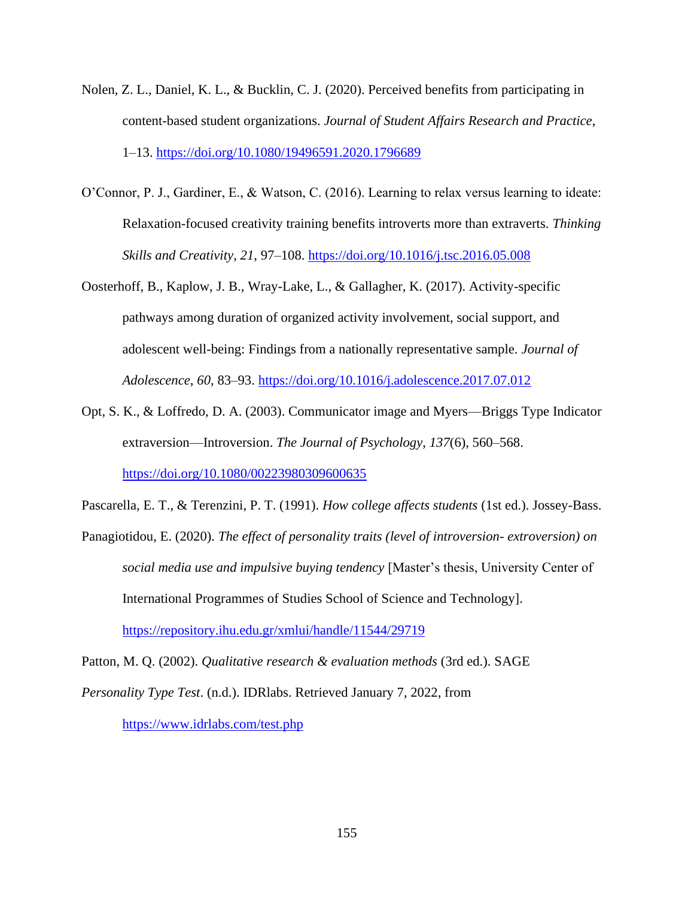- Nolen, Z. L., Daniel, K. L., & Bucklin, C. J. (2020). Perceived benefits from participating in content-based student organizations. *Journal of Student Affairs Research and Practice*, 1–13.<https://doi.org/10.1080/19496591.2020.1796689>
- O'Connor, P. J., Gardiner, E., & Watson, C. (2016). Learning to relax versus learning to ideate: Relaxation-focused creativity training benefits introverts more than extraverts. *Thinking Skills and Creativity*, *21*, 97–108.<https://doi.org/10.1016/j.tsc.2016.05.008>
- Oosterhoff, B., Kaplow, J. B., Wray-Lake, L., & Gallagher, K. (2017). Activity-specific pathways among duration of organized activity involvement, social support, and adolescent well-being: Findings from a nationally representative sample. *Journal of Adolescence*, *60*, 83–93.<https://doi.org/10.1016/j.adolescence.2017.07.012>
- Opt, S. K., & Loffredo, D. A. (2003). Communicator image and Myers—Briggs Type Indicator extraversion—Introversion. *The Journal of Psychology*, *137*(6), 560–568. <https://doi.org/10.1080/00223980309600635>

Pascarella, E. T., & Terenzini, P. T. (1991). *How college affects students* (1st ed.). Jossey-Bass.

Panagiotidou, E. (2020). *The effect of personality traits (level of introversion- extroversion) on social media use and impulsive buying tendency* [Master's thesis, University Center of International Programmes of Studies School of Science and Technology]. <https://repository.ihu.edu.gr/xmlui/handle/11544/29719>

Patton, M. Q. (2002). *Qualitative research & evaluation methods* (3rd ed.). SAGE *Personality Type Test*. (n.d.). IDRlabs. Retrieved January 7, 2022, from <https://www.idrlabs.com/test.php>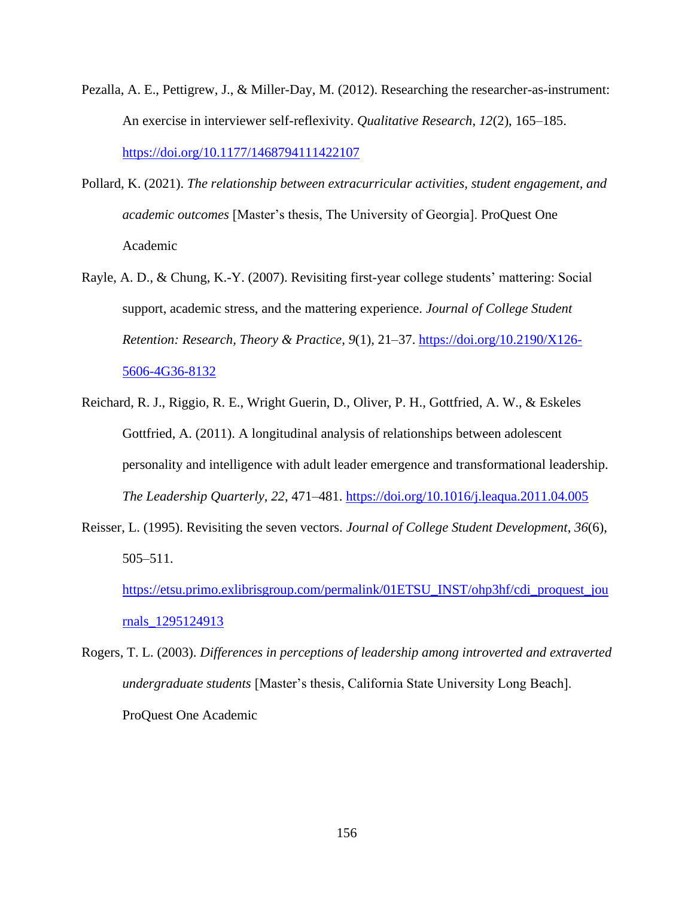- Pezalla, A. E., Pettigrew, J., & Miller-Day, M. (2012). Researching the researcher-as-instrument: An exercise in interviewer self-reflexivity. *Qualitative Research*, *12*(2), 165–185. <https://doi.org/10.1177/1468794111422107>
- Pollard, K. (2021). *The relationship between extracurricular activities, student engagement, and academic outcomes* [Master's thesis, The University of Georgia]. ProQuest One Academic
- Rayle, A. D., & Chung, K.-Y. (2007). Revisiting first-year college students' mattering: Social support, academic stress, and the mattering experience. *Journal of College Student Retention: Research, Theory & Practice*, *9*(1), 21–37. [https://doi.org/10.2190/X126-](https://doi.org/10.2190/X126-5606-4G36-8132) [5606-4G36-8132](https://doi.org/10.2190/X126-5606-4G36-8132)
- Reichard, R. J., Riggio, R. E., Wright Guerin, D., Oliver, P. H., Gottfried, A. W., & Eskeles Gottfried, A. (2011). A longitudinal analysis of relationships between adolescent personality and intelligence with adult leader emergence and transformational leadership. *The Leadership Quarterly*, *22*, 471–481.<https://doi.org/10.1016/j.leaqua.2011.04.005>
- Reisser, L. (1995). Revisiting the seven vectors. *Journal of College Student Development*, *36*(6), 505–511.

[https://etsu.primo.exlibrisgroup.com/permalink/01ETSU\\_INST/ohp3hf/cdi\\_proquest\\_jou](https://etsu.primo.exlibrisgroup.com/permalink/01ETSU_INST/ohp3hf/cdi_proquest_journals_1295124913) [rnals\\_1295124913](https://etsu.primo.exlibrisgroup.com/permalink/01ETSU_INST/ohp3hf/cdi_proquest_journals_1295124913)

Rogers, T. L. (2003). *Differences in perceptions of leadership among introverted and extraverted undergraduate students* [Master's thesis, California State University Long Beach]. ProQuest One Academic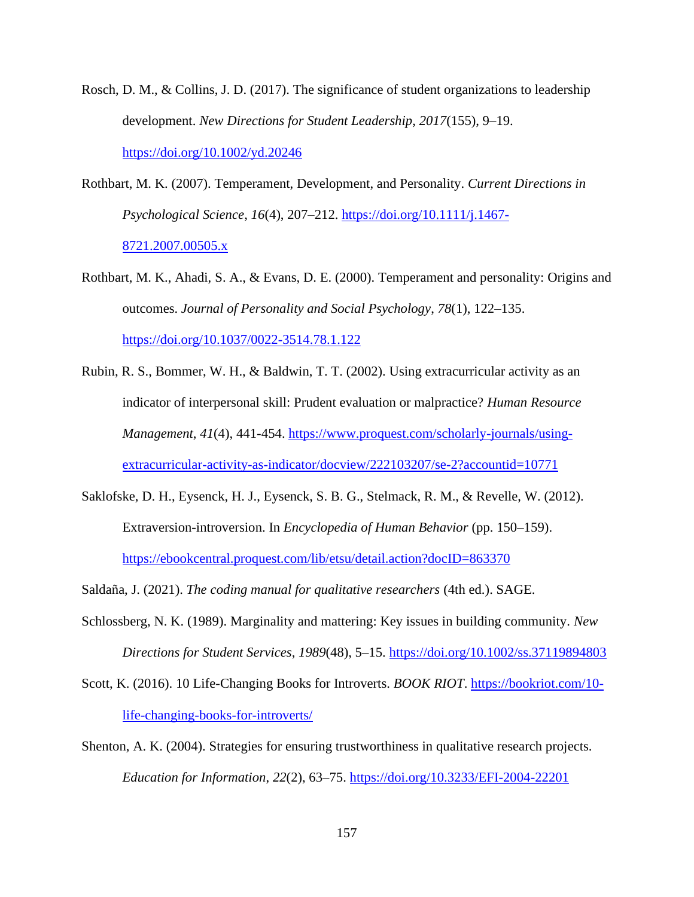- Rosch, D. M., & Collins, J. D. (2017). The significance of student organizations to leadership development. *New Directions for Student Leadership*, *2017*(155), 9–19. <https://doi.org/10.1002/yd.20246>
- Rothbart, M. K. (2007). Temperament, Development, and Personality. *Current Directions in Psychological Science*, *16*(4), 207–212. [https://doi.org/10.1111/j.1467-](https://doi.org/10.1111/j.1467-8721.2007.00505.x) [8721.2007.00505.x](https://doi.org/10.1111/j.1467-8721.2007.00505.x)
- Rothbart, M. K., Ahadi, S. A., & Evans, D. E. (2000). Temperament and personality: Origins and outcomes. *Journal of Personality and Social Psychology*, *78*(1), 122–135. <https://doi.org/10.1037/0022-3514.78.1.122>
- Rubin, R. S., Bommer, W. H., & Baldwin, T. T. (2002). Using extracurricular activity as an indicator of interpersonal skill: Prudent evaluation or malpractice? *Human Resource Management*, *41*(4), 441-454. [https://www.proquest.com/scholarly-journals/using](https://www.proquest.com/scholarly-journals/using-extracurricular-activity-as-indicator/docview/222103207/se-2?accountid=10771)[extracurricular-activity-as-indicator/docview/222103207/se-2?accountid=10771](https://www.proquest.com/scholarly-journals/using-extracurricular-activity-as-indicator/docview/222103207/se-2?accountid=10771)
- Saklofske, D. H., Eysenck, H. J., Eysenck, S. B. G., Stelmack, R. M., & Revelle, W. (2012). Extraversion-introversion. In *Encyclopedia of Human Behavior* (pp. 150–159). <https://ebookcentral.proquest.com/lib/etsu/detail.action?docID=863370>
- Saldaña, J. (2021). *The coding manual for qualitative researchers* (4th ed.). SAGE.
- Schlossberg, N. K. (1989). Marginality and mattering: Key issues in building community. *New Directions for Student Services*, *1989*(48), 5–15.<https://doi.org/10.1002/ss.37119894803>
- Scott, K. (2016). 10 Life-Changing Books for Introverts. *BOOK RIOT*. [https://bookriot.com/10](https://bookriot.com/10-life-changing-books-for-introverts/) [life-changing-books-for-introverts/](https://bookriot.com/10-life-changing-books-for-introverts/)
- Shenton, A. K. (2004). Strategies for ensuring trustworthiness in qualitative research projects. *Education for Information*, *22*(2), 63–75.<https://doi.org/10.3233/EFI-2004-22201>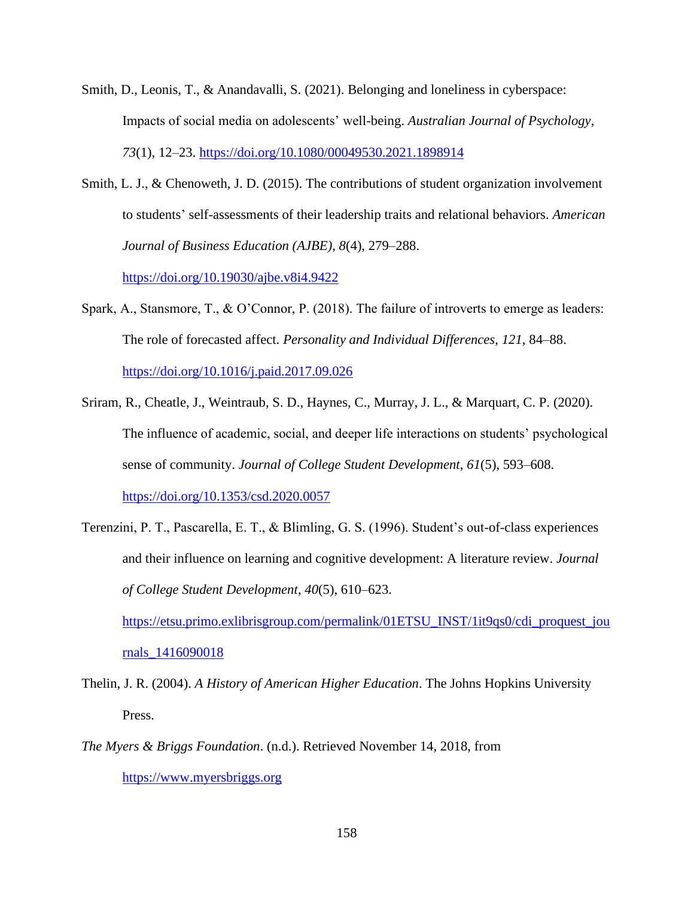- Smith, D., Leonis, T., & Anandavalli, S. (2021). Belonging and loneliness in cyberspace: Impacts of social media on adolescents' well-being. *Australian Journal of Psychology*, *73*(1), 12–23.<https://doi.org/10.1080/00049530.2021.1898914>
- Smith, L. J., & Chenoweth, J. D. (2015). The contributions of student organization involvement to students' self-assessments of their leadership traits and relational behaviors. *American Journal of Business Education (AJBE)*, *8*(4), 279–288.

<https://doi.org/10.19030/ajbe.v8i4.9422>

- Spark, A., Stansmore, T., & O'Connor, P. (2018). The failure of introverts to emerge as leaders: The role of forecasted affect. *Personality and Individual Differences*, *121*, 84–88. <https://doi.org/10.1016/j.paid.2017.09.026>
- Sriram, R., Cheatle, J., Weintraub, S. D., Haynes, C., Murray, J. L., & Marquart, C. P. (2020). The influence of academic, social, and deeper life interactions on students' psychological sense of community. *Journal of College Student Development*, *61*(5), 593–608. <https://doi.org/10.1353/csd.2020.0057>
- Terenzini, P. T., Pascarella, E. T., & Blimling, G. S. (1996). Student's out-of-class experiences and their influence on learning and cognitive development: A literature review. *Journal of College Student Development*, *40*(5), 610–623.

[https://etsu.primo.exlibrisgroup.com/permalink/01ETSU\\_INST/1it9qs0/cdi\\_proquest\\_jou](https://etsu.primo.exlibrisgroup.com/permalink/01ETSU_INST/1it9qs0/cdi_proquest_journals_1416090018) [rnals\\_1416090018](https://etsu.primo.exlibrisgroup.com/permalink/01ETSU_INST/1it9qs0/cdi_proquest_journals_1416090018)

- Thelin, J. R. (2004). *A History of American Higher Education*. The Johns Hopkins University Press.
- *The Myers & Briggs Foundation*. (n.d.). Retrieved November 14, 2018, from [https://www.myersbriggs.org](https://www.myersbriggs.org/)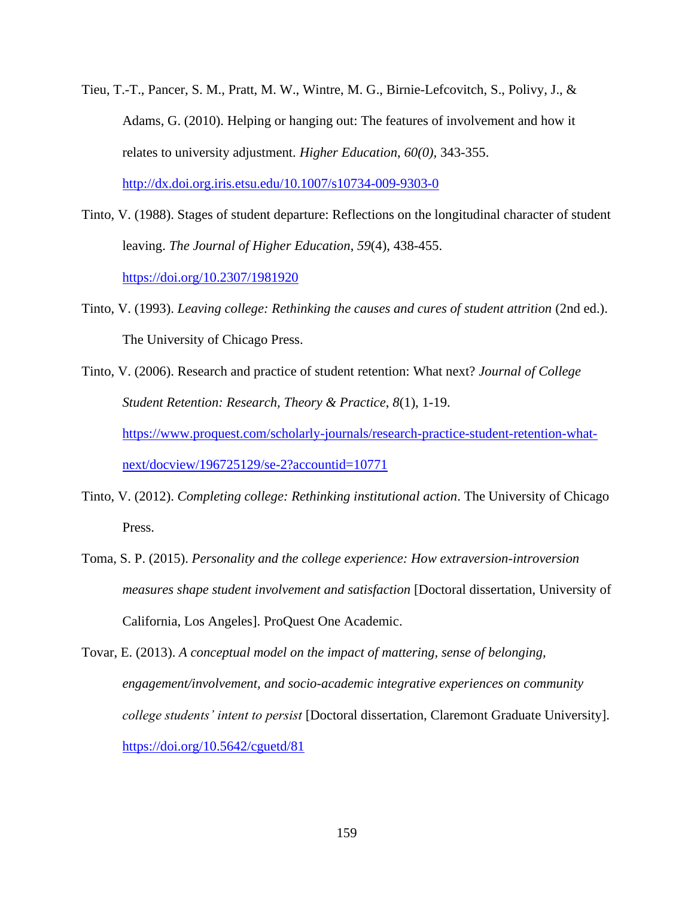- Tieu, T.-T., Pancer, S. M., Pratt, M. W., Wintre, M. G., Birnie-Lefcovitch, S., Polivy, J., & Adams, G. (2010). Helping or hanging out: The features of involvement and how it relates to university adjustment. *Higher Education*, *60(0),* 343-355. <http://dx.doi.org.iris.etsu.edu/10.1007/s10734-009-9303-0>
- Tinto, V. (1988). Stages of student departure: Reflections on the longitudinal character of student leaving. *The Journal of Higher Education*, *59*(4), 438-455. <https://doi.org/10.2307/1981920>
- Tinto, V. (1993). *Leaving college: Rethinking the causes and cures of student attrition* (2nd ed.). The University of Chicago Press.
- Tinto, V. (2006). Research and practice of student retention: What next? *Journal of College Student Retention: Research, Theory & Practice*, *8*(1), 1-19. [https://www.proquest.com/scholarly-journals/research-practice-student-retention-what](https://www.proquest.com/scholarly-journals/research-practice-student-retention-what-next/docview/196725129/se-2?accountid=10771)[next/docview/196725129/se-2?accountid=10771](https://www.proquest.com/scholarly-journals/research-practice-student-retention-what-next/docview/196725129/se-2?accountid=10771)
- Tinto, V. (2012). *Completing college: Rethinking institutional action*. The University of Chicago Press.
- Toma, S. P. (2015). *Personality and the college experience: How extraversion-introversion measures shape student involvement and satisfaction* [Doctoral dissertation, University of California, Los Angeles]. ProQuest One Academic.
- Tovar, E. (2013). *A conceptual model on the impact of mattering, sense of belonging, engagement/involvement, and socio-academic integrative experiences on community college students' intent to persist* [Doctoral dissertation, Claremont Graduate University]. <https://doi.org/10.5642/cguetd/81>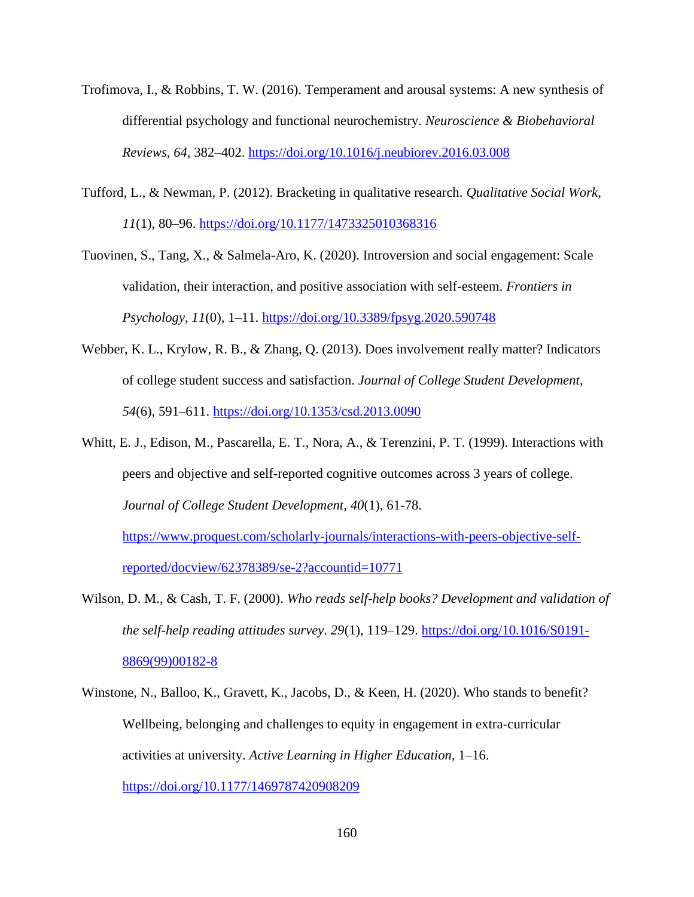- Trofimova, I., & Robbins, T. W. (2016). Temperament and arousal systems: A new synthesis of differential psychology and functional neurochemistry. *Neuroscience & Biobehavioral Reviews*, *64*, 382–402.<https://doi.org/10.1016/j.neubiorev.2016.03.008>
- Tufford, L., & Newman, P. (2012). Bracketing in qualitative research. *Qualitative Social Work*, *11*(1), 80–96.<https://doi.org/10.1177/1473325010368316>

Tuovinen, S., Tang, X., & Salmela-Aro, K. (2020). Introversion and social engagement: Scale validation, their interaction, and positive association with self-esteem. *Frontiers in Psychology*, *11*(0), 1–11.<https://doi.org/10.3389/fpsyg.2020.590748>

- Webber, K. L., Krylow, R. B., & Zhang, Q. (2013). Does involvement really matter? Indicators of college student success and satisfaction. *Journal of College Student Development*, *54*(6), 591–611.<https://doi.org/10.1353/csd.2013.0090>
- Whitt, E. J., Edison, M., Pascarella, E. T., Nora, A., & Terenzini, P. T. (1999). Interactions with peers and objective and self-reported cognitive outcomes across 3 years of college. *Journal of College Student Development*, *40*(1), 61-78. [https://www.proquest.com/scholarly-journals/interactions-with-peers-objective-self](https://www.proquest.com/scholarly-journals/interactions-with-peers-objective-self-reported/docview/62378389/se-2?accountid=10771)[reported/docview/62378389/se-2?accountid=10771](https://www.proquest.com/scholarly-journals/interactions-with-peers-objective-self-reported/docview/62378389/se-2?accountid=10771)
- Wilson, D. M., & Cash, T. F. (2000). *Who reads self-help books? Development and validation of the self-help reading attitudes survey*. *29*(1), 119–129. [https://doi.org/10.1016/S0191-](https://doi.org/10.1016/S0191-8869(99)00182-8) [8869\(99\)00182-8](https://doi.org/10.1016/S0191-8869(99)00182-8)
- Winstone, N., Balloo, K., Gravett, K., Jacobs, D., & Keen, H. (2020). Who stands to benefit? Wellbeing, belonging and challenges to equity in engagement in extra-curricular activities at university. *Active Learning in Higher Education*, 1–16. <https://doi.org/10.1177/1469787420908209>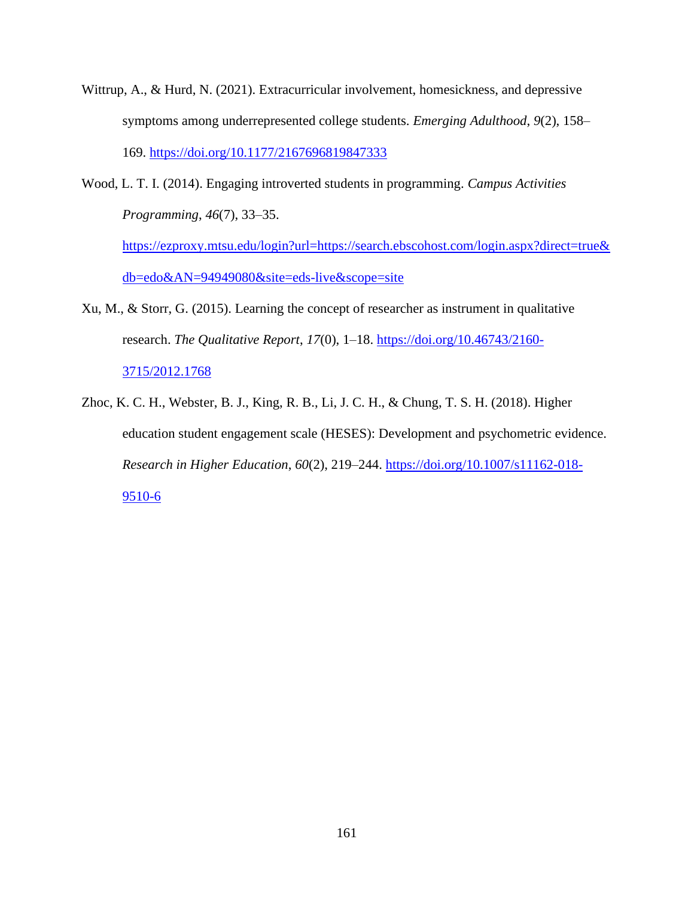- Wittrup, A., & Hurd, N. (2021). Extracurricular involvement, homesickness, and depressive symptoms among underrepresented college students. *Emerging Adulthood*, *9*(2), 158– 169.<https://doi.org/10.1177/2167696819847333>
- Wood, L. T. I. (2014). Engaging introverted students in programming. *Campus Activities Programming*, *46*(7), 33–35. [https://ezproxy.mtsu.edu/login?url=https://search.ebscohost.com/login.aspx?direct=true&](https://ezproxy.mtsu.edu/login?url=https://search.ebscohost.com/login.aspx?direct=true&db=edo&AN=94949080&site=eds-live&scope=site)

[db=edo&AN=94949080&site=eds-live&scope=site](https://ezproxy.mtsu.edu/login?url=https://search.ebscohost.com/login.aspx?direct=true&db=edo&AN=94949080&site=eds-live&scope=site)

- Xu, M., & Storr, G. (2015). Learning the concept of researcher as instrument in qualitative research. *The Qualitative Report*, *17*(0), 1–18. [https://doi.org/10.46743/2160-](https://doi.org/10.46743/2160-3715/2012.1768) [3715/2012.1768](https://doi.org/10.46743/2160-3715/2012.1768)
- Zhoc, K. C. H., Webster, B. J., King, R. B., Li, J. C. H., & Chung, T. S. H. (2018). Higher education student engagement scale (HESES): Development and psychometric evidence. *Research in Higher Education*, *60*(2), 219–244. [https://doi.org/10.1007/s11162-018-](https://doi.org/10.1007/s11162-018-9510-6) [9510-6](https://doi.org/10.1007/s11162-018-9510-6)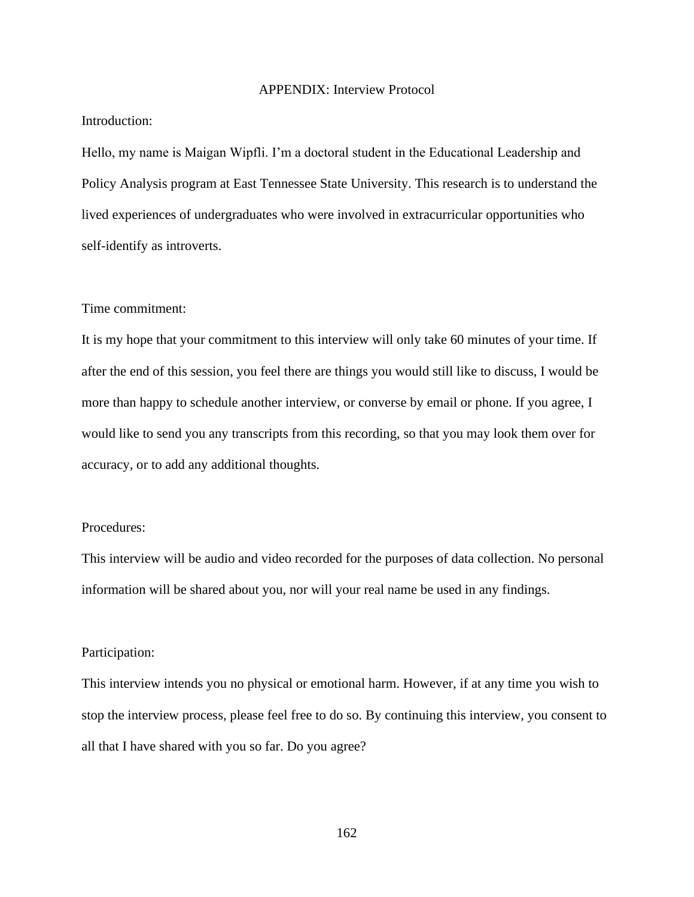### APPENDIX: Interview Protocol

# Introduction:

Hello, my name is Maigan Wipfli. I'm a doctoral student in the Educational Leadership and Policy Analysis program at East Tennessee State University. This research is to understand the lived experiences of undergraduates who were involved in extracurricular opportunities who self-identify as introverts.

### Time commitment:

It is my hope that your commitment to this interview will only take 60 minutes of your time. If after the end of this session, you feel there are things you would still like to discuss, I would be more than happy to schedule another interview, or converse by email or phone. If you agree, I would like to send you any transcripts from this recording, so that you may look them over for accuracy, or to add any additional thoughts.

## Procedures:

This interview will be audio and video recorded for the purposes of data collection. No personal information will be shared about you, nor will your real name be used in any findings.

### Participation:

This interview intends you no physical or emotional harm. However, if at any time you wish to stop the interview process, please feel free to do so. By continuing this interview, you consent to all that I have shared with you so far. Do you agree?

162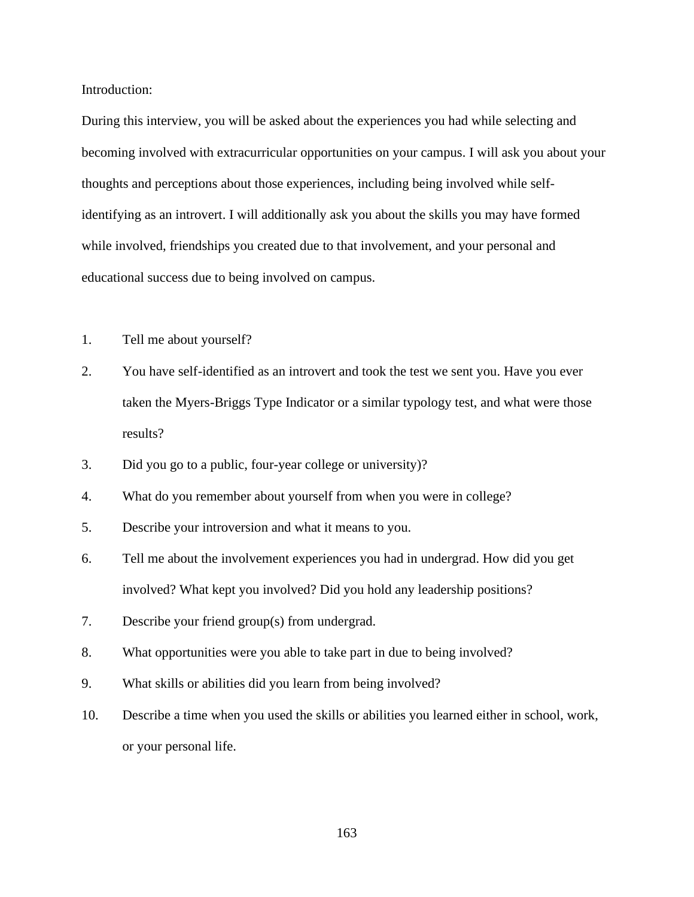Introduction:

During this interview, you will be asked about the experiences you had while selecting and becoming involved with extracurricular opportunities on your campus. I will ask you about your thoughts and perceptions about those experiences, including being involved while selfidentifying as an introvert. I will additionally ask you about the skills you may have formed while involved, friendships you created due to that involvement, and your personal and educational success due to being involved on campus.

- 1. Tell me about yourself?
- 2. You have self-identified as an introvert and took the test we sent you. Have you ever taken the Myers-Briggs Type Indicator or a similar typology test, and what were those results?
- 3. Did you go to a public, four-year college or university)?
- 4. What do you remember about yourself from when you were in college?
- 5. Describe your introversion and what it means to you.
- 6. Tell me about the involvement experiences you had in undergrad. How did you get involved? What kept you involved? Did you hold any leadership positions?
- 7. Describe your friend group(s) from undergrad.
- 8. What opportunities were you able to take part in due to being involved?
- 9. What skills or abilities did you learn from being involved?
- 10. Describe a time when you used the skills or abilities you learned either in school, work, or your personal life.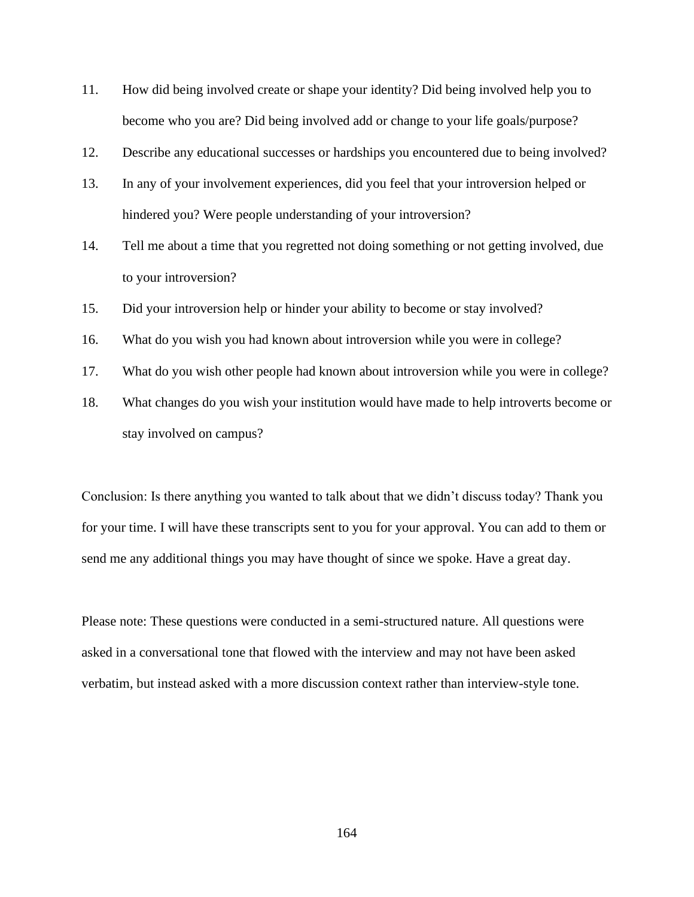- 11. How did being involved create or shape your identity? Did being involved help you to become who you are? Did being involved add or change to your life goals/purpose?
- 12. Describe any educational successes or hardships you encountered due to being involved?
- 13. In any of your involvement experiences, did you feel that your introversion helped or hindered you? Were people understanding of your introversion?
- 14. Tell me about a time that you regretted not doing something or not getting involved, due to your introversion?
- 15. Did your introversion help or hinder your ability to become or stay involved?
- 16. What do you wish you had known about introversion while you were in college?
- 17. What do you wish other people had known about introversion while you were in college?
- 18. What changes do you wish your institution would have made to help introverts become or stay involved on campus?

Conclusion: Is there anything you wanted to talk about that we didn't discuss today? Thank you for your time. I will have these transcripts sent to you for your approval. You can add to them or send me any additional things you may have thought of since we spoke. Have a great day.

Please note: These questions were conducted in a semi-structured nature. All questions were asked in a conversational tone that flowed with the interview and may not have been asked verbatim, but instead asked with a more discussion context rather than interview-style tone.